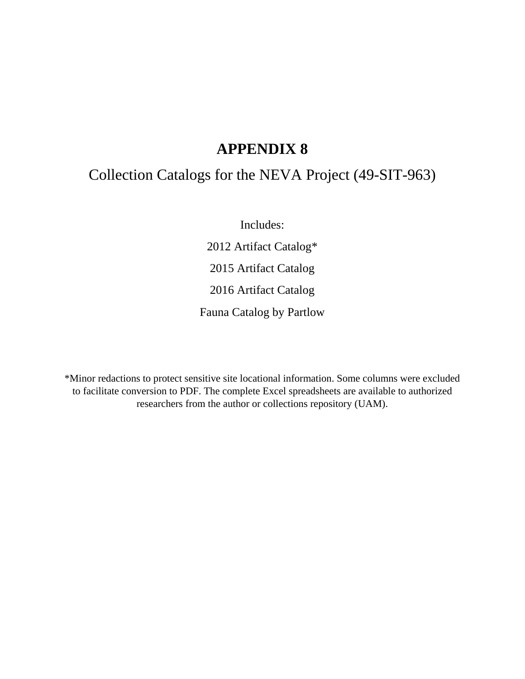### **APPENDIX 8**

### Collection Catalogs for the NEVA Project (49-SIT-963)

Includes: 2012 Artifact Catalog\* 2015 Artifact Catalog 2016 Artifact Catalog Fauna Catalog by Partlow

\*Minor redactions to protect sensitive site locational information. Some columns were excluded to facilitate conversion to PDF. The complete Excel spreadsheets are available to authorized researchers from the author or collections repository (UAM).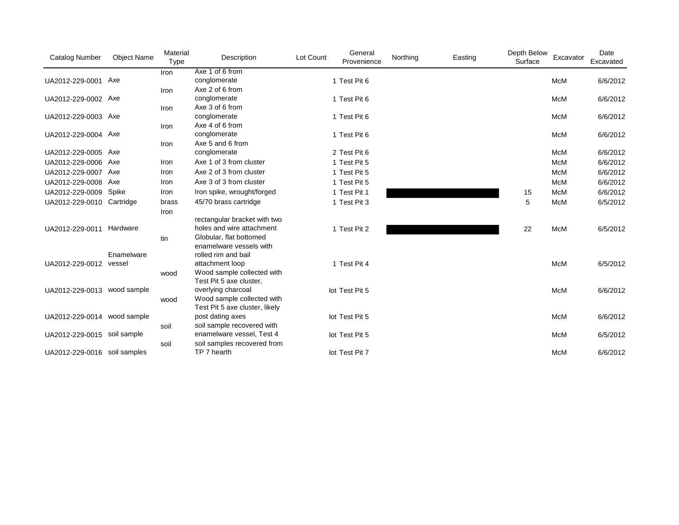| <b>Catalog Number</b>        | <b>Object Name</b> | Material<br>Type | Description                                             | Lot Count | General<br>Provenience | Northing | Easting | Depth Below<br>Surface | Excavator  | Date<br>Excavated |
|------------------------------|--------------------|------------------|---------------------------------------------------------|-----------|------------------------|----------|---------|------------------------|------------|-------------------|
|                              |                    | <b>Iron</b>      | Axe 1 of 6 from                                         |           |                        |          |         |                        |            |                   |
| UA2012-229-0001              | Axe                |                  | conglomerate                                            |           | 1 Test Pit 6           |          |         |                        | <b>McM</b> | 6/6/2012          |
|                              |                    | Iron             | Axe 2 of 6 from                                         |           |                        |          |         |                        |            |                   |
| UA2012-229-0002 Axe          |                    |                  | conglomerate                                            |           | 1 Test Pit 6           |          |         |                        | <b>McM</b> | 6/6/2012          |
|                              |                    | Iron             | Axe 3 of 6 from                                         |           |                        |          |         |                        |            |                   |
| UA2012-229-0003 Axe          |                    |                  | conglomerate                                            |           | 1 Test Pit 6           |          |         |                        | <b>McM</b> | 6/6/2012          |
|                              |                    | Iron             | Axe 4 of 6 from                                         |           |                        |          |         |                        |            |                   |
| UA2012-229-0004 Axe          |                    |                  | conglomerate                                            |           | 1 Test Pit 6           |          |         |                        | <b>McM</b> | 6/6/2012          |
|                              |                    | Iron             | Axe 5 and 6 from                                        |           |                        |          |         |                        |            |                   |
| UA2012-229-0005              | Axe                |                  | conglomerate                                            |           | 2 Test Pit 6           |          |         |                        | <b>McM</b> | 6/6/2012          |
| UA2012-229-0006              | Axe                | Iron             | Axe 1 of 3 from cluster                                 |           | 1 Test Pit 5           |          |         |                        | <b>McM</b> | 6/6/2012          |
| UA2012-229-0007              | Axe                | Iron             | Axe 2 of 3 from cluster                                 |           | 1 Test Pit 5           |          |         |                        | <b>McM</b> | 6/6/2012          |
| UA2012-229-0008              | Axe                | Iron             | Axe 3 of 3 from cluster                                 |           | 1 Test Pit 5           |          |         |                        | <b>McM</b> | 6/6/2012          |
| UA2012-229-0009              | Spike              | Iron             | Iron spike, wrought/forged                              |           | 1 Test Pit 1           |          |         | 15                     | <b>McM</b> | 6/6/2012          |
| UA2012-229-0010 Cartridge    |                    | brass            | 45/70 brass cartridge                                   |           | 1 Test Pit 3           |          |         | 5                      | McM        | 6/5/2012          |
|                              |                    | Iron             |                                                         |           |                        |          |         |                        |            |                   |
|                              |                    |                  | rectangular bracket with two                            |           |                        |          |         |                        |            |                   |
| UA2012-229-0011 Hardware     |                    |                  | holes and wire attachment                               |           | 1 Test Pit 2           |          |         | 22                     | <b>McM</b> | 6/5/2012          |
|                              |                    | tin              | Globular, flat bottomed                                 |           |                        |          |         |                        |            |                   |
|                              |                    |                  | enamelware vessels with                                 |           |                        |          |         |                        |            |                   |
|                              | Enamelware         |                  | rolled rim and bail                                     |           |                        |          |         |                        |            |                   |
| UA2012-229-0012              | vessel             |                  | attachment loop                                         |           | 1 Test Pit 4           |          |         |                        | McM        | 6/5/2012          |
|                              |                    | wood             | Wood sample collected with                              |           |                        |          |         |                        |            |                   |
|                              |                    |                  | Test Pit 5 axe cluster,                                 |           |                        |          |         |                        |            |                   |
| UA2012-229-0013              | wood sample        |                  | overlying charcoal                                      |           | lot Test Pit 5         |          |         |                        | McM        | 6/6/2012          |
|                              |                    | wood             | Wood sample collected with                              |           |                        |          |         |                        |            |                   |
| UA2012-229-0014 wood sample  |                    |                  | Test Pit 5 axe cluster, likely<br>post dating axes      |           |                        |          |         |                        |            |                   |
|                              |                    |                  |                                                         |           | lot Test Pit 5         |          |         |                        | McM        | 6/6/2012          |
| UA2012-229-0015 soil sample  |                    | soil             | soil sample recovered with<br>enamelware vessel, Test 4 |           | lot Test Pit 5         |          |         |                        | <b>McM</b> | 6/5/2012          |
|                              |                    | soil             | soil samples recovered from                             |           |                        |          |         |                        |            |                   |
| UA2012-229-0016 soil samples |                    |                  | TP 7 hearth                                             |           | lot Test Pit 7         |          |         |                        | McM        | 6/6/2012          |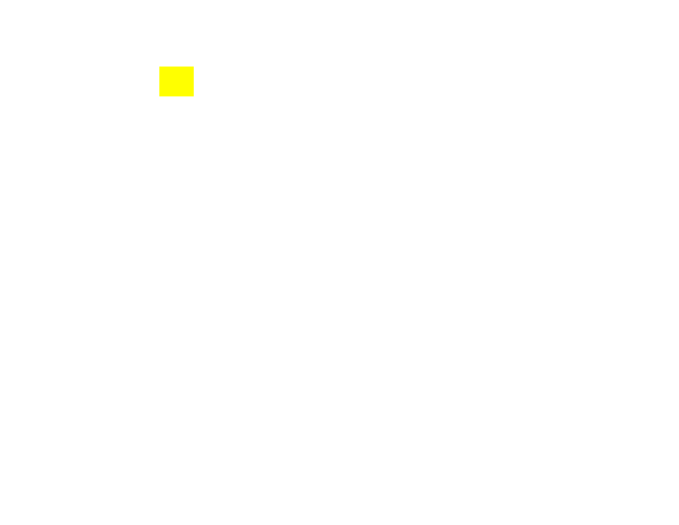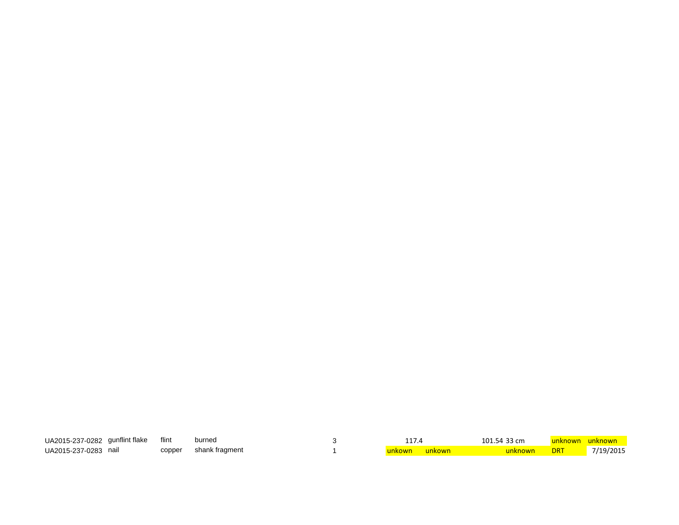| gunflint flake<br>UA2015-237-0282 | flint  | burned         |                  | 101.54 33 cm | <u>unknown </u> | <b>Nunknown</b> |
|-----------------------------------|--------|----------------|------------------|--------------|-----------------|-----------------|
| UA2015-237-0283<br>nail           | copper | shank fragment | unkown<br>unkown | unknown      |                 | 7/19/2015       |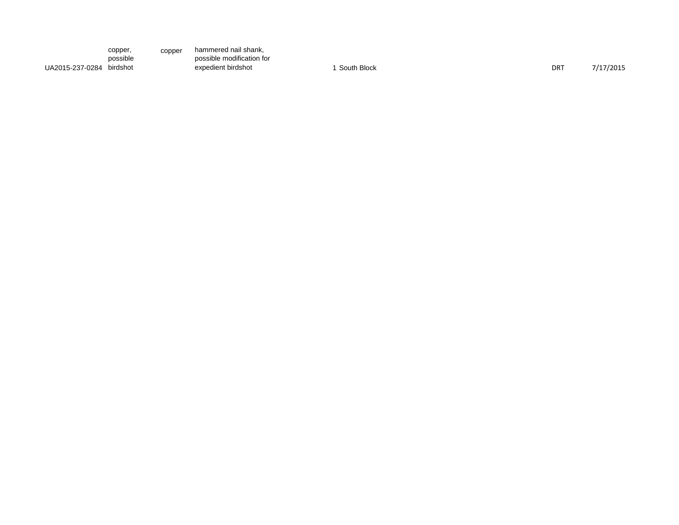|                          | copper,<br>possible | copper | hammered nail shank,<br>possible modification for |             |            |           |
|--------------------------|---------------------|--------|---------------------------------------------------|-------------|------------|-----------|
| UA2015-237-0284 birdshot |                     |        | expedient birdshot                                | South Block | <b>DRT</b> | 7/17/2015 |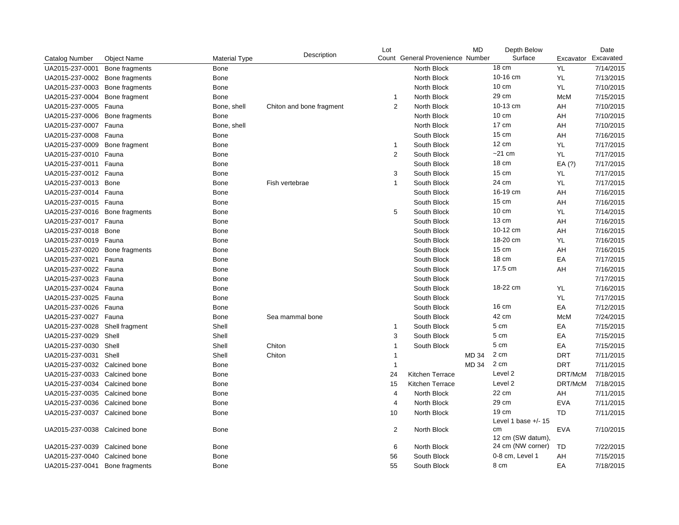|                                |                    |                      | Description              | Lot            |                                  | MD    | Depth Below           |            | Date      |
|--------------------------------|--------------------|----------------------|--------------------------|----------------|----------------------------------|-------|-----------------------|------------|-----------|
| <b>Catalog Number</b>          | <b>Object Name</b> | <b>Material Type</b> |                          |                | Count General Provenience Number |       | Surface               | Excavator  | Excavated |
| UA2015-237-0001                | Bone fragments     | <b>Bone</b>          |                          |                | North Block                      |       | 18 cm                 | <b>YL</b>  | 7/14/2015 |
| UA2015-237-0002                | Bone fragments     | <b>Bone</b>          |                          |                | North Block                      |       | 10-16 cm              | <b>YL</b>  | 7/13/2015 |
| UA2015-237-0003                | Bone fragments     | <b>Bone</b>          |                          |                | North Block                      |       | $10 \text{ cm}$       | <b>YL</b>  | 7/10/2015 |
| UA2015-237-0004                | Bone fragment      | <b>Bone</b>          |                          | 1              | North Block                      |       | 29 cm                 | <b>McM</b> | 7/15/2015 |
| UA2015-237-0005                | Fauna              | Bone, shell          | Chiton and bone fragment | $\overline{2}$ | North Block                      |       | 10-13 cm              | AH         | 7/10/2015 |
| UA2015-237-0006                | Bone fragments     | <b>Bone</b>          |                          |                | North Block                      |       | $10 \text{ cm}$       | AH         | 7/10/2015 |
| UA2015-237-0007                | Fauna              | Bone, shell          |                          |                | North Block                      |       | 17 cm                 | AH         | 7/10/2015 |
| UA2015-237-0008                | Fauna              | <b>Bone</b>          |                          |                | South Block                      |       | 15 cm                 | AH         | 7/16/2015 |
| UA2015-237-0009                | Bone fragment      | <b>Bone</b>          |                          | $\mathbf 1$    | South Block                      |       | $12 \text{ cm}$       | <b>YL</b>  | 7/17/2015 |
| UA2015-237-0010                | Fauna              | Bone                 |                          | 2              | South Block                      |       | $~21$ cm              | <b>YL</b>  | 7/17/2015 |
| UA2015-237-0011                | Fauna              | <b>Bone</b>          |                          |                | South Block                      |       | 18 cm                 | EA(?)      | 7/17/2015 |
| UA2015-237-0012                | Fauna              | <b>Bone</b>          |                          | 3              | South Block                      |       | 15 cm                 | <b>YL</b>  | 7/17/2015 |
| UA2015-237-0013 Bone           |                    | <b>Bone</b>          | Fish vertebrae           | 1              | South Block                      |       | 24 cm                 | <b>YL</b>  | 7/17/2015 |
| UA2015-237-0014 Fauna          |                    | <b>Bone</b>          |                          |                | South Block                      |       | 16-19 cm              | AH         | 7/16/2015 |
| UA2015-237-0015 Fauna          |                    | <b>Bone</b>          |                          |                | South Block                      |       | 15 cm                 | AH         | 7/16/2015 |
| UA2015-237-0016 Bone fragments |                    | <b>Bone</b>          |                          | 5              | South Block                      |       | 10 cm                 | YL         | 7/14/2015 |
| UA2015-237-0017                | Fauna              | <b>Bone</b>          |                          |                | South Block                      |       | 13 cm                 | AH         | 7/16/2015 |
| UA2015-237-0018                | Bone               | <b>Bone</b>          |                          |                | South Block                      |       | 10-12 cm              | AH         | 7/16/2015 |
| UA2015-237-0019                | Fauna              | <b>Bone</b>          |                          |                | South Block                      |       | 18-20 cm              | <b>YL</b>  | 7/16/2015 |
| UA2015-237-0020                | Bone fragments     | <b>Bone</b>          |                          |                | South Block                      |       | 15 cm                 | AH         | 7/16/2015 |
| UA2015-237-0021                | Fauna              | <b>Bone</b>          |                          |                | South Block                      |       | 18 cm                 | EA         | 7/17/2015 |
| UA2015-237-0022                | Fauna              | Bone                 |                          |                | South Block                      |       | 17.5 cm               | AH         | 7/16/2015 |
| UA2015-237-0023 Fauna          |                    | <b>Bone</b>          |                          |                | South Block                      |       |                       |            | 7/17/2015 |
| UA2015-237-0024                | Fauna              | <b>Bone</b>          |                          |                | South Block                      |       | 18-22 cm              | <b>YL</b>  | 7/16/2015 |
| UA2015-237-0025 Fauna          |                    | <b>Bone</b>          |                          |                | South Block                      |       |                       | <b>YL</b>  | 7/17/2015 |
| UA2015-237-0026                | Fauna              | <b>Bone</b>          |                          |                | South Block                      |       | 16 cm                 | EA         | 7/12/2015 |
| UA2015-237-0027                | Fauna              | <b>Bone</b>          | Sea mammal bone          |                | South Block                      |       | 42 cm                 | <b>McM</b> | 7/24/2015 |
| UA2015-237-0028                | Shell fragment     | Shell                |                          | 1              | South Block                      |       | 5 cm                  | EA         | 7/15/2015 |
| UA2015-237-0029 Shell          |                    | Shell                |                          | 3              | South Block                      |       | 5 cm                  | EA         | 7/15/2015 |
| UA2015-237-0030 Shell          |                    | Shell                | Chiton                   |                | South Block                      |       | ს cm                  | EA         | 7/15/2015 |
| UA2015-237-0031                | Shell              | Shell                | Chiton                   |                |                                  | MD 34 | 2 cm                  | <b>DRT</b> | 7/11/2015 |
| UA2015-237-0032 Calcined bone  |                    | <b>Bone</b>          |                          |                |                                  | MD 34 | 2 cm                  | <b>DRT</b> | 7/11/2015 |
| UA2015-237-0033 Calcined bone  |                    | <b>Bone</b>          |                          | 24             | Kitchen Terrace                  |       | Level 2               | DRT/McM    | 7/18/2015 |
| UA2015-237-0034 Calcined bone  |                    | <b>Bone</b>          |                          | 15             | Kitchen Terrace                  |       | Level 2               | DRT/McM    | 7/18/2015 |
| UA2015-237-0035 Calcined bone  |                    | <b>Bone</b>          |                          | 4              | North Block                      |       | 22 cm                 | AH         | 7/11/2015 |
| UA2015-237-0036 Calcined bone  |                    | <b>Bone</b>          |                          | 4              | North Block                      |       | 29 cm                 | <b>EVA</b> | 7/11/2015 |
| UA2015-237-0037 Calcined bone  |                    | <b>Bone</b>          |                          | 10             | North Block                      |       | 19 cm                 | <b>TD</b>  | 7/11/2015 |
|                                |                    |                      |                          |                |                                  |       | Level 1 base $+/- 15$ |            |           |
| UA2015-237-0038 Calcined bone  |                    | <b>Bone</b>          |                          | $\overline{2}$ | North Block                      |       | cm                    | <b>EVA</b> | 7/10/2015 |
|                                |                    |                      |                          |                |                                  |       | 12 cm (SW datum),     |            |           |
| UA2015-237-0039                | Calcined bone      | <b>Bone</b>          |                          | 6              | North Block                      |       | 24 cm (NW corner)     | TD         | 7/22/2015 |
| UA2015-237-0040 Calcined bone  |                    | <b>Bone</b>          |                          | 56             | South Block                      |       | 0-8 cm, Level 1       | AH         | 7/15/2015 |
| UA2015-237-0041                | Bone fragments     | <b>Bone</b>          |                          | 55             | South Block                      |       | 8 cm                  | EA         | 7/18/2015 |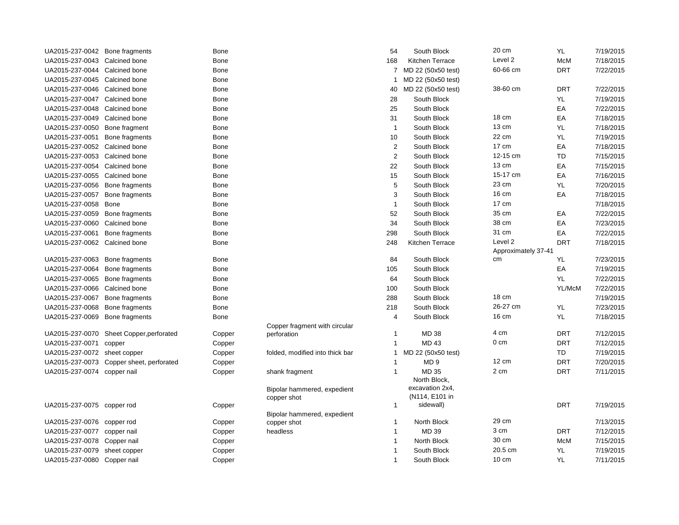| UA2015-237-0042                | Bone fragments                           | <b>Bone</b> |                                 | 54             | South Block           | 20 cm               | <b>YL</b>  | 7/19/2015 |
|--------------------------------|------------------------------------------|-------------|---------------------------------|----------------|-----------------------|---------------------|------------|-----------|
| UA2015-237-0043                | Calcined bone                            | Bone        |                                 | 168            | Kitchen Terrace       | Level 2             | <b>McM</b> | 7/18/2015 |
| UA2015-237-0044                | Calcined bone                            | <b>Bone</b> |                                 |                | MD 22 (50x50 test)    | 60-66 cm            | <b>DRT</b> | 7/22/2015 |
| UA2015-237-0045 Calcined bone  |                                          | <b>Bone</b> |                                 |                | MD 22 (50x50 test)    |                     |            |           |
| UA2015-237-0046                | Calcined bone                            | <b>Bone</b> |                                 | 40             | MD 22 (50x50 test)    | 38-60 cm            | <b>DRT</b> | 7/22/2015 |
| UA2015-237-0047                | Calcined bone                            | <b>Bone</b> |                                 | 28             | South Block           |                     | <b>YL</b>  | 7/19/2015 |
| UA2015-237-0048                | Calcined bone                            | <b>Bone</b> |                                 | 25             | South Block           |                     | EA         | 7/22/2015 |
| UA2015-237-0049                | <b>Calcined bone</b>                     | <b>Bone</b> |                                 | 31             | South Block           | 18 cm               | EA         | 7/18/2015 |
| UA2015-237-0050                | Bone fragment                            | Bone        |                                 | 1              | South Block           | 13 cm               | YL         | 7/18/2015 |
| UA2015-237-0051                | Bone fragments                           | <b>Bone</b> |                                 | 10             | South Block           | 22 cm               | <b>YL</b>  | 7/19/2015 |
| UA2015-237-0052                | Calcined bone                            | <b>Bone</b> |                                 | 2              | South Block           | 17 cm               | EA         | 7/18/2015 |
| UA2015-237-0053                | Calcined bone                            | <b>Bone</b> |                                 | $\overline{2}$ | South Block           | 12-15 cm            | <b>TD</b>  | 7/15/2015 |
| UA2015-237-0054                | Calcined bone                            | <b>Bone</b> |                                 | 22             | South Block           | 13 cm               | EA         | 7/15/2015 |
| UA2015-237-0055                | Calcined bone                            | Bone        |                                 | 15             | South Block           | 15-17 cm            | EA         | 7/16/2015 |
| UA2015-237-0056                | Bone fragments                           | <b>Bone</b> |                                 | 5              | South Block           | 23 cm               | YL         | 7/20/2015 |
| UA2015-237-0057                | Bone fragments                           | <b>Bone</b> |                                 | 3              | South Block           | 16 cm               | EA         | 7/18/2015 |
| UA2015-237-0058                | Bone                                     | <b>Bone</b> |                                 |                | South Block           | 17 cm               |            | 7/18/2015 |
| UA2015-237-0059                | Bone fragments                           | <b>Bone</b> |                                 | 52             | South Block           | 35 cm               | EA         | 7/22/2015 |
| UA2015-237-0060                | Calcined bone                            | <b>Bone</b> |                                 | 34             | South Block           | 38 cm               | EA         | 7/23/2015 |
| UA2015-237-0061                | Bone fragments                           | <b>Bone</b> |                                 | 298            | South Block           | 31 cm               | EA         | 7/22/2015 |
| UA2015-237-0062 Calcined bone  |                                          | <b>Bone</b> |                                 | 248            | Kitchen Terrace       | Level 2             | <b>DRT</b> | 7/18/2015 |
|                                |                                          |             |                                 |                |                       | Approximately 37-41 |            |           |
| UA2015-237-0063                | Bone fragments                           | <b>Bone</b> |                                 | 84             | South Block           | cm                  | YL         | 7/23/2015 |
| UA2015-237-0064                | Bone fragments                           | <b>Bone</b> |                                 | 105            | South Block           |                     | EA         | 7/19/2015 |
| UA2015-237-0065                | Bone fragments                           | <b>Bone</b> |                                 | 64             | South Block           |                     | <b>YL</b>  | 7/22/2015 |
| UA2015-237-0066                | Calcined bone                            | <b>Bone</b> |                                 | 100            | South Block           |                     | YL/McM     | 7/22/2015 |
| UA2015-237-0067                | Bone fragments                           | <b>Bone</b> |                                 | 288            | South Block           | 18 cm               |            | 7/19/2015 |
| UA2015-237-0068                | Bone fragments                           | <b>Bone</b> |                                 | 218            | South Block           | 26-27 cm            | YL         | 7/23/2015 |
| UA2015-237-0069 Bone fragments |                                          | <b>Bone</b> |                                 | 4              | South Block           | 16 cm               | <b>YL</b>  | 7/18/2015 |
|                                |                                          |             | Copper fragment with circular   |                |                       | 4 cm                |            |           |
|                                | UA2015-237-0070 Sheet Copper, perforated | Copper      | perforation                     |                | <b>MD 38</b>          |                     | <b>DRT</b> | 7/12/2015 |
| UA2015-237-0071 copper         |                                          | Copper      |                                 |                | MD 43                 | $0 \text{ cm}$      | <b>DRT</b> | 7/12/2015 |
| UA2015-237-0072 sheet copper   |                                          | Copper      | folded, modified into thick bar |                | MD 22 (50x50 test)    | 12 cm               | <b>TD</b>  | 7/19/2015 |
|                                | UA2015-237-0073 Copper sheet, perforated | Copper      |                                 |                | MD <sub>9</sub>       | 2 cm                | <b>DRT</b> | 7/20/2015 |
| UA2015-237-0074 copper nail    |                                          | Copper      | shank fragment                  | -1             | MD 35<br>North Block, |                     | <b>DRT</b> | 7/11/2015 |
|                                |                                          |             | Bipolar hammered, expedient     |                | excavation 2x4,       |                     |            |           |
|                                |                                          |             | copper shot                     |                | (N114, E101 in        |                     |            |           |
| UA2015-237-0075 copper rod     |                                          | Copper      |                                 |                | sidewall)             |                     | <b>DRT</b> | 7/19/2015 |
|                                |                                          |             | Bipolar hammered, expedient     |                |                       |                     |            |           |
| UA2015-237-0076 copper rod     |                                          | Copper      | copper shot                     |                | North Block           | 29 cm               |            | 7/13/2015 |
| UA2015-237-0077                | copper nail                              | Copper      | headless                        |                | MD 39                 | 3 cm                | <b>DRT</b> | 7/12/2015 |
| UA2015-237-0078 Copper nail    |                                          | Copper      |                                 |                | North Block           | 30 cm               | <b>McM</b> | 7/15/2015 |
| UA2015-237-0079 sheet copper   |                                          | Copper      |                                 |                | South Block           | 20.5 cm             | <b>YL</b>  | 7/19/2015 |
| UA2015-237-0080 Copper nail    |                                          | Copper      |                                 |                | South Block           | 10 cm               | YL         | 7/11/2015 |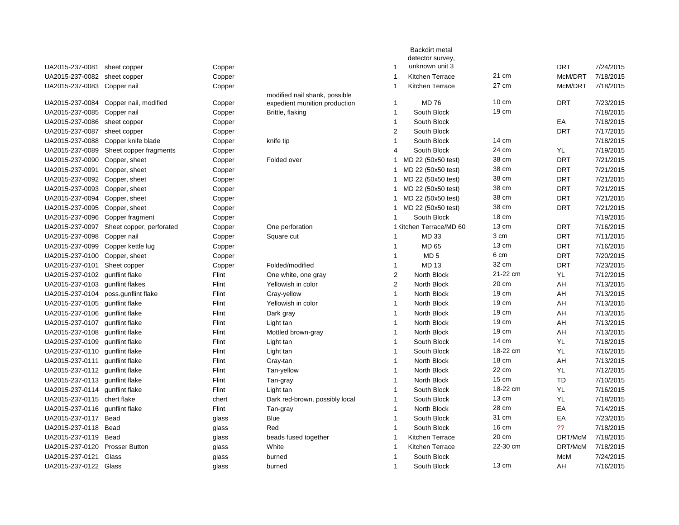|                                |                          |        |                                |                | <b>Backdirt metal</b>                                                                                |                 |            |           |
|--------------------------------|--------------------------|--------|--------------------------------|----------------|------------------------------------------------------------------------------------------------------|-----------------|------------|-----------|
| UA2015-237-0081                | sheet copper             | Copper |                                |                | detector survey,<br>unknown unit 3                                                                   |                 | <b>DRT</b> | 7/24/2015 |
| UA2015-237-0082                | sheet copper             | Copper |                                |                | <b>Kitchen Terrace</b>                                                                               | 21 cm           | McM/DRT    | 7/18/2015 |
| UA2015-237-0083 Copper nail    |                          | Copper |                                |                | Kitchen Terrace                                                                                      | 27 cm           | McM/DRT    | 7/18/2015 |
|                                |                          |        | modified nail shank, possible  |                |                                                                                                      |                 |            |           |
| UA2015-237-0084                | Copper nail, modified    | Copper | expedient munition production  |                | <b>MD76</b>                                                                                          | $10 \text{ cm}$ | <b>DRT</b> | 7/23/2015 |
| UA2015-237-0085                | Copper nail              | Copper | Brittle, flaking               |                | South Block                                                                                          | 19 cm           |            | 7/18/2015 |
| UA2015-237-0086                | sheet copper             | Copper |                                |                | South Block                                                                                          |                 | EA         | 7/18/2015 |
| UA2015-237-0087                | sheet copper             | Copper |                                | 2              | South Block                                                                                          |                 | <b>DRT</b> | 7/17/2015 |
| UA2015-237-0088                | Copper knife blade       | Copper | knife tip                      |                | South Block                                                                                          | 14 cm           |            | 7/18/2015 |
| UA2015-237-0089                | Sheet copper fragments   | Copper |                                |                | South Block                                                                                          | 24 cm           | <b>YL</b>  | 7/19/2015 |
| UA2015-237-0090                | Copper, sheet            | Copper | Folded over                    |                | MD 22 (50x50 test)                                                                                   | 38 cm           | <b>DRT</b> | 7/21/2015 |
| UA2015-237-0091                | Copper, sheet            | Copper |                                |                | MD 22 (50x50 test)                                                                                   | 38 cm           | <b>DRT</b> | 7/21/2015 |
| UA2015-237-0092                | Copper, sheet            | Copper |                                |                | MD 22 (50x50 test)                                                                                   | 38 cm           | <b>DRT</b> | 7/21/2015 |
| UA2015-237-0093                | Copper, sheet            | Copper |                                |                | MD 22 (50x50 test)                                                                                   | 38 cm           | <b>DRT</b> | 7/21/2015 |
| UA2015-237-0094                | Copper, sheet            | Copper |                                |                | MD 22 (50x50 test)                                                                                   | 38 cm           | <b>DRT</b> | 7/21/2015 |
| UA2015-237-0095                | Copper, sheet            | Copper |                                |                | MD 22 (50x50 test)                                                                                   | 38 cm           | <b>DRT</b> | 7/21/2015 |
| UA2015-237-0096                | Copper fragment          | Copper |                                |                | South Block                                                                                          | 18 cm           |            | 7/19/2015 |
| UA2015-237-0097                | Sheet copper, perforated | Copper | One perforation                |                | 1 <itchen 60<="" md="" td="" terrace=""><td>13 cm</td><td><b>DRT</b></td><td>7/16/2015</td></itchen> | 13 cm           | <b>DRT</b> | 7/16/2015 |
| UA2015-237-0098                | Copper nail              | Copper | Square cut                     |                | MD 33                                                                                                | 3 cm            | <b>DRT</b> | 7/11/2015 |
| UA2015-237-0099                | Copper kettle lug        | Copper |                                |                | MD 65                                                                                                | 13 cm           | <b>DRT</b> | 7/16/2015 |
| UA2015-237-0100                | Copper, sheet            | Copper |                                |                | MD <sub>5</sub>                                                                                      | 6 cm            | <b>DRT</b> | 7/20/2015 |
| UA2015-237-0101                | Sheet copper             | Copper | Folded/modified                |                | <b>MD13</b>                                                                                          | 32 cm           | <b>DRT</b> | 7/23/2015 |
| UA2015-237-0102                | gunflint flake           | Flint  | One white, one gray            | $\overline{c}$ | North Block                                                                                          | 21-22 cm        | YL         | 7/12/2015 |
| UA2015-237-0103                | gunflint flakes          | Flint  | Yellowish in color             | $\overline{2}$ | North Block                                                                                          | 20 cm           | AH         | 7/13/2015 |
| UA2015-237-0104                | poss.gunflint flake      | Flint  | Gray-yellow                    |                | North Block                                                                                          | 19 cm           | AH         | 7/13/2015 |
| UA2015-237-0105                | gunflint flake           | Flint  | Yellowish in color             |                | North Block                                                                                          | 19 cm           | AH         | 7/13/2015 |
| UA2015-237-0106 gunflint flake |                          | Flint  | Dark gray                      |                | North Block                                                                                          | 19 cm           | AH         | 7/13/2015 |
| UA2015-237-0107                | gunflint flake           | Flint  | Light tan                      |                | North Block                                                                                          | 19 cm           | AH         | 7/13/2015 |
| UA2015-237-0108 gunflint flake |                          | Flint  | Mottled brown-gray             |                | North Block                                                                                          | 19 cm           | AH         | 7/13/2015 |
| UA2015-237-0109 gunflint flake |                          | Flint  | Light tan                      |                | South Block                                                                                          | 14 cm           | YL         | 7/18/2015 |
| UA2015-237-0110 gunflint flake |                          | Flint  | Light tan                      |                | South Block                                                                                          | 18-22 cm        | <b>YL</b>  | 7/16/2015 |
| UA2015-237-0111 gunflint flake |                          | Flint  | Gray-tan                       |                | North Block                                                                                          | 18 cm           | AH         | 7/13/2015 |
| UA2015-237-0112 gunflint flake |                          | Flint  | Tan-yellow                     |                | North Block                                                                                          | 22 cm           | <b>YL</b>  | 7/12/2015 |
| UA2015-237-0113 gunflint flake |                          | Flint  | Tan-gray                       |                | North Block                                                                                          | 15 cm           | <b>TD</b>  | 7/10/2015 |
| UA2015-237-0114 gunflint flake |                          | Flint  | Light tan                      |                | South Block                                                                                          | 18-22 cm        | YL         | 7/16/2015 |
| UA2015-237-0115 chert flake    |                          | chert  | Dark red-brown, possibly local |                | South Block                                                                                          | $13 \text{ cm}$ | <b>YL</b>  | 7/18/2015 |
| UA2015-237-0116 gunflint flake |                          | Flint  | Tan-gray                       |                | North Block                                                                                          | 28 cm           | EA         | 7/14/2015 |
| UA2015-237-0117 Bead           |                          | glass  | <b>Blue</b>                    |                | South Block                                                                                          | 31 cm           | EA         | 7/23/2015 |
| UA2015-237-0118 Bead           |                          | glass  | Red                            |                | South Block                                                                                          | 16 cm           | ??         | 7/18/2015 |
| UA2015-237-0119 Bead           |                          | glass  | beads fused together           |                | Kitchen Terrace                                                                                      | 20 cm           | DRT/McM    | 7/18/2015 |
| UA2015-237-0120 Prosser Button |                          | glass  | White                          |                | Kitchen Terrace                                                                                      | 22-30 cm        | DRT/McM    | 7/18/2015 |
| UA2015-237-0121                | Glass                    | glass  | burned                         |                | South Block                                                                                          |                 | <b>McM</b> | 7/24/2015 |
| UA2015-237-0122 Glass          |                          | glass  | burned                         |                | South Block                                                                                          | 13 cm           | AH         | 7/16/2015 |
|                                |                          |        |                                |                |                                                                                                      |                 |            |           |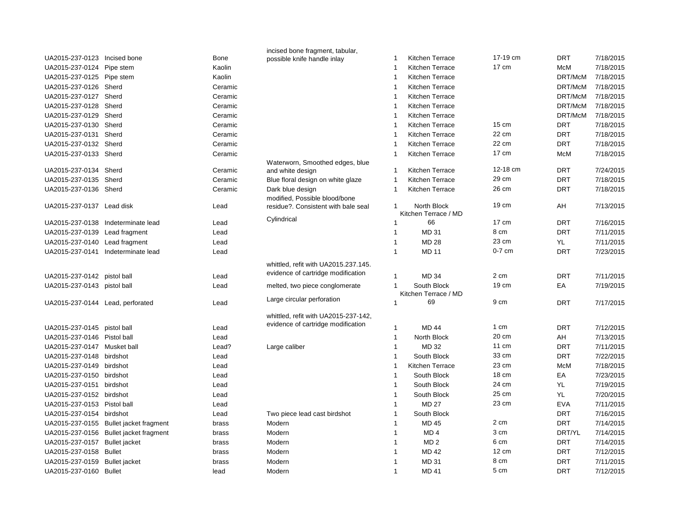|                                  |                                        |             | incised bone fragment, tabular,      |    |                                     |          |            |           |
|----------------------------------|----------------------------------------|-------------|--------------------------------------|----|-------------------------------------|----------|------------|-----------|
| UA2015-237-0123 Incised bone     |                                        | <b>Bone</b> | possible knife handle inlay          |    | <b>Kitchen Terrace</b>              | 17-19 cm | <b>DRT</b> | 7/18/2015 |
| UA2015-237-0124 Pipe stem        |                                        | Kaolin      |                                      |    | <b>Kitchen Terrace</b>              | 17 cm    | McM        | 7/18/2015 |
| UA2015-237-0125 Pipe stem        |                                        | Kaolin      |                                      |    | <b>Kitchen Terrace</b>              |          | DRT/McM    | 7/18/2015 |
| UA2015-237-0126 Sherd            |                                        | Ceramic     |                                      |    | <b>Kitchen Terrace</b>              |          | DRT/McM    | 7/18/2015 |
| UA2015-237-0127 Sherd            |                                        | Ceramic     |                                      |    | <b>Kitchen Terrace</b>              |          | DRT/McM    | 7/18/2015 |
| UA2015-237-0128 Sherd            |                                        | Ceramic     |                                      |    | Kitchen Terrace                     |          | DRT/McM    | 7/18/2015 |
| UA2015-237-0129                  | Sherd                                  | Ceramic     |                                      |    | <b>Kitchen Terrace</b>              |          | DRT/McM    | 7/18/2015 |
| UA2015-237-0130 Sherd            |                                        | Ceramic     |                                      |    | Kitchen Terrace                     | 15 cm    | <b>DRT</b> | 7/18/2015 |
| UA2015-237-0131                  | Sherd                                  | Ceramic     |                                      |    | <b>Kitchen Terrace</b>              | 22 cm    | <b>DRT</b> | 7/18/2015 |
| UA2015-237-0132 Sherd            |                                        | Ceramic     |                                      |    | <b>Kitchen Terrace</b>              | 22 cm    | <b>DRT</b> | 7/18/2015 |
| UA2015-237-0133 Sherd            |                                        | Ceramic     |                                      |    | Kitchen Terrace                     | 17 cm    | <b>McM</b> | 7/18/2015 |
|                                  |                                        |             | Waterworn, Smoothed edges, blue      |    |                                     |          |            |           |
| UA2015-237-0134 Sherd            |                                        | Ceramic     | and white design                     | -1 | <b>Kitchen Terrace</b>              | 12-18 cm | <b>DRT</b> | 7/24/2015 |
| UA2015-237-0135 Sherd            |                                        | Ceramic     | Blue floral design on white glaze    |    | <b>Kitchen Terrace</b>              | 29 cm    | <b>DRT</b> | 7/18/2015 |
| UA2015-237-0136 Sherd            |                                        | Ceramic     | Dark blue design                     | -1 | Kitchen Terrace                     | 26 cm    | <b>DRT</b> | 7/18/2015 |
|                                  |                                        |             | modified, Possible blood/bone        |    |                                     |          |            |           |
| UA2015-237-0137 Lead disk        |                                        | Lead        | residue?. Consistent with bale seal  | -1 | North Block<br>Kitchen Terrace / MD | 19 cm    | AH         | 7/13/2015 |
| UA2015-237-0138                  | Indeterminate lead                     | Lead        | Cylindrical                          |    | 66                                  | 17 cm    | <b>DRT</b> | 7/16/2015 |
| UA2015-237-0139 Lead fragment    |                                        | Lead        |                                      |    | <b>MD 31</b>                        | 8 cm     | <b>DRT</b> | 7/11/2015 |
| UA2015-237-0140 Lead fragment    |                                        | Lead        |                                      |    | <b>MD 28</b>                        | 23 cm    | YL         | 7/11/2015 |
| UA2015-237-0141                  | Indeterminate lead                     | Lead        |                                      |    | <b>MD 11</b>                        | $0-7$ cm | <b>DRT</b> | 7/23/2015 |
|                                  |                                        |             |                                      |    |                                     |          |            |           |
|                                  |                                        |             | whittled, refit with UA2015.237.145. |    |                                     |          |            |           |
| UA2015-237-0142 pistol ball      |                                        | Lead        | evidence of cartridge modification   | -1 | <b>MD 34</b>                        | 2 cm     | <b>DRT</b> | 7/11/2015 |
| UA2015-237-0143 pistol ball      |                                        | Lead        | melted, two piece conglomerate       |    | South Block                         | 19 cm    | EA         | 7/19/2015 |
|                                  |                                        |             | Large circular perforation           |    | Kitchen Terrace / MD                |          |            |           |
| UA2015-237-0144 Lead, perforated |                                        | Lead        |                                      |    | 69                                  | 9 cm     | <b>DRT</b> | 7/17/2015 |
|                                  |                                        |             | whittled, refit with UA2015-237-142, |    |                                     |          |            |           |
| UA2015-237-0145 pistol ball      |                                        | Lead        | evidence of cartridge modification   |    | <b>MD 44</b>                        | 1 cm     | <b>DRT</b> | 7/12/2015 |
| UA2015-237-0146 Pistol ball      |                                        | Lead        |                                      | -1 | North Block                         | 20 cm    | AH         | 7/13/2015 |
| UA2015-237-0147 Musket ball      |                                        | Lead?       | Large caliber                        | 1  | MD 32                               | 11 cm    | <b>DRT</b> | 7/11/2015 |
| UA2015-237-0148 birdshot         |                                        | Lead        |                                      |    | South Block                         | 33 cm    | <b>DRT</b> | 7/22/2015 |
| UA2015-237-0149 birdshot         |                                        | Lead        |                                      |    | <b>Kitchen Terrace</b>              | 23 cm    | McM        | 7/18/2015 |
| UA2015-237-0150 birdshot         |                                        | Lead        |                                      |    | South Block                         | 18 cm    | EA         | 7/23/2015 |
| UA2015-237-0151 birdshot         |                                        | Lead        |                                      |    | South Block                         | 24 cm    | YL         | 7/19/2015 |
| UA2015-237-0152 birdshot         |                                        | Lead        |                                      |    | South Block                         | 25 cm    | YL         | 7/20/2015 |
| UA2015-237-0153 Pistol ball      |                                        | Lead        |                                      |    | <b>MD 27</b>                        | 23 cm    | <b>EVA</b> | 7/11/2015 |
| UA2015-237-0154 birdshot         |                                        | Lead        | Two piece lead cast birdshot         |    | South Block                         |          | <b>DRT</b> | 7/16/2015 |
|                                  | UA2015-237-0155 Bullet jacket fragment | brass       | Modern                               |    | <b>MD 45</b>                        | 2 cm     | <b>DRT</b> | 7/14/2015 |
|                                  | UA2015-237-0156 Bullet jacket fragment | brass       | Modern                               |    | MD <sub>4</sub>                     | 3 cm     | DRT/YL     | 7/14/2015 |
| UA2015-237-0157 Bullet jacket    |                                        | brass       | Modern                               |    | MD <sub>2</sub>                     | 6 cm     | <b>DRT</b> | 7/14/2015 |
| UA2015-237-0158 Bullet           |                                        | brass       | Modern                               |    | <b>MD42</b>                         | 12 cm    | <b>DRT</b> | 7/12/2015 |
| UA2015-237-0159 Bullet jacket    |                                        | brass       | Modern                               |    | <b>MD 31</b>                        | 8 cm     | <b>DRT</b> | 7/11/2015 |
| UA2015-237-0160 Bullet           |                                        | lead        | Modern                               |    | <b>MD 41</b>                        | 5 cm     | <b>DRT</b> | 7/12/2015 |
|                                  |                                        |             |                                      |    |                                     |          |            |           |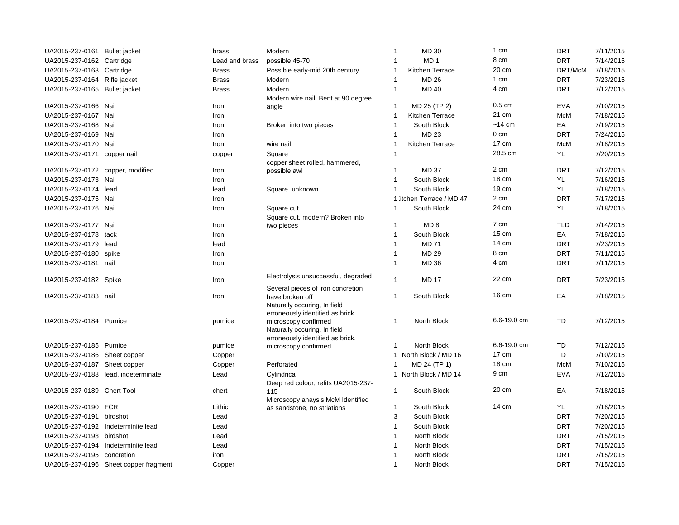| UA2015-237-0161                                       | <b>Bullet</b> jacket                  | brass          | Modern                                                   |              | <b>MD 30</b>              | 1 cm             | <b>DRT</b> | 7/11/2015 |
|-------------------------------------------------------|---------------------------------------|----------------|----------------------------------------------------------|--------------|---------------------------|------------------|------------|-----------|
| UA2015-237-0162                                       | Cartridge                             | Lead and brass | possible 45-70                                           |              | MD <sub>1</sub>           | 8 cm             | <b>DRT</b> | 7/14/2015 |
| UA2015-237-0163                                       | Cartridge                             | <b>Brass</b>   | Possible early-mid 20th century                          |              | Kitchen Terrace           | 20 cm            | DRT/McM    | 7/18/2015 |
| UA2015-237-0164 Rifle jacket                          |                                       | <b>Brass</b>   | Modern                                                   |              | <b>MD 26</b>              | 1 cm             | <b>DRT</b> | 7/23/2015 |
| UA2015-237-0165 Bullet jacket                         |                                       | <b>Brass</b>   | Modern                                                   |              | MD 40                     | 4 cm             | <b>DRT</b> | 7/12/2015 |
|                                                       |                                       |                | Modern wire nail, Bent at 90 degree                      |              |                           |                  |            |           |
| UA2015-237-0166 Nail                                  |                                       | Iron           | angle                                                    |              | MD 25 (TP 2)              | $0.5 \text{ cm}$ | <b>EVA</b> | 7/10/2015 |
| UA2015-237-0167                                       | Nail                                  | Iron           |                                                          |              | <b>Kitchen Terrace</b>    | 21 cm            | <b>McM</b> | 7/18/2015 |
| UA2015-237-0168 Nail                                  |                                       | Iron           | Broken into two pieces                                   |              | South Block               | $~14 \text{ cm}$ | EA         | 7/19/2015 |
| UA2015-237-0169 Nail                                  |                                       | Iron           |                                                          |              | <b>MD 23</b>              | $0 \text{ cm}$   | <b>DRT</b> | 7/24/2015 |
| UA2015-237-0170 Nail                                  |                                       | Iron           | wire nail                                                |              | Kitchen Terrace           | 17 cm            | <b>McM</b> | 7/18/2015 |
| UA2015-237-0171                                       | copper nail                           | copper         | Square                                                   |              |                           | 28.5 cm          | <b>YL</b>  | 7/20/2015 |
|                                                       |                                       |                | copper sheet rolled, hammered,                           |              |                           |                  |            |           |
| UA2015-237-0172 copper, modified                      |                                       | Iron           | possible awl                                             |              | <b>MD 37</b>              | 2 cm             | <b>DRT</b> | 7/12/2015 |
| UA2015-237-0173 Nail                                  |                                       | Iron           |                                                          |              | South Block               | 18 cm            | <b>YL</b>  | 7/16/2015 |
| UA2015-237-0174 lead                                  |                                       | lead           | Square, unknown                                          |              | South Block               | $19 \text{ cm}$  | YL         | 7/18/2015 |
| UA2015-237-0175 Nail                                  |                                       | Iron           |                                                          |              | 1 Jitchen Terrace / MD 47 | 2 cm             | <b>DRT</b> | 7/17/2015 |
| UA2015-237-0176 Nail                                  |                                       | Iron           | Square cut                                               |              | South Block               | 24 cm            | YL         | 7/18/2015 |
|                                                       |                                       |                | Square cut, modern? Broken into                          | 1            | MD <sub>8</sub>           | 7 cm             | <b>TLD</b> | 7/14/2015 |
| UA2015-237-0177 Nail                                  |                                       | Iron           | two pieces                                               |              | South Block               | $15 \text{ cm}$  |            | 7/18/2015 |
| UA2015-237-0178 tack                                  |                                       | Iron           |                                                          |              |                           | 14 cm            | EA         |           |
| UA2015-237-0179 lead                                  |                                       | lead           |                                                          |              | <b>MD71</b>               |                  | <b>DRT</b> | 7/23/2015 |
| UA2015-237-0180                                       | spike                                 | Iron           |                                                          |              | <b>MD 29</b>              | 8 cm             | <b>DRT</b> | 7/11/2015 |
| UA2015-237-0181                                       | nail                                  | Iron           |                                                          |              | MD 36                     | 4 cm             | <b>DRT</b> | 7/11/2015 |
| UA2015-237-0182 Spike                                 |                                       | Iron           | Electrolysis unsuccessful, degraded                      | $\mathbf{1}$ | <b>MD 17</b>              | 22 cm            | <b>DRT</b> | 7/23/2015 |
|                                                       |                                       |                | Several pieces of iron concretion                        |              |                           |                  |            |           |
| UA2015-237-0183 nail                                  |                                       | Iron           | have broken off                                          | 1            | South Block               | 16 cm            | EA         | 7/18/2015 |
|                                                       |                                       |                | Naturally occuring, In field                             |              |                           |                  |            |           |
| UA2015-237-0184 Pumice                                |                                       | pumice         | erroneously identified as brick,<br>microscopy confirmed | $\mathbf 1$  | North Block               | 6.6-19.0 cm      | TD         | 7/12/2015 |
|                                                       |                                       |                | Naturally occuring, In field                             |              |                           |                  |            |           |
|                                                       |                                       |                | erroneously identified as brick,                         |              |                           |                  |            |           |
| UA2015-237-0185 Pumice                                |                                       | pumice         | microscopy confirmed                                     | 1            | North Block               | 6.6-19.0 cm      | <b>TD</b>  | 7/12/2015 |
| UA2015-237-0186 Sheet copper                          |                                       | Copper         |                                                          |              | 1 North Block / MD 16     | 17 cm            | TD         | 7/10/2015 |
| UA2015-237-0187 Sheet copper                          |                                       | Copper         | Perforated                                               |              | MD 24 (TP 1)              | 18 cm            | <b>McM</b> | 7/10/2015 |
|                                                       | UA2015-237-0188 lead, indeterminate   | Lead           | Cylindrical                                              |              | 1 North Block / MD 14     | 9 cm             | <b>EVA</b> | 7/12/2015 |
|                                                       |                                       |                | Deep red colour, refits UA2015-237-                      |              |                           |                  |            |           |
| UA2015-237-0189 Chert Tool                            |                                       | chert          | 115                                                      | 1            | South Block               | 20 cm            | EA         | 7/18/2015 |
| UA2015-237-0190 FCR                                   |                                       | Lithic         | Microscopy anaysis McM Identified                        |              | South Block               | 14 cm            | YL         | 7/18/2015 |
|                                                       |                                       |                | as sandstone, no striations                              |              |                           |                  |            |           |
| UA2015-237-0191<br>UA2015-237-0192 Indeterminite lead | birdshot                              | Lead           |                                                          | 3            | South Block               |                  | <b>DRT</b> | 7/20/2015 |
|                                                       |                                       | Lead           |                                                          |              | South Block               |                  | <b>DRT</b> | 7/20/2015 |
| UA2015-237-0193 birdshot                              |                                       | Lead           |                                                          |              | North Block               |                  | <b>DRT</b> | 7/15/2015 |
| UA2015-237-0194 Indeterminite lead                    |                                       | Lead           |                                                          |              | North Block               |                  | <b>DRT</b> | 7/15/2015 |
| UA2015-237-0195 concretion                            |                                       | iron           |                                                          | 1            | North Block               |                  | <b>DRT</b> | 7/15/2015 |
|                                                       | UA2015-237-0196 Sheet copper fragment | Copper         |                                                          | 1            | North Block               |                  | <b>DRT</b> | 7/15/2015 |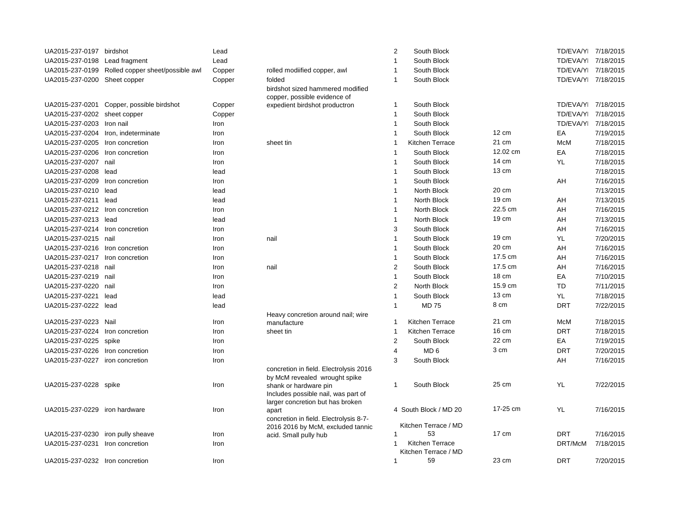| UA2015-237-0197                   | birdshot                                         | Lead        |                                                        | 2              | South Block                |                 | TD/EVA/YI        | 7/18/2015           |
|-----------------------------------|--------------------------------------------------|-------------|--------------------------------------------------------|----------------|----------------------------|-----------------|------------------|---------------------|
| UA2015-237-0198 Lead fragment     |                                                  | Lead        |                                                        |                | South Block                |                 |                  | TD/EVA/YI 7/18/2015 |
|                                   | UA2015-237-0199 Rolled copper sheet/possible awl | Copper      | rolled modiified copper, awl                           |                | South Block                |                 | TD/EVA/YI        | 7/18/2015           |
| UA2015-237-0200 Sheet copper      |                                                  | Copper      | folded                                                 |                | South Block                |                 |                  | TD/EVA/YI 7/18/2015 |
|                                   |                                                  |             | birdshot sized hammered modified                       |                |                            |                 |                  |                     |
| UA2015-237-0201                   |                                                  |             | copper, possible evidence of                           |                | South Block                |                 | TD/EVA/YI        | 7/18/2015           |
| UA2015-237-0202 sheet copper      | Copper, possible birdshot                        | Copper      | expedient birdshot productron                          |                | South Block                |                 | TD/EVA/YI        | 7/18/2015           |
| UA2015-237-0203 Iron nail         |                                                  | Copper      |                                                        |                | South Block                |                 | <b>TD/EVA/YI</b> | 7/18/2015           |
| UA2015-237-0204                   | Iron, indeterminate                              | <b>Iron</b> |                                                        |                | South Block                | $12 \text{ cm}$ | EA               | 7/19/2015           |
| UA2015-237-0205                   |                                                  | Iron        | sheet tin                                              |                | <b>Kitchen Terrace</b>     | 21 cm           | <b>McM</b>       | 7/18/2015           |
|                                   | Iron concretion                                  | Iron        |                                                        |                |                            | 12.02 cm        |                  |                     |
| UA2015-237-0206 Iron concretion   |                                                  | Iron        |                                                        |                | South Block                | 14 cm           | EA               | 7/18/2015           |
| UA2015-237-0207 nail              |                                                  | Iron        |                                                        |                | South Block                |                 | <b>YL</b>        | 7/18/2015           |
| UA2015-237-0208 lead              |                                                  | lead        |                                                        |                | South Block                | 13 cm           |                  | 7/18/2015           |
| UA2015-237-0209                   | Iron concretion                                  | Iron        |                                                        |                | South Block                |                 | AH               | 7/16/2015           |
| UA2015-237-0210 lead              |                                                  | lead        |                                                        |                | North Block                | 20 cm           |                  | 7/13/2015           |
| UA2015-237-0211 lead              |                                                  | lead        |                                                        |                | North Block                | 19 cm           | AH               | 7/13/2015           |
| UA2015-237-0212 Iron concretion   |                                                  | Iron        |                                                        |                | North Block                | 22.5 cm         | AH               | 7/16/2015           |
| UA2015-237-0213 lead              |                                                  | lead        |                                                        |                | North Block                | 19 cm           | AH               | 7/13/2015           |
| UA2015-237-0214 Iron concretion   |                                                  | Iron        |                                                        | 3              | South Block                |                 | AH               | 7/16/2015           |
| UA2015-237-0215 nail              |                                                  | Iron        | nail                                                   |                | South Block                | $19 \text{ cm}$ | <b>YL</b>        | 7/20/2015           |
| UA2015-237-0216 Iron concretion   |                                                  | Iron        |                                                        |                | South Block                | 20 cm           | AH               | 7/16/2015           |
| UA2015-237-0217 Iron concretion   |                                                  | Iron        |                                                        |                | South Block                | 17.5 cm         | AH               | 7/16/2015           |
| UA2015-237-0218 nail              |                                                  | Iron        | nail                                                   | $\overline{2}$ | South Block                | 17.5 cm         | AH               | 7/16/2015           |
| UA2015-237-0219 nail              |                                                  | Iron        |                                                        |                | South Block                | 18 cm           | EA               | 7/10/2015           |
| UA2015-237-0220 nail              |                                                  | Iron        |                                                        | $\overline{2}$ | North Block                | 15.9 cm         | <b>TD</b>        | 7/11/2015           |
| UA2015-237-0221                   | lead                                             | lead        |                                                        |                | South Block                | $13 \text{ cm}$ | <b>YL</b>        | 7/18/2015           |
| UA2015-237-0222 lead              |                                                  | lead        |                                                        |                | <b>MD75</b>                | 8 cm            | <b>DRT</b>       | 7/22/2015           |
|                                   |                                                  |             | Heavy concretion around nail; wire                     |                |                            | 21 cm           |                  |                     |
| UA2015-237-0223 Nail              |                                                  | <b>Iron</b> | manufacture                                            |                | Kitchen Terrace            |                 | <b>McM</b>       | 7/18/2015           |
| UA2015-237-0224 Iron concretion   |                                                  | Iron        | sheet tin                                              |                | Kitchen Terrace            | 16 cm           | <b>DRT</b>       | 7/18/2015           |
| UA2015-237-0225 spike             |                                                  | Iron        |                                                        |                | South Block                | 22 cm           | EA               | 7/19/2015           |
| UA2015-237-0226 Iron concretion   |                                                  | Iron        |                                                        | 4              | MD <sub>6</sub>            | 3 cm            | <b>DRT</b>       | 7/20/2015           |
| UA2015-237-0227 iron concretion   |                                                  | Iron        |                                                        | 3              | South Block                |                 | AH               | 7/16/2015           |
|                                   |                                                  |             | concretion in field. Electrolysis 2016                 |                |                            |                 |                  |                     |
| UA2015-237-0228 spike             |                                                  | Iron        | by McM revealed wrought spike<br>shank or hardware pin |                | South Block                | 25 cm           | YL               | 7/22/2015           |
|                                   |                                                  |             | Includes possible nail, was part of                    |                |                            |                 |                  |                     |
|                                   |                                                  |             | larger concretion but has broken                       |                |                            |                 |                  |                     |
| UA2015-237-0229 iron hardware     |                                                  | Iron        | apart                                                  |                | 4 South Block / MD 20      | 17-25 cm        | <b>YL</b>        | 7/16/2015           |
|                                   |                                                  |             | concretion in field. Electrolysis 8-7-                 |                |                            |                 |                  |                     |
|                                   |                                                  |             | 2016 2016 by McM, excluded tannic                      |                | Kitchen Terrace / MD<br>53 | 17 cm           |                  |                     |
| UA2015-237-0230 iron pully sheave |                                                  | Iron        | acid. Small pully hub                                  |                | Kitchen Terrace            |                 | <b>DRT</b>       | 7/16/2015           |
| UA2015-237-0231 Iron concretion   |                                                  | Iron        |                                                        |                | Kitchen Terrace / MD       |                 | DRT/McM          | 7/18/2015           |
| UA2015-237-0232 Iron concretion   |                                                  | Iron        |                                                        |                | 59                         | 23 cm           | <b>DRT</b>       | 7/20/2015           |
|                                   |                                                  |             |                                                        |                |                            |                 |                  |                     |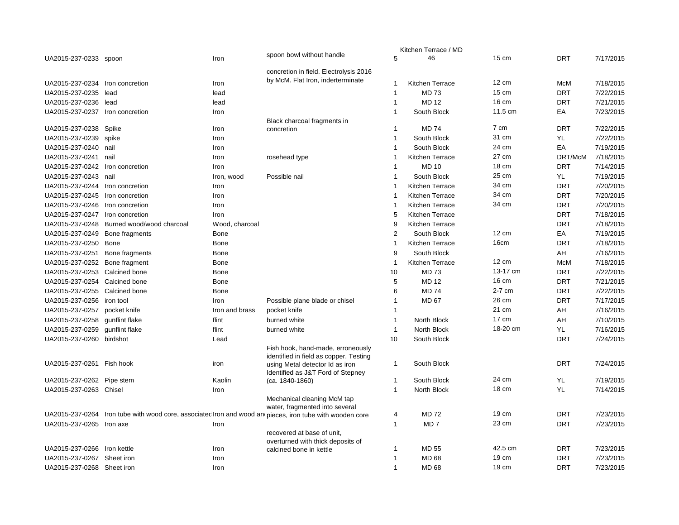|                                 |                                                                                                          |                |                                                                      |                | Kitchen Terrace / MD   |                 |            |           |
|---------------------------------|----------------------------------------------------------------------------------------------------------|----------------|----------------------------------------------------------------------|----------------|------------------------|-----------------|------------|-----------|
| UA2015-237-0233 spoon           |                                                                                                          | Iron           | spoon bowl without handle                                            | 5              | 46                     | 15 cm           | <b>DRT</b> | 7/17/2015 |
|                                 |                                                                                                          |                | concretion in field. Electrolysis 2016                               |                |                        |                 |            |           |
| UA2015-237-0234 Iron concretion |                                                                                                          | Iron           | by McM. Flat Iron, inderterminate                                    |                | Kitchen Terrace        | $12 \text{ cm}$ | <b>McM</b> | 7/18/2015 |
| UA2015-237-0235 lead            |                                                                                                          | lead           |                                                                      |                | <b>MD73</b>            | 15 cm           | <b>DRT</b> | 7/22/2015 |
| UA2015-237-0236 lead            |                                                                                                          | lead           |                                                                      |                | <b>MD12</b>            | 16 cm           | <b>DRT</b> | 7/21/2015 |
| UA2015-237-0237                 | Iron concretion                                                                                          | Iron           |                                                                      |                | South Block            | 11.5 cm         | EA         | 7/23/2015 |
|                                 |                                                                                                          |                | Black charcoal fragments in                                          |                |                        |                 |            |           |
| UA2015-237-0238 Spike           |                                                                                                          | Iron           | concretion                                                           |                | <b>MD74</b>            | 7 cm            | <b>DRT</b> | 7/22/2015 |
| UA2015-237-0239 spike           |                                                                                                          | Iron           |                                                                      |                | South Block            | 31 cm           | <b>YL</b>  | 7/22/2015 |
| UA2015-237-0240 nail            |                                                                                                          | Iron           |                                                                      |                | South Block            | 24 cm           | EA         | 7/19/2015 |
| UA2015-237-0241 nail            |                                                                                                          | Iron           | rosehead type                                                        |                | Kitchen Terrace        | 27 cm           | DRT/McM    | 7/18/2015 |
| UA2015-237-0242 Iron concretion |                                                                                                          | Iron           |                                                                      |                | <b>MD 10</b>           | 18 cm           | <b>DRT</b> | 7/14/2015 |
| UA2015-237-0243 nail            |                                                                                                          | Iron, wood     | Possible nail                                                        |                | South Block            | 25 cm           | <b>YL</b>  | 7/19/2015 |
| UA2015-237-0244                 | Iron concretion                                                                                          | Iron           |                                                                      |                | <b>Kitchen Terrace</b> | 34 cm           | <b>DRT</b> | 7/20/2015 |
| UA2015-237-0245 Iron concretion |                                                                                                          | Iron           |                                                                      |                | Kitchen Terrace        | 34 cm           | <b>DRT</b> | 7/20/2015 |
| UA2015-237-0246 Iron concretion |                                                                                                          | Iron           |                                                                      |                | Kitchen Terrace        | 34 cm           | <b>DRT</b> | 7/20/2015 |
| UA2015-237-0247                 | Iron concretion                                                                                          | Iron           |                                                                      | 5              | Kitchen Terrace        |                 | <b>DRT</b> | 7/18/2015 |
|                                 | UA2015-237-0248 Burned wood/wood charcoal                                                                | Wood, charcoal |                                                                      | 9              | <b>Kitchen Terrace</b> |                 | <b>DRT</b> | 7/18/2015 |
| UA2015-237-0249                 | Bone fragments                                                                                           | <b>Bone</b>    |                                                                      | $\overline{2}$ | South Block            | 12 cm           | EA         | 7/19/2015 |
| UA2015-237-0250 Bone            |                                                                                                          | <b>Bone</b>    |                                                                      |                | Kitchen Terrace        | 16cm            | <b>DRT</b> | 7/18/2015 |
| UA2015-237-0251                 | Bone fragments                                                                                           | <b>Bone</b>    |                                                                      | 9              | South Block            |                 | AH         | 7/16/2015 |
| UA2015-237-0252                 | Bone fragment                                                                                            | <b>Bone</b>    |                                                                      |                | Kitchen Terrace        | $12 \text{ cm}$ | <b>McM</b> | 7/18/2015 |
| UA2015-237-0253 Calcined bone   |                                                                                                          | <b>Bone</b>    |                                                                      | 10             | <b>MD73</b>            | 13-17 cm        | <b>DRT</b> | 7/22/2015 |
| UA2015-237-0254 Calcined bone   |                                                                                                          | <b>Bone</b>    |                                                                      | 5              | <b>MD12</b>            | $16 \text{ cm}$ | <b>DRT</b> | 7/21/2015 |
| UA2015-237-0255 Calcined bone   |                                                                                                          | <b>Bone</b>    |                                                                      | 6              | <b>MD74</b>            | 2-7 cm          | <b>DRT</b> | 7/22/2015 |
| UA2015-237-0256 iron tool       |                                                                                                          | Iron           | Possible plane blade or chisel                                       |                | <b>MD 67</b>           | 26 cm           | <b>DRT</b> | 7/17/2015 |
| UA2015-237-0257                 | pocket knife                                                                                             | Iron and brass | pocket knife                                                         |                |                        | 21 cm           | AH         | 7/16/2015 |
| UA2015-237-0258 gunflint flake  |                                                                                                          | flint          | burned white                                                         |                | North Block            | 17 cm           | AH         | 7/10/2015 |
| UA2015-237-0259 gunflint flake  |                                                                                                          | flint          | burned white                                                         |                | North Block            | 18-20 cm        | <b>YL</b>  | 7/16/2015 |
| UA2015-237-0260 birdshot        |                                                                                                          | Lead           |                                                                      | 10             | South Block            |                 | <b>DRT</b> | 7/24/2015 |
|                                 |                                                                                                          |                | Fish hook, hand-made, erroneously                                    |                |                        |                 |            |           |
|                                 |                                                                                                          |                | identified in field as copper. Testing                               |                |                        |                 |            |           |
| UA2015-237-0261 Fish hook       |                                                                                                          | iron           | using Metal detector Id as iron<br>Identified as J&T Ford of Stepney |                | South Block            |                 | <b>DRT</b> | 7/24/2015 |
| UA2015-237-0262 Pipe stem       |                                                                                                          | Kaolin         | $(ca. 1840-1860)$                                                    |                | South Block            | 24 cm           | <b>YL</b>  | 7/19/2015 |
| UA2015-237-0263 Chisel          |                                                                                                          | Iron           |                                                                      |                | North Block            | 18 cm           | <b>YL</b>  | 7/14/2015 |
|                                 |                                                                                                          |                | Mechanical cleaning McM tap                                          |                |                        |                 |            |           |
|                                 |                                                                                                          |                | water, fragmented into several                                       |                |                        |                 |            |           |
|                                 | UA2015-237-0264 Iron tube with wood core, associated Iron and wood anopieces, iron tube with wooden core |                |                                                                      | 4              | <b>MD72</b>            | $19 \text{ cm}$ | <b>DRT</b> | 7/23/2015 |
| UA2015-237-0265 Iron axe        |                                                                                                          | Iron           |                                                                      |                | MD <sub>7</sub>        | 23 cm           | <b>DRT</b> | 7/23/2015 |
|                                 |                                                                                                          |                | recovered at base of unit,                                           |                |                        |                 |            |           |
| UA2015-237-0266 Iron kettle     |                                                                                                          | Iron           | overturned with thick deposits of<br>calcined bone in kettle         |                | MD 55                  | 42.5 cm         | <b>DRT</b> | 7/23/2015 |
| UA2015-237-0267 Sheet iron      |                                                                                                          | <b>Iron</b>    |                                                                      |                | <b>MD68</b>            | $19 \text{ cm}$ | <b>DRT</b> | 7/23/2015 |
| UA2015-237-0268 Sheet iron      |                                                                                                          | Iron           |                                                                      |                | <b>MD68</b>            | 19 cm           | <b>DRT</b> | 7/23/2015 |
|                                 |                                                                                                          |                |                                                                      |                |                        |                 |            |           |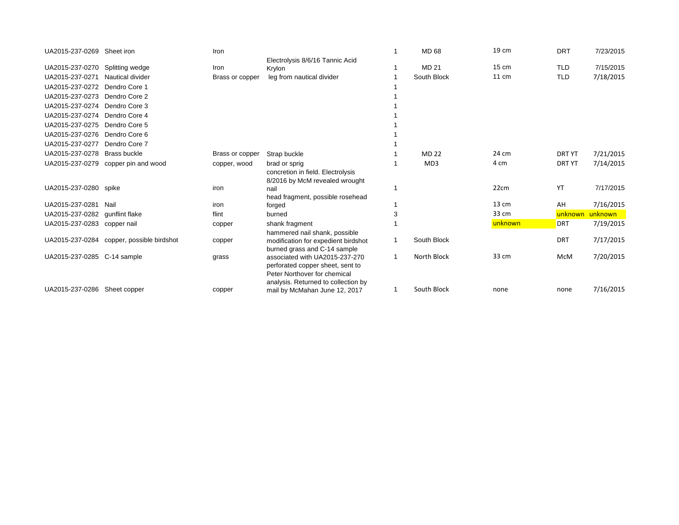| UA2015-237-0269 Sheet iron     |                                     | Iron            |                                                                      | <b>MD 68</b> | 19 cm   | <b>DRT</b>    | 7/23/2015 |
|--------------------------------|-------------------------------------|-----------------|----------------------------------------------------------------------|--------------|---------|---------------|-----------|
|                                |                                     |                 | Electrolysis 8/6/16 Tannic Acid                                      |              |         |               |           |
| UA2015-237-0270                | Splitting wedge                     | Iron            | Krylon                                                               | <b>MD 21</b> | 15 cm   | <b>TLD</b>    | 7/15/2015 |
| UA2015-237-0271                | Nautical divider                    | Brass or copper | leg from nautical divider                                            | South Block  | 11 cm   | <b>TLD</b>    | 7/18/2015 |
| UA2015-237-0272                | Dendro Core 1                       |                 |                                                                      |              |         |               |           |
| UA2015-237-0273 Dendro Core 2  |                                     |                 |                                                                      |              |         |               |           |
| UA2015-237-0274                | Dendro Core 3                       |                 |                                                                      |              |         |               |           |
| UA2015-237-0274                | Dendro Core 4                       |                 |                                                                      |              |         |               |           |
| UA2015-237-0275 Dendro Core 5  |                                     |                 |                                                                      |              |         |               |           |
| UA2015-237-0276 Dendro Core 6  |                                     |                 |                                                                      |              |         |               |           |
| UA2015-237-0277                | Dendro Core 7                       |                 |                                                                      |              |         |               |           |
| UA2015-237-0278                | <b>Brass buckle</b>                 | Brass or copper | Strap buckle                                                         | <b>MD 22</b> | 24 cm   | <b>DRT YT</b> | 7/21/2015 |
|                                | UA2015-237-0279 copper pin and wood | copper, wood    | brad or sprig                                                        | MD3          | 4 cm    | <b>DRTYT</b>  | 7/14/2015 |
|                                |                                     |                 | concretion in field. Electrolysis                                    |              |         |               |           |
|                                |                                     |                 | 8/2016 by McM revealed wrought                                       |              |         |               |           |
| UA2015-237-0280 spike          |                                     | iron            | nail                                                                 |              | 22cm    | YT            | 7/17/2015 |
| UA2015-237-0281                | Nail                                | iron            | head fragment, possible rosehead                                     |              | 13 cm   | AH            | 7/16/2015 |
| UA2015-237-0282 gunflint flake |                                     | flint           | forged                                                               |              | 33 cm   | unknown       | unknown   |
|                                |                                     |                 | burned                                                               |              |         |               |           |
| UA2015-237-0283 copper nail    |                                     | copper          | shank fragment                                                       |              | unknown | <b>DRT</b>    | 7/19/2015 |
| UA2015-237-0284                | copper, possible birdshot           | copper          | hammered nail shank, possible<br>modification for expedient birdshot | South Block  |         | <b>DRT</b>    | 7/17/2015 |
|                                |                                     |                 | burned grass and C-14 sample                                         |              |         |               |           |
| UA2015-237-0285 C-14 sample    |                                     | grass           | associated with UA2015-237-270                                       | North Block  | 33 cm   | <b>McM</b>    | 7/20/2015 |
|                                |                                     |                 | perforated copper sheet, sent to                                     |              |         |               |           |
|                                |                                     |                 | Peter Northover for chemical                                         |              |         |               |           |
|                                |                                     |                 | analysis. Returned to collection by                                  |              |         |               |           |
| UA2015-237-0286 Sheet copper   |                                     | copper          | mail by McMahan June 12, 2017                                        | South Block  | none    | none          | 7/16/2015 |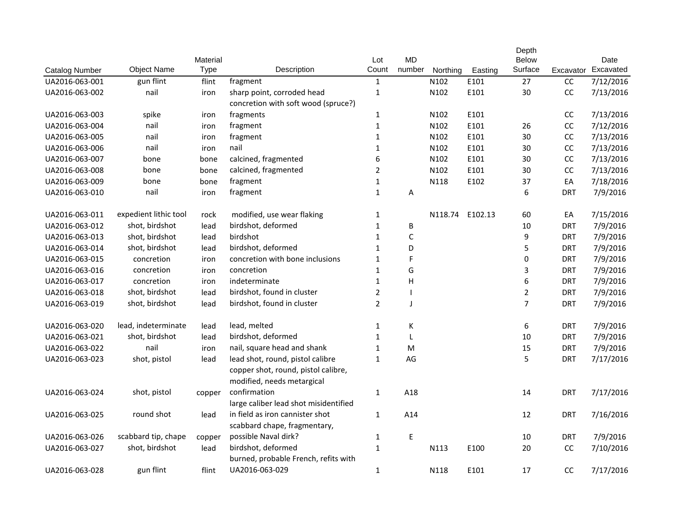|                       |                       |             |                                                                   |              |             |          |         | Depth          |            |           |
|-----------------------|-----------------------|-------------|-------------------------------------------------------------------|--------------|-------------|----------|---------|----------------|------------|-----------|
|                       |                       | Material    |                                                                   | Lot          | MD          |          |         | <b>Below</b>   |            | Date      |
| <b>Catalog Number</b> | <b>Object Name</b>    | <b>Type</b> | Description                                                       | Count        | number      | Northing | Easting | Surface        | Excavator  | Excavated |
| UA2016-063-001        | gun flint             | flint       | fragment                                                          | 1            |             | N102     | E101    | 27             | CC         | 7/12/2016 |
| UA2016-063-002        | nail                  | iron        | sharp point, corroded head                                        | 1            |             | N102     | E101    | 30             | CC         | 7/13/2016 |
|                       |                       |             | concretion with soft wood (spruce?)                               |              |             |          |         |                |            |           |
| UA2016-063-003        | spike                 | iron        | fragments                                                         | 1            |             | N102     | E101    |                | CC         | 7/13/2016 |
| UA2016-063-004        | nail                  | iron        | fragment                                                          | 1            |             | N102     | E101    | 26             | CC         | 7/12/2016 |
| UA2016-063-005        | nail                  | iron        | fragment                                                          | 1            |             | N102     | E101    | 30             | CC         | 7/13/2016 |
| UA2016-063-006        | nail                  | iron        | nail                                                              | 1            |             | N102     | E101    | 30             | CC         | 7/13/2016 |
| UA2016-063-007        | bone                  | bone        | calcined, fragmented                                              | 6            |             | N102     | E101    | 30             | CC         | 7/13/2016 |
| UA2016-063-008        | bone                  | bone        | calcined, fragmented                                              | 2            |             | N102     | E101    | 30             | CC         | 7/13/2016 |
| UA2016-063-009        | bone                  | bone        | fragment                                                          | 1            |             | N118     | E102    | 37             | EA         | 7/18/2016 |
| UA2016-063-010        | nail                  | iron        | fragment                                                          | 1            | A           |          |         | 6              | <b>DRT</b> | 7/9/2016  |
| UA2016-063-011        | expedient lithic tool | rock        | modified, use wear flaking                                        | 1            |             | N118.74  | E102.13 | 60             | EA         | 7/15/2016 |
| UA2016-063-012        | shot, birdshot        | lead        | birdshot, deformed                                                | 1            | B           |          |         | 10             | <b>DRT</b> | 7/9/2016  |
| UA2016-063-013        | shot, birdshot        | lead        | birdshot                                                          | 1            | $\mathsf C$ |          |         | 9              | <b>DRT</b> | 7/9/2016  |
| UA2016-063-014        | shot, birdshot        | lead        | birdshot, deformed                                                | 1            | D           |          |         | 5              | <b>DRT</b> | 7/9/2016  |
| UA2016-063-015        | concretion            | iron        | concretion with bone inclusions                                   | 1            | F           |          |         | 0              | <b>DRT</b> | 7/9/2016  |
| UA2016-063-016        | concretion            | iron        | concretion                                                        | 1            | G           |          |         | 3              | <b>DRT</b> | 7/9/2016  |
| UA2016-063-017        | concretion            | iron        | indeterminate                                                     | 1            | н           |          |         | 6              | <b>DRT</b> | 7/9/2016  |
| UA2016-063-018        | shot, birdshot        | lead        | birdshot, found in cluster                                        | 2            |             |          |         | 2              | <b>DRT</b> | 7/9/2016  |
| UA2016-063-019        | shot, birdshot        | lead        | birdshot, found in cluster                                        | 2            |             |          |         | $\overline{7}$ | <b>DRT</b> | 7/9/2016  |
| UA2016-063-020        | lead, indeterminate   | lead        | lead, melted                                                      | 1            | К           |          |         | 6              | <b>DRT</b> | 7/9/2016  |
| UA2016-063-021        | shot, birdshot        | lead        | birdshot, deformed                                                |              |             |          |         | 10             | <b>DRT</b> | 7/9/2016  |
| UA2016-063-022        | nail                  | iron        | nail, square head and shank                                       | 1            | M           |          |         | 15             | <b>DRT</b> | 7/9/2016  |
| UA2016-063-023        | shot, pistol          | lead        | lead shot, round, pistol calibre                                  | 1            | AG          |          |         | 5              | <b>DRT</b> | 7/17/2016 |
|                       |                       |             | copper shot, round, pistol calibre,<br>modified, needs metargical |              |             |          |         |                |            |           |
|                       |                       |             | confirmation                                                      | 1            | A18         |          |         |                |            |           |
| UA2016-063-024        | shot, pistol          | copper      | large caliber lead shot misidentified                             |              |             |          |         | 14             | <b>DRT</b> | 7/17/2016 |
| UA2016-063-025        | round shot            | lead        | in field as iron cannister shot                                   | $\mathbf{1}$ | A14         |          |         | 12             | <b>DRT</b> | 7/16/2016 |
|                       |                       |             | scabbard chape, fragmentary,                                      |              |             |          |         |                |            |           |
| UA2016-063-026        | scabbard tip, chape   | copper      | possible Naval dirk?                                              | 1            | $\mathsf E$ |          |         | 10             | <b>DRT</b> | 7/9/2016  |
| UA2016-063-027        | shot, birdshot        | lead        | birdshot, deformed                                                | 1            |             | N113     | E100    | 20             | CC         | 7/10/2016 |
|                       |                       |             | burned, probable French, refits with                              |              |             |          |         |                |            |           |
| UA2016-063-028        | gun flint             | flint       | UA2016-063-029                                                    | $\mathbf{1}$ |             | N118     | E101    | 17             | CC         | 7/17/2016 |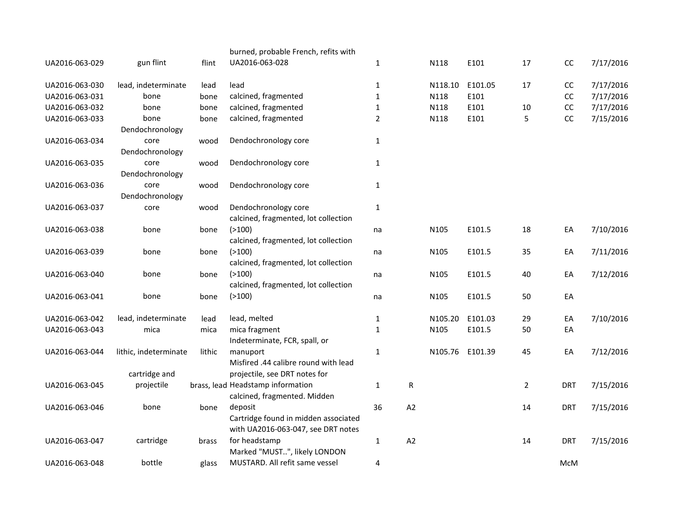|                |                         |        | burned, probable French, refits with                                                  |              |    |         |         |                |            |           |
|----------------|-------------------------|--------|---------------------------------------------------------------------------------------|--------------|----|---------|---------|----------------|------------|-----------|
| UA2016-063-029 | gun flint               | flint  | UA2016-063-028                                                                        | 1            |    | N118    | E101    | 17             | CC         | 7/17/2016 |
| UA2016-063-030 | lead, indeterminate     | lead   | lead                                                                                  | 1            |    | N118.10 | E101.05 | 17             | CC         | 7/17/2016 |
| UA2016-063-031 | bone                    | bone   | calcined, fragmented                                                                  |              |    | N118    | E101    |                | CC         | 7/17/2016 |
| UA2016-063-032 | bone                    | bone   | calcined, fragmented                                                                  |              |    | N118    | E101    | 10             | CC         | 7/17/2016 |
| UA2016-063-033 | bone<br>Dendochronology | bone   | calcined, fragmented                                                                  | 2            |    | N118    | E101    | 5              | CC         | 7/15/2016 |
| UA2016-063-034 | core<br>Dendochronology | wood   | Dendochronology core                                                                  | 1            |    |         |         |                |            |           |
| UA2016-063-035 | core<br>Dendochronology | wood   | Dendochronology core                                                                  | 1            |    |         |         |                |            |           |
| UA2016-063-036 | core<br>Dendochronology | wood   | Dendochronology core                                                                  | 1            |    |         |         |                |            |           |
| UA2016-063-037 | core                    | wood   | Dendochronology core<br>calcined, fragmented, lot collection                          | 1            |    |         |         |                |            |           |
| UA2016-063-038 | bone                    | bone   | ( > 100)<br>calcined, fragmented, lot collection                                      | na           |    | N105    | E101.5  | 18             | EA         | 7/10/2016 |
| UA2016-063-039 | bone                    | bone   | ( > 100)<br>calcined, fragmented, lot collection                                      | na           |    | N105    | E101.5  | 35             | EA         | 7/11/2016 |
| UA2016-063-040 | bone                    | bone   | ( > 100)<br>calcined, fragmented, lot collection                                      | na           |    | N105    | E101.5  | 40             | EA         | 7/12/2016 |
| UA2016-063-041 | bone                    | bone   | ( > 100)                                                                              | na           |    | N105    | E101.5  | 50             | EA         |           |
| UA2016-063-042 | lead, indeterminate     | lead   | lead, melted                                                                          | 1            |    | N105.20 | E101.03 | 29             | EA         | 7/10/2016 |
| UA2016-063-043 | mica                    | mica   | mica fragment<br>Indeterminate, FCR, spall, or                                        | 1            |    | N105    | E101.5  | 50             | EA         |           |
| UA2016-063-044 | lithic, indeterminate   | lithic | manuport<br>Misfired .44 calibre round with lead                                      | 1            |    | N105.76 | E101.39 | 45             | EA         | 7/12/2016 |
|                | cartridge and           |        | projectile, see DRT notes for                                                         |              |    |         |         |                |            |           |
| UA2016-063-045 | projectile              |        | brass, lead Headstamp information<br>calcined, fragmented. Midden                     | $\mathbf{1}$ | R  |         |         | $\overline{2}$ | <b>DRT</b> | 7/15/2016 |
| UA2016-063-046 | bone                    | bone   | deposit<br>Cartridge found in midden associated<br>with UA2016-063-047, see DRT notes | 36           | A2 |         |         | 14             | <b>DRT</b> | 7/15/2016 |
| UA2016-063-047 | cartridge               | brass  | for headstamp<br>Marked "MUST", likely LONDON                                         | $\mathbf{1}$ | A2 |         |         | 14             | <b>DRT</b> | 7/15/2016 |
| UA2016-063-048 | bottle                  | glass  | MUSTARD. All refit same vessel                                                        | 4            |    |         |         |                | McM        |           |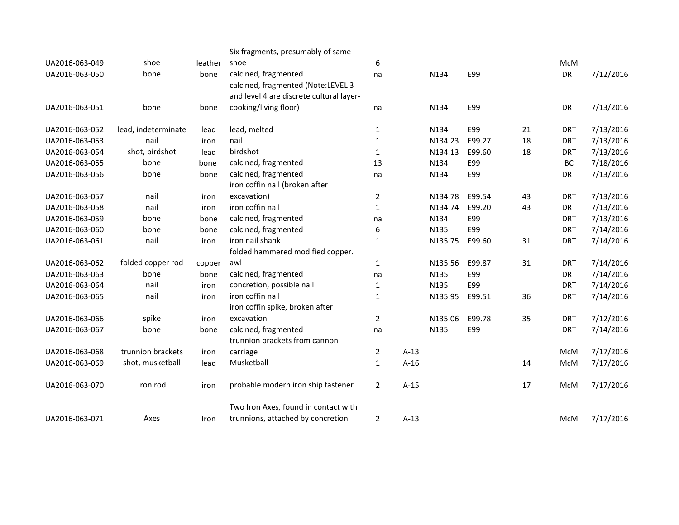|                |                     |         | Six fragments, presumably of same        |                |        |         |        |    |            |           |
|----------------|---------------------|---------|------------------------------------------|----------------|--------|---------|--------|----|------------|-----------|
| UA2016-063-049 | shoe                | leather | shoe                                     | 6              |        |         |        |    | <b>McM</b> |           |
| UA2016-063-050 | bone                | bone    | calcined, fragmented                     | na             |        | N134    | E99    |    | <b>DRT</b> | 7/12/2016 |
|                |                     |         | calcined, fragmented (Note:LEVEL 3       |                |        |         |        |    |            |           |
|                |                     |         | and level 4 are discrete cultural layer- |                |        |         |        |    |            |           |
| UA2016-063-051 | bone                | bone    | cooking/living floor)                    | na             |        | N134    | E99    |    | <b>DRT</b> | 7/13/2016 |
| UA2016-063-052 | lead, indeterminate | lead    | lead, melted                             | $\mathbf 1$    |        | N134    | E99    | 21 | <b>DRT</b> | 7/13/2016 |
| UA2016-063-053 | nail                | iron    | nail                                     | 1              |        | N134.23 | E99.27 | 18 | <b>DRT</b> | 7/13/2016 |
| UA2016-063-054 | shot, birdshot      | lead    | birdshot                                 | $\mathbf{1}$   |        | N134.13 | E99.60 | 18 | <b>DRT</b> | 7/13/2016 |
| UA2016-063-055 | bone                | bone    | calcined, fragmented                     | 13             |        | N134    | E99    |    | <b>BC</b>  | 7/18/2016 |
| UA2016-063-056 | bone                | bone    | calcined, fragmented                     | na             |        | N134    | E99    |    | <b>DRT</b> | 7/13/2016 |
|                |                     |         | iron coffin nail (broken after           |                |        |         |        |    |            |           |
| UA2016-063-057 | nail                | iron    | excavation)                              | $\overline{2}$ |        | N134.78 | E99.54 | 43 | <b>DRT</b> | 7/13/2016 |
| UA2016-063-058 | nail                | iron    | iron coffin nail                         | $\mathbf{1}$   |        | N134.74 | E99.20 | 43 | <b>DRT</b> | 7/13/2016 |
| UA2016-063-059 | bone                | bone    | calcined, fragmented                     | na             |        | N134    | E99    |    | <b>DRT</b> | 7/13/2016 |
| UA2016-063-060 | bone                | bone    | calcined, fragmented                     | 6              |        | N135    | E99    |    | <b>DRT</b> | 7/14/2016 |
| UA2016-063-061 | nail                | iron    | iron nail shank                          | $1\,$          |        | N135.75 | E99.60 | 31 | <b>DRT</b> | 7/14/2016 |
|                |                     |         | folded hammered modified copper.         |                |        |         |        |    |            |           |
| UA2016-063-062 | folded copper rod   | copper  | awl                                      | $\mathbf{1}$   |        | N135.56 | E99.87 | 31 | <b>DRT</b> | 7/14/2016 |
| UA2016-063-063 | bone                | bone    | calcined, fragmented                     | na             |        | N135    | E99    |    | <b>DRT</b> | 7/14/2016 |
| UA2016-063-064 | nail                | iron    | concretion, possible nail                | $\mathbf{1}$   |        | N135    | E99    |    | <b>DRT</b> | 7/14/2016 |
| UA2016-063-065 | nail                | iron    | iron coffin nail                         | 1              |        | N135.95 | E99.51 | 36 | <b>DRT</b> | 7/14/2016 |
|                |                     |         | iron coffin spike, broken after          |                |        |         |        |    |            |           |
| UA2016-063-066 | spike               | iron    | excavation                               | $\overline{2}$ |        | N135.06 | E99.78 | 35 | <b>DRT</b> | 7/12/2016 |
| UA2016-063-067 | bone                | bone    | calcined, fragmented                     | na             |        | N135    | E99    |    | <b>DRT</b> | 7/14/2016 |
|                |                     |         | trunnion brackets from cannon            |                |        |         |        |    |            |           |
| UA2016-063-068 | trunnion brackets   | iron    | carriage                                 | $\overline{2}$ | $A-13$ |         |        |    | <b>McM</b> | 7/17/2016 |
| UA2016-063-069 | shot, musketball    | lead    | Musketball                               | $\mathbf{1}$   | $A-16$ |         |        | 14 | <b>McM</b> | 7/17/2016 |
| UA2016-063-070 | Iron rod            | iron    | probable modern iron ship fastener       | $\overline{2}$ | $A-15$ |         |        | 17 | <b>McM</b> | 7/17/2016 |
|                |                     |         | Two Iron Axes, found in contact with     |                |        |         |        |    |            |           |
| UA2016-063-071 | Axes                | Iron    | trunnions, attached by concretion        | $\overline{2}$ | $A-13$ |         |        |    | McM        | 7/17/2016 |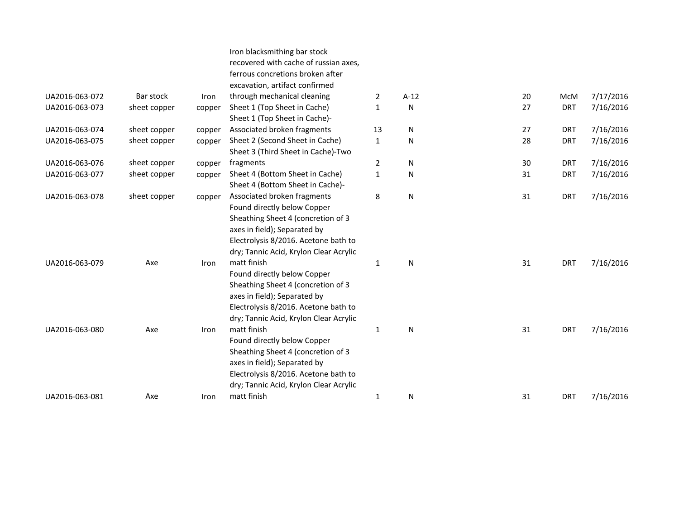|                |              |             | Iron blacksmithing bar stock                          |                |              |    |            |           |
|----------------|--------------|-------------|-------------------------------------------------------|----------------|--------------|----|------------|-----------|
|                |              |             | recovered with cache of russian axes,                 |                |              |    |            |           |
|                |              |             | ferrous concretions broken after                      |                |              |    |            |           |
|                |              |             | excavation, artifact confirmed                        |                |              |    |            |           |
| UA2016-063-072 | Bar stock    | Iron        | through mechanical cleaning                           | $\overline{2}$ | $A-12$       | 20 | <b>McM</b> | 7/17/2016 |
| UA2016-063-073 | sheet copper | copper      | Sheet 1 (Top Sheet in Cache)                          | 1              | N            | 27 | <b>DRT</b> | 7/16/2016 |
|                |              |             | Sheet 1 (Top Sheet in Cache)-                         |                |              |    |            |           |
| UA2016-063-074 | sheet copper | copper      | Associated broken fragments                           | 13             | ${\sf N}$    | 27 | <b>DRT</b> | 7/16/2016 |
| UA2016-063-075 | sheet copper | copper      | Sheet 2 (Second Sheet in Cache)                       | $\mathbf{1}$   | ${\sf N}$    | 28 | <b>DRT</b> | 7/16/2016 |
|                |              |             | Sheet 3 (Third Sheet in Cache)-Two                    |                |              |    |            |           |
| UA2016-063-076 | sheet copper | copper      | fragments                                             | $\overline{2}$ | N            | 30 | <b>DRT</b> | 7/16/2016 |
| UA2016-063-077 | sheet copper | copper      | Sheet 4 (Bottom Sheet in Cache)                       | 1              | N            | 31 | <b>DRT</b> | 7/16/2016 |
|                |              |             | Sheet 4 (Bottom Sheet in Cache)-                      |                |              |    |            |           |
| UA2016-063-078 | sheet copper | copper      | Associated broken fragments                           | 8              | ${\sf N}$    | 31 | <b>DRT</b> | 7/16/2016 |
|                |              |             | Found directly below Copper                           |                |              |    |            |           |
|                |              |             | Sheathing Sheet 4 (concretion of 3                    |                |              |    |            |           |
|                |              |             | axes in field); Separated by                          |                |              |    |            |           |
|                |              |             | Electrolysis 8/2016. Acetone bath to                  |                |              |    |            |           |
|                |              |             | dry; Tannic Acid, Krylon Clear Acrylic                |                |              |    |            |           |
| UA2016-063-079 | Axe          | Iron        | matt finish                                           | $\mathbf{1}$   | $\mathsf{N}$ | 31 | <b>DRT</b> | 7/16/2016 |
|                |              |             | Found directly below Copper                           |                |              |    |            |           |
|                |              |             | Sheathing Sheet 4 (concretion of 3                    |                |              |    |            |           |
|                |              |             | axes in field); Separated by                          |                |              |    |            |           |
|                |              |             | Electrolysis 8/2016. Acetone bath to                  |                |              |    |            |           |
|                |              |             | dry; Tannic Acid, Krylon Clear Acrylic                |                |              |    |            |           |
| UA2016-063-080 | Axe          | <b>Iron</b> | matt finish                                           | $\mathbf{1}$   | ${\sf N}$    | 31 | <b>DRT</b> | 7/16/2016 |
|                |              |             | Found directly below Copper                           |                |              |    |            |           |
|                |              |             | Sheathing Sheet 4 (concretion of 3                    |                |              |    |            |           |
|                |              |             | axes in field); Separated by                          |                |              |    |            |           |
|                |              |             | Electrolysis 8/2016. Acetone bath to                  |                |              |    |            |           |
|                |              |             | dry; Tannic Acid, Krylon Clear Acrylic<br>matt finish |                |              |    |            |           |
| UA2016-063-081 | Axe          | Iron        |                                                       | $\mathbf{1}$   | N            | 31 | <b>DRT</b> | 7/16/2016 |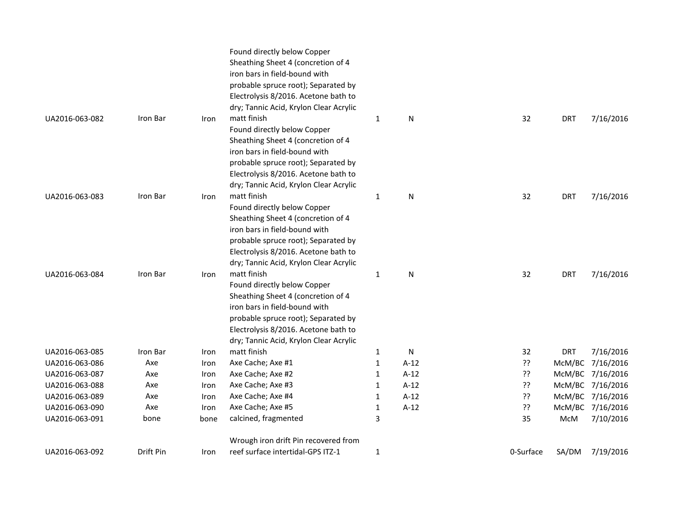| UA2016-063-082 | Iron Bar  | Iron | Found directly below Copper<br>Sheathing Sheet 4 (concretion of 4<br>iron bars in field-bound with<br>probable spruce root); Separated by<br>Electrolysis 8/2016. Acetone bath to<br>dry; Tannic Acid, Krylon Clear Acrylic<br>matt finish<br>Found directly below Copper<br>Sheathing Sheet 4 (concretion of 4<br>iron bars in field-bound with | $\mathbf{1}$ | ${\sf N}$ | 32        | <b>DRT</b> | 7/16/2016        |
|----------------|-----------|------|--------------------------------------------------------------------------------------------------------------------------------------------------------------------------------------------------------------------------------------------------------------------------------------------------------------------------------------------------|--------------|-----------|-----------|------------|------------------|
|                |           |      | probable spruce root); Separated by<br>Electrolysis 8/2016. Acetone bath to                                                                                                                                                                                                                                                                      |              |           |           |            |                  |
|                |           |      | dry; Tannic Acid, Krylon Clear Acrylic                                                                                                                                                                                                                                                                                                           |              |           |           |            |                  |
| UA2016-063-083 | Iron Bar  | Iron | matt finish<br>Found directly below Copper<br>Sheathing Sheet 4 (concretion of 4<br>iron bars in field-bound with<br>probable spruce root); Separated by<br>Electrolysis 8/2016. Acetone bath to                                                                                                                                                 | $\mathbf{1}$ | N         | 32        | <b>DRT</b> | 7/16/2016        |
|                |           |      | dry; Tannic Acid, Krylon Clear Acrylic                                                                                                                                                                                                                                                                                                           |              |           |           |            |                  |
| UA2016-063-084 | Iron Bar  | Iron | matt finish<br>Found directly below Copper<br>Sheathing Sheet 4 (concretion of 4<br>iron bars in field-bound with<br>probable spruce root); Separated by<br>Electrolysis 8/2016. Acetone bath to<br>dry; Tannic Acid, Krylon Clear Acrylic                                                                                                       | $\mathbf{1}$ | N         | 32        | <b>DRT</b> | 7/16/2016        |
| UA2016-063-085 | Iron Bar  | Iron | matt finish                                                                                                                                                                                                                                                                                                                                      | 1            | N         | 32        | <b>DRT</b> | 7/16/2016        |
| UA2016-063-086 | Axe       | Iron | Axe Cache; Axe #1                                                                                                                                                                                                                                                                                                                                | 1            | $A-12$    | ??        | McM/BC     | 7/16/2016        |
| UA2016-063-087 | Axe       | Iron | Axe Cache; Axe #2                                                                                                                                                                                                                                                                                                                                | 1            | $A-12$    | ??        |            | McM/BC 7/16/2016 |
| UA2016-063-088 | Axe       | Iron | Axe Cache; Axe #3                                                                                                                                                                                                                                                                                                                                | 1            | $A-12$    | ??        |            | McM/BC 7/16/2016 |
| UA2016-063-089 | Axe       | Iron | Axe Cache; Axe #4                                                                                                                                                                                                                                                                                                                                | $\mathbf{1}$ | $A-12$    | ??        |            | McM/BC 7/16/2016 |
| UA2016-063-090 | Axe       | Iron | Axe Cache; Axe #5                                                                                                                                                                                                                                                                                                                                | 1            | $A-12$    | ??        |            | McM/BC 7/16/2016 |
| UA2016-063-091 | bone      | bone | calcined, fragmented                                                                                                                                                                                                                                                                                                                             | 3            |           | 35        | McM        | 7/10/2016        |
|                |           |      | Wrough iron drift Pin recovered from                                                                                                                                                                                                                                                                                                             |              |           |           |            |                  |
| UA2016-063-092 | Drift Pin | Iron | reef surface intertidal-GPS ITZ-1                                                                                                                                                                                                                                                                                                                | $\mathbf{1}$ |           | 0-Surface | SA/DM      | 7/19/2016        |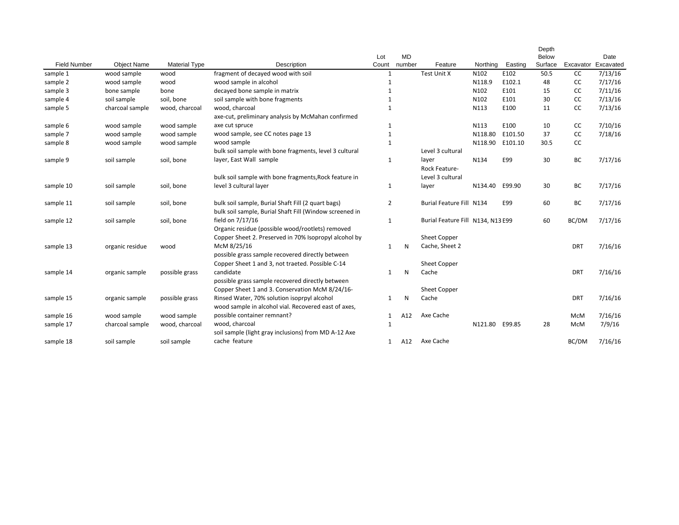| <b>Field Number</b> | <b>Object Name</b> | <b>Material Type</b> | Description                                                          | Lot<br>Count   | <b>MD</b><br>number | Feature                           | Northing | Easting | Depth<br><b>Below</b><br>Surface |            | Date<br>Excavator Excavated |
|---------------------|--------------------|----------------------|----------------------------------------------------------------------|----------------|---------------------|-----------------------------------|----------|---------|----------------------------------|------------|-----------------------------|
| sample 1            | wood sample        | wood                 | fragment of decayed wood with soil                                   | $\mathbf{1}$   |                     | Test Unit X                       | N102     | E102    | 50.5                             | CC         | 7/13/16                     |
| sample 2            | wood sample        | wood                 | wood sample in alcohol                                               | 1              |                     |                                   | N118.9   | E102.1  | 48                               | CC         | 7/17/16                     |
| sample 3            | bone sample        | bone                 | decayed bone sample in matrix                                        | $\mathbf{1}$   |                     |                                   | N102     | E101    | 15                               | CC         | 7/11/16                     |
| sample 4            | soil sample        | soil, bone           | soil sample with bone fragments                                      | $\mathbf{1}$   |                     |                                   | N102     | E101    | 30                               | CC         | 7/13/16                     |
| sample 5            | charcoal sample    | wood, charcoal       | wood, charcoal                                                       | 1              |                     |                                   | N113     | E100    | 11                               | CC         | 7/13/16                     |
|                     |                    |                      | axe-cut, preliminary analysis by McMahan confirmed                   |                |                     |                                   |          |         |                                  |            |                             |
| sample 6            | wood sample        | wood sample          | axe cut spruce                                                       | $\mathbf{1}$   |                     |                                   | N113     | E100    | 10                               | CC         | 7/10/16                     |
| sample 7            | wood sample        | wood sample          | wood sample, see CC notes page 13                                    | $1\,$          |                     |                                   | N118.80  | E101.50 | 37                               | CC         | 7/18/16                     |
| sample 8            | wood sample        | wood sample          | wood sample                                                          | 1              |                     |                                   | N118.90  | E101.10 | 30.5                             | CC         |                             |
|                     |                    |                      | bulk soil sample with bone fragments, level 3 cultural               |                |                     | Level 3 cultural                  |          |         |                                  |            |                             |
| sample 9            | soil sample        | soil, bone           | layer, East Wall sample                                              | $\mathbf{1}$   |                     | layer                             | N134     | E99     | 30                               | BC         | 7/17/16                     |
|                     |                    |                      |                                                                      |                |                     | Rock Feature-                     |          |         |                                  |            |                             |
|                     |                    |                      | bulk soil sample with bone fragments, Rock feature in                |                |                     | Level 3 cultural                  |          |         |                                  |            |                             |
| sample 10           | soil sample        | soil, bone           | level 3 cultural layer                                               | $\mathbf{1}$   |                     | layer                             | N134.40  | E99.90  | 30                               | <b>BC</b>  | 7/17/16                     |
| sample 11           | soil sample        | soil, bone           | bulk soil sample, Burial Shaft Fill (2 quart bags)                   | $\overline{2}$ |                     | Burial Feature Fill N134          |          | E99     | 60                               | BC         | 7/17/16                     |
|                     |                    |                      | bulk soil sample, Burial Shaft Fill (Window screened in              |                |                     |                                   |          |         |                                  |            |                             |
| sample 12           | soil sample        | soil, bone           | field on 7/17/16<br>Organic residue (possible wood/rootlets) removed | $\mathbf{1}$   |                     | Burial Feature Fill N134, N13 E99 |          |         | 60                               | BC/DM      | 7/17/16                     |
|                     |                    |                      | Copper Sheet 2. Preserved in 70% Isopropyl alcohol by                |                |                     | Sheet Copper                      |          |         |                                  |            |                             |
| sample 13           | organic residue    | wood                 | McM 8/25/16                                                          | $\mathbf{1}$   | N                   | Cache, Sheet 2                    |          |         |                                  | <b>DRT</b> | 7/16/16                     |
|                     |                    |                      | possible grass sample recovered directly between                     |                |                     |                                   |          |         |                                  |            |                             |
|                     |                    |                      | Copper Sheet 1 and 3, not traeted. Possible C-14                     |                |                     | <b>Sheet Copper</b>               |          |         |                                  |            |                             |
| sample 14           | organic sample     | possible grass       | candidate                                                            | $\mathbf{1}$   | N                   | Cache                             |          |         |                                  | <b>DRT</b> | 7/16/16                     |
|                     |                    |                      | possible grass sample recovered directly between                     |                |                     |                                   |          |         |                                  |            |                             |
|                     |                    |                      | Copper Sheet 1 and 3. Conservation McM 8/24/16-                      |                |                     | <b>Sheet Copper</b>               |          |         |                                  |            |                             |
| sample 15           | organic sample     | possible grass       | Rinsed Water, 70% solution isoprpyl alcohol                          | 1              | N                   | Cache                             |          |         |                                  | <b>DRT</b> | 7/16/16                     |
|                     |                    |                      | wood sample in alcohol vial. Recovered east of axes,                 |                |                     |                                   |          |         |                                  |            |                             |
| sample 16           | wood sample        | wood sample          | possible container remnant?                                          | $\mathbf{1}$   | A12                 | Axe Cache                         |          |         |                                  | McM        | 7/16/16                     |
| sample 17           | charcoal sample    | wood, charcoal       | wood, charcoal                                                       | 1              |                     |                                   | N121.80  | E99.85  | 28                               | McM        | 7/9/16                      |
|                     |                    |                      | soil sample (light gray inclusions) from MD A-12 Axe                 |                |                     |                                   |          |         |                                  |            |                             |
| sample 18           | soil sample        | soil sample          | cache feature                                                        | $\mathbf{1}$   | A12                 | Axe Cache                         |          |         |                                  | BC/DM      | 7/16/16                     |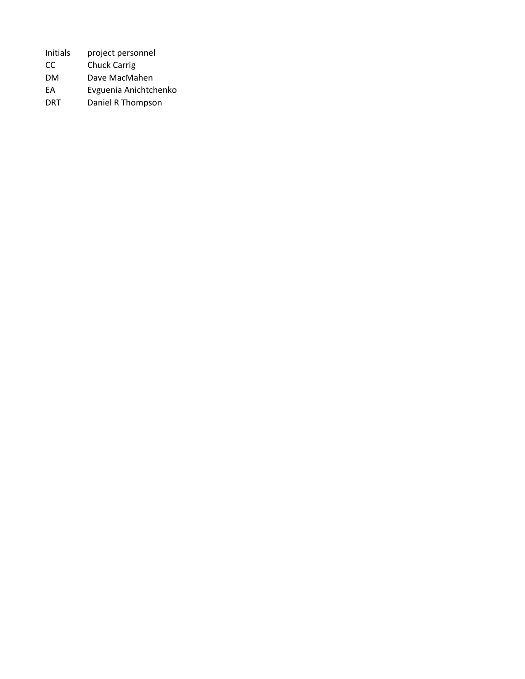- CC Chuck Carrig DM Dave MacMahen
- EA Evguenia Anichtchenko<br>DRT Daniel R Thompson
- Daniel R Thompson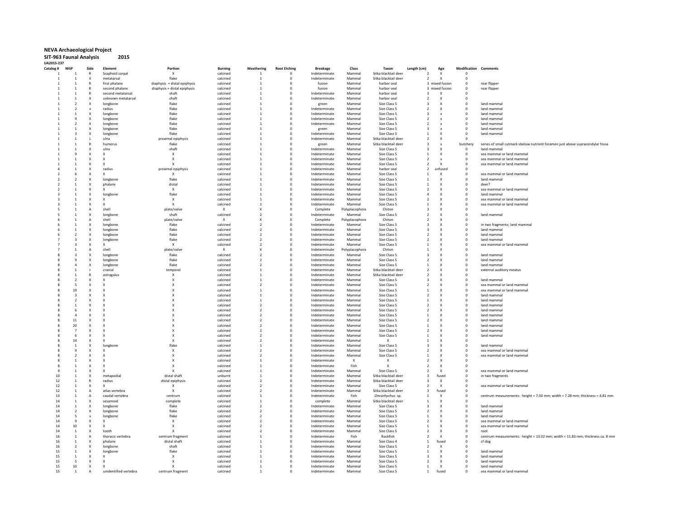### **NEVA Archaeological Project SIT-963 Faunal Analysis 2015**

| <b>UA2015-237</b> |
|-------------------|
|-------------------|

| <b>NISP</b><br>Catalog #<br>11<br>20<br>10<br>12<br>12<br>12<br>13<br>14 | Side | <b>Element</b><br>Scaphoid carpal<br>metatarsal<br>first phalanx<br>second phalanx | Portion<br>flake<br>diaphysis + distal epiphysis | <b>Burning</b><br>calcined<br>calcined | Weathering | <b>Root Etching</b> | <b>Breakage</b><br>Indeterminate<br>Indeterminate | <b>Class</b><br>Mammal<br>Mammal | <b>Taxon</b><br>Sitka blacktail deer<br>Sitka blacktail deer | Length (cm) | Age<br>X                  | <b>Modification Comments</b> |                                                                                    |
|--------------------------------------------------------------------------|------|------------------------------------------------------------------------------------|--------------------------------------------------|----------------------------------------|------------|---------------------|---------------------------------------------------|----------------------------------|--------------------------------------------------------------|-------------|---------------------------|------------------------------|------------------------------------------------------------------------------------|
|                                                                          |      |                                                                                    |                                                  |                                        |            |                     |                                                   |                                  |                                                              |             |                           |                              |                                                                                    |
|                                                                          |      |                                                                                    |                                                  |                                        |            |                     |                                                   |                                  |                                                              |             |                           |                              |                                                                                    |
|                                                                          |      |                                                                                    |                                                  |                                        |            |                     |                                                   |                                  |                                                              |             |                           |                              |                                                                                    |
|                                                                          |      |                                                                                    |                                                  |                                        |            |                     |                                                   |                                  |                                                              |             |                           |                              |                                                                                    |
|                                                                          |      |                                                                                    |                                                  | calcined                               |            |                     | fusion                                            | Mammal                           | harbor seal                                                  |             | 3 mixed fusion            |                              | rear flipper                                                                       |
|                                                                          |      |                                                                                    | diaphysis + distal epiphysis                     | calcined                               |            |                     | fusion                                            | Mammal                           | harbor seal                                                  |             | 3 mixed fusion            |                              | rear flipper                                                                       |
|                                                                          |      | second metatarsal                                                                  | shaft                                            | calcined                               |            |                     | Indeterminate                                     | Mammal                           | harbor seal                                                  |             |                           |                              |                                                                                    |
|                                                                          |      |                                                                                    |                                                  |                                        |            |                     |                                                   |                                  |                                                              |             |                           |                              |                                                                                    |
|                                                                          |      | unknown metatarsal                                                                 | shaft                                            | calcined                               |            |                     | Indeterminate                                     | Mammal                           | harbor seal                                                  |             |                           |                              |                                                                                    |
|                                                                          |      | longbone                                                                           | flake                                            | calcined                               |            |                     | green                                             | Mammal                           | Size Class 5                                                 |             |                           |                              | land mammal                                                                        |
|                                                                          |      |                                                                                    |                                                  |                                        |            |                     |                                                   |                                  |                                                              |             |                           |                              |                                                                                    |
|                                                                          |      | radius                                                                             | flake                                            | calcined                               |            |                     | Indeterminate                                     | Mammal                           | Size Class 5                                                 |             |                           |                              | land mammal                                                                        |
|                                                                          |      | longbone                                                                           | flake                                            | calcined                               |            |                     | Indeterminate                                     | Mammal                           | Size Class 5                                                 |             |                           |                              | land mammal                                                                        |
|                                                                          |      | longbone                                                                           | flake                                            | calcined                               |            |                     | Indeterminate                                     | Mammal                           | Size Class 5                                                 |             |                           |                              | land mammal                                                                        |
|                                                                          |      |                                                                                    |                                                  |                                        |            |                     |                                                   |                                  |                                                              |             |                           |                              |                                                                                    |
|                                                                          |      | longbone                                                                           | flake                                            | calcined                               |            |                     | Indeterminate                                     | Mammal                           | Size Class 5                                                 |             |                           |                              | land mammal                                                                        |
|                                                                          |      | longbone                                                                           | flake                                            | calcined                               |            |                     | green                                             | Mammal                           | Size Class 5                                                 |             |                           |                              | land mammal                                                                        |
|                                                                          |      |                                                                                    | flake                                            | calcined                               |            |                     | Indeterminate                                     | Mammal                           | Size Class 5                                                 |             |                           |                              | land mammal                                                                        |
|                                                                          |      | longbone                                                                           |                                                  |                                        |            |                     |                                                   |                                  |                                                              |             |                           |                              |                                                                                    |
|                                                                          |      | ulna                                                                               | proximal epiphysis                               | calcined                               |            |                     | Indeterminate                                     | Mammal                           | Sitka blacktail deer                                         |             |                           |                              |                                                                                    |
|                                                                          |      | humerus                                                                            | flake                                            | calcined                               |            |                     | green                                             | Mammal                           | Sitka blacktail deer                                         |             | $\mathsf{x}$              | butchery                     | series of small cutmark sbelow nutrient foramen just above supracondylar fossa     |
|                                                                          |      |                                                                                    |                                                  |                                        |            |                     |                                                   |                                  |                                                              |             |                           |                              |                                                                                    |
|                                                                          |      | ulna                                                                               | shaft                                            | calcined                               |            |                     | Indeterminate                                     | Mammal                           | Size Class 5                                                 |             |                           | - 0                          | land mammal                                                                        |
|                                                                          |      |                                                                                    |                                                  | calcined                               |            |                     | Indeterminate                                     | Mammal                           | Size Class 5                                                 |             |                           |                              | sea mammal or land mammal                                                          |
|                                                                          |      |                                                                                    |                                                  | calcined                               |            |                     | Indeterminate                                     | Mammal                           | Size Class 5                                                 |             |                           |                              | sea mammal or land mammal                                                          |
|                                                                          |      |                                                                                    |                                                  |                                        |            |                     |                                                   |                                  |                                                              |             |                           |                              |                                                                                    |
|                                                                          |      |                                                                                    |                                                  | calcined                               |            |                     | Indeterminate                                     | Mammal                           | Size Class 5                                                 |             |                           |                              | sea mammal or land mammal                                                          |
|                                                                          |      | radius                                                                             | proximal epiphysis                               | calcined                               |            |                     | Indeterminate                                     | Mammal                           | harbor seal                                                  |             | unfused                   |                              |                                                                                    |
|                                                                          |      |                                                                                    |                                                  |                                        |            |                     |                                                   |                                  |                                                              |             |                           |                              |                                                                                    |
|                                                                          |      |                                                                                    |                                                  | calcined                               |            |                     | Indeterminate                                     | Mammal                           | Size Class 5                                                 |             |                           |                              | sea mammal or land mammal                                                          |
|                                                                          |      | longbone                                                                           | flake                                            | calcined                               |            |                     | Indeterminate                                     | Mammal                           | Size Class 5                                                 |             |                           |                              | land mammal                                                                        |
|                                                                          |      | phalanx                                                                            | distal                                           | calcined                               |            |                     | Indeterminate                                     | Mammal                           | Size Class 5                                                 |             |                           |                              | deer?                                                                              |
|                                                                          |      |                                                                                    |                                                  |                                        |            |                     |                                                   |                                  |                                                              |             |                           |                              |                                                                                    |
|                                                                          |      |                                                                                    | $\boldsymbol{\mathsf{X}}$                        | calcined                               |            |                     | Indeterminate                                     | Mammal                           | Size Class 5                                                 |             |                           |                              | sea mammal or land mammal                                                          |
|                                                                          |      | longbone                                                                           | flake                                            | calcined                               |            |                     | Indeterminate                                     | Mammal                           | Size Class 5                                                 |             |                           |                              | land mammal                                                                        |
|                                                                          |      |                                                                                    |                                                  | calcined                               |            |                     | Indeterminate                                     | Mammal                           | Size Class 5                                                 |             |                           |                              | sea mammal or land mammal                                                          |
|                                                                          |      |                                                                                    |                                                  |                                        |            |                     |                                                   |                                  |                                                              |             |                           |                              |                                                                                    |
|                                                                          |      |                                                                                    |                                                  | calcined                               |            |                     | Indeterminate                                     | Mammal                           | Size Class 5                                                 |             |                           |                              | sea mammal or land mammal                                                          |
|                                                                          |      | shell                                                                              | plate/valve                                      |                                        |            |                     | Complete                                          | Polyplacophora                   | Chiton                                                       |             |                           |                              |                                                                                    |
|                                                                          |      |                                                                                    |                                                  |                                        |            |                     |                                                   |                                  |                                                              |             |                           |                              |                                                                                    |
|                                                                          |      | longbone                                                                           | shaft                                            | calcined                               |            |                     | Indeterminate                                     | Mammal                           | Size Class 5                                                 |             |                           |                              | land mammal                                                                        |
|                                                                          |      |                                                                                    | plate/valve                                      |                                        |            |                     | Complete                                          | Polyplacophora                   | Chiton                                                       |             |                           |                              |                                                                                    |
|                                                                          |      | longbone                                                                           | flake                                            | calcined                               |            |                     | Indeterminate                                     | Mammal                           | Size Class 5                                                 |             | $\boldsymbol{\mathsf{X}}$ |                              | in two fragments; land mammal                                                      |
|                                                                          |      |                                                                                    |                                                  |                                        |            |                     |                                                   |                                  |                                                              |             |                           |                              |                                                                                    |
|                                                                          |      | longbone                                                                           | flake                                            | calcined                               |            |                     | Indeterminate                                     | Mammal                           | Size Class 5                                                 |             |                           |                              | land mammal                                                                        |
|                                                                          |      | longbone                                                                           | flake                                            | calcined                               |            |                     | Indeterminate                                     | Mammal                           | Size Class 5                                                 |             |                           |                              | land mammal                                                                        |
|                                                                          |      |                                                                                    | flake                                            | calcined                               |            |                     |                                                   | Mammal                           |                                                              |             |                           |                              | land mammal                                                                        |
|                                                                          |      | longbone                                                                           |                                                  |                                        |            |                     | Indeterminate                                     |                                  | Size Class 5                                                 |             |                           |                              |                                                                                    |
|                                                                          |      |                                                                                    |                                                  | calcined                               |            |                     | Indeterminate                                     | Mammal                           | Size Class 5                                                 |             |                           |                              | sea mammal or land mammal                                                          |
|                                                                          |      | shell                                                                              | plate/valve                                      |                                        |            |                     | Indeterminate                                     | Polyplacophora                   | Chiton                                                       |             |                           |                              |                                                                                    |
|                                                                          |      |                                                                                    |                                                  |                                        |            |                     |                                                   |                                  |                                                              |             |                           |                              |                                                                                    |
|                                                                          |      | longbone                                                                           | flake                                            | calcined                               |            |                     | Indeterminate                                     | Mammal                           | Size Class 5                                                 |             |                           |                              | land mammal                                                                        |
|                                                                          |      | longbone                                                                           | flake                                            | calcined                               |            |                     | Indeterminate                                     | Mammal                           | Size Class 5                                                 |             |                           |                              | land mammal                                                                        |
|                                                                          |      | longbone                                                                           | flake                                            | calcined                               |            |                     | Indeterminate                                     | Mammal                           | Size Class 5                                                 |             |                           |                              | land mammal                                                                        |
|                                                                          |      |                                                                                    |                                                  |                                        |            |                     |                                                   |                                  |                                                              |             |                           |                              |                                                                                    |
|                                                                          |      | cranial                                                                            | temporal                                         | calcined                               |            |                     | Indeterminate                                     | Mammal                           | Sitka blacktail deer                                         |             |                           |                              | external auditory meatus                                                           |
|                                                                          |      | astragalus                                                                         |                                                  | calcined                               |            |                     | Indeterminate                                     | Mammal                           | Sitka blacktail deer                                         |             |                           |                              |                                                                                    |
|                                                                          |      |                                                                                    |                                                  |                                        |            |                     |                                                   |                                  |                                                              |             |                           |                              |                                                                                    |
|                                                                          |      |                                                                                    |                                                  | calcined                               |            |                     | Indeterminate                                     | Mammal                           | Size Class 5                                                 |             |                           |                              | land mammal                                                                        |
|                                                                          |      |                                                                                    |                                                  | calcined                               |            |                     | Indeterminate                                     | Mammal                           | Size Class 5                                                 |             |                           |                              | sea mammal or land mammal                                                          |
|                                                                          |      |                                                                                    |                                                  | calcined                               |            |                     | Indeterminate                                     | Mammal                           | Size Class 5                                                 |             |                           |                              | sea mammal or land mammal                                                          |
|                                                                          |      |                                                                                    |                                                  |                                        |            |                     |                                                   |                                  |                                                              |             |                           |                              |                                                                                    |
|                                                                          |      |                                                                                    |                                                  | calcined                               |            |                     | Indeterminate                                     | Mammal                           | Size Class 5                                                 |             |                           |                              | land mammal                                                                        |
|                                                                          |      |                                                                                    |                                                  | calcined                               |            |                     | Indeterminate                                     | Mammal                           | Size Class 5                                                 |             |                           |                              | land mammal                                                                        |
|                                                                          |      |                                                                                    |                                                  |                                        |            |                     |                                                   |                                  |                                                              |             |                           |                              |                                                                                    |
|                                                                          |      |                                                                                    |                                                  | calcined                               |            |                     | Indeterminate                                     | Mammal                           | Size Class 5                                                 |             |                           |                              | land mammal                                                                        |
|                                                                          |      |                                                                                    |                                                  | calcined                               |            |                     | Indeterminate                                     | Mammal                           | Size Class 5                                                 |             |                           |                              | land mammal                                                                        |
|                                                                          |      |                                                                                    |                                                  | calcined                               |            |                     | Indeterminate                                     | Mammal                           | Size Class 5                                                 |             |                           |                              | land mammal                                                                        |
|                                                                          |      |                                                                                    |                                                  |                                        |            |                     |                                                   |                                  |                                                              |             |                           |                              |                                                                                    |
|                                                                          |      |                                                                                    |                                                  | calcined                               |            |                     | Indeterminate                                     | Mammal                           | Size Class 5                                                 |             |                           |                              | land mammal                                                                        |
|                                                                          |      |                                                                                    |                                                  | calcined                               |            |                     | Indeterminate                                     | Mammal                           | Size Class 5                                                 |             |                           |                              | land mammal                                                                        |
|                                                                          |      |                                                                                    |                                                  | calcined                               |            |                     | Indeterminate                                     | Mammal                           | Size Class 5                                                 |             |                           |                              | land mammal                                                                        |
|                                                                          |      |                                                                                    |                                                  |                                        |            |                     |                                                   |                                  |                                                              |             |                           |                              |                                                                                    |
|                                                                          |      |                                                                                    |                                                  | calcined                               |            |                     | Indeterminate                                     | Mammal                           | Size Class 5                                                 |             |                           |                              | land mammal                                                                        |
|                                                                          |      |                                                                                    |                                                  | calcined                               |            |                     | Indeterminate                                     | Mammal                           |                                                              |             |                           |                              |                                                                                    |
|                                                                          |      |                                                                                    |                                                  |                                        |            |                     |                                                   |                                  |                                                              |             |                           |                              |                                                                                    |
|                                                                          |      | longbone                                                                           | flake                                            | calcined                               |            |                     | Indeterminate                                     | Mammal                           | Size Class 5                                                 |             |                           |                              | land mammal                                                                        |
|                                                                          |      |                                                                                    |                                                  | calcined                               |            |                     | Indeterminate                                     | Mammal                           | Size Class 5                                                 |             |                           |                              | sea mammal or land mammal                                                          |
|                                                                          |      |                                                                                    |                                                  | calcined                               |            |                     | Indeterminate                                     | Mammal                           | Size Class 5                                                 |             |                           |                              | sea mammal or land mammal                                                          |
|                                                                          |      |                                                                                    |                                                  |                                        |            |                     |                                                   |                                  |                                                              |             |                           |                              |                                                                                    |
|                                                                          |      |                                                                                    |                                                  | calcined                               |            |                     | Indeterminate                                     | X                                |                                                              |             |                           |                              |                                                                                    |
|                                                                          |      |                                                                                    |                                                  | calcined                               |            |                     | Indeterminate                                     | Fish                             |                                                              |             |                           |                              |                                                                                    |
|                                                                          |      |                                                                                    |                                                  | calcined                               |            |                     | Indeterminate                                     | Mammal                           | Size Class 5                                                 |             |                           |                              | sea mammal or land mammal                                                          |
|                                                                          |      |                                                                                    |                                                  |                                        |            |                     |                                                   |                                  |                                                              |             |                           |                              |                                                                                    |
|                                                                          |      | metapodial                                                                         | distal shaft                                     | unburnt                                |            |                     | Indeterminate                                     | Mammal                           | Sitka blacktail deer                                         |             | fused                     |                              | in two fragments                                                                   |
|                                                                          |      | radius                                                                             | distal epiphysis                                 | calcined                               |            | - 0                 | Indeterminate                                     | Mammal                           | Sitka blacktail deer                                         |             | X                         |                              |                                                                                    |
|                                                                          |      |                                                                                    |                                                  | calcined                               |            |                     |                                                   | Mammal                           | Size Class 5                                                 |             |                           |                              | sea mammal or land mammal                                                          |
|                                                                          |      |                                                                                    |                                                  |                                        |            |                     | Indeterminate                                     |                                  |                                                              |             | $\boldsymbol{\mathsf{X}}$ |                              |                                                                                    |
|                                                                          |      | atlas vertebra                                                                     |                                                  | calcined                               |            |                     | Indeterminate                                     | Mammal                           | Sitka blacktail deer                                         |             | fused                     |                              |                                                                                    |
|                                                                          |      | caudal vertebra                                                                    | centrum                                          | calcined                               |            |                     | Indeterminate                                     | Fish                             | Oncorhychus sp.                                              |             |                           |                              | centrum measurements: height = $7.03$ mm; width = $7.28$ mm; thickness = $4.81$ mm |
|                                                                          |      |                                                                                    |                                                  |                                        |            |                     |                                                   |                                  |                                                              |             |                           |                              |                                                                                    |
|                                                                          |      | sesamoid                                                                           | complete                                         | calcined                               |            |                     | complete                                          | Mammal                           | Sitka blacktail deer                                         |             |                           |                              |                                                                                    |
| 14                                                                       |      | longbone                                                                           | flake                                            | calcined                               |            |                     | Indeterminate                                     | Mammal                           | Size Class 5                                                 |             |                           |                              | land mammal                                                                        |
| 14                                                                       |      | longbone                                                                           | flake                                            | calcined                               |            |                     | Indeterminate                                     | Mammal                           | Size Class 5                                                 |             |                           |                              | land mammal                                                                        |
|                                                                          |      |                                                                                    |                                                  |                                        |            |                     |                                                   |                                  |                                                              |             |                           |                              |                                                                                    |
| 14                                                                       |      | longbone                                                                           | flake                                            | calcined                               |            |                     | Indeterminate                                     | Mammal                           | Size Class 5                                                 |             |                           |                              | land mammal                                                                        |
| 14                                                                       |      |                                                                                    |                                                  | calcined                               |            |                     | Indeterminate                                     | Mammal                           | Size Class 5                                                 |             |                           |                              | sea mammal or land mammal                                                          |
|                                                                          |      |                                                                                    |                                                  |                                        |            |                     |                                                   |                                  |                                                              |             |                           |                              |                                                                                    |
| 10<br>14                                                                 |      |                                                                                    |                                                  | calcined                               |            |                     | Indeterminate                                     | Mammal                           | Size Class 5                                                 |             |                           |                              | sea mammal or land mammal                                                          |
| 14                                                                       |      | tooth                                                                              |                                                  | calcined                               |            |                     | Indeterminate                                     | Mammal                           | Size Class 5                                                 |             |                           |                              | root                                                                               |
|                                                                          |      | thoracic vertebra                                                                  |                                                  |                                        |            |                     |                                                   |                                  | Rockfish                                                     |             |                           |                              | centrum measurements: height = 13.02 mm; width = 11.83 mm; thickness ca. 8 mm      |
| 16                                                                       |      |                                                                                    | centrum fragment                                 | calcined                               |            |                     | Indeterminate                                     | Fish                             |                                                              |             | $\boldsymbol{\mathsf{X}}$ |                              |                                                                                    |
| 16                                                                       |      | phalanx                                                                            | distal shaft                                     | calcined                               |            |                     | Indeterminate                                     | Mammal                           | Size Class 4                                                 |             | fused                     |                              | cf dog                                                                             |
| 16                                                                       |      | longbone                                                                           | shaft                                            | calcined                               |            |                     | Indeterminate                                     | Mammal                           | Size Class 5                                                 |             |                           |                              |                                                                                    |
|                                                                          |      |                                                                                    |                                                  |                                        |            |                     |                                                   |                                  |                                                              |             |                           |                              |                                                                                    |
| 15                                                                       |      | longbone                                                                           | flake                                            | calcined                               |            |                     | Indeterminate                                     | Mammal                           | Size Class 5                                                 |             |                           |                              | land mammal                                                                        |
| 15                                                                       |      |                                                                                    |                                                  | calcined                               |            |                     | Indeterminate                                     | Mammal                           | Size Class 5                                                 |             |                           |                              | land mammal                                                                        |
| 15                                                                       |      |                                                                                    |                                                  | calcined                               |            |                     | Indeterminate                                     | Mammal                           | Size Class 5                                                 |             |                           |                              | land mammal                                                                        |
|                                                                          |      |                                                                                    |                                                  |                                        |            |                     |                                                   |                                  |                                                              |             |                           |                              |                                                                                    |
| 15<br>10                                                                 |      |                                                                                    |                                                  | calcined                               |            |                     | Indeterminate                                     | Mammal                           | Size Class 5                                                 |             |                           |                              | land mammal                                                                        |
| 15                                                                       |      | unidentified vertebra                                                              | centrum fragment                                 | calcined                               |            |                     | Indeterminate                                     | Mammal                           | Size Class 5                                                 |             | fused                     |                              | sea mammal or land mammal                                                          |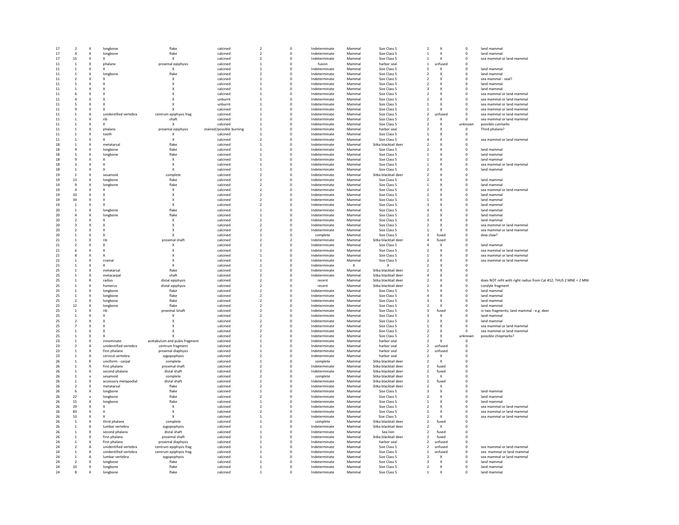| 17              |    | longbone              | flake                         | calcined                 | ാ | Indeterminate                  | Mammal           | Size Class 5                 |         |         | land mammal                                                       |
|-----------------|----|-----------------------|-------------------------------|--------------------------|---|--------------------------------|------------------|------------------------------|---------|---------|-------------------------------------------------------------------|
| 17              |    | longbone              | flake                         | calcined                 |   | Indeterminate                  | Mammal           | Size Class 5                 |         |         | land mammal                                                       |
| 17              | 15 |                       |                               | calcined                 | ຳ | Indeterminate                  | Mammal           | Size Class 5                 |         |         | sea mammal or land mammal                                         |
| 11              |    | phalanx               | proximal epiphysis            | calcined                 |   | fusion                         | Mammal           | harbor seal                  | unfused |         |                                                                   |
| 11              |    |                       | X                             | calcined                 |   | Indeterminate                  | Mammal           | Size Class 5                 |         |         | land mammal                                                       |
| 11              |    | longbone              | flake                         | calcined                 |   | Indeterminate                  | Mammal           | Size Class 5                 |         |         | land mammal                                                       |
| 11              |    |                       |                               | calcined                 |   | Indeterminate                  | Mammal           | Size Class 5                 |         |         | sea mammal - seal?                                                |
| 11              |    |                       |                               | calcined                 |   | Indeterminate                  | Mammal           | Size Class 5                 |         |         | land mammal                                                       |
| 11              |    |                       |                               | calcined                 |   | Indeterminate                  | Mammal           | Size Class 5                 |         |         | land mammal                                                       |
| 11              |    |                       |                               | calcined                 |   | Indeterminate                  | Mammal           | Size Class 5                 |         |         | sea mammal or land mammal                                         |
| 11              |    |                       |                               | unburnt                  |   | Indeterminate                  | Mammal           | Size Class 5                 |         |         | sea mammal or land mammal                                         |
|                 |    |                       |                               |                          |   |                                | Mammal           |                              |         |         |                                                                   |
| 11              |    |                       |                               | unburnt                  |   | Indeterminate                  |                  | Size Class 5                 |         |         | sea mammal or land mammal                                         |
| 11              |    |                       |                               | calcined                 |   | Indeterminate                  | Mammal           | Size Class 5                 |         |         | sea mammal or land mammal                                         |
| 11              |    | unidentified vertebra | centrum epiphysis frag        | calcined                 |   | Indeterminate                  | Mammal           | Size Class 5                 | unfused |         | sea mammal or land mammal                                         |
| 11              |    | rib                   | shaft                         | calcined                 |   | Indeterminate                  | Mammal           | Size Class 5                 |         |         | sea mammal or land mammal                                         |
| 11              |    |                       |                               | calcined                 |   | Indeterminate                  | Mammal           | Size Class 5                 |         | unknown | possible cutmarks                                                 |
| 11              |    | phalanx               | proximal epiphysis            | stained/possible burning |   | Indeterminate                  | Mammal           | harbor seal                  |         |         | Third phalanx?                                                    |
| 11              |    | tooth                 |                               | calcined                 |   | Indeterminate                  | Mammal           | Size Class 5                 |         |         |                                                                   |
| 11              |    |                       | X                             | calcined                 |   | Indeterminate                  | Mammal           | Size Class 5                 |         |         | sea mammal or land mammal                                         |
| 18              |    | metatarsal            | flake                         | calcined                 |   | Indeterminate                  | Mammal           | Sitka blacktail deer         |         |         |                                                                   |
| 18              |    | longbone              | flake                         | calcined                 |   | Indeterminate                  | Mammal           | Size Class 5                 |         |         | land mammal                                                       |
|                 |    |                       |                               |                          |   |                                |                  |                              |         |         |                                                                   |
| 18              |    | longbone              | flake                         | calcined                 |   | Indeterminate                  | Mammal           | Size Class 5                 |         |         | land mammal                                                       |
| 18              |    |                       | X                             | calcined                 |   | Indeterminate                  | Mammal           | Size Class 5                 |         |         | land mammal                                                       |
| 18              |    |                       |                               | calcined                 |   | Indeterminate                  | Mammal           | Size Class 5                 |         |         | sea mammal or land mammal                                         |
| 18              |    |                       |                               | calcined                 |   | Indeterminate                  | Mammal           | Size Class 5                 |         |         | land mammal                                                       |
| 19              |    | sesamoid              | complete                      | calcined                 |   | Indeterminate                  | Mammal           | Sitka blacktail deer         |         |         |                                                                   |
| 19              | 13 | longbone              | flake                         | calcined                 |   | Indeterminate                  | Mammal           | Size Class 5                 |         |         | land mammal                                                       |
| 19              |    | longbone              | flake                         | calcined                 |   | Indeterminate                  | Mammal           | Size Class 5                 |         |         | land mammal                                                       |
| 19              |    |                       |                               | calcined                 |   | Indeterminate                  | Mammal           | Size Class 5                 |         |         | sea mammal or land mammal                                         |
| 19              | 10 |                       |                               | calcined                 |   | Indeterminate                  | Mammal           | Size Class 5                 |         |         | land mammal                                                       |
|                 |    |                       |                               |                          |   |                                |                  |                              |         |         |                                                                   |
| 19              | 34 |                       |                               | calcined                 |   | Indeterminate                  | Mammal           | Size Class 5                 |         |         | land mammal                                                       |
| 19              |    |                       | X                             | calcined                 |   | Indeterminate                  | Mammal           | Size Class 5                 |         |         | land mammal                                                       |
| 20 <sub>2</sub> |    | longbone              | flake                         | calcined                 |   | Indeterminate                  | Mammal           | Size Class 5                 |         |         | land mammal                                                       |
| 20              |    | longbone              | flake                         | calcined                 |   | Indeterminate                  | Mammal           | Size Class 5                 |         |         | land mammal                                                       |
| 20              |    |                       |                               | calcined                 |   | Indeterminate                  | Mammal           | Size Class 5                 |         |         | land mammal                                                       |
| $20\degree$     |    |                       |                               | calcined                 |   | Indeterminate                  | Mammal           | Size Class 5                 |         |         | sea mammal or land mammal                                         |
| 20 <sub>2</sub> |    |                       |                               | calcined                 |   | Indeterminate                  | Mammal           | Size Class 5                 |         |         | sea mammal or land mammal                                         |
| 20              |    |                       |                               | calcined                 |   | complete                       | Mammal           | Size Class 5                 | fused   |         | dew claw?                                                         |
|                 |    |                       |                               |                          |   |                                |                  |                              |         |         |                                                                   |
| 21              |    | rib                   | proximal shaft                | calcined                 |   | Indeterminate                  | Mammal           | Sitka blacktail deer         | fused   |         |                                                                   |
| 21              |    |                       |                               | calcined                 |   | Indeterminate                  | Mammal           | Size Class 5                 |         |         | land mammal                                                       |
| 21              |    |                       |                               | calcined                 |   | Indeterminate                  | Mammal           | Size Class 5                 |         |         | sea mammal or land mammal                                         |
| 21              |    |                       |                               | calcined                 |   | Indeterminate                  | Mammal           | Size Class 5                 |         |         | sea mammal or land mammal                                         |
| 21              |    | cranial               |                               | calcined                 |   | Indeterminate                  | Mammal           | Size Class 5                 |         |         | sea mammal or land mammal                                         |
| 21              |    |                       |                               | calcined                 |   | Indeterminate                  | $\mathsf{X}$     |                              |         |         |                                                                   |
| 25              |    | metatarsal            | flake                         | calcined                 |   | Indeterminate                  | Mammal           | Sitka blacktail deer         |         |         |                                                                   |
| 25              |    | metacarpal            | shaft                         | calcined                 |   | Indeterminate                  | Mammal           | Sitka blacktail deer         |         |         |                                                                   |
| 25              |    | radius                | distal epiphysis              | calcined                 |   | recent                         | Mammal           | Sitka blacktail deer         |         |         | does NOT refit with right radius from Cat #12; THUS 2 MNE = 2 MNI |
|                 |    |                       |                               |                          |   |                                |                  |                              |         |         |                                                                   |
| 25              |    | humerus               | distal epiphysis              | calcined                 |   | recent                         | Mammal           | Sitka blacktail deer         |         |         | condyle fragment                                                  |
| 25              |    | longbone              | flake                         | calcined                 |   | Indeterminate                  | Mammal           | Size Class 5                 |         |         | land mammal                                                       |
| 25              |    | longbone              | flake                         | calcined                 |   | Indeterminate                  | Mammal           | Size Class 5                 |         |         | land mammal                                                       |
| 25              |    | longbone              | flake                         | calcined                 |   | Indeterminate                  | Mammal           | Size Class 5                 |         |         | land mammal                                                       |
| 25              | 12 | longbone              | flake                         | calcined                 |   | Indeterminate                  | Mammal           | Size Class 5                 |         |         | land mammal                                                       |
| 25              |    | rib                   | proximal Ishaft               | calcined                 |   | Indeterminate                  | Mammal           | Size Class 5                 | fused   |         | in two fragments; land mammal - e.g. deer                         |
| 25              |    |                       |                               | calcined                 |   | Indeterminate                  | Mammal           | Size Class 5                 |         |         | land mammal                                                       |
| 25              |    |                       |                               | calcined                 |   | Indeterminate                  | Mammal           | Size Class 5                 |         |         | land mammal                                                       |
| 25              |    |                       |                               | calcined                 |   | Indeterminate                  | Mammal           | Size Class 5                 |         |         | sea mammal or land mammal                                         |
|                 |    |                       |                               |                          |   |                                |                  |                              |         |         |                                                                   |
| 25              |    |                       |                               | calcined                 |   | Indeterminate                  | Mammal           | Size Class 5                 |         |         | sea mammal or land mammal                                         |
| 25              |    |                       |                               | calcined                 |   | Indeterminate                  | Mammal           | Size Class 5                 |         | unknown | possible chopmarks?                                               |
| 23              |    | innominate            | acetabulum and pubis fragment | calcined                 |   | Indeterminate                  | Mammal           | harbor seal                  | X       |         |                                                                   |
| 23              |    | unidentified vertebra | centrum fragment              | calcined                 |   | Indeterminate                  | Mammal           | harbor seal                  | unfused |         |                                                                   |
| 23              |    | first phalanx         | proximal diaphysis            | calcined                 |   | Indeterminate                  | Mammal           | harbor seal                  | unfused |         |                                                                   |
| 23              |    | cervical vertebra     | zygopophysis                  | calcined                 | ി | Indeterminate                  | Mammal           | harbor seal                  |         |         |                                                                   |
| 26              |    | unciform - carpal     | complete                      | calcined                 |   | complete                       | Mammal           | Sitka blacktail deer         | X       |         |                                                                   |
| 26              |    | first phalanx         | proximal shaft                | calcined                 |   | Indeterminate                  | Mammal           | Sitka blacktail deer         | fused   |         |                                                                   |
| 26              |    | second phalanx        | distal shaft                  | calcined                 |   | Indeterminate                  | Mammal           | Sitka blacktail deer         | fused   |         |                                                                   |
|                 |    |                       |                               |                          |   | complete                       | Mammal           | Sitka blacktail deer         |         |         |                                                                   |
| 26              |    |                       |                               |                          |   |                                |                  |                              |         |         |                                                                   |
|                 |    | sesamoid              | complete                      | calcined                 |   |                                |                  |                              |         |         |                                                                   |
| 26              |    | accessory metapodial  | distal shaft                  | calcined                 |   | Indeterminate                  | Mammal           | Sitka blacktail deer         | fused   |         |                                                                   |
| 26              |    | metatarsal            | flake                         | calcined                 |   | Indeterminate                  | Mammal           | Sitka blacktail deer         |         |         |                                                                   |
| 26              |    | longbone              | flake                         | calcined                 |   | Indeterminate                  | Mammal           | Size Class 5                 |         |         | land mammal                                                       |
| 26              | 22 | longbone              | flake                         | calcined                 |   | Indeterminate                  | Mammal           | Size Class 5                 |         |         | land mammal                                                       |
| 26              | 15 | longbone              | flake                         | calcined                 |   | Indeterminate                  | Mammal           | Size Class 5                 |         |         | land mammal                                                       |
|                 | 29 |                       |                               | calcined                 |   | Indeterminate                  | Mammal           | Size Class 5                 |         |         | sea mammal or land mammal                                         |
| 26              |    |                       |                               |                          |   |                                |                  |                              |         |         |                                                                   |
| 26              | 83 |                       |                               | calcined                 |   | Indeterminate                  | Mammal           | Size Class 5                 |         |         | sea mammal or land mammal                                         |
| 26              | 53 |                       |                               | calcined                 |   | Indeterminate                  | Mammal           | Size Class 5                 |         |         | sea mammal or land mammal                                         |
| 26              |    | third phalanx         | complete                      | calcined                 |   | complete                       | Mammal           | Sitka blacktail deer         | fused   |         |                                                                   |
| 26              |    | lumbar vertebra       | zygopophysis                  | calcined                 |   | Indeterminate                  | Mammal           | Sitka blacktail deer         |         |         |                                                                   |
| 26              |    | second phalanx        | distal shaft                  | calcined                 |   | Indeterminate                  | Mammal           | Sea lion                     | fused   |         |                                                                   |
| 26              |    | first phalanx         | proximal shaft                | calcined                 |   | Indeterminate                  | Mammal           | Sitka blacktail deer         | fused   |         |                                                                   |
| 24              |    | first phalanx         | proximal diaphysis            | calcined                 |   | Indeterminate                  | Mammal           | harbor seal                  | unfused |         |                                                                   |
|                 |    |                       |                               |                          |   | Indeterminate                  | Mammal           |                              |         |         | sea mammal or land mammal                                         |
| 24              |    | unidentified vertebra | centrum epiphysis frag        | calcined                 |   |                                |                  | Size Class 5                 | unfused |         |                                                                   |
| 24              |    | unidentified vertebra | centrum epiphysis frag        | calcined                 |   | Indeterminate                  | Mammal           | Size Class 5                 | unfused |         | sea mammal or land mammal                                         |
| 24              |    | lumbar vertebra       | zygopophysis                  | calcined                 |   | Indeterminate                  | Mammal           | Size Class 5                 |         |         | sea mammal or land mammal                                         |
| 24              |    | longbone              | flake                         | calcined                 |   | Indeterminate                  | Mammal           | Size Class 5                 |         |         | land mammal                                                       |
| 24<br>24        |    | longbone<br>longbone  | flake<br>flake                | calcined<br>calcined     |   | Indeterminate<br>Indeterminate | Mammal<br>Mammal | Size Class 5<br>Size Class 5 |         |         | land mammal<br>land mammal                                        |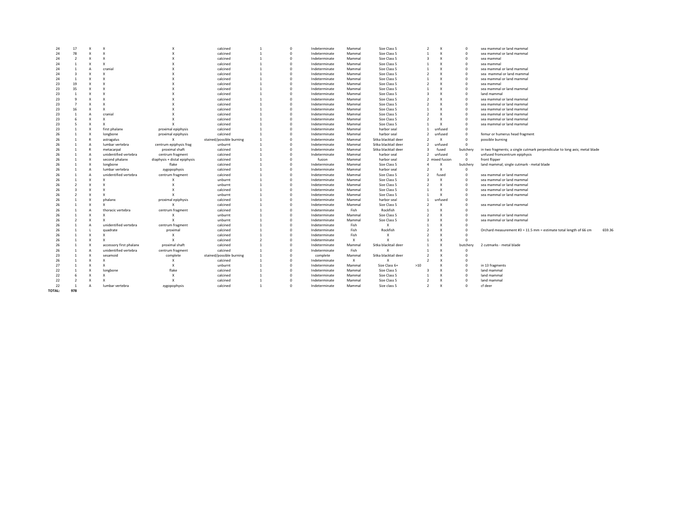| 24            | 17  | X                       |                              | calcined                 | 0 | Indeterminate | Mammal                    | Size Class 5         |                | 0            | sea mammal or land mammal                                                  |        |
|---------------|-----|-------------------------|------------------------------|--------------------------|---|---------------|---------------------------|----------------------|----------------|--------------|----------------------------------------------------------------------------|--------|
| 24            | 78  |                         |                              | calcined                 |   | Indeterminate | Mammal                    | Size Class 5         |                |              | sea mammal or land mammal                                                  |        |
| 24            |     |                         |                              | calcined                 |   | Indeterminate | Mammal                    | Size Class 5         |                | $\Omega$     | sea mammal                                                                 |        |
| 24            |     |                         |                              | calcined                 |   | Indeterminate | Mammal                    | Size Class 5         |                |              | sea mammal                                                                 |        |
| 24            |     | cranial                 |                              | calcined                 |   | Indeterminate | Mammal                    | Size Class 5         |                |              | sea mammal or land mammal                                                  |        |
| 24            |     |                         |                              | calcined                 |   | Indeterminate | Mammal                    | Size Class 5         |                | 0            | sea mammal or land mammal                                                  |        |
| 24            |     |                         |                              | calcined                 |   | Indeterminate | Mammal                    | Size Class 5         |                |              | sea mammal or land mammal                                                  |        |
| 23            | 19  |                         |                              | calcined                 |   | Indeterminate | Mammal                    | Size Class 5         |                | $\Omega$     | sea mammal                                                                 |        |
| 23            | 35  |                         |                              | calcined                 |   | Indeterminate | Mammal                    | Size Class 5         |                | $\Omega$     | sea mammal or land mammal                                                  |        |
| 23            |     |                         |                              | calcined                 |   | Indeterminate | Mammal                    | Size Class 5         |                | -0           | land mammal                                                                |        |
| 23            |     |                         |                              | calcined                 |   | Indeterminate | Mammal                    | Size Class 5         |                | 0            | sea mammal or land mammal                                                  |        |
| 23            |     |                         |                              | calcined                 |   | Indeterminate | Mammal                    | Size Class 5         |                |              | sea mammal or land mammal                                                  |        |
| 23            | 16  |                         |                              | calcined                 |   | Indeterminate | Mammal                    | Size Class 5         |                |              | sea mammal or land mammal                                                  |        |
| 23            |     | cranial                 |                              | calcined                 |   | Indeterminate | Mammal                    | Size Class 5         |                | $\Omega$     | sea mammal or land mammal                                                  |        |
| 23            |     |                         |                              | calcined                 |   | Indeterminate | Mammal                    | Size Class 5         |                |              | sea mammal or land mammal                                                  |        |
| 23            |     |                         |                              | calcined                 |   | Indeterminate | Mammal                    | Size Class 5         |                | 0            | sea mammal or land mammal                                                  |        |
| 23            |     | first phalanx           | proximal epiphysis           | calcined                 |   | Indeterminate | Mammal                    | harbor seal          | unfused        | 0            |                                                                            |        |
| 26            |     | longbone                | proximal epiphysis           | calcined                 |   | Indeterminate | Mammal                    | harbor seal          | unfused        | $\Omega$     | femur or humerus head fragment                                             |        |
| 26            |     | astragalus              |                              | stained/possible burning |   | Indeterminate | Mammal                    | Sitka blacktail deer |                | 0            | possible burning                                                           |        |
| 26            |     | lumbar vertebra         | centrum epiphysis frag       | unburnt                  |   | Indeterminate | Mammal                    | Sitka blacktail deer | unfused        | 0            |                                                                            |        |
| 26            |     | metacarpal              | proximal shaft               | calcined                 |   | Indeterminate | Mammal                    | Sitka blacktail deer | fused          | butchery     | in two fragments; a single cutmark perpendicular to long axis; metal blade |        |
| 26            |     | unidentified vertebra   | centrum fragment             | calcined                 |   | Indeterminate | Mammal                    | harbor seal          | unfused        | $\mathbf{0}$ | unfused fromcentrum epiphysis                                              |        |
| 26            |     | second phalanx          | diaphysis + distal epiphysis | calcined                 |   | fusion        | Mammal                    | harbor seal          | 2 mixed fusion | $\mathbf 0$  | front flipper                                                              |        |
| 26            |     | longbone                | flake                        | calcined                 |   | Indeterminate | Mammal                    | Size Class 5         |                | butchery     | land mammal; single cutmark - metal blade                                  |        |
| 26            |     | lumbar vertebra         | zygopophysis                 | calcined                 |   | Indeterminate | Mammal                    | harbor seal          |                | 0            |                                                                            |        |
| 26            |     | unidentified vertebra   | centrum fragment             | calcined                 |   | Indeterminate | Mammal                    | Size Class 5         | fused          | 0            | sea mammal or land mammal                                                  |        |
| 26            |     |                         |                              | unburnt                  |   | Indeterminate | Mammal                    | Size Class 5         |                |              | sea mammal or land mammal                                                  |        |
| 26            |     |                         |                              | unburnt                  |   | Indeterminate | Mammal                    | Size Class 5         |                |              | sea mammal or land mammal                                                  |        |
| 26            |     |                         |                              | calcined                 |   | Indeterminate | Mammal                    | Size Class 5         |                |              | sea mammal or land mammal                                                  |        |
| 26            |     |                         |                              | unburnt                  |   | Indeterminate | Mammal                    | Size Class 5         |                |              | sea mammal or land mammal                                                  |        |
| 26            |     | phalanx                 | proximal epiphysis           | calcined                 |   | Indeterminate | Mammal                    | harbor sea           | unfused        | 0            |                                                                            |        |
| 26            |     |                         |                              | calcined                 |   | Indeterminate | Mammal                    | Size Class 5         |                | 0            | sea mammal or land mammal                                                  |        |
| 26            |     | thoracic vertebra       | centrum fragment             | calcined                 |   | Indeterminate | Fish                      | Rockfish             |                |              |                                                                            |        |
|               |     |                         |                              | unburnt                  |   | Indeterminate | Mammal                    | Size Class 5         |                |              | sea mammal or land mammal                                                  |        |
|               |     |                         |                              | unburnt                  |   | Indeterminate | Mammal                    | Size Class 5         |                |              | sea mammal or land mammal                                                  |        |
|               |     | unidentified vertebra   | centrum fragment             | calcined                 |   | Indeterminate | Fish                      |                      |                |              |                                                                            |        |
|               |     | quadrate                | proximal                     | calcined                 |   | Indeterminate | Fish                      | Rockfish             |                |              | Orchard measurement #3 = 11.5 mm = estimate total length of 66 cm          | 659.36 |
| 26            |     |                         |                              | calcined                 |   | Indeterminate | Fish                      |                      |                |              |                                                                            |        |
|               |     |                         |                              | calcined                 |   | Indeterminate | $\boldsymbol{\mathsf{X}}$ |                      |                |              |                                                                            |        |
|               |     | accessory first phalanx | proximal shaft               | calcined                 |   | Indeterminate | Mammal                    | Sitka blacktail deer |                | butchery     | 2 cutmarks - metal blade                                                   |        |
|               |     | unidentified vertebra   | centrum fragment             | calcined                 |   | Indeterminate | Fish                      |                      |                |              |                                                                            |        |
| 23            |     | sesamoid                | complete                     | stained/possible burning |   | complete      | Mammal                    | Sitka blacktail deer |                |              |                                                                            |        |
| 26            |     |                         |                              | calcined                 |   | Indeterminate | $\boldsymbol{X}$          |                      |                |              |                                                                            |        |
| 27            |     |                         |                              | unburnt                  |   | Indeterminate | Mammal                    | Size Class 6+        | $>10$          |              | in 13 fragments                                                            |        |
| 22            |     | longbone                | flake                        | calcined                 |   | Indeterminate | Mammal                    | Size Class 5         |                |              | land mammal                                                                |        |
| 22            |     |                         |                              | calcined                 |   | Indeterminate | Mammal                    | Size Class 5         |                |              | land mammal                                                                |        |
| 22            |     |                         |                              | calcined                 |   | Indeterminate | Mammal                    | Size Class 5         |                |              | land mammal                                                                |        |
| 22            |     | lumbar vertebra         | zygopophysis                 | calcined                 |   | Indeterminate | Mammal                    | Size class 5         |                | 0            | cf deer                                                                    |        |
| <b>TOTAL:</b> | 978 |                         |                              |                          |   |               |                           |                      |                |              |                                                                            |        |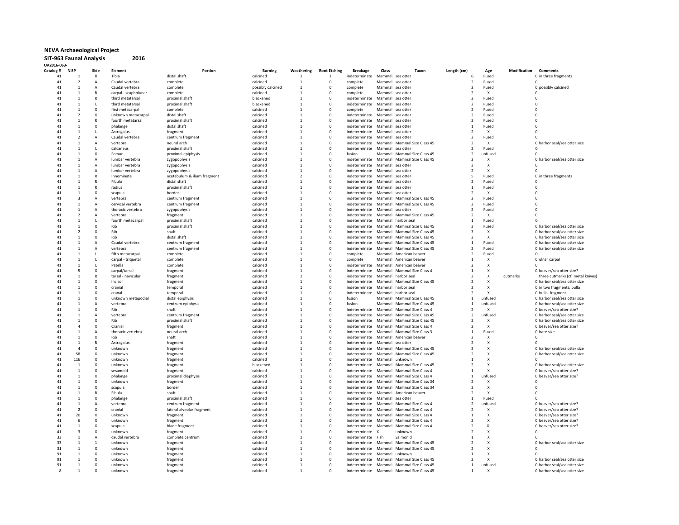### **NEVA Archaeological Project**

**SIT-963 Faunal Analysis 2016**

| UA2016-063- |             |                           |                      |                             |                   |            |                     |                              |              |                                           |             |                           |                     |                                   |
|-------------|-------------|---------------------------|----------------------|-----------------------------|-------------------|------------|---------------------|------------------------------|--------------|-------------------------------------------|-------------|---------------------------|---------------------|-----------------------------------|
| Catalog #   | <b>NISP</b> | Side                      | Element              | Portion                     | <b>Burning</b>    | Weathering | <b>Root Etching</b> | <b>Breakage</b>              | <b>Class</b> | Taxon                                     | Length (cm) | Age                       | <b>Modification</b> | <b>Comments</b>                   |
| 41          |             | R                         | Tibia                | distal shaft                | calcined          |            |                     | indeterminate                |              | Mammal sea otter                          | 6           | Fused                     |                     | 0 in three fragments              |
| 41          |             | A                         | Caudal vertebra      | complete                    | calcined          |            |                     | complete                     |              | Mammal sea otter                          |             | Fused                     |                     |                                   |
|             |             | A                         | Caudal vertebra      | complete                    | possibly calcined |            |                     | complete                     |              | Mammal sea otter                          |             | Fused                     |                     | 0 possibly calcined               |
|             |             |                           |                      |                             |                   |            |                     |                              |              |                                           |             |                           |                     |                                   |
|             |             | R                         | carpal - scapholunar | complete                    | calcined          |            |                     | complete                     |              | Mammal sea otter                          |             | $\boldsymbol{\mathsf{X}}$ |                     |                                   |
| 41          |             | R                         | third metatarsal     | proximal shaft              | blackened         |            |                     | indeterminate                |              | Mammal sea otter                          |             | Fused                     |                     |                                   |
|             |             |                           | third metatarsal     | proximal shaft              | blackened         |            |                     | indeterminate                |              | Mammal sea otter                          |             | Fused                     |                     |                                   |
|             |             | $\boldsymbol{\mathsf{X}}$ | first metacarpal     | complete                    | calcined          |            |                     | complete                     |              | Mammal sea otter                          |             | Fused                     |                     |                                   |
| 41          |             | X                         | unknown metacarpal   | distal shaft                | calcined          |            |                     | indeterminate                |              | Mammal sea otter                          |             | Fused                     |                     |                                   |
|             |             |                           |                      |                             |                   |            |                     |                              |              |                                           |             |                           |                     |                                   |
|             |             |                           | fourth metatarsal    | proximal shaft              | calcined          |            |                     | indeterminate                |              | Mammal sea otter                          |             | Fused                     |                     |                                   |
|             |             | X                         | phalange             | distal shaft                | calcined          |            |                     | indeterminate                |              | Mammal sea otter                          |             | Fused                     |                     |                                   |
|             |             |                           | Astragalus           | fragment                    | calcined          |            |                     | indeterminate                |              | Mammal sea otter                          |             | $\boldsymbol{\mathsf{X}}$ |                     |                                   |
|             |             | A                         | Caudal vertebra      | centrum fragment            | calcined          |            |                     | indeterminate                |              | Mammal sea otter                          |             | Fused                     |                     |                                   |
|             |             | A                         | vertebra             | neural arch                 | calcined          |            |                     | indeterminate                |              | Mammal Mammal Size Class 45               |             | X                         |                     | 0 harbor seal/sea otter size      |
|             |             |                           |                      |                             |                   |            |                     |                              |              |                                           |             |                           |                     |                                   |
|             |             |                           | calcaneus            | proximal shaft              | calcined          |            |                     | indeterminate                |              | Mammal sea otter                          |             | Fused                     |                     |                                   |
|             |             | X                         | Femur                | proximal epiphysis          | calcined          |            |                     | fusion                       |              | Mammal Mammal Size Class 45               |             | unfused                   |                     |                                   |
|             |             | A                         | lumbar vertebra      | zygopophysis                | calcined          |            |                     | indeterminate                |              | Mammal Mammal Size Class 45               |             | х                         |                     | 0 harbor seal/sea otter size      |
|             |             | A                         | lumbar vertebra      | zygopophysis                | calcined          |            |                     | indeterminate                |              | Mammal sea otter                          |             |                           |                     |                                   |
|             |             | A                         | lumbar vertebra      | zygopophysis                | calcined          |            |                     | indeterminate                |              | Mammal sea otter                          |             | $\boldsymbol{\mathsf{X}}$ |                     |                                   |
|             |             | R                         |                      | acetabulum & ilium fragment | calcined          |            |                     |                              |              |                                           |             |                           |                     | 0 in three fragments              |
|             |             |                           | Innominate           |                             |                   |            |                     | indeterminate                |              | Mammal sea otter                          |             | Fused                     |                     |                                   |
|             |             |                           | Fibula               | distal shaft                | calcined          |            |                     | indeterminate                |              | Mammal sea otter                          |             | Fused                     |                     |                                   |
|             |             | R                         | radius               | proximal shaft              | calcined          |            |                     | indeterminate                |              | Mammal sea otter                          |             | Fused                     |                     |                                   |
|             |             | X                         | scapula              | border                      | calcined          |            |                     | indeterminate                |              | Mammal sea otter                          |             | Х                         |                     |                                   |
|             |             | A                         | vertebra             | centrum fragment            | calcined          |            |                     | indeterminate                |              | Mammal Mammal Size Class 45               |             | Fused                     |                     |                                   |
|             |             |                           |                      |                             |                   |            |                     |                              |              |                                           |             |                           |                     |                                   |
|             |             | A                         | cervical vertebra    | centrum fragment            | calcined          |            |                     | indeterminate                |              | Mammal Mammal Size Class 45               |             | Fused                     |                     |                                   |
|             |             | A                         | thoracic vertebra    | zygopophysis                | calcined          |            |                     | indeterminate                |              | Mammal sea otter                          |             | Fused                     |                     |                                   |
|             |             | A                         | vertebra             | fragment                    | calcined          |            |                     | indeterminate                |              | Mammal Mammal Size Class 45               |             | $\boldsymbol{\mathsf{X}}$ |                     |                                   |
|             |             |                           | fourth metacarpal    | proximal shaft              | calcined          |            |                     | indeterminate                |              | Mammal harbor seal                        |             | Fused                     |                     |                                   |
|             |             | X                         | Rib                  | proximal shaft              | calcined          |            |                     | indeterminate                |              | Mammal Mammal Size Class 45               |             | Fused                     |                     | 0 harbor seal/sea otter size      |
|             |             |                           |                      |                             |                   |            |                     |                              |              |                                           |             |                           |                     |                                   |
|             |             |                           | Rib                  | shaft                       | calcined          |            |                     | indeterminate                |              | Mammal Mammal Size Class 45               |             | х                         |                     | 0 harbor seal/sea otter size      |
| 41          |             |                           | Rib                  | distal shaft                | calcined          |            |                     | indeterminate                |              | Mammal Mammal Size Class 45               |             |                           |                     | 0 harbor seal/sea otter size      |
| 41          |             |                           | Caudal vertebra      | centrum fragment            | calcined          |            |                     | indeterminate                |              | Mammal Mammal Size Class 45               |             | Fused                     |                     | 0 harbor seal/sea otter size      |
|             |             |                           | vertebra             | centrum fragment            | calcined          |            |                     | indeterminate                |              | Mammal Mammal Size Class 45               |             | Fused                     |                     | 0 harbor seal/sea otter size      |
|             |             |                           | fifth metacarpal     | complete                    | calcined          |            |                     | complete                     |              | Mammal American beaver                    |             | Fused                     |                     |                                   |
|             |             |                           |                      |                             |                   |            |                     |                              |              |                                           |             |                           |                     |                                   |
|             |             |                           | carpal - triquetal   | complete                    | calcined          |            |                     | complete                     |              | Mammal American beaver                    |             |                           |                     | 0 ulnar carpal                    |
|             |             |                           | Patella              | complete                    | calcined          |            |                     | indeterminate                |              | Mammal American beaver                    |             |                           |                     |                                   |
|             |             | X                         | carpal/tarsal        | fragment                    | calcined          |            |                     | indeterminate                |              | Mammal Mammal Size Class 4                |             |                           |                     | 0 beaver/sea otter size?          |
|             |             |                           | tarsal - navicular   | fragment                    | calcined          |            |                     | indeterminate                |              | Mammal harbor seal                        |             |                           | cutmarks            | three cutmarks (cf. metal knives) |
|             |             | X                         | incisor              | fragment                    | calcined          |            |                     | indeterminate                |              | Mammal Mammal Size Class 45               |             |                           |                     | 0 harbor seal/sea otter size      |
|             |             |                           |                      |                             |                   |            |                     |                              |              |                                           |             |                           |                     |                                   |
|             |             | X                         | cranial              | temporal                    | calcined          |            |                     | indeterminate                |              | Mammal harbor seal                        |             |                           |                     | 0 in two fragments; bulla         |
|             |             | X                         | cranal               | temporal                    | calcined          |            |                     | indeterminate                |              | Mammal harbor seal                        |             |                           |                     | 0 bulla fragment                  |
|             |             | X                         | unknown metapodial   | distal epiphysis            | calcined          |            |                     | fusion                       |              | Mammal Mammal Size Class 45               |             | unfused                   |                     | 0 harbor seal/sea otter size      |
|             |             | A                         | vertebra             | centrum epiphysis           | calcined          |            |                     | fusion                       |              | Mammal Mammal Size Class 45               |             | unfused                   |                     | 0 harbor seal/sea otter size      |
|             |             | X                         | Rib                  | shaft                       | calcined          |            |                     | indeterminate                |              | Mammal Mammal Size Class 4                |             |                           |                     | 0 beaver/sea otter size?          |
| 41          |             |                           | vertebra             | centrum fragment            | calcined          |            |                     | indeterminate                |              | Mammal Mammal Size Class 45               |             | unfused                   |                     | 0 harbor seal/sea otter size      |
|             |             |                           |                      |                             |                   |            |                     |                              |              |                                           |             |                           |                     |                                   |
|             |             | X                         | Rib                  | proximal shaft              | calcined          |            |                     | indeterminate                |              | Mammal Mammal Size Class 45               |             |                           |                     | 0 harbor seal/sea otter size      |
|             |             | X                         | Cranial              | fragment                    | calcined          |            |                     | indeterminate                |              | Mammal Mammal Size Class 4                |             |                           |                     | 0 beaver/sea otter size?          |
|             |             |                           | thoracic vertebra    | neural arch                 | calcined          |            |                     | indeterminate                |              | Mammal Mammal Size Class 3                |             | Fused                     |                     | 0 hare size                       |
|             |             | X                         | Rib                  | shaft                       | calcined          |            |                     | indeterminate                |              | Mammal American beaver                    |             |                           |                     |                                   |
|             |             |                           | Astragalus           | fragment                    | calcined          |            |                     | indeterminate                |              | Mammal sea otter                          |             |                           |                     |                                   |
|             |             |                           |                      |                             |                   |            |                     |                              |              |                                           |             |                           |                     |                                   |
|             |             | X                         | unknown              | fragment                    | calcined          |            |                     | indeterminate                |              | Mammal Mammal Size Class 45               |             |                           |                     | 0 harbor seal/sea otter size      |
| 41          | 58          | X                         | unknown              | fragment                    | calcined          |            |                     | indeterminate                |              | Mammal Mammal Size Class 45               |             |                           |                     | 0 harbor seal/sea otter size      |
| 41          | 116         | X                         | unknown              | fragment                    | calcined          |            |                     | indeterminate                |              | Mammal unknown                            |             |                           |                     |                                   |
|             |             | X                         | unknown              | fragment                    | blackened         |            |                     | indeterminate                |              | Mammal Mammal Size Class 45               |             |                           |                     | 0 harbor seal/sea otter size      |
|             |             | X                         | sesamoid             | fragment                    | calcined          |            |                     | indeterminate                |              | Mammal Mammal Size Class 4                |             |                           |                     | 0 beaver/sea otter size?          |
|             |             |                           |                      |                             |                   |            |                     |                              |              |                                           |             |                           |                     |                                   |
|             |             | х                         | phalange             | proximal diaphysis          | calcined          |            |                     | indeterminate                |              | Mammal Mammal Size Class 4                |             | unfused                   |                     | 0 beaver/sea otter size?          |
|             |             | X                         | unknown              | fragment                    | calcined          |            |                     | indeterminate                |              | Mammal Mammal Size Class 34               |             |                           |                     |                                   |
|             |             | X                         | scapula              | border                      | calcined          |            |                     | indeterminate                |              | Mammal Mammal Size Class 34               |             |                           |                     |                                   |
|             |             |                           | Fibula               | shaft                       | calcined          |            |                     | indeterminate                |              | Mammal American beaver                    |             |                           |                     |                                   |
|             |             | $\boldsymbol{\mathsf{X}}$ | phalange             | proximal shaft              | calcined          |            |                     | indeterminate                |              | Mammal sea otter                          |             | Fused                     |                     |                                   |
|             |             |                           |                      |                             |                   |            |                     |                              |              |                                           |             |                           |                     |                                   |
|             |             |                           | vertebra             | centrum fragment            | calcined          |            |                     | indeterminate                |              | Mammal Mammal Size Class 4                |             | unfused                   |                     | 0 beaver/sea otter size?          |
|             |             |                           | cranial              | lateral alveolar fragment   | calcined          |            |                     | indeterminate                |              | Mammal Mammal Size Class 4                |             |                           |                     | 0 beaver/sea otter size?          |
| 41          | 20          |                           | unknown              | fragment                    | calcined          |            |                     | indeterminate                |              | Mammal Mammal Size Class 4                |             |                           |                     | 0 beaver/sea otter size?          |
| 41          |             | X                         | unknown              | fragment                    | calcined          |            |                     |                              |              | indeterminate Mammal Mammal Size Class 4  |             | $\boldsymbol{\mathsf{X}}$ |                     | 0 beaver/sea otter size?          |
|             |             | X                         | scapula              | blade fragment              | calcined          |            |                     |                              |              | indeterminate Mammal Mammal Size Class 4  |             | X                         |                     | 0 beaver/sea otter size?          |
|             |             |                           |                      |                             |                   |            |                     |                              |              |                                           |             |                           |                     |                                   |
|             |             | X                         | unknown              | fragment                    | calcined          |            |                     | indeterminate X              |              | unknown                                   |             |                           |                     |                                   |
| 33          |             |                           | caudal vertebra      | complete centrum            | calcined          |            |                     | indeterminate Fish           |              | Salmonid                                  |             |                           |                     |                                   |
| 33          |             |                           | unknown              | fragment                    | calcined          |            |                     |                              |              | indeterminate Mammal Mammal Size Class 45 |             |                           |                     | 0 harbor seal/sea otter size      |
| 31          |             | X                         | unknown              | fragment                    | calcined          |            |                     | indeterminate                |              | Mammal Mammal Size Class 45               |             |                           |                     |                                   |
| 91          |             |                           | unknown              | fragment                    | calcined          |            |                     | indeterminate Mammal unknown |              |                                           |             |                           |                     |                                   |
|             |             | X                         |                      |                             |                   |            |                     |                              |              | Mammal Mammal Size Class 45               |             |                           |                     |                                   |
| 91          |             |                           | unknown              | fragment                    | calcined          |            |                     | indeterminate                |              |                                           |             |                           |                     | 0 harbor seal/sea otter size      |
| 91          |             | X                         | unknown              | fragment                    | calcined          |            |                     | indeterminate                |              | Mammal Mammal Size Class 45               |             | unfused                   |                     | 0 harbor seal/sea otter size      |
| 8           |             | X                         | unknown              | fragment                    | calcined          |            |                     |                              |              | indeterminate Mammal Mammal Size Class 45 |             | $\boldsymbol{\mathsf{x}}$ |                     | 0 harbor seal/sea otter size      |
|             |             |                           |                      |                             |                   |            |                     |                              |              |                                           |             |                           |                     |                                   |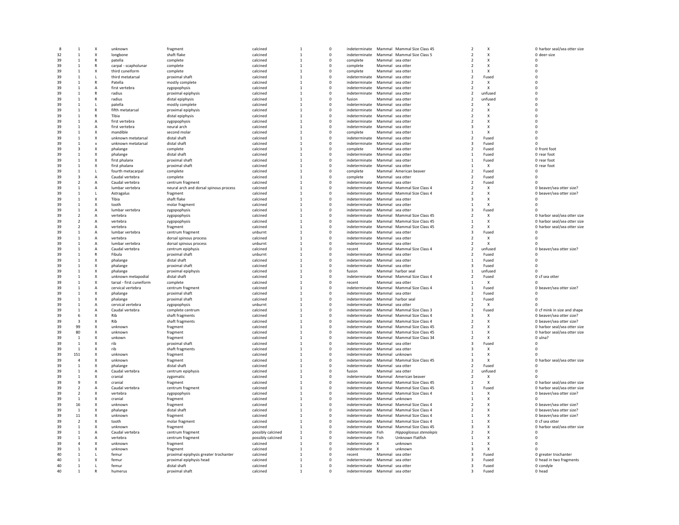| calcined<br>shaft flake<br>Mammal Mammal Size Class 5<br>Χ<br>32<br>longbone<br>indeterminate<br>X<br>calcined<br>39<br>R<br>patella<br>complete<br>X<br>complete<br>Mammal sea otter<br>calcined<br>χ<br>39<br>R<br>carpal - scapholunar<br>complete<br>complete<br>Mammal sea otter<br>third cuneiform<br>calcined<br>X<br>39<br>X<br>complete<br>complete<br>Mammal sea otter<br>39<br>proximal shaft<br>calcined<br>third metatarsal<br>indeterminate<br>Mammal sea otter<br>Fused<br>39<br>calcined<br>Χ<br>Patella<br>mostly complete<br>Mammal sea otter<br>R<br>indeterminate<br>calcined<br>X<br>39<br>first vertebra<br>Mammal sea otter<br>zygopophysis<br>indeterminate<br>A<br>calcined<br>39<br>R<br>radius<br>proximal epiphysis<br>unfused<br>indeterminate<br>Mammal sea otter<br>39<br>radius<br>calcined<br>unfused<br>R<br>distal epiphysis<br>fusion<br>Mammal sea otter<br>39<br>calcined<br>patella<br>mostly complete<br>Mammal sea otter<br>X<br>indeterminate<br>calcined<br>39<br>fifth metatarsal<br>proximal epiphysis<br>indeterminate<br>Mammal sea otter<br>x<br>R<br>calcined<br>χ<br>39<br>R<br>Tibia<br>distal epiphysis<br>indeterminate<br>Mammal sea otter<br>calcined<br>39<br>first vertebra<br>Mammal sea otter<br>X<br>A<br>zygopophysis<br>indeterminate<br>neural arch<br>calcined<br>χ<br>39<br>first vertebra<br>Mammal sea otter<br>indeterminate<br>A<br>Χ<br>39<br>X<br>mandible<br>calcined<br>second molar<br>complete<br>Mammal sea otter<br>$\times$<br>distal shaft<br>calcined<br>39<br>unknown metatarsal<br>Mammal sea otter<br>indeterminate<br>Fused<br>distal shaft<br>calcined<br>39<br>unknown metatarsal<br>indeterminate<br>Mammal sea otter<br>Fused<br>X<br>39<br>calcined<br>X<br>complete<br>phalange<br>complete<br>Mammal sea otter<br>Fused<br>distal shaft<br>calcined<br>39<br>X<br>Mammal sea otter<br>phalange<br>indeterminate<br>Fused<br>proximal shaft<br>calcined<br>39<br>X<br>first phalanx<br>indeterminate<br>Mammal sea otter<br>Fused<br>calcined<br>Χ<br>39<br>X<br>first phalanx<br>proximal shaft<br>Mammal sea otter<br>indeterminate<br>calcined<br>39<br>fourth metacarpal<br>complete<br>Mammal American beaver<br>Fused<br>complete<br>39<br>Caudal vertebra<br>complete<br>calcined<br>complete<br>Mammal sea otter<br>Fused<br>A<br>calcined<br>39<br>Caudal vertebra<br>centrum fragment<br>Mammal sea otter<br>indeterminate<br>Fused<br>A<br>calcined<br>Mammal Mammal Size Class 4<br>39<br>lumbar vertebra<br>neural arch and dorsal spinous process<br>x<br>indeterminate<br>A<br>calcined<br>Mammal Mammal Size Class 4<br>X<br>39<br>Astragalus<br>fragment<br>indeterminate<br>shaft flake<br>calcined<br>X<br>39<br>Tibia<br>Mammal sea otter<br>X<br>indeterminate<br>39<br>X<br>molar fragment<br>calcined<br>X<br>Mammal sea otter<br>tooth<br>indeterminate<br>calcined<br>39<br>lumbar vertebra<br>zygopophysis<br>Mammal sea otter<br>indeterminate<br>Fused<br>A<br>calcined<br>Mammal Mammal Size Class 45<br>X<br>vertebra<br>39<br>zygopophysis<br>indeterminate<br>39<br>indeterminate Mammal Mammal Size Class 45<br>vertebra<br>zygopophysis<br>calcined<br>indeterminate Mammal Mammal Size Class 45<br>Χ<br>39<br>vertebra<br>calcined<br>A<br>fragment<br>39<br>lumbar vertebra<br>centrum fragment<br>unburnt<br>Fused<br>indeterminate<br>Mammal sea otter<br>A<br>calcined<br>Χ<br>39<br>vertebra<br>dorsal spinous process<br>indeterminate<br>Mammal sea otter<br>A<br>X<br>39<br>lumbar vertebra<br>unburnt<br>A<br>dorsal spinous process<br>indeterminate<br>Mammal sea otter<br>calcined<br>unfused<br>39<br>Caudal vertebra<br>centrum epiphysis<br>Mammal Mammal Size Class 4<br>A<br>recent<br>proximal shaft<br>39<br>Fibula<br>unburnt<br>R<br>indeterminate<br>Mammal sea otter<br>Fused<br>39<br>distal shaft<br>calcined<br>X<br>phalange<br>indeterminate<br>Mammal sea otter<br>Fused<br>proximal shaft<br>calcined<br>39<br>X<br>Fused<br>phalange<br>indeterminate<br>Mammal sea otter<br>proximal epiphysis<br>calcined<br>Mammal harbor seal<br>unfused<br>39<br>phalange<br>fusion<br>X<br>39<br>distal shaft<br>calcined<br>Mammal Mammal Size Class 4<br>X<br>Fused<br>unknown metapodial<br>indeterminate<br>39<br>X<br>tarsal - first cuneiform<br>calcined<br>Χ<br>complete<br>Mammal sea otter<br>recent<br>cervical vertebra<br>calcined<br>Mammal Mammal Size Class 4<br>39<br>centrum fragment<br>indeterminate<br>Fused<br>A<br>calcined<br>39<br>X<br>proximal shaft<br>Mammal sea otter<br>Fused<br>phalange<br>indeterminate<br>proximal shaft<br>calcined<br>39<br>X<br>phalange<br>Mammal harbor seal<br>Fused<br>indeterminate<br>cervical vertebra<br>X<br>39<br>zygopophysis<br>unburnt<br>Mammal sea otter<br>indeterminate<br>A<br>39<br>calcined<br>Mammal Mammal Size Class 3<br>Caudal vertebra<br>complete centrum<br>indeterminate<br>Fused<br>A<br>shaft fragments<br>calcined<br>Mammal Mammal Size Class 4<br>Χ<br>39<br>X<br>Rib<br>indeterminate<br>$\times$<br>Rib<br>shaft fragments<br>calcined<br>Mammal Mammal Size Class 4<br>X<br>39<br>indeterminate<br>99<br>calcined<br>X<br>39<br>Mammal Mammal Size Class 45<br>X<br>unknown<br>fragment<br>indeterminate<br>39<br>80<br>Mammal Mammal Size Class 45<br>X<br>calcined<br>X<br>unknown<br>fragment<br>indeterminate<br>Χ<br>39<br>calcined<br>Mammal Mammal Size Class 34<br>X<br>unkown<br>fragment<br>indeterminate<br>proximal shaft<br>calcined<br>39<br>rib<br>Fused<br>X<br>indeterminate<br>Mammal sea otter<br>shaft fragments<br>calcined<br>Χ<br>39<br>X<br>rib<br>indeterminate<br>Mammal sea otter<br>X<br>39<br>151<br>calcined<br>X<br>unknown<br>fragment<br>indeterminate<br>Mammal unknown<br>Χ<br>calcined<br>Mammal Mammal Size Class 45<br>39<br>X<br>unknown<br>fragment<br>indeterminate<br>distal shaft<br>calcined<br>39<br>X<br>phalange<br>indeterminate<br>Mammal sea otter<br>Fused<br>39<br>calcined<br>unfused<br>Caudal vertebra<br>fusion<br>centrum epiphysis<br>Mammal sea otter<br>A<br>39<br>X<br>calcined<br>Χ<br>cranial<br>Mammal American beaver<br>zygomatic<br>indeterminate<br>q<br>cranial<br>calcined<br>Mammal Mammal Size Class 45<br>Χ<br>39<br>X<br>fragment<br>indeterminate<br>calcined<br>Mammal Mammal Size Class 45<br>39<br>Caudal vertebra<br>centrum fragment<br>Fused<br>indeterminate<br>A<br>calcined<br>Mammal Mammal Size Class 4<br>X<br>39<br>vertebra<br>zygopophysis<br>indeterminate<br>39<br>calcined<br>cranial<br>fragment<br>indeterminate Mammal unknown<br>39<br>X<br>calcined<br>indeterminate Mammal Mammal Size Class 4<br>X<br>16<br>unknown<br>fragment<br>distal shaft<br>calcined<br>indeterminate Mammal Mammal Size Class 4<br>39<br>Х<br>phalange<br>Mammal Mammal Size Class 4<br>11<br>calcined<br>39<br>unknown<br>fragment<br>indeterminate<br>calcined<br>39<br>molar fragment<br>indeterminate Mammal Mammal Size Class 4<br>tooth<br>х<br>calcined<br>indeterminate Mammal Mammal Size Class 45<br>39<br>unknown<br>Х<br>fragment<br>centrum fragment<br>possibly calcined<br>Χ<br>39<br>Caudal vertebra<br>indeterminate Fish<br>Hippoglossus stenolepis<br>A<br>centrum fragment<br>possibly calcined<br>Unknown Flatfish<br>39<br>vertebra<br>indeterminate Fish<br>$\overline{A}$<br>calcined<br>39<br>unknown<br>indeterminate X<br>unknown<br>fragment<br>calcined<br>X<br>39<br>unknown<br>unknown<br>fragment<br>indeterminate X<br>calcined<br>Fused<br>40<br>femur<br>proximal epiphysis greater trochanter<br>recent<br>Mammal sea otter<br>proximal epiphysis head<br>calcined<br>Mammal sea otter<br>40<br>femur<br>indeterminate<br>Fused<br>distal shaft<br>calcined<br>Mammal sea otter<br>40<br>femur<br>indeterminate<br>Fused<br>proximal shaft<br>calcined<br>indeterminate Mammal sea otter<br>Fused<br>R<br>humerus<br>40<br>0 | -8 | X | unknown | fragment | calcined |  |  | indeterminate Mammal Mammal Size Class 45 | X |
|-------------------------------------------------------------------------------------------------------------------------------------------------------------------------------------------------------------------------------------------------------------------------------------------------------------------------------------------------------------------------------------------------------------------------------------------------------------------------------------------------------------------------------------------------------------------------------------------------------------------------------------------------------------------------------------------------------------------------------------------------------------------------------------------------------------------------------------------------------------------------------------------------------------------------------------------------------------------------------------------------------------------------------------------------------------------------------------------------------------------------------------------------------------------------------------------------------------------------------------------------------------------------------------------------------------------------------------------------------------------------------------------------------------------------------------------------------------------------------------------------------------------------------------------------------------------------------------------------------------------------------------------------------------------------------------------------------------------------------------------------------------------------------------------------------------------------------------------------------------------------------------------------------------------------------------------------------------------------------------------------------------------------------------------------------------------------------------------------------------------------------------------------------------------------------------------------------------------------------------------------------------------------------------------------------------------------------------------------------------------------------------------------------------------------------------------------------------------------------------------------------------------------------------------------------------------------------------------------------------------------------------------------------------------------------------------------------------------------------------------------------------------------------------------------------------------------------------------------------------------------------------------------------------------------------------------------------------------------------------------------------------------------------------------------------------------------------------------------------------------------------------------------------------------------------------------------------------------------------------------------------------------------------------------------------------------------------------------------------------------------------------------------------------------------------------------------------------------------------------------------------------------------------------------------------------------------------------------------------------------------------------------------------------------------------------------------------------------------------------------------------------------------------------------------------------------------------------------------------------------------------------------------------------------------------------------------------------------------------------------------------------------------------------------------------------------------------------------------------------------------------------------------------------------------------------------------------------------------------------------------------------------------------------------------------------------------------------------------------------------------------------------------------------------------------------------------------------------------------------------------------------------------------------------------------------------------------------------------------------------------------------------------------------------------------------------------------------------------------------------------------------------------------------------------------------------------------------------------------------------------------------------------------------------------------------------------------------------------------------------------------------------------------------------------------------------------------------------------------------------------------------------------------------------------------------------------------------------------------------------------------------------------------------------------------------------------------------------------------------------------------------------------------------------------------------------------------------------------------------------------------------------------------------------------------------------------------------------------------------------------------------------------------------------------------------------------------------------------------------------------------------------------------------------------------------------------------------------------------------------------------------------------------------------------------------------------------------------------------------------------------------------------------------------------------------------------------------------------------------------------------------------------------------------------------------------------------------------------------------------------------------------------------------------------------------------------------------------------------------------------------------------------------------------------------------------------------------------------------------------------------------------------------------------------------------------------------------------------------------------------------------------------------------------------------------------------------------------------------------------------------------------------------------------------------------------------------------------------------------------------------------------------------------------------------------------------------------------------------------------------------------------------------------------------------------------------------------------------------------------------------------------------------------------------------------------------------------------------------------------------------------------------------------------------------------------------------------------------------------------------------------------------------------------------------------------------------------------------------------------------------------------------------------------------------------------------------------------------------------------------------------------------------------------------------------------------------------------------------------------------------------------------------------------------------------------------------------------------------------------------------------------|----|---|---------|----------|----------|--|--|-------------------------------------------|---|
|                                                                                                                                                                                                                                                                                                                                                                                                                                                                                                                                                                                                                                                                                                                                                                                                                                                                                                                                                                                                                                                                                                                                                                                                                                                                                                                                                                                                                                                                                                                                                                                                                                                                                                                                                                                                                                                                                                                                                                                                                                                                                                                                                                                                                                                                                                                                                                                                                                                                                                                                                                                                                                                                                                                                                                                                                                                                                                                                                                                                                                                                                                                                                                                                                                                                                                                                                                                                                                                                                                                                                                                                                                                                                                                                                                                                                                                                                                                                                                                                                                                                                                                                                                                                                                                                                                                                                                                                                                                                                                                                                                                                                                                                                                                                                                                                                                                                                                                                                                                                                                                                                                                                                                                                                                                                                                                                                                                                                                                                                                                                                                                                                                                                                                                                                                                                                                                                                                                                                                                                                                                                                                                                                                                                                                                                                                                                                                                                                                                                                                                                                                                                                                                                                                                                                                                                                                                                                                                                                                                                                                                                                                                                                                                                                                                                                                                                                                                                                                                                                                                                                                                                                                                                                                                                                                                                                                                                                           |    |   |         |          |          |  |  |                                           |   |
|                                                                                                                                                                                                                                                                                                                                                                                                                                                                                                                                                                                                                                                                                                                                                                                                                                                                                                                                                                                                                                                                                                                                                                                                                                                                                                                                                                                                                                                                                                                                                                                                                                                                                                                                                                                                                                                                                                                                                                                                                                                                                                                                                                                                                                                                                                                                                                                                                                                                                                                                                                                                                                                                                                                                                                                                                                                                                                                                                                                                                                                                                                                                                                                                                                                                                                                                                                                                                                                                                                                                                                                                                                                                                                                                                                                                                                                                                                                                                                                                                                                                                                                                                                                                                                                                                                                                                                                                                                                                                                                                                                                                                                                                                                                                                                                                                                                                                                                                                                                                                                                                                                                                                                                                                                                                                                                                                                                                                                                                                                                                                                                                                                                                                                                                                                                                                                                                                                                                                                                                                                                                                                                                                                                                                                                                                                                                                                                                                                                                                                                                                                                                                                                                                                                                                                                                                                                                                                                                                                                                                                                                                                                                                                                                                                                                                                                                                                                                                                                                                                                                                                                                                                                                                                                                                                                                                                                                                           |    |   |         |          |          |  |  |                                           |   |
|                                                                                                                                                                                                                                                                                                                                                                                                                                                                                                                                                                                                                                                                                                                                                                                                                                                                                                                                                                                                                                                                                                                                                                                                                                                                                                                                                                                                                                                                                                                                                                                                                                                                                                                                                                                                                                                                                                                                                                                                                                                                                                                                                                                                                                                                                                                                                                                                                                                                                                                                                                                                                                                                                                                                                                                                                                                                                                                                                                                                                                                                                                                                                                                                                                                                                                                                                                                                                                                                                                                                                                                                                                                                                                                                                                                                                                                                                                                                                                                                                                                                                                                                                                                                                                                                                                                                                                                                                                                                                                                                                                                                                                                                                                                                                                                                                                                                                                                                                                                                                                                                                                                                                                                                                                                                                                                                                                                                                                                                                                                                                                                                                                                                                                                                                                                                                                                                                                                                                                                                                                                                                                                                                                                                                                                                                                                                                                                                                                                                                                                                                                                                                                                                                                                                                                                                                                                                                                                                                                                                                                                                                                                                                                                                                                                                                                                                                                                                                                                                                                                                                                                                                                                                                                                                                                                                                                                                                           |    |   |         |          |          |  |  |                                           |   |
|                                                                                                                                                                                                                                                                                                                                                                                                                                                                                                                                                                                                                                                                                                                                                                                                                                                                                                                                                                                                                                                                                                                                                                                                                                                                                                                                                                                                                                                                                                                                                                                                                                                                                                                                                                                                                                                                                                                                                                                                                                                                                                                                                                                                                                                                                                                                                                                                                                                                                                                                                                                                                                                                                                                                                                                                                                                                                                                                                                                                                                                                                                                                                                                                                                                                                                                                                                                                                                                                                                                                                                                                                                                                                                                                                                                                                                                                                                                                                                                                                                                                                                                                                                                                                                                                                                                                                                                                                                                                                                                                                                                                                                                                                                                                                                                                                                                                                                                                                                                                                                                                                                                                                                                                                                                                                                                                                                                                                                                                                                                                                                                                                                                                                                                                                                                                                                                                                                                                                                                                                                                                                                                                                                                                                                                                                                                                                                                                                                                                                                                                                                                                                                                                                                                                                                                                                                                                                                                                                                                                                                                                                                                                                                                                                                                                                                                                                                                                                                                                                                                                                                                                                                                                                                                                                                                                                                                                                           |    |   |         |          |          |  |  |                                           |   |
|                                                                                                                                                                                                                                                                                                                                                                                                                                                                                                                                                                                                                                                                                                                                                                                                                                                                                                                                                                                                                                                                                                                                                                                                                                                                                                                                                                                                                                                                                                                                                                                                                                                                                                                                                                                                                                                                                                                                                                                                                                                                                                                                                                                                                                                                                                                                                                                                                                                                                                                                                                                                                                                                                                                                                                                                                                                                                                                                                                                                                                                                                                                                                                                                                                                                                                                                                                                                                                                                                                                                                                                                                                                                                                                                                                                                                                                                                                                                                                                                                                                                                                                                                                                                                                                                                                                                                                                                                                                                                                                                                                                                                                                                                                                                                                                                                                                                                                                                                                                                                                                                                                                                                                                                                                                                                                                                                                                                                                                                                                                                                                                                                                                                                                                                                                                                                                                                                                                                                                                                                                                                                                                                                                                                                                                                                                                                                                                                                                                                                                                                                                                                                                                                                                                                                                                                                                                                                                                                                                                                                                                                                                                                                                                                                                                                                                                                                                                                                                                                                                                                                                                                                                                                                                                                                                                                                                                                                           |    |   |         |          |          |  |  |                                           |   |
|                                                                                                                                                                                                                                                                                                                                                                                                                                                                                                                                                                                                                                                                                                                                                                                                                                                                                                                                                                                                                                                                                                                                                                                                                                                                                                                                                                                                                                                                                                                                                                                                                                                                                                                                                                                                                                                                                                                                                                                                                                                                                                                                                                                                                                                                                                                                                                                                                                                                                                                                                                                                                                                                                                                                                                                                                                                                                                                                                                                                                                                                                                                                                                                                                                                                                                                                                                                                                                                                                                                                                                                                                                                                                                                                                                                                                                                                                                                                                                                                                                                                                                                                                                                                                                                                                                                                                                                                                                                                                                                                                                                                                                                                                                                                                                                                                                                                                                                                                                                                                                                                                                                                                                                                                                                                                                                                                                                                                                                                                                                                                                                                                                                                                                                                                                                                                                                                                                                                                                                                                                                                                                                                                                                                                                                                                                                                                                                                                                                                                                                                                                                                                                                                                                                                                                                                                                                                                                                                                                                                                                                                                                                                                                                                                                                                                                                                                                                                                                                                                                                                                                                                                                                                                                                                                                                                                                                                                           |    |   |         |          |          |  |  |                                           |   |
|                                                                                                                                                                                                                                                                                                                                                                                                                                                                                                                                                                                                                                                                                                                                                                                                                                                                                                                                                                                                                                                                                                                                                                                                                                                                                                                                                                                                                                                                                                                                                                                                                                                                                                                                                                                                                                                                                                                                                                                                                                                                                                                                                                                                                                                                                                                                                                                                                                                                                                                                                                                                                                                                                                                                                                                                                                                                                                                                                                                                                                                                                                                                                                                                                                                                                                                                                                                                                                                                                                                                                                                                                                                                                                                                                                                                                                                                                                                                                                                                                                                                                                                                                                                                                                                                                                                                                                                                                                                                                                                                                                                                                                                                                                                                                                                                                                                                                                                                                                                                                                                                                                                                                                                                                                                                                                                                                                                                                                                                                                                                                                                                                                                                                                                                                                                                                                                                                                                                                                                                                                                                                                                                                                                                                                                                                                                                                                                                                                                                                                                                                                                                                                                                                                                                                                                                                                                                                                                                                                                                                                                                                                                                                                                                                                                                                                                                                                                                                                                                                                                                                                                                                                                                                                                                                                                                                                                                                           |    |   |         |          |          |  |  |                                           |   |
|                                                                                                                                                                                                                                                                                                                                                                                                                                                                                                                                                                                                                                                                                                                                                                                                                                                                                                                                                                                                                                                                                                                                                                                                                                                                                                                                                                                                                                                                                                                                                                                                                                                                                                                                                                                                                                                                                                                                                                                                                                                                                                                                                                                                                                                                                                                                                                                                                                                                                                                                                                                                                                                                                                                                                                                                                                                                                                                                                                                                                                                                                                                                                                                                                                                                                                                                                                                                                                                                                                                                                                                                                                                                                                                                                                                                                                                                                                                                                                                                                                                                                                                                                                                                                                                                                                                                                                                                                                                                                                                                                                                                                                                                                                                                                                                                                                                                                                                                                                                                                                                                                                                                                                                                                                                                                                                                                                                                                                                                                                                                                                                                                                                                                                                                                                                                                                                                                                                                                                                                                                                                                                                                                                                                                                                                                                                                                                                                                                                                                                                                                                                                                                                                                                                                                                                                                                                                                                                                                                                                                                                                                                                                                                                                                                                                                                                                                                                                                                                                                                                                                                                                                                                                                                                                                                                                                                                                                           |    |   |         |          |          |  |  |                                           |   |
|                                                                                                                                                                                                                                                                                                                                                                                                                                                                                                                                                                                                                                                                                                                                                                                                                                                                                                                                                                                                                                                                                                                                                                                                                                                                                                                                                                                                                                                                                                                                                                                                                                                                                                                                                                                                                                                                                                                                                                                                                                                                                                                                                                                                                                                                                                                                                                                                                                                                                                                                                                                                                                                                                                                                                                                                                                                                                                                                                                                                                                                                                                                                                                                                                                                                                                                                                                                                                                                                                                                                                                                                                                                                                                                                                                                                                                                                                                                                                                                                                                                                                                                                                                                                                                                                                                                                                                                                                                                                                                                                                                                                                                                                                                                                                                                                                                                                                                                                                                                                                                                                                                                                                                                                                                                                                                                                                                                                                                                                                                                                                                                                                                                                                                                                                                                                                                                                                                                                                                                                                                                                                                                                                                                                                                                                                                                                                                                                                                                                                                                                                                                                                                                                                                                                                                                                                                                                                                                                                                                                                                                                                                                                                                                                                                                                                                                                                                                                                                                                                                                                                                                                                                                                                                                                                                                                                                                                                           |    |   |         |          |          |  |  |                                           |   |
|                                                                                                                                                                                                                                                                                                                                                                                                                                                                                                                                                                                                                                                                                                                                                                                                                                                                                                                                                                                                                                                                                                                                                                                                                                                                                                                                                                                                                                                                                                                                                                                                                                                                                                                                                                                                                                                                                                                                                                                                                                                                                                                                                                                                                                                                                                                                                                                                                                                                                                                                                                                                                                                                                                                                                                                                                                                                                                                                                                                                                                                                                                                                                                                                                                                                                                                                                                                                                                                                                                                                                                                                                                                                                                                                                                                                                                                                                                                                                                                                                                                                                                                                                                                                                                                                                                                                                                                                                                                                                                                                                                                                                                                                                                                                                                                                                                                                                                                                                                                                                                                                                                                                                                                                                                                                                                                                                                                                                                                                                                                                                                                                                                                                                                                                                                                                                                                                                                                                                                                                                                                                                                                                                                                                                                                                                                                                                                                                                                                                                                                                                                                                                                                                                                                                                                                                                                                                                                                                                                                                                                                                                                                                                                                                                                                                                                                                                                                                                                                                                                                                                                                                                                                                                                                                                                                                                                                                                           |    |   |         |          |          |  |  |                                           |   |
|                                                                                                                                                                                                                                                                                                                                                                                                                                                                                                                                                                                                                                                                                                                                                                                                                                                                                                                                                                                                                                                                                                                                                                                                                                                                                                                                                                                                                                                                                                                                                                                                                                                                                                                                                                                                                                                                                                                                                                                                                                                                                                                                                                                                                                                                                                                                                                                                                                                                                                                                                                                                                                                                                                                                                                                                                                                                                                                                                                                                                                                                                                                                                                                                                                                                                                                                                                                                                                                                                                                                                                                                                                                                                                                                                                                                                                                                                                                                                                                                                                                                                                                                                                                                                                                                                                                                                                                                                                                                                                                                                                                                                                                                                                                                                                                                                                                                                                                                                                                                                                                                                                                                                                                                                                                                                                                                                                                                                                                                                                                                                                                                                                                                                                                                                                                                                                                                                                                                                                                                                                                                                                                                                                                                                                                                                                                                                                                                                                                                                                                                                                                                                                                                                                                                                                                                                                                                                                                                                                                                                                                                                                                                                                                                                                                                                                                                                                                                                                                                                                                                                                                                                                                                                                                                                                                                                                                                                           |    |   |         |          |          |  |  |                                           |   |
|                                                                                                                                                                                                                                                                                                                                                                                                                                                                                                                                                                                                                                                                                                                                                                                                                                                                                                                                                                                                                                                                                                                                                                                                                                                                                                                                                                                                                                                                                                                                                                                                                                                                                                                                                                                                                                                                                                                                                                                                                                                                                                                                                                                                                                                                                                                                                                                                                                                                                                                                                                                                                                                                                                                                                                                                                                                                                                                                                                                                                                                                                                                                                                                                                                                                                                                                                                                                                                                                                                                                                                                                                                                                                                                                                                                                                                                                                                                                                                                                                                                                                                                                                                                                                                                                                                                                                                                                                                                                                                                                                                                                                                                                                                                                                                                                                                                                                                                                                                                                                                                                                                                                                                                                                                                                                                                                                                                                                                                                                                                                                                                                                                                                                                                                                                                                                                                                                                                                                                                                                                                                                                                                                                                                                                                                                                                                                                                                                                                                                                                                                                                                                                                                                                                                                                                                                                                                                                                                                                                                                                                                                                                                                                                                                                                                                                                                                                                                                                                                                                                                                                                                                                                                                                                                                                                                                                                                                           |    |   |         |          |          |  |  |                                           |   |
|                                                                                                                                                                                                                                                                                                                                                                                                                                                                                                                                                                                                                                                                                                                                                                                                                                                                                                                                                                                                                                                                                                                                                                                                                                                                                                                                                                                                                                                                                                                                                                                                                                                                                                                                                                                                                                                                                                                                                                                                                                                                                                                                                                                                                                                                                                                                                                                                                                                                                                                                                                                                                                                                                                                                                                                                                                                                                                                                                                                                                                                                                                                                                                                                                                                                                                                                                                                                                                                                                                                                                                                                                                                                                                                                                                                                                                                                                                                                                                                                                                                                                                                                                                                                                                                                                                                                                                                                                                                                                                                                                                                                                                                                                                                                                                                                                                                                                                                                                                                                                                                                                                                                                                                                                                                                                                                                                                                                                                                                                                                                                                                                                                                                                                                                                                                                                                                                                                                                                                                                                                                                                                                                                                                                                                                                                                                                                                                                                                                                                                                                                                                                                                                                                                                                                                                                                                                                                                                                                                                                                                                                                                                                                                                                                                                                                                                                                                                                                                                                                                                                                                                                                                                                                                                                                                                                                                                                                           |    |   |         |          |          |  |  |                                           |   |
|                                                                                                                                                                                                                                                                                                                                                                                                                                                                                                                                                                                                                                                                                                                                                                                                                                                                                                                                                                                                                                                                                                                                                                                                                                                                                                                                                                                                                                                                                                                                                                                                                                                                                                                                                                                                                                                                                                                                                                                                                                                                                                                                                                                                                                                                                                                                                                                                                                                                                                                                                                                                                                                                                                                                                                                                                                                                                                                                                                                                                                                                                                                                                                                                                                                                                                                                                                                                                                                                                                                                                                                                                                                                                                                                                                                                                                                                                                                                                                                                                                                                                                                                                                                                                                                                                                                                                                                                                                                                                                                                                                                                                                                                                                                                                                                                                                                                                                                                                                                                                                                                                                                                                                                                                                                                                                                                                                                                                                                                                                                                                                                                                                                                                                                                                                                                                                                                                                                                                                                                                                                                                                                                                                                                                                                                                                                                                                                                                                                                                                                                                                                                                                                                                                                                                                                                                                                                                                                                                                                                                                                                                                                                                                                                                                                                                                                                                                                                                                                                                                                                                                                                                                                                                                                                                                                                                                                                                           |    |   |         |          |          |  |  |                                           |   |
|                                                                                                                                                                                                                                                                                                                                                                                                                                                                                                                                                                                                                                                                                                                                                                                                                                                                                                                                                                                                                                                                                                                                                                                                                                                                                                                                                                                                                                                                                                                                                                                                                                                                                                                                                                                                                                                                                                                                                                                                                                                                                                                                                                                                                                                                                                                                                                                                                                                                                                                                                                                                                                                                                                                                                                                                                                                                                                                                                                                                                                                                                                                                                                                                                                                                                                                                                                                                                                                                                                                                                                                                                                                                                                                                                                                                                                                                                                                                                                                                                                                                                                                                                                                                                                                                                                                                                                                                                                                                                                                                                                                                                                                                                                                                                                                                                                                                                                                                                                                                                                                                                                                                                                                                                                                                                                                                                                                                                                                                                                                                                                                                                                                                                                                                                                                                                                                                                                                                                                                                                                                                                                                                                                                                                                                                                                                                                                                                                                                                                                                                                                                                                                                                                                                                                                                                                                                                                                                                                                                                                                                                                                                                                                                                                                                                                                                                                                                                                                                                                                                                                                                                                                                                                                                                                                                                                                                                                           |    |   |         |          |          |  |  |                                           |   |
|                                                                                                                                                                                                                                                                                                                                                                                                                                                                                                                                                                                                                                                                                                                                                                                                                                                                                                                                                                                                                                                                                                                                                                                                                                                                                                                                                                                                                                                                                                                                                                                                                                                                                                                                                                                                                                                                                                                                                                                                                                                                                                                                                                                                                                                                                                                                                                                                                                                                                                                                                                                                                                                                                                                                                                                                                                                                                                                                                                                                                                                                                                                                                                                                                                                                                                                                                                                                                                                                                                                                                                                                                                                                                                                                                                                                                                                                                                                                                                                                                                                                                                                                                                                                                                                                                                                                                                                                                                                                                                                                                                                                                                                                                                                                                                                                                                                                                                                                                                                                                                                                                                                                                                                                                                                                                                                                                                                                                                                                                                                                                                                                                                                                                                                                                                                                                                                                                                                                                                                                                                                                                                                                                                                                                                                                                                                                                                                                                                                                                                                                                                                                                                                                                                                                                                                                                                                                                                                                                                                                                                                                                                                                                                                                                                                                                                                                                                                                                                                                                                                                                                                                                                                                                                                                                                                                                                                                                           |    |   |         |          |          |  |  |                                           |   |
|                                                                                                                                                                                                                                                                                                                                                                                                                                                                                                                                                                                                                                                                                                                                                                                                                                                                                                                                                                                                                                                                                                                                                                                                                                                                                                                                                                                                                                                                                                                                                                                                                                                                                                                                                                                                                                                                                                                                                                                                                                                                                                                                                                                                                                                                                                                                                                                                                                                                                                                                                                                                                                                                                                                                                                                                                                                                                                                                                                                                                                                                                                                                                                                                                                                                                                                                                                                                                                                                                                                                                                                                                                                                                                                                                                                                                                                                                                                                                                                                                                                                                                                                                                                                                                                                                                                                                                                                                                                                                                                                                                                                                                                                                                                                                                                                                                                                                                                                                                                                                                                                                                                                                                                                                                                                                                                                                                                                                                                                                                                                                                                                                                                                                                                                                                                                                                                                                                                                                                                                                                                                                                                                                                                                                                                                                                                                                                                                                                                                                                                                                                                                                                                                                                                                                                                                                                                                                                                                                                                                                                                                                                                                                                                                                                                                                                                                                                                                                                                                                                                                                                                                                                                                                                                                                                                                                                                                                           |    |   |         |          |          |  |  |                                           |   |
|                                                                                                                                                                                                                                                                                                                                                                                                                                                                                                                                                                                                                                                                                                                                                                                                                                                                                                                                                                                                                                                                                                                                                                                                                                                                                                                                                                                                                                                                                                                                                                                                                                                                                                                                                                                                                                                                                                                                                                                                                                                                                                                                                                                                                                                                                                                                                                                                                                                                                                                                                                                                                                                                                                                                                                                                                                                                                                                                                                                                                                                                                                                                                                                                                                                                                                                                                                                                                                                                                                                                                                                                                                                                                                                                                                                                                                                                                                                                                                                                                                                                                                                                                                                                                                                                                                                                                                                                                                                                                                                                                                                                                                                                                                                                                                                                                                                                                                                                                                                                                                                                                                                                                                                                                                                                                                                                                                                                                                                                                                                                                                                                                                                                                                                                                                                                                                                                                                                                                                                                                                                                                                                                                                                                                                                                                                                                                                                                                                                                                                                                                                                                                                                                                                                                                                                                                                                                                                                                                                                                                                                                                                                                                                                                                                                                                                                                                                                                                                                                                                                                                                                                                                                                                                                                                                                                                                                                                           |    |   |         |          |          |  |  |                                           |   |
|                                                                                                                                                                                                                                                                                                                                                                                                                                                                                                                                                                                                                                                                                                                                                                                                                                                                                                                                                                                                                                                                                                                                                                                                                                                                                                                                                                                                                                                                                                                                                                                                                                                                                                                                                                                                                                                                                                                                                                                                                                                                                                                                                                                                                                                                                                                                                                                                                                                                                                                                                                                                                                                                                                                                                                                                                                                                                                                                                                                                                                                                                                                                                                                                                                                                                                                                                                                                                                                                                                                                                                                                                                                                                                                                                                                                                                                                                                                                                                                                                                                                                                                                                                                                                                                                                                                                                                                                                                                                                                                                                                                                                                                                                                                                                                                                                                                                                                                                                                                                                                                                                                                                                                                                                                                                                                                                                                                                                                                                                                                                                                                                                                                                                                                                                                                                                                                                                                                                                                                                                                                                                                                                                                                                                                                                                                                                                                                                                                                                                                                                                                                                                                                                                                                                                                                                                                                                                                                                                                                                                                                                                                                                                                                                                                                                                                                                                                                                                                                                                                                                                                                                                                                                                                                                                                                                                                                                                           |    |   |         |          |          |  |  |                                           |   |
|                                                                                                                                                                                                                                                                                                                                                                                                                                                                                                                                                                                                                                                                                                                                                                                                                                                                                                                                                                                                                                                                                                                                                                                                                                                                                                                                                                                                                                                                                                                                                                                                                                                                                                                                                                                                                                                                                                                                                                                                                                                                                                                                                                                                                                                                                                                                                                                                                                                                                                                                                                                                                                                                                                                                                                                                                                                                                                                                                                                                                                                                                                                                                                                                                                                                                                                                                                                                                                                                                                                                                                                                                                                                                                                                                                                                                                                                                                                                                                                                                                                                                                                                                                                                                                                                                                                                                                                                                                                                                                                                                                                                                                                                                                                                                                                                                                                                                                                                                                                                                                                                                                                                                                                                                                                                                                                                                                                                                                                                                                                                                                                                                                                                                                                                                                                                                                                                                                                                                                                                                                                                                                                                                                                                                                                                                                                                                                                                                                                                                                                                                                                                                                                                                                                                                                                                                                                                                                                                                                                                                                                                                                                                                                                                                                                                                                                                                                                                                                                                                                                                                                                                                                                                                                                                                                                                                                                                                           |    |   |         |          |          |  |  |                                           |   |
|                                                                                                                                                                                                                                                                                                                                                                                                                                                                                                                                                                                                                                                                                                                                                                                                                                                                                                                                                                                                                                                                                                                                                                                                                                                                                                                                                                                                                                                                                                                                                                                                                                                                                                                                                                                                                                                                                                                                                                                                                                                                                                                                                                                                                                                                                                                                                                                                                                                                                                                                                                                                                                                                                                                                                                                                                                                                                                                                                                                                                                                                                                                                                                                                                                                                                                                                                                                                                                                                                                                                                                                                                                                                                                                                                                                                                                                                                                                                                                                                                                                                                                                                                                                                                                                                                                                                                                                                                                                                                                                                                                                                                                                                                                                                                                                                                                                                                                                                                                                                                                                                                                                                                                                                                                                                                                                                                                                                                                                                                                                                                                                                                                                                                                                                                                                                                                                                                                                                                                                                                                                                                                                                                                                                                                                                                                                                                                                                                                                                                                                                                                                                                                                                                                                                                                                                                                                                                                                                                                                                                                                                                                                                                                                                                                                                                                                                                                                                                                                                                                                                                                                                                                                                                                                                                                                                                                                                                           |    |   |         |          |          |  |  |                                           |   |
|                                                                                                                                                                                                                                                                                                                                                                                                                                                                                                                                                                                                                                                                                                                                                                                                                                                                                                                                                                                                                                                                                                                                                                                                                                                                                                                                                                                                                                                                                                                                                                                                                                                                                                                                                                                                                                                                                                                                                                                                                                                                                                                                                                                                                                                                                                                                                                                                                                                                                                                                                                                                                                                                                                                                                                                                                                                                                                                                                                                                                                                                                                                                                                                                                                                                                                                                                                                                                                                                                                                                                                                                                                                                                                                                                                                                                                                                                                                                                                                                                                                                                                                                                                                                                                                                                                                                                                                                                                                                                                                                                                                                                                                                                                                                                                                                                                                                                                                                                                                                                                                                                                                                                                                                                                                                                                                                                                                                                                                                                                                                                                                                                                                                                                                                                                                                                                                                                                                                                                                                                                                                                                                                                                                                                                                                                                                                                                                                                                                                                                                                                                                                                                                                                                                                                                                                                                                                                                                                                                                                                                                                                                                                                                                                                                                                                                                                                                                                                                                                                                                                                                                                                                                                                                                                                                                                                                                                                           |    |   |         |          |          |  |  |                                           |   |
|                                                                                                                                                                                                                                                                                                                                                                                                                                                                                                                                                                                                                                                                                                                                                                                                                                                                                                                                                                                                                                                                                                                                                                                                                                                                                                                                                                                                                                                                                                                                                                                                                                                                                                                                                                                                                                                                                                                                                                                                                                                                                                                                                                                                                                                                                                                                                                                                                                                                                                                                                                                                                                                                                                                                                                                                                                                                                                                                                                                                                                                                                                                                                                                                                                                                                                                                                                                                                                                                                                                                                                                                                                                                                                                                                                                                                                                                                                                                                                                                                                                                                                                                                                                                                                                                                                                                                                                                                                                                                                                                                                                                                                                                                                                                                                                                                                                                                                                                                                                                                                                                                                                                                                                                                                                                                                                                                                                                                                                                                                                                                                                                                                                                                                                                                                                                                                                                                                                                                                                                                                                                                                                                                                                                                                                                                                                                                                                                                                                                                                                                                                                                                                                                                                                                                                                                                                                                                                                                                                                                                                                                                                                                                                                                                                                                                                                                                                                                                                                                                                                                                                                                                                                                                                                                                                                                                                                                                           |    |   |         |          |          |  |  |                                           |   |
|                                                                                                                                                                                                                                                                                                                                                                                                                                                                                                                                                                                                                                                                                                                                                                                                                                                                                                                                                                                                                                                                                                                                                                                                                                                                                                                                                                                                                                                                                                                                                                                                                                                                                                                                                                                                                                                                                                                                                                                                                                                                                                                                                                                                                                                                                                                                                                                                                                                                                                                                                                                                                                                                                                                                                                                                                                                                                                                                                                                                                                                                                                                                                                                                                                                                                                                                                                                                                                                                                                                                                                                                                                                                                                                                                                                                                                                                                                                                                                                                                                                                                                                                                                                                                                                                                                                                                                                                                                                                                                                                                                                                                                                                                                                                                                                                                                                                                                                                                                                                                                                                                                                                                                                                                                                                                                                                                                                                                                                                                                                                                                                                                                                                                                                                                                                                                                                                                                                                                                                                                                                                                                                                                                                                                                                                                                                                                                                                                                                                                                                                                                                                                                                                                                                                                                                                                                                                                                                                                                                                                                                                                                                                                                                                                                                                                                                                                                                                                                                                                                                                                                                                                                                                                                                                                                                                                                                                                           |    |   |         |          |          |  |  |                                           |   |
|                                                                                                                                                                                                                                                                                                                                                                                                                                                                                                                                                                                                                                                                                                                                                                                                                                                                                                                                                                                                                                                                                                                                                                                                                                                                                                                                                                                                                                                                                                                                                                                                                                                                                                                                                                                                                                                                                                                                                                                                                                                                                                                                                                                                                                                                                                                                                                                                                                                                                                                                                                                                                                                                                                                                                                                                                                                                                                                                                                                                                                                                                                                                                                                                                                                                                                                                                                                                                                                                                                                                                                                                                                                                                                                                                                                                                                                                                                                                                                                                                                                                                                                                                                                                                                                                                                                                                                                                                                                                                                                                                                                                                                                                                                                                                                                                                                                                                                                                                                                                                                                                                                                                                                                                                                                                                                                                                                                                                                                                                                                                                                                                                                                                                                                                                                                                                                                                                                                                                                                                                                                                                                                                                                                                                                                                                                                                                                                                                                                                                                                                                                                                                                                                                                                                                                                                                                                                                                                                                                                                                                                                                                                                                                                                                                                                                                                                                                                                                                                                                                                                                                                                                                                                                                                                                                                                                                                                                           |    |   |         |          |          |  |  |                                           |   |
|                                                                                                                                                                                                                                                                                                                                                                                                                                                                                                                                                                                                                                                                                                                                                                                                                                                                                                                                                                                                                                                                                                                                                                                                                                                                                                                                                                                                                                                                                                                                                                                                                                                                                                                                                                                                                                                                                                                                                                                                                                                                                                                                                                                                                                                                                                                                                                                                                                                                                                                                                                                                                                                                                                                                                                                                                                                                                                                                                                                                                                                                                                                                                                                                                                                                                                                                                                                                                                                                                                                                                                                                                                                                                                                                                                                                                                                                                                                                                                                                                                                                                                                                                                                                                                                                                                                                                                                                                                                                                                                                                                                                                                                                                                                                                                                                                                                                                                                                                                                                                                                                                                                                                                                                                                                                                                                                                                                                                                                                                                                                                                                                                                                                                                                                                                                                                                                                                                                                                                                                                                                                                                                                                                                                                                                                                                                                                                                                                                                                                                                                                                                                                                                                                                                                                                                                                                                                                                                                                                                                                                                                                                                                                                                                                                                                                                                                                                                                                                                                                                                                                                                                                                                                                                                                                                                                                                                                                           |    |   |         |          |          |  |  |                                           |   |
|                                                                                                                                                                                                                                                                                                                                                                                                                                                                                                                                                                                                                                                                                                                                                                                                                                                                                                                                                                                                                                                                                                                                                                                                                                                                                                                                                                                                                                                                                                                                                                                                                                                                                                                                                                                                                                                                                                                                                                                                                                                                                                                                                                                                                                                                                                                                                                                                                                                                                                                                                                                                                                                                                                                                                                                                                                                                                                                                                                                                                                                                                                                                                                                                                                                                                                                                                                                                                                                                                                                                                                                                                                                                                                                                                                                                                                                                                                                                                                                                                                                                                                                                                                                                                                                                                                                                                                                                                                                                                                                                                                                                                                                                                                                                                                                                                                                                                                                                                                                                                                                                                                                                                                                                                                                                                                                                                                                                                                                                                                                                                                                                                                                                                                                                                                                                                                                                                                                                                                                                                                                                                                                                                                                                                                                                                                                                                                                                                                                                                                                                                                                                                                                                                                                                                                                                                                                                                                                                                                                                                                                                                                                                                                                                                                                                                                                                                                                                                                                                                                                                                                                                                                                                                                                                                                                                                                                                                           |    |   |         |          |          |  |  |                                           |   |
|                                                                                                                                                                                                                                                                                                                                                                                                                                                                                                                                                                                                                                                                                                                                                                                                                                                                                                                                                                                                                                                                                                                                                                                                                                                                                                                                                                                                                                                                                                                                                                                                                                                                                                                                                                                                                                                                                                                                                                                                                                                                                                                                                                                                                                                                                                                                                                                                                                                                                                                                                                                                                                                                                                                                                                                                                                                                                                                                                                                                                                                                                                                                                                                                                                                                                                                                                                                                                                                                                                                                                                                                                                                                                                                                                                                                                                                                                                                                                                                                                                                                                                                                                                                                                                                                                                                                                                                                                                                                                                                                                                                                                                                                                                                                                                                                                                                                                                                                                                                                                                                                                                                                                                                                                                                                                                                                                                                                                                                                                                                                                                                                                                                                                                                                                                                                                                                                                                                                                                                                                                                                                                                                                                                                                                                                                                                                                                                                                                                                                                                                                                                                                                                                                                                                                                                                                                                                                                                                                                                                                                                                                                                                                                                                                                                                                                                                                                                                                                                                                                                                                                                                                                                                                                                                                                                                                                                                                           |    |   |         |          |          |  |  |                                           |   |
|                                                                                                                                                                                                                                                                                                                                                                                                                                                                                                                                                                                                                                                                                                                                                                                                                                                                                                                                                                                                                                                                                                                                                                                                                                                                                                                                                                                                                                                                                                                                                                                                                                                                                                                                                                                                                                                                                                                                                                                                                                                                                                                                                                                                                                                                                                                                                                                                                                                                                                                                                                                                                                                                                                                                                                                                                                                                                                                                                                                                                                                                                                                                                                                                                                                                                                                                                                                                                                                                                                                                                                                                                                                                                                                                                                                                                                                                                                                                                                                                                                                                                                                                                                                                                                                                                                                                                                                                                                                                                                                                                                                                                                                                                                                                                                                                                                                                                                                                                                                                                                                                                                                                                                                                                                                                                                                                                                                                                                                                                                                                                                                                                                                                                                                                                                                                                                                                                                                                                                                                                                                                                                                                                                                                                                                                                                                                                                                                                                                                                                                                                                                                                                                                                                                                                                                                                                                                                                                                                                                                                                                                                                                                                                                                                                                                                                                                                                                                                                                                                                                                                                                                                                                                                                                                                                                                                                                                                           |    |   |         |          |          |  |  |                                           |   |
|                                                                                                                                                                                                                                                                                                                                                                                                                                                                                                                                                                                                                                                                                                                                                                                                                                                                                                                                                                                                                                                                                                                                                                                                                                                                                                                                                                                                                                                                                                                                                                                                                                                                                                                                                                                                                                                                                                                                                                                                                                                                                                                                                                                                                                                                                                                                                                                                                                                                                                                                                                                                                                                                                                                                                                                                                                                                                                                                                                                                                                                                                                                                                                                                                                                                                                                                                                                                                                                                                                                                                                                                                                                                                                                                                                                                                                                                                                                                                                                                                                                                                                                                                                                                                                                                                                                                                                                                                                                                                                                                                                                                                                                                                                                                                                                                                                                                                                                                                                                                                                                                                                                                                                                                                                                                                                                                                                                                                                                                                                                                                                                                                                                                                                                                                                                                                                                                                                                                                                                                                                                                                                                                                                                                                                                                                                                                                                                                                                                                                                                                                                                                                                                                                                                                                                                                                                                                                                                                                                                                                                                                                                                                                                                                                                                                                                                                                                                                                                                                                                                                                                                                                                                                                                                                                                                                                                                                                           |    |   |         |          |          |  |  |                                           |   |
|                                                                                                                                                                                                                                                                                                                                                                                                                                                                                                                                                                                                                                                                                                                                                                                                                                                                                                                                                                                                                                                                                                                                                                                                                                                                                                                                                                                                                                                                                                                                                                                                                                                                                                                                                                                                                                                                                                                                                                                                                                                                                                                                                                                                                                                                                                                                                                                                                                                                                                                                                                                                                                                                                                                                                                                                                                                                                                                                                                                                                                                                                                                                                                                                                                                                                                                                                                                                                                                                                                                                                                                                                                                                                                                                                                                                                                                                                                                                                                                                                                                                                                                                                                                                                                                                                                                                                                                                                                                                                                                                                                                                                                                                                                                                                                                                                                                                                                                                                                                                                                                                                                                                                                                                                                                                                                                                                                                                                                                                                                                                                                                                                                                                                                                                                                                                                                                                                                                                                                                                                                                                                                                                                                                                                                                                                                                                                                                                                                                                                                                                                                                                                                                                                                                                                                                                                                                                                                                                                                                                                                                                                                                                                                                                                                                                                                                                                                                                                                                                                                                                                                                                                                                                                                                                                                                                                                                                                           |    |   |         |          |          |  |  |                                           |   |
|                                                                                                                                                                                                                                                                                                                                                                                                                                                                                                                                                                                                                                                                                                                                                                                                                                                                                                                                                                                                                                                                                                                                                                                                                                                                                                                                                                                                                                                                                                                                                                                                                                                                                                                                                                                                                                                                                                                                                                                                                                                                                                                                                                                                                                                                                                                                                                                                                                                                                                                                                                                                                                                                                                                                                                                                                                                                                                                                                                                                                                                                                                                                                                                                                                                                                                                                                                                                                                                                                                                                                                                                                                                                                                                                                                                                                                                                                                                                                                                                                                                                                                                                                                                                                                                                                                                                                                                                                                                                                                                                                                                                                                                                                                                                                                                                                                                                                                                                                                                                                                                                                                                                                                                                                                                                                                                                                                                                                                                                                                                                                                                                                                                                                                                                                                                                                                                                                                                                                                                                                                                                                                                                                                                                                                                                                                                                                                                                                                                                                                                                                                                                                                                                                                                                                                                                                                                                                                                                                                                                                                                                                                                                                                                                                                                                                                                                                                                                                                                                                                                                                                                                                                                                                                                                                                                                                                                                                           |    |   |         |          |          |  |  |                                           |   |
|                                                                                                                                                                                                                                                                                                                                                                                                                                                                                                                                                                                                                                                                                                                                                                                                                                                                                                                                                                                                                                                                                                                                                                                                                                                                                                                                                                                                                                                                                                                                                                                                                                                                                                                                                                                                                                                                                                                                                                                                                                                                                                                                                                                                                                                                                                                                                                                                                                                                                                                                                                                                                                                                                                                                                                                                                                                                                                                                                                                                                                                                                                                                                                                                                                                                                                                                                                                                                                                                                                                                                                                                                                                                                                                                                                                                                                                                                                                                                                                                                                                                                                                                                                                                                                                                                                                                                                                                                                                                                                                                                                                                                                                                                                                                                                                                                                                                                                                                                                                                                                                                                                                                                                                                                                                                                                                                                                                                                                                                                                                                                                                                                                                                                                                                                                                                                                                                                                                                                                                                                                                                                                                                                                                                                                                                                                                                                                                                                                                                                                                                                                                                                                                                                                                                                                                                                                                                                                                                                                                                                                                                                                                                                                                                                                                                                                                                                                                                                                                                                                                                                                                                                                                                                                                                                                                                                                                                                           |    |   |         |          |          |  |  |                                           |   |
|                                                                                                                                                                                                                                                                                                                                                                                                                                                                                                                                                                                                                                                                                                                                                                                                                                                                                                                                                                                                                                                                                                                                                                                                                                                                                                                                                                                                                                                                                                                                                                                                                                                                                                                                                                                                                                                                                                                                                                                                                                                                                                                                                                                                                                                                                                                                                                                                                                                                                                                                                                                                                                                                                                                                                                                                                                                                                                                                                                                                                                                                                                                                                                                                                                                                                                                                                                                                                                                                                                                                                                                                                                                                                                                                                                                                                                                                                                                                                                                                                                                                                                                                                                                                                                                                                                                                                                                                                                                                                                                                                                                                                                                                                                                                                                                                                                                                                                                                                                                                                                                                                                                                                                                                                                                                                                                                                                                                                                                                                                                                                                                                                                                                                                                                                                                                                                                                                                                                                                                                                                                                                                                                                                                                                                                                                                                                                                                                                                                                                                                                                                                                                                                                                                                                                                                                                                                                                                                                                                                                                                                                                                                                                                                                                                                                                                                                                                                                                                                                                                                                                                                                                                                                                                                                                                                                                                                                                           |    |   |         |          |          |  |  |                                           |   |
|                                                                                                                                                                                                                                                                                                                                                                                                                                                                                                                                                                                                                                                                                                                                                                                                                                                                                                                                                                                                                                                                                                                                                                                                                                                                                                                                                                                                                                                                                                                                                                                                                                                                                                                                                                                                                                                                                                                                                                                                                                                                                                                                                                                                                                                                                                                                                                                                                                                                                                                                                                                                                                                                                                                                                                                                                                                                                                                                                                                                                                                                                                                                                                                                                                                                                                                                                                                                                                                                                                                                                                                                                                                                                                                                                                                                                                                                                                                                                                                                                                                                                                                                                                                                                                                                                                                                                                                                                                                                                                                                                                                                                                                                                                                                                                                                                                                                                                                                                                                                                                                                                                                                                                                                                                                                                                                                                                                                                                                                                                                                                                                                                                                                                                                                                                                                                                                                                                                                                                                                                                                                                                                                                                                                                                                                                                                                                                                                                                                                                                                                                                                                                                                                                                                                                                                                                                                                                                                                                                                                                                                                                                                                                                                                                                                                                                                                                                                                                                                                                                                                                                                                                                                                                                                                                                                                                                                                                           |    |   |         |          |          |  |  |                                           |   |
|                                                                                                                                                                                                                                                                                                                                                                                                                                                                                                                                                                                                                                                                                                                                                                                                                                                                                                                                                                                                                                                                                                                                                                                                                                                                                                                                                                                                                                                                                                                                                                                                                                                                                                                                                                                                                                                                                                                                                                                                                                                                                                                                                                                                                                                                                                                                                                                                                                                                                                                                                                                                                                                                                                                                                                                                                                                                                                                                                                                                                                                                                                                                                                                                                                                                                                                                                                                                                                                                                                                                                                                                                                                                                                                                                                                                                                                                                                                                                                                                                                                                                                                                                                                                                                                                                                                                                                                                                                                                                                                                                                                                                                                                                                                                                                                                                                                                                                                                                                                                                                                                                                                                                                                                                                                                                                                                                                                                                                                                                                                                                                                                                                                                                                                                                                                                                                                                                                                                                                                                                                                                                                                                                                                                                                                                                                                                                                                                                                                                                                                                                                                                                                                                                                                                                                                                                                                                                                                                                                                                                                                                                                                                                                                                                                                                                                                                                                                                                                                                                                                                                                                                                                                                                                                                                                                                                                                                                           |    |   |         |          |          |  |  |                                           |   |
|                                                                                                                                                                                                                                                                                                                                                                                                                                                                                                                                                                                                                                                                                                                                                                                                                                                                                                                                                                                                                                                                                                                                                                                                                                                                                                                                                                                                                                                                                                                                                                                                                                                                                                                                                                                                                                                                                                                                                                                                                                                                                                                                                                                                                                                                                                                                                                                                                                                                                                                                                                                                                                                                                                                                                                                                                                                                                                                                                                                                                                                                                                                                                                                                                                                                                                                                                                                                                                                                                                                                                                                                                                                                                                                                                                                                                                                                                                                                                                                                                                                                                                                                                                                                                                                                                                                                                                                                                                                                                                                                                                                                                                                                                                                                                                                                                                                                                                                                                                                                                                                                                                                                                                                                                                                                                                                                                                                                                                                                                                                                                                                                                                                                                                                                                                                                                                                                                                                                                                                                                                                                                                                                                                                                                                                                                                                                                                                                                                                                                                                                                                                                                                                                                                                                                                                                                                                                                                                                                                                                                                                                                                                                                                                                                                                                                                                                                                                                                                                                                                                                                                                                                                                                                                                                                                                                                                                                                           |    |   |         |          |          |  |  |                                           |   |
|                                                                                                                                                                                                                                                                                                                                                                                                                                                                                                                                                                                                                                                                                                                                                                                                                                                                                                                                                                                                                                                                                                                                                                                                                                                                                                                                                                                                                                                                                                                                                                                                                                                                                                                                                                                                                                                                                                                                                                                                                                                                                                                                                                                                                                                                                                                                                                                                                                                                                                                                                                                                                                                                                                                                                                                                                                                                                                                                                                                                                                                                                                                                                                                                                                                                                                                                                                                                                                                                                                                                                                                                                                                                                                                                                                                                                                                                                                                                                                                                                                                                                                                                                                                                                                                                                                                                                                                                                                                                                                                                                                                                                                                                                                                                                                                                                                                                                                                                                                                                                                                                                                                                                                                                                                                                                                                                                                                                                                                                                                                                                                                                                                                                                                                                                                                                                                                                                                                                                                                                                                                                                                                                                                                                                                                                                                                                                                                                                                                                                                                                                                                                                                                                                                                                                                                                                                                                                                                                                                                                                                                                                                                                                                                                                                                                                                                                                                                                                                                                                                                                                                                                                                                                                                                                                                                                                                                                                           |    |   |         |          |          |  |  |                                           |   |
|                                                                                                                                                                                                                                                                                                                                                                                                                                                                                                                                                                                                                                                                                                                                                                                                                                                                                                                                                                                                                                                                                                                                                                                                                                                                                                                                                                                                                                                                                                                                                                                                                                                                                                                                                                                                                                                                                                                                                                                                                                                                                                                                                                                                                                                                                                                                                                                                                                                                                                                                                                                                                                                                                                                                                                                                                                                                                                                                                                                                                                                                                                                                                                                                                                                                                                                                                                                                                                                                                                                                                                                                                                                                                                                                                                                                                                                                                                                                                                                                                                                                                                                                                                                                                                                                                                                                                                                                                                                                                                                                                                                                                                                                                                                                                                                                                                                                                                                                                                                                                                                                                                                                                                                                                                                                                                                                                                                                                                                                                                                                                                                                                                                                                                                                                                                                                                                                                                                                                                                                                                                                                                                                                                                                                                                                                                                                                                                                                                                                                                                                                                                                                                                                                                                                                                                                                                                                                                                                                                                                                                                                                                                                                                                                                                                                                                                                                                                                                                                                                                                                                                                                                                                                                                                                                                                                                                                                                           |    |   |         |          |          |  |  |                                           |   |
|                                                                                                                                                                                                                                                                                                                                                                                                                                                                                                                                                                                                                                                                                                                                                                                                                                                                                                                                                                                                                                                                                                                                                                                                                                                                                                                                                                                                                                                                                                                                                                                                                                                                                                                                                                                                                                                                                                                                                                                                                                                                                                                                                                                                                                                                                                                                                                                                                                                                                                                                                                                                                                                                                                                                                                                                                                                                                                                                                                                                                                                                                                                                                                                                                                                                                                                                                                                                                                                                                                                                                                                                                                                                                                                                                                                                                                                                                                                                                                                                                                                                                                                                                                                                                                                                                                                                                                                                                                                                                                                                                                                                                                                                                                                                                                                                                                                                                                                                                                                                                                                                                                                                                                                                                                                                                                                                                                                                                                                                                                                                                                                                                                                                                                                                                                                                                                                                                                                                                                                                                                                                                                                                                                                                                                                                                                                                                                                                                                                                                                                                                                                                                                                                                                                                                                                                                                                                                                                                                                                                                                                                                                                                                                                                                                                                                                                                                                                                                                                                                                                                                                                                                                                                                                                                                                                                                                                                                           |    |   |         |          |          |  |  |                                           |   |
|                                                                                                                                                                                                                                                                                                                                                                                                                                                                                                                                                                                                                                                                                                                                                                                                                                                                                                                                                                                                                                                                                                                                                                                                                                                                                                                                                                                                                                                                                                                                                                                                                                                                                                                                                                                                                                                                                                                                                                                                                                                                                                                                                                                                                                                                                                                                                                                                                                                                                                                                                                                                                                                                                                                                                                                                                                                                                                                                                                                                                                                                                                                                                                                                                                                                                                                                                                                                                                                                                                                                                                                                                                                                                                                                                                                                                                                                                                                                                                                                                                                                                                                                                                                                                                                                                                                                                                                                                                                                                                                                                                                                                                                                                                                                                                                                                                                                                                                                                                                                                                                                                                                                                                                                                                                                                                                                                                                                                                                                                                                                                                                                                                                                                                                                                                                                                                                                                                                                                                                                                                                                                                                                                                                                                                                                                                                                                                                                                                                                                                                                                                                                                                                                                                                                                                                                                                                                                                                                                                                                                                                                                                                                                                                                                                                                                                                                                                                                                                                                                                                                                                                                                                                                                                                                                                                                                                                                                           |    |   |         |          |          |  |  |                                           |   |
|                                                                                                                                                                                                                                                                                                                                                                                                                                                                                                                                                                                                                                                                                                                                                                                                                                                                                                                                                                                                                                                                                                                                                                                                                                                                                                                                                                                                                                                                                                                                                                                                                                                                                                                                                                                                                                                                                                                                                                                                                                                                                                                                                                                                                                                                                                                                                                                                                                                                                                                                                                                                                                                                                                                                                                                                                                                                                                                                                                                                                                                                                                                                                                                                                                                                                                                                                                                                                                                                                                                                                                                                                                                                                                                                                                                                                                                                                                                                                                                                                                                                                                                                                                                                                                                                                                                                                                                                                                                                                                                                                                                                                                                                                                                                                                                                                                                                                                                                                                                                                                                                                                                                                                                                                                                                                                                                                                                                                                                                                                                                                                                                                                                                                                                                                                                                                                                                                                                                                                                                                                                                                                                                                                                                                                                                                                                                                                                                                                                                                                                                                                                                                                                                                                                                                                                                                                                                                                                                                                                                                                                                                                                                                                                                                                                                                                                                                                                                                                                                                                                                                                                                                                                                                                                                                                                                                                                                                           |    |   |         |          |          |  |  |                                           |   |
|                                                                                                                                                                                                                                                                                                                                                                                                                                                                                                                                                                                                                                                                                                                                                                                                                                                                                                                                                                                                                                                                                                                                                                                                                                                                                                                                                                                                                                                                                                                                                                                                                                                                                                                                                                                                                                                                                                                                                                                                                                                                                                                                                                                                                                                                                                                                                                                                                                                                                                                                                                                                                                                                                                                                                                                                                                                                                                                                                                                                                                                                                                                                                                                                                                                                                                                                                                                                                                                                                                                                                                                                                                                                                                                                                                                                                                                                                                                                                                                                                                                                                                                                                                                                                                                                                                                                                                                                                                                                                                                                                                                                                                                                                                                                                                                                                                                                                                                                                                                                                                                                                                                                                                                                                                                                                                                                                                                                                                                                                                                                                                                                                                                                                                                                                                                                                                                                                                                                                                                                                                                                                                                                                                                                                                                                                                                                                                                                                                                                                                                                                                                                                                                                                                                                                                                                                                                                                                                                                                                                                                                                                                                                                                                                                                                                                                                                                                                                                                                                                                                                                                                                                                                                                                                                                                                                                                                                                           |    |   |         |          |          |  |  |                                           |   |
|                                                                                                                                                                                                                                                                                                                                                                                                                                                                                                                                                                                                                                                                                                                                                                                                                                                                                                                                                                                                                                                                                                                                                                                                                                                                                                                                                                                                                                                                                                                                                                                                                                                                                                                                                                                                                                                                                                                                                                                                                                                                                                                                                                                                                                                                                                                                                                                                                                                                                                                                                                                                                                                                                                                                                                                                                                                                                                                                                                                                                                                                                                                                                                                                                                                                                                                                                                                                                                                                                                                                                                                                                                                                                                                                                                                                                                                                                                                                                                                                                                                                                                                                                                                                                                                                                                                                                                                                                                                                                                                                                                                                                                                                                                                                                                                                                                                                                                                                                                                                                                                                                                                                                                                                                                                                                                                                                                                                                                                                                                                                                                                                                                                                                                                                                                                                                                                                                                                                                                                                                                                                                                                                                                                                                                                                                                                                                                                                                                                                                                                                                                                                                                                                                                                                                                                                                                                                                                                                                                                                                                                                                                                                                                                                                                                                                                                                                                                                                                                                                                                                                                                                                                                                                                                                                                                                                                                                                           |    |   |         |          |          |  |  |                                           |   |
|                                                                                                                                                                                                                                                                                                                                                                                                                                                                                                                                                                                                                                                                                                                                                                                                                                                                                                                                                                                                                                                                                                                                                                                                                                                                                                                                                                                                                                                                                                                                                                                                                                                                                                                                                                                                                                                                                                                                                                                                                                                                                                                                                                                                                                                                                                                                                                                                                                                                                                                                                                                                                                                                                                                                                                                                                                                                                                                                                                                                                                                                                                                                                                                                                                                                                                                                                                                                                                                                                                                                                                                                                                                                                                                                                                                                                                                                                                                                                                                                                                                                                                                                                                                                                                                                                                                                                                                                                                                                                                                                                                                                                                                                                                                                                                                                                                                                                                                                                                                                                                                                                                                                                                                                                                                                                                                                                                                                                                                                                                                                                                                                                                                                                                                                                                                                                                                                                                                                                                                                                                                                                                                                                                                                                                                                                                                                                                                                                                                                                                                                                                                                                                                                                                                                                                                                                                                                                                                                                                                                                                                                                                                                                                                                                                                                                                                                                                                                                                                                                                                                                                                                                                                                                                                                                                                                                                                                                           |    |   |         |          |          |  |  |                                           |   |
|                                                                                                                                                                                                                                                                                                                                                                                                                                                                                                                                                                                                                                                                                                                                                                                                                                                                                                                                                                                                                                                                                                                                                                                                                                                                                                                                                                                                                                                                                                                                                                                                                                                                                                                                                                                                                                                                                                                                                                                                                                                                                                                                                                                                                                                                                                                                                                                                                                                                                                                                                                                                                                                                                                                                                                                                                                                                                                                                                                                                                                                                                                                                                                                                                                                                                                                                                                                                                                                                                                                                                                                                                                                                                                                                                                                                                                                                                                                                                                                                                                                                                                                                                                                                                                                                                                                                                                                                                                                                                                                                                                                                                                                                                                                                                                                                                                                                                                                                                                                                                                                                                                                                                                                                                                                                                                                                                                                                                                                                                                                                                                                                                                                                                                                                                                                                                                                                                                                                                                                                                                                                                                                                                                                                                                                                                                                                                                                                                                                                                                                                                                                                                                                                                                                                                                                                                                                                                                                                                                                                                                                                                                                                                                                                                                                                                                                                                                                                                                                                                                                                                                                                                                                                                                                                                                                                                                                                                           |    |   |         |          |          |  |  |                                           |   |
|                                                                                                                                                                                                                                                                                                                                                                                                                                                                                                                                                                                                                                                                                                                                                                                                                                                                                                                                                                                                                                                                                                                                                                                                                                                                                                                                                                                                                                                                                                                                                                                                                                                                                                                                                                                                                                                                                                                                                                                                                                                                                                                                                                                                                                                                                                                                                                                                                                                                                                                                                                                                                                                                                                                                                                                                                                                                                                                                                                                                                                                                                                                                                                                                                                                                                                                                                                                                                                                                                                                                                                                                                                                                                                                                                                                                                                                                                                                                                                                                                                                                                                                                                                                                                                                                                                                                                                                                                                                                                                                                                                                                                                                                                                                                                                                                                                                                                                                                                                                                                                                                                                                                                                                                                                                                                                                                                                                                                                                                                                                                                                                                                                                                                                                                                                                                                                                                                                                                                                                                                                                                                                                                                                                                                                                                                                                                                                                                                                                                                                                                                                                                                                                                                                                                                                                                                                                                                                                                                                                                                                                                                                                                                                                                                                                                                                                                                                                                                                                                                                                                                                                                                                                                                                                                                                                                                                                                                           |    |   |         |          |          |  |  |                                           |   |
|                                                                                                                                                                                                                                                                                                                                                                                                                                                                                                                                                                                                                                                                                                                                                                                                                                                                                                                                                                                                                                                                                                                                                                                                                                                                                                                                                                                                                                                                                                                                                                                                                                                                                                                                                                                                                                                                                                                                                                                                                                                                                                                                                                                                                                                                                                                                                                                                                                                                                                                                                                                                                                                                                                                                                                                                                                                                                                                                                                                                                                                                                                                                                                                                                                                                                                                                                                                                                                                                                                                                                                                                                                                                                                                                                                                                                                                                                                                                                                                                                                                                                                                                                                                                                                                                                                                                                                                                                                                                                                                                                                                                                                                                                                                                                                                                                                                                                                                                                                                                                                                                                                                                                                                                                                                                                                                                                                                                                                                                                                                                                                                                                                                                                                                                                                                                                                                                                                                                                                                                                                                                                                                                                                                                                                                                                                                                                                                                                                                                                                                                                                                                                                                                                                                                                                                                                                                                                                                                                                                                                                                                                                                                                                                                                                                                                                                                                                                                                                                                                                                                                                                                                                                                                                                                                                                                                                                                                           |    |   |         |          |          |  |  |                                           |   |
|                                                                                                                                                                                                                                                                                                                                                                                                                                                                                                                                                                                                                                                                                                                                                                                                                                                                                                                                                                                                                                                                                                                                                                                                                                                                                                                                                                                                                                                                                                                                                                                                                                                                                                                                                                                                                                                                                                                                                                                                                                                                                                                                                                                                                                                                                                                                                                                                                                                                                                                                                                                                                                                                                                                                                                                                                                                                                                                                                                                                                                                                                                                                                                                                                                                                                                                                                                                                                                                                                                                                                                                                                                                                                                                                                                                                                                                                                                                                                                                                                                                                                                                                                                                                                                                                                                                                                                                                                                                                                                                                                                                                                                                                                                                                                                                                                                                                                                                                                                                                                                                                                                                                                                                                                                                                                                                                                                                                                                                                                                                                                                                                                                                                                                                                                                                                                                                                                                                                                                                                                                                                                                                                                                                                                                                                                                                                                                                                                                                                                                                                                                                                                                                                                                                                                                                                                                                                                                                                                                                                                                                                                                                                                                                                                                                                                                                                                                                                                                                                                                                                                                                                                                                                                                                                                                                                                                                                                           |    |   |         |          |          |  |  |                                           |   |
|                                                                                                                                                                                                                                                                                                                                                                                                                                                                                                                                                                                                                                                                                                                                                                                                                                                                                                                                                                                                                                                                                                                                                                                                                                                                                                                                                                                                                                                                                                                                                                                                                                                                                                                                                                                                                                                                                                                                                                                                                                                                                                                                                                                                                                                                                                                                                                                                                                                                                                                                                                                                                                                                                                                                                                                                                                                                                                                                                                                                                                                                                                                                                                                                                                                                                                                                                                                                                                                                                                                                                                                                                                                                                                                                                                                                                                                                                                                                                                                                                                                                                                                                                                                                                                                                                                                                                                                                                                                                                                                                                                                                                                                                                                                                                                                                                                                                                                                                                                                                                                                                                                                                                                                                                                                                                                                                                                                                                                                                                                                                                                                                                                                                                                                                                                                                                                                                                                                                                                                                                                                                                                                                                                                                                                                                                                                                                                                                                                                                                                                                                                                                                                                                                                                                                                                                                                                                                                                                                                                                                                                                                                                                                                                                                                                                                                                                                                                                                                                                                                                                                                                                                                                                                                                                                                                                                                                                                           |    |   |         |          |          |  |  |                                           |   |
|                                                                                                                                                                                                                                                                                                                                                                                                                                                                                                                                                                                                                                                                                                                                                                                                                                                                                                                                                                                                                                                                                                                                                                                                                                                                                                                                                                                                                                                                                                                                                                                                                                                                                                                                                                                                                                                                                                                                                                                                                                                                                                                                                                                                                                                                                                                                                                                                                                                                                                                                                                                                                                                                                                                                                                                                                                                                                                                                                                                                                                                                                                                                                                                                                                                                                                                                                                                                                                                                                                                                                                                                                                                                                                                                                                                                                                                                                                                                                                                                                                                                                                                                                                                                                                                                                                                                                                                                                                                                                                                                                                                                                                                                                                                                                                                                                                                                                                                                                                                                                                                                                                                                                                                                                                                                                                                                                                                                                                                                                                                                                                                                                                                                                                                                                                                                                                                                                                                                                                                                                                                                                                                                                                                                                                                                                                                                                                                                                                                                                                                                                                                                                                                                                                                                                                                                                                                                                                                                                                                                                                                                                                                                                                                                                                                                                                                                                                                                                                                                                                                                                                                                                                                                                                                                                                                                                                                                                           |    |   |         |          |          |  |  |                                           |   |
|                                                                                                                                                                                                                                                                                                                                                                                                                                                                                                                                                                                                                                                                                                                                                                                                                                                                                                                                                                                                                                                                                                                                                                                                                                                                                                                                                                                                                                                                                                                                                                                                                                                                                                                                                                                                                                                                                                                                                                                                                                                                                                                                                                                                                                                                                                                                                                                                                                                                                                                                                                                                                                                                                                                                                                                                                                                                                                                                                                                                                                                                                                                                                                                                                                                                                                                                                                                                                                                                                                                                                                                                                                                                                                                                                                                                                                                                                                                                                                                                                                                                                                                                                                                                                                                                                                                                                                                                                                                                                                                                                                                                                                                                                                                                                                                                                                                                                                                                                                                                                                                                                                                                                                                                                                                                                                                                                                                                                                                                                                                                                                                                                                                                                                                                                                                                                                                                                                                                                                                                                                                                                                                                                                                                                                                                                                                                                                                                                                                                                                                                                                                                                                                                                                                                                                                                                                                                                                                                                                                                                                                                                                                                                                                                                                                                                                                                                                                                                                                                                                                                                                                                                                                                                                                                                                                                                                                                                           |    |   |         |          |          |  |  |                                           |   |
|                                                                                                                                                                                                                                                                                                                                                                                                                                                                                                                                                                                                                                                                                                                                                                                                                                                                                                                                                                                                                                                                                                                                                                                                                                                                                                                                                                                                                                                                                                                                                                                                                                                                                                                                                                                                                                                                                                                                                                                                                                                                                                                                                                                                                                                                                                                                                                                                                                                                                                                                                                                                                                                                                                                                                                                                                                                                                                                                                                                                                                                                                                                                                                                                                                                                                                                                                                                                                                                                                                                                                                                                                                                                                                                                                                                                                                                                                                                                                                                                                                                                                                                                                                                                                                                                                                                                                                                                                                                                                                                                                                                                                                                                                                                                                                                                                                                                                                                                                                                                                                                                                                                                                                                                                                                                                                                                                                                                                                                                                                                                                                                                                                                                                                                                                                                                                                                                                                                                                                                                                                                                                                                                                                                                                                                                                                                                                                                                                                                                                                                                                                                                                                                                                                                                                                                                                                                                                                                                                                                                                                                                                                                                                                                                                                                                                                                                                                                                                                                                                                                                                                                                                                                                                                                                                                                                                                                                                           |    |   |         |          |          |  |  |                                           |   |
|                                                                                                                                                                                                                                                                                                                                                                                                                                                                                                                                                                                                                                                                                                                                                                                                                                                                                                                                                                                                                                                                                                                                                                                                                                                                                                                                                                                                                                                                                                                                                                                                                                                                                                                                                                                                                                                                                                                                                                                                                                                                                                                                                                                                                                                                                                                                                                                                                                                                                                                                                                                                                                                                                                                                                                                                                                                                                                                                                                                                                                                                                                                                                                                                                                                                                                                                                                                                                                                                                                                                                                                                                                                                                                                                                                                                                                                                                                                                                                                                                                                                                                                                                                                                                                                                                                                                                                                                                                                                                                                                                                                                                                                                                                                                                                                                                                                                                                                                                                                                                                                                                                                                                                                                                                                                                                                                                                                                                                                                                                                                                                                                                                                                                                                                                                                                                                                                                                                                                                                                                                                                                                                                                                                                                                                                                                                                                                                                                                                                                                                                                                                                                                                                                                                                                                                                                                                                                                                                                                                                                                                                                                                                                                                                                                                                                                                                                                                                                                                                                                                                                                                                                                                                                                                                                                                                                                                                                           |    |   |         |          |          |  |  |                                           |   |
|                                                                                                                                                                                                                                                                                                                                                                                                                                                                                                                                                                                                                                                                                                                                                                                                                                                                                                                                                                                                                                                                                                                                                                                                                                                                                                                                                                                                                                                                                                                                                                                                                                                                                                                                                                                                                                                                                                                                                                                                                                                                                                                                                                                                                                                                                                                                                                                                                                                                                                                                                                                                                                                                                                                                                                                                                                                                                                                                                                                                                                                                                                                                                                                                                                                                                                                                                                                                                                                                                                                                                                                                                                                                                                                                                                                                                                                                                                                                                                                                                                                                                                                                                                                                                                                                                                                                                                                                                                                                                                                                                                                                                                                                                                                                                                                                                                                                                                                                                                                                                                                                                                                                                                                                                                                                                                                                                                                                                                                                                                                                                                                                                                                                                                                                                                                                                                                                                                                                                                                                                                                                                                                                                                                                                                                                                                                                                                                                                                                                                                                                                                                                                                                                                                                                                                                                                                                                                                                                                                                                                                                                                                                                                                                                                                                                                                                                                                                                                                                                                                                                                                                                                                                                                                                                                                                                                                                                                           |    |   |         |          |          |  |  |                                           |   |
|                                                                                                                                                                                                                                                                                                                                                                                                                                                                                                                                                                                                                                                                                                                                                                                                                                                                                                                                                                                                                                                                                                                                                                                                                                                                                                                                                                                                                                                                                                                                                                                                                                                                                                                                                                                                                                                                                                                                                                                                                                                                                                                                                                                                                                                                                                                                                                                                                                                                                                                                                                                                                                                                                                                                                                                                                                                                                                                                                                                                                                                                                                                                                                                                                                                                                                                                                                                                                                                                                                                                                                                                                                                                                                                                                                                                                                                                                                                                                                                                                                                                                                                                                                                                                                                                                                                                                                                                                                                                                                                                                                                                                                                                                                                                                                                                                                                                                                                                                                                                                                                                                                                                                                                                                                                                                                                                                                                                                                                                                                                                                                                                                                                                                                                                                                                                                                                                                                                                                                                                                                                                                                                                                                                                                                                                                                                                                                                                                                                                                                                                                                                                                                                                                                                                                                                                                                                                                                                                                                                                                                                                                                                                                                                                                                                                                                                                                                                                                                                                                                                                                                                                                                                                                                                                                                                                                                                                                           |    |   |         |          |          |  |  |                                           |   |
|                                                                                                                                                                                                                                                                                                                                                                                                                                                                                                                                                                                                                                                                                                                                                                                                                                                                                                                                                                                                                                                                                                                                                                                                                                                                                                                                                                                                                                                                                                                                                                                                                                                                                                                                                                                                                                                                                                                                                                                                                                                                                                                                                                                                                                                                                                                                                                                                                                                                                                                                                                                                                                                                                                                                                                                                                                                                                                                                                                                                                                                                                                                                                                                                                                                                                                                                                                                                                                                                                                                                                                                                                                                                                                                                                                                                                                                                                                                                                                                                                                                                                                                                                                                                                                                                                                                                                                                                                                                                                                                                                                                                                                                                                                                                                                                                                                                                                                                                                                                                                                                                                                                                                                                                                                                                                                                                                                                                                                                                                                                                                                                                                                                                                                                                                                                                                                                                                                                                                                                                                                                                                                                                                                                                                                                                                                                                                                                                                                                                                                                                                                                                                                                                                                                                                                                                                                                                                                                                                                                                                                                                                                                                                                                                                                                                                                                                                                                                                                                                                                                                                                                                                                                                                                                                                                                                                                                                                           |    |   |         |          |          |  |  |                                           |   |
|                                                                                                                                                                                                                                                                                                                                                                                                                                                                                                                                                                                                                                                                                                                                                                                                                                                                                                                                                                                                                                                                                                                                                                                                                                                                                                                                                                                                                                                                                                                                                                                                                                                                                                                                                                                                                                                                                                                                                                                                                                                                                                                                                                                                                                                                                                                                                                                                                                                                                                                                                                                                                                                                                                                                                                                                                                                                                                                                                                                                                                                                                                                                                                                                                                                                                                                                                                                                                                                                                                                                                                                                                                                                                                                                                                                                                                                                                                                                                                                                                                                                                                                                                                                                                                                                                                                                                                                                                                                                                                                                                                                                                                                                                                                                                                                                                                                                                                                                                                                                                                                                                                                                                                                                                                                                                                                                                                                                                                                                                                                                                                                                                                                                                                                                                                                                                                                                                                                                                                                                                                                                                                                                                                                                                                                                                                                                                                                                                                                                                                                                                                                                                                                                                                                                                                                                                                                                                                                                                                                                                                                                                                                                                                                                                                                                                                                                                                                                                                                                                                                                                                                                                                                                                                                                                                                                                                                                                           |    |   |         |          |          |  |  |                                           |   |
|                                                                                                                                                                                                                                                                                                                                                                                                                                                                                                                                                                                                                                                                                                                                                                                                                                                                                                                                                                                                                                                                                                                                                                                                                                                                                                                                                                                                                                                                                                                                                                                                                                                                                                                                                                                                                                                                                                                                                                                                                                                                                                                                                                                                                                                                                                                                                                                                                                                                                                                                                                                                                                                                                                                                                                                                                                                                                                                                                                                                                                                                                                                                                                                                                                                                                                                                                                                                                                                                                                                                                                                                                                                                                                                                                                                                                                                                                                                                                                                                                                                                                                                                                                                                                                                                                                                                                                                                                                                                                                                                                                                                                                                                                                                                                                                                                                                                                                                                                                                                                                                                                                                                                                                                                                                                                                                                                                                                                                                                                                                                                                                                                                                                                                                                                                                                                                                                                                                                                                                                                                                                                                                                                                                                                                                                                                                                                                                                                                                                                                                                                                                                                                                                                                                                                                                                                                                                                                                                                                                                                                                                                                                                                                                                                                                                                                                                                                                                                                                                                                                                                                                                                                                                                                                                                                                                                                                                                           |    |   |         |          |          |  |  |                                           |   |
|                                                                                                                                                                                                                                                                                                                                                                                                                                                                                                                                                                                                                                                                                                                                                                                                                                                                                                                                                                                                                                                                                                                                                                                                                                                                                                                                                                                                                                                                                                                                                                                                                                                                                                                                                                                                                                                                                                                                                                                                                                                                                                                                                                                                                                                                                                                                                                                                                                                                                                                                                                                                                                                                                                                                                                                                                                                                                                                                                                                                                                                                                                                                                                                                                                                                                                                                                                                                                                                                                                                                                                                                                                                                                                                                                                                                                                                                                                                                                                                                                                                                                                                                                                                                                                                                                                                                                                                                                                                                                                                                                                                                                                                                                                                                                                                                                                                                                                                                                                                                                                                                                                                                                                                                                                                                                                                                                                                                                                                                                                                                                                                                                                                                                                                                                                                                                                                                                                                                                                                                                                                                                                                                                                                                                                                                                                                                                                                                                                                                                                                                                                                                                                                                                                                                                                                                                                                                                                                                                                                                                                                                                                                                                                                                                                                                                                                                                                                                                                                                                                                                                                                                                                                                                                                                                                                                                                                                                           |    |   |         |          |          |  |  |                                           |   |
|                                                                                                                                                                                                                                                                                                                                                                                                                                                                                                                                                                                                                                                                                                                                                                                                                                                                                                                                                                                                                                                                                                                                                                                                                                                                                                                                                                                                                                                                                                                                                                                                                                                                                                                                                                                                                                                                                                                                                                                                                                                                                                                                                                                                                                                                                                                                                                                                                                                                                                                                                                                                                                                                                                                                                                                                                                                                                                                                                                                                                                                                                                                                                                                                                                                                                                                                                                                                                                                                                                                                                                                                                                                                                                                                                                                                                                                                                                                                                                                                                                                                                                                                                                                                                                                                                                                                                                                                                                                                                                                                                                                                                                                                                                                                                                                                                                                                                                                                                                                                                                                                                                                                                                                                                                                                                                                                                                                                                                                                                                                                                                                                                                                                                                                                                                                                                                                                                                                                                                                                                                                                                                                                                                                                                                                                                                                                                                                                                                                                                                                                                                                                                                                                                                                                                                                                                                                                                                                                                                                                                                                                                                                                                                                                                                                                                                                                                                                                                                                                                                                                                                                                                                                                                                                                                                                                                                                                                           |    |   |         |          |          |  |  |                                           |   |
|                                                                                                                                                                                                                                                                                                                                                                                                                                                                                                                                                                                                                                                                                                                                                                                                                                                                                                                                                                                                                                                                                                                                                                                                                                                                                                                                                                                                                                                                                                                                                                                                                                                                                                                                                                                                                                                                                                                                                                                                                                                                                                                                                                                                                                                                                                                                                                                                                                                                                                                                                                                                                                                                                                                                                                                                                                                                                                                                                                                                                                                                                                                                                                                                                                                                                                                                                                                                                                                                                                                                                                                                                                                                                                                                                                                                                                                                                                                                                                                                                                                                                                                                                                                                                                                                                                                                                                                                                                                                                                                                                                                                                                                                                                                                                                                                                                                                                                                                                                                                                                                                                                                                                                                                                                                                                                                                                                                                                                                                                                                                                                                                                                                                                                                                                                                                                                                                                                                                                                                                                                                                                                                                                                                                                                                                                                                                                                                                                                                                                                                                                                                                                                                                                                                                                                                                                                                                                                                                                                                                                                                                                                                                                                                                                                                                                                                                                                                                                                                                                                                                                                                                                                                                                                                                                                                                                                                                                           |    |   |         |          |          |  |  |                                           |   |
|                                                                                                                                                                                                                                                                                                                                                                                                                                                                                                                                                                                                                                                                                                                                                                                                                                                                                                                                                                                                                                                                                                                                                                                                                                                                                                                                                                                                                                                                                                                                                                                                                                                                                                                                                                                                                                                                                                                                                                                                                                                                                                                                                                                                                                                                                                                                                                                                                                                                                                                                                                                                                                                                                                                                                                                                                                                                                                                                                                                                                                                                                                                                                                                                                                                                                                                                                                                                                                                                                                                                                                                                                                                                                                                                                                                                                                                                                                                                                                                                                                                                                                                                                                                                                                                                                                                                                                                                                                                                                                                                                                                                                                                                                                                                                                                                                                                                                                                                                                                                                                                                                                                                                                                                                                                                                                                                                                                                                                                                                                                                                                                                                                                                                                                                                                                                                                                                                                                                                                                                                                                                                                                                                                                                                                                                                                                                                                                                                                                                                                                                                                                                                                                                                                                                                                                                                                                                                                                                                                                                                                                                                                                                                                                                                                                                                                                                                                                                                                                                                                                                                                                                                                                                                                                                                                                                                                                                                           |    |   |         |          |          |  |  |                                           |   |
|                                                                                                                                                                                                                                                                                                                                                                                                                                                                                                                                                                                                                                                                                                                                                                                                                                                                                                                                                                                                                                                                                                                                                                                                                                                                                                                                                                                                                                                                                                                                                                                                                                                                                                                                                                                                                                                                                                                                                                                                                                                                                                                                                                                                                                                                                                                                                                                                                                                                                                                                                                                                                                                                                                                                                                                                                                                                                                                                                                                                                                                                                                                                                                                                                                                                                                                                                                                                                                                                                                                                                                                                                                                                                                                                                                                                                                                                                                                                                                                                                                                                                                                                                                                                                                                                                                                                                                                                                                                                                                                                                                                                                                                                                                                                                                                                                                                                                                                                                                                                                                                                                                                                                                                                                                                                                                                                                                                                                                                                                                                                                                                                                                                                                                                                                                                                                                                                                                                                                                                                                                                                                                                                                                                                                                                                                                                                                                                                                                                                                                                                                                                                                                                                                                                                                                                                                                                                                                                                                                                                                                                                                                                                                                                                                                                                                                                                                                                                                                                                                                                                                                                                                                                                                                                                                                                                                                                                                           |    |   |         |          |          |  |  |                                           |   |
|                                                                                                                                                                                                                                                                                                                                                                                                                                                                                                                                                                                                                                                                                                                                                                                                                                                                                                                                                                                                                                                                                                                                                                                                                                                                                                                                                                                                                                                                                                                                                                                                                                                                                                                                                                                                                                                                                                                                                                                                                                                                                                                                                                                                                                                                                                                                                                                                                                                                                                                                                                                                                                                                                                                                                                                                                                                                                                                                                                                                                                                                                                                                                                                                                                                                                                                                                                                                                                                                                                                                                                                                                                                                                                                                                                                                                                                                                                                                                                                                                                                                                                                                                                                                                                                                                                                                                                                                                                                                                                                                                                                                                                                                                                                                                                                                                                                                                                                                                                                                                                                                                                                                                                                                                                                                                                                                                                                                                                                                                                                                                                                                                                                                                                                                                                                                                                                                                                                                                                                                                                                                                                                                                                                                                                                                                                                                                                                                                                                                                                                                                                                                                                                                                                                                                                                                                                                                                                                                                                                                                                                                                                                                                                                                                                                                                                                                                                                                                                                                                                                                                                                                                                                                                                                                                                                                                                                                                           |    |   |         |          |          |  |  |                                           |   |
|                                                                                                                                                                                                                                                                                                                                                                                                                                                                                                                                                                                                                                                                                                                                                                                                                                                                                                                                                                                                                                                                                                                                                                                                                                                                                                                                                                                                                                                                                                                                                                                                                                                                                                                                                                                                                                                                                                                                                                                                                                                                                                                                                                                                                                                                                                                                                                                                                                                                                                                                                                                                                                                                                                                                                                                                                                                                                                                                                                                                                                                                                                                                                                                                                                                                                                                                                                                                                                                                                                                                                                                                                                                                                                                                                                                                                                                                                                                                                                                                                                                                                                                                                                                                                                                                                                                                                                                                                                                                                                                                                                                                                                                                                                                                                                                                                                                                                                                                                                                                                                                                                                                                                                                                                                                                                                                                                                                                                                                                                                                                                                                                                                                                                                                                                                                                                                                                                                                                                                                                                                                                                                                                                                                                                                                                                                                                                                                                                                                                                                                                                                                                                                                                                                                                                                                                                                                                                                                                                                                                                                                                                                                                                                                                                                                                                                                                                                                                                                                                                                                                                                                                                                                                                                                                                                                                                                                                                           |    |   |         |          |          |  |  |                                           |   |
|                                                                                                                                                                                                                                                                                                                                                                                                                                                                                                                                                                                                                                                                                                                                                                                                                                                                                                                                                                                                                                                                                                                                                                                                                                                                                                                                                                                                                                                                                                                                                                                                                                                                                                                                                                                                                                                                                                                                                                                                                                                                                                                                                                                                                                                                                                                                                                                                                                                                                                                                                                                                                                                                                                                                                                                                                                                                                                                                                                                                                                                                                                                                                                                                                                                                                                                                                                                                                                                                                                                                                                                                                                                                                                                                                                                                                                                                                                                                                                                                                                                                                                                                                                                                                                                                                                                                                                                                                                                                                                                                                                                                                                                                                                                                                                                                                                                                                                                                                                                                                                                                                                                                                                                                                                                                                                                                                                                                                                                                                                                                                                                                                                                                                                                                                                                                                                                                                                                                                                                                                                                                                                                                                                                                                                                                                                                                                                                                                                                                                                                                                                                                                                                                                                                                                                                                                                                                                                                                                                                                                                                                                                                                                                                                                                                                                                                                                                                                                                                                                                                                                                                                                                                                                                                                                                                                                                                                                           |    |   |         |          |          |  |  |                                           |   |
|                                                                                                                                                                                                                                                                                                                                                                                                                                                                                                                                                                                                                                                                                                                                                                                                                                                                                                                                                                                                                                                                                                                                                                                                                                                                                                                                                                                                                                                                                                                                                                                                                                                                                                                                                                                                                                                                                                                                                                                                                                                                                                                                                                                                                                                                                                                                                                                                                                                                                                                                                                                                                                                                                                                                                                                                                                                                                                                                                                                                                                                                                                                                                                                                                                                                                                                                                                                                                                                                                                                                                                                                                                                                                                                                                                                                                                                                                                                                                                                                                                                                                                                                                                                                                                                                                                                                                                                                                                                                                                                                                                                                                                                                                                                                                                                                                                                                                                                                                                                                                                                                                                                                                                                                                                                                                                                                                                                                                                                                                                                                                                                                                                                                                                                                                                                                                                                                                                                                                                                                                                                                                                                                                                                                                                                                                                                                                                                                                                                                                                                                                                                                                                                                                                                                                                                                                                                                                                                                                                                                                                                                                                                                                                                                                                                                                                                                                                                                                                                                                                                                                                                                                                                                                                                                                                                                                                                                                           |    |   |         |          |          |  |  |                                           |   |
|                                                                                                                                                                                                                                                                                                                                                                                                                                                                                                                                                                                                                                                                                                                                                                                                                                                                                                                                                                                                                                                                                                                                                                                                                                                                                                                                                                                                                                                                                                                                                                                                                                                                                                                                                                                                                                                                                                                                                                                                                                                                                                                                                                                                                                                                                                                                                                                                                                                                                                                                                                                                                                                                                                                                                                                                                                                                                                                                                                                                                                                                                                                                                                                                                                                                                                                                                                                                                                                                                                                                                                                                                                                                                                                                                                                                                                                                                                                                                                                                                                                                                                                                                                                                                                                                                                                                                                                                                                                                                                                                                                                                                                                                                                                                                                                                                                                                                                                                                                                                                                                                                                                                                                                                                                                                                                                                                                                                                                                                                                                                                                                                                                                                                                                                                                                                                                                                                                                                                                                                                                                                                                                                                                                                                                                                                                                                                                                                                                                                                                                                                                                                                                                                                                                                                                                                                                                                                                                                                                                                                                                                                                                                                                                                                                                                                                                                                                                                                                                                                                                                                                                                                                                                                                                                                                                                                                                                                           |    |   |         |          |          |  |  |                                           |   |
|                                                                                                                                                                                                                                                                                                                                                                                                                                                                                                                                                                                                                                                                                                                                                                                                                                                                                                                                                                                                                                                                                                                                                                                                                                                                                                                                                                                                                                                                                                                                                                                                                                                                                                                                                                                                                                                                                                                                                                                                                                                                                                                                                                                                                                                                                                                                                                                                                                                                                                                                                                                                                                                                                                                                                                                                                                                                                                                                                                                                                                                                                                                                                                                                                                                                                                                                                                                                                                                                                                                                                                                                                                                                                                                                                                                                                                                                                                                                                                                                                                                                                                                                                                                                                                                                                                                                                                                                                                                                                                                                                                                                                                                                                                                                                                                                                                                                                                                                                                                                                                                                                                                                                                                                                                                                                                                                                                                                                                                                                                                                                                                                                                                                                                                                                                                                                                                                                                                                                                                                                                                                                                                                                                                                                                                                                                                                                                                                                                                                                                                                                                                                                                                                                                                                                                                                                                                                                                                                                                                                                                                                                                                                                                                                                                                                                                                                                                                                                                                                                                                                                                                                                                                                                                                                                                                                                                                                                           |    |   |         |          |          |  |  |                                           |   |
|                                                                                                                                                                                                                                                                                                                                                                                                                                                                                                                                                                                                                                                                                                                                                                                                                                                                                                                                                                                                                                                                                                                                                                                                                                                                                                                                                                                                                                                                                                                                                                                                                                                                                                                                                                                                                                                                                                                                                                                                                                                                                                                                                                                                                                                                                                                                                                                                                                                                                                                                                                                                                                                                                                                                                                                                                                                                                                                                                                                                                                                                                                                                                                                                                                                                                                                                                                                                                                                                                                                                                                                                                                                                                                                                                                                                                                                                                                                                                                                                                                                                                                                                                                                                                                                                                                                                                                                                                                                                                                                                                                                                                                                                                                                                                                                                                                                                                                                                                                                                                                                                                                                                                                                                                                                                                                                                                                                                                                                                                                                                                                                                                                                                                                                                                                                                                                                                                                                                                                                                                                                                                                                                                                                                                                                                                                                                                                                                                                                                                                                                                                                                                                                                                                                                                                                                                                                                                                                                                                                                                                                                                                                                                                                                                                                                                                                                                                                                                                                                                                                                                                                                                                                                                                                                                                                                                                                                                           |    |   |         |          |          |  |  |                                           |   |
|                                                                                                                                                                                                                                                                                                                                                                                                                                                                                                                                                                                                                                                                                                                                                                                                                                                                                                                                                                                                                                                                                                                                                                                                                                                                                                                                                                                                                                                                                                                                                                                                                                                                                                                                                                                                                                                                                                                                                                                                                                                                                                                                                                                                                                                                                                                                                                                                                                                                                                                                                                                                                                                                                                                                                                                                                                                                                                                                                                                                                                                                                                                                                                                                                                                                                                                                                                                                                                                                                                                                                                                                                                                                                                                                                                                                                                                                                                                                                                                                                                                                                                                                                                                                                                                                                                                                                                                                                                                                                                                                                                                                                                                                                                                                                                                                                                                                                                                                                                                                                                                                                                                                                                                                                                                                                                                                                                                                                                                                                                                                                                                                                                                                                                                                                                                                                                                                                                                                                                                                                                                                                                                                                                                                                                                                                                                                                                                                                                                                                                                                                                                                                                                                                                                                                                                                                                                                                                                                                                                                                                                                                                                                                                                                                                                                                                                                                                                                                                                                                                                                                                                                                                                                                                                                                                                                                                                                                           |    |   |         |          |          |  |  |                                           |   |
|                                                                                                                                                                                                                                                                                                                                                                                                                                                                                                                                                                                                                                                                                                                                                                                                                                                                                                                                                                                                                                                                                                                                                                                                                                                                                                                                                                                                                                                                                                                                                                                                                                                                                                                                                                                                                                                                                                                                                                                                                                                                                                                                                                                                                                                                                                                                                                                                                                                                                                                                                                                                                                                                                                                                                                                                                                                                                                                                                                                                                                                                                                                                                                                                                                                                                                                                                                                                                                                                                                                                                                                                                                                                                                                                                                                                                                                                                                                                                                                                                                                                                                                                                                                                                                                                                                                                                                                                                                                                                                                                                                                                                                                                                                                                                                                                                                                                                                                                                                                                                                                                                                                                                                                                                                                                                                                                                                                                                                                                                                                                                                                                                                                                                                                                                                                                                                                                                                                                                                                                                                                                                                                                                                                                                                                                                                                                                                                                                                                                                                                                                                                                                                                                                                                                                                                                                                                                                                                                                                                                                                                                                                                                                                                                                                                                                                                                                                                                                                                                                                                                                                                                                                                                                                                                                                                                                                                                                           |    |   |         |          |          |  |  |                                           |   |
|                                                                                                                                                                                                                                                                                                                                                                                                                                                                                                                                                                                                                                                                                                                                                                                                                                                                                                                                                                                                                                                                                                                                                                                                                                                                                                                                                                                                                                                                                                                                                                                                                                                                                                                                                                                                                                                                                                                                                                                                                                                                                                                                                                                                                                                                                                                                                                                                                                                                                                                                                                                                                                                                                                                                                                                                                                                                                                                                                                                                                                                                                                                                                                                                                                                                                                                                                                                                                                                                                                                                                                                                                                                                                                                                                                                                                                                                                                                                                                                                                                                                                                                                                                                                                                                                                                                                                                                                                                                                                                                                                                                                                                                                                                                                                                                                                                                                                                                                                                                                                                                                                                                                                                                                                                                                                                                                                                                                                                                                                                                                                                                                                                                                                                                                                                                                                                                                                                                                                                                                                                                                                                                                                                                                                                                                                                                                                                                                                                                                                                                                                                                                                                                                                                                                                                                                                                                                                                                                                                                                                                                                                                                                                                                                                                                                                                                                                                                                                                                                                                                                                                                                                                                                                                                                                                                                                                                                                           |    |   |         |          |          |  |  |                                           |   |
|                                                                                                                                                                                                                                                                                                                                                                                                                                                                                                                                                                                                                                                                                                                                                                                                                                                                                                                                                                                                                                                                                                                                                                                                                                                                                                                                                                                                                                                                                                                                                                                                                                                                                                                                                                                                                                                                                                                                                                                                                                                                                                                                                                                                                                                                                                                                                                                                                                                                                                                                                                                                                                                                                                                                                                                                                                                                                                                                                                                                                                                                                                                                                                                                                                                                                                                                                                                                                                                                                                                                                                                                                                                                                                                                                                                                                                                                                                                                                                                                                                                                                                                                                                                                                                                                                                                                                                                                                                                                                                                                                                                                                                                                                                                                                                                                                                                                                                                                                                                                                                                                                                                                                                                                                                                                                                                                                                                                                                                                                                                                                                                                                                                                                                                                                                                                                                                                                                                                                                                                                                                                                                                                                                                                                                                                                                                                                                                                                                                                                                                                                                                                                                                                                                                                                                                                                                                                                                                                                                                                                                                                                                                                                                                                                                                                                                                                                                                                                                                                                                                                                                                                                                                                                                                                                                                                                                                                                           |    |   |         |          |          |  |  |                                           |   |
|                                                                                                                                                                                                                                                                                                                                                                                                                                                                                                                                                                                                                                                                                                                                                                                                                                                                                                                                                                                                                                                                                                                                                                                                                                                                                                                                                                                                                                                                                                                                                                                                                                                                                                                                                                                                                                                                                                                                                                                                                                                                                                                                                                                                                                                                                                                                                                                                                                                                                                                                                                                                                                                                                                                                                                                                                                                                                                                                                                                                                                                                                                                                                                                                                                                                                                                                                                                                                                                                                                                                                                                                                                                                                                                                                                                                                                                                                                                                                                                                                                                                                                                                                                                                                                                                                                                                                                                                                                                                                                                                                                                                                                                                                                                                                                                                                                                                                                                                                                                                                                                                                                                                                                                                                                                                                                                                                                                                                                                                                                                                                                                                                                                                                                                                                                                                                                                                                                                                                                                                                                                                                                                                                                                                                                                                                                                                                                                                                                                                                                                                                                                                                                                                                                                                                                                                                                                                                                                                                                                                                                                                                                                                                                                                                                                                                                                                                                                                                                                                                                                                                                                                                                                                                                                                                                                                                                                                                           |    |   |         |          |          |  |  |                                           |   |
|                                                                                                                                                                                                                                                                                                                                                                                                                                                                                                                                                                                                                                                                                                                                                                                                                                                                                                                                                                                                                                                                                                                                                                                                                                                                                                                                                                                                                                                                                                                                                                                                                                                                                                                                                                                                                                                                                                                                                                                                                                                                                                                                                                                                                                                                                                                                                                                                                                                                                                                                                                                                                                                                                                                                                                                                                                                                                                                                                                                                                                                                                                                                                                                                                                                                                                                                                                                                                                                                                                                                                                                                                                                                                                                                                                                                                                                                                                                                                                                                                                                                                                                                                                                                                                                                                                                                                                                                                                                                                                                                                                                                                                                                                                                                                                                                                                                                                                                                                                                                                                                                                                                                                                                                                                                                                                                                                                                                                                                                                                                                                                                                                                                                                                                                                                                                                                                                                                                                                                                                                                                                                                                                                                                                                                                                                                                                                                                                                                                                                                                                                                                                                                                                                                                                                                                                                                                                                                                                                                                                                                                                                                                                                                                                                                                                                                                                                                                                                                                                                                                                                                                                                                                                                                                                                                                                                                                                                           |    |   |         |          |          |  |  |                                           |   |
|                                                                                                                                                                                                                                                                                                                                                                                                                                                                                                                                                                                                                                                                                                                                                                                                                                                                                                                                                                                                                                                                                                                                                                                                                                                                                                                                                                                                                                                                                                                                                                                                                                                                                                                                                                                                                                                                                                                                                                                                                                                                                                                                                                                                                                                                                                                                                                                                                                                                                                                                                                                                                                                                                                                                                                                                                                                                                                                                                                                                                                                                                                                                                                                                                                                                                                                                                                                                                                                                                                                                                                                                                                                                                                                                                                                                                                                                                                                                                                                                                                                                                                                                                                                                                                                                                                                                                                                                                                                                                                                                                                                                                                                                                                                                                                                                                                                                                                                                                                                                                                                                                                                                                                                                                                                                                                                                                                                                                                                                                                                                                                                                                                                                                                                                                                                                                                                                                                                                                                                                                                                                                                                                                                                                                                                                                                                                                                                                                                                                                                                                                                                                                                                                                                                                                                                                                                                                                                                                                                                                                                                                                                                                                                                                                                                                                                                                                                                                                                                                                                                                                                                                                                                                                                                                                                                                                                                                                           |    |   |         |          |          |  |  |                                           |   |

|        | 0 harbor seal/sea otter size |
|--------|------------------------------|
|        | 0 deer-size                  |
| 0      |                              |
| 0      |                              |
| 0      |                              |
| 0      |                              |
| 0      |                              |
| 0      |                              |
| 0      |                              |
| 0      |                              |
| 0      |                              |
| 0      |                              |
| 0      |                              |
| 0      |                              |
| 0      |                              |
| 0<br>0 |                              |
| 0      |                              |
|        | 0 front foot                 |
|        | 0 rear foot                  |
|        | 0 rear foot                  |
|        | 0 rear foot                  |
| 0      |                              |
| 0      |                              |
| 0      |                              |
|        | 0 beaver/sea otter size?     |
|        | 0 beaver/sea otter size?     |
| 0      |                              |
| 0      |                              |
| 0      |                              |
|        | 0 harbor seal/sea otter size |
|        | 0 harbor seal/sea otter size |
|        | 0 harbor seal/sea otter size |
| 0      |                              |
| 0      |                              |
| 0      |                              |
|        | 0 beaver/sea otter size?     |
| 0      |                              |
| 0      |                              |
| 0      |                              |
| 0      |                              |
|        | 0 cf sea otter               |
| 0      |                              |
|        | 0 beaver/sea otter size?     |
| 0      |                              |
| 0      |                              |
| 0      |                              |
|        | 0 cf mink in size and shape  |
|        | 0 beaver/sea otter size?     |
|        | 0 beaver/sea otter size?     |
|        | 0 harbor seal/sea otter size |
|        | 0 harbor seal/sea otter size |
|        | 0 ulna?                      |
| 0      |                              |
| 0      |                              |
| 0      |                              |
|        | 0 harbor seal/sea otter size |
| 0      |                              |
| 0      |                              |
| 0      |                              |
|        | 0 harbor seal/sea otter size |
|        | 0 harbor seal/sea otter size |
| 0      | 0 beaver/sea otter size?     |
|        | 0 beaver/sea otter size?     |
|        | 0 beaver/sea otter size?     |
|        | 0 beaver/sea otter size?     |
|        | 0 cf sea otter               |
|        | 0 harbor seal/sea otter size |
| 0      |                              |
| 0      |                              |
| 0      |                              |
| 0      |                              |
|        | 0 greater trochanter         |
|        | 0 head in two fragments      |
|        |                              |
|        | 0 condyle                    |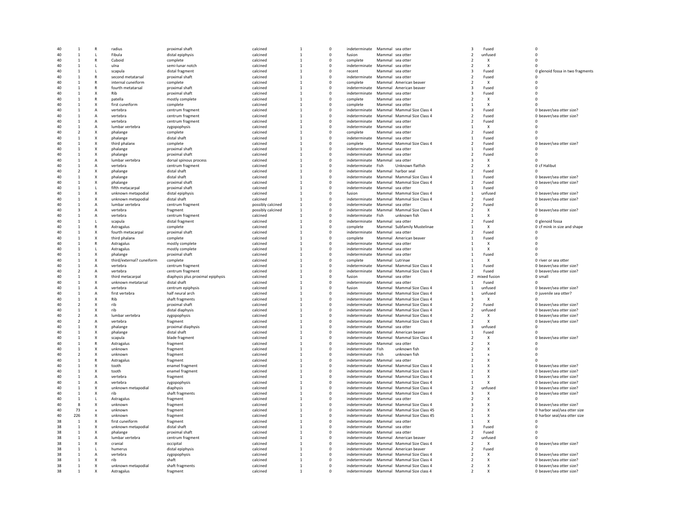| 40       |              | R            | radius                           | proximal shaft                    | calcined             | 0             | indeterminate                  | Mammal sea otter |                                                                                      | Fused        |
|----------|--------------|--------------|----------------------------------|-----------------------------------|----------------------|---------------|--------------------------------|------------------|--------------------------------------------------------------------------------------|--------------|
| 40       |              |              | Fibula                           | distal epiphysis                  | calcined             | 0             | fusion                         | Mammal sea otter |                                                                                      | unfused      |
| 40       | -1           | R            | Cuboid                           | complete                          | calcined             | 0             | complete                       | Mammal sea otter |                                                                                      | X            |
| 40       | $\mathbf{1}$ |              | ulna                             | semi-lunar notch                  | calcined             | 0             | indeterminate                  | Mammal           | sea otter                                                                            | X            |
|          |              |              |                                  |                                   |                      |               |                                |                  |                                                                                      |              |
| 40       |              |              | scapula                          | distal fragment                   | calcined             | 0             | recent                         | Mammal sea otter |                                                                                      | Fused        |
| 40       | -1           | R            | second metatarsal                | proximal shaft                    | calcined             | $\Omega$      | indeterminate                  | Mammal sea otter |                                                                                      | Fused        |
| 40       |              | $\mathsf{R}$ | internal cuneiform               | complete                          | calcined             | 0             | complete                       |                  | Mammal American beaver                                                               | X            |
| 40       |              | R            | fourth metatarsal                | proximal shaft                    | calcined             | 0             | indeterminate                  |                  | Mammal American beaver                                                               | Fused        |
| 40       |              | X            | Rib                              | proximal shaft                    | calcined             | $\Omega$      | indeterminate                  | Mammal sea otter |                                                                                      | Fused        |
| 40       |              | $\mathsf{R}$ | patella                          | mostly complete                   | calcined             | 0             | complete                       | Mammal sea otter |                                                                                      | X            |
| 40       |              | X            | first cuneiform                  | complete                          | calcined             | 0             | complete                       | Mammal sea otter |                                                                                      | X            |
| 40       |              | A            | vertebra                         | centrum fragment                  | calcined             | $\Omega$      | indeterminate                  |                  | Mammal Mammal Size Class 4                                                           | Fused        |
| 40       |              | A            | vertebra                         | centrum fragment                  | calcined             | $\Omega$      | indeterminate                  |                  | Mammal Mammal Size Class 4                                                           | Fused        |
| 40       |              | A            | vertebra                         | centrum fragment                  | calcined             |               | indeterminate                  | Mammal sea otter |                                                                                      | Fused        |
|          |              |              | lumbar vertebra                  |                                   |                      | $\Omega$      |                                |                  |                                                                                      | X            |
| 40       |              | A            |                                  | zygopophysis                      | calcined             |               | indeterminate                  | Mammal sea otter |                                                                                      |              |
| 40       |              | Χ            | phalange                         | complete                          | calcined             |               | complete                       | Mammal sea otter |                                                                                      | Fused        |
| 40       |              | X            | phalange                         | distal shaft                      | calcined             | $\Omega$      | indeterminate                  | Mammal sea otter |                                                                                      | Fused        |
| 40       |              | X            | third phalanx                    | complete                          | calcined             | 0             | complete                       |                  | Mammal Mammal Size Class 4                                                           | Fused        |
| 40       |              | Χ            | phalange                         | proximal shaft                    | calcined             |               | indeterminate                  | Mammal           | sea otter                                                                            | Fused        |
| 40       | $\mathbf{1}$ | X            | phalange                         | proximal shaft                    | calcined             | $\Omega$      | indeterminate                  | Mammal sea otter |                                                                                      | Fused        |
| 40       |              | A            | lumbar vertebra                  | dorsal spinous process            | calcined             | 0             | indeterminate                  | Mammal           | sea otter                                                                            | X            |
| 40       |              | A            | vertebra                         | centrum fragment                  | calcined             | 0             | indeterminate                  | Fish             | Unknown flatfish                                                                     | X            |
| 40       | 2            | X            | phalange                         | distal shaft                      | calcined             | $\Omega$      | indeterminate                  |                  | Mammal harbor seal                                                                   | Fused        |
| 40       |              | X            | phalange                         | distal shaft                      | calcined             | 0             | indeterminate                  |                  | Mammal Mammal Size Class 4                                                           | Fused        |
|          |              |              |                                  | proximal shaft                    | calcined             | 0             |                                |                  | Mammal Mammal Size Class 4                                                           |              |
| 40       |              | X            | phalange                         |                                   |                      |               | indeterminate                  |                  |                                                                                      | Fused        |
| 40       | -1           |              | fifth metacarpal                 | proximal shaft                    | calcined             | $\Omega$      | indeterminate                  | Mammal sea otter |                                                                                      | Fused        |
| 40       |              | X            | unknown metapodial               | distal epiphysis                  | calcined             | 0             | fusion                         |                  | Mammal Mammal Size Class 4                                                           | unfused      |
| 40       |              | X            | unknown metapodial               | distal shaft                      | calcined             | 0             | indeterminate                  |                  | Mammal Mammal Size Class 4                                                           | Fused        |
| 40       |              | A            | lumbar vertebra                  | centrum fragment                  | possibly calcined    | $\Omega$      | indeterminate                  | Mammal sea otter |                                                                                      | Fused        |
| 40       |              | A            | vertebra                         | fragment                          | possibly calcined    |               | indeterminate                  |                  | Mammal Mammal Size Class 4                                                           | X            |
| 40       |              |              | vertebra                         | centrum fragment                  | calcined             |               | indeterminate                  | Fish             | unknown fish                                                                         |              |
| 40       |              |              | scapula                          | distal fragment                   | calcined             |               | indeterminate Mammal sea otter |                  |                                                                                      | Fused        |
| 40       |              | $\mathsf{R}$ | Astragalus                       | complete                          | calcined             | 0             | complete                       |                  | Mammal Subfamily Mustelinae                                                          | X            |
| 40       |              | X            | fourth metacarpal                | proximal shaft                    | calcined             |               | indeterminate                  | Mammal sea otter |                                                                                      | Fused        |
|          |              | X            | third phalanx                    | complete                          | calcined             |               | complete                       |                  | Mammal American beaver                                                               | Fused        |
| 40       |              |              |                                  |                                   |                      |               |                                |                  |                                                                                      |              |
| 40       |              | R            | Astragalus                       | mostly complete                   | calcined             |               | indeterminate                  | Mammal sea otter |                                                                                      |              |
| 40       |              |              | Astragalus                       | mostly complete                   | calcined             |               | indeterminate                  | Mammal sea otter |                                                                                      |              |
|          |              |              |                                  |                                   |                      |               |                                |                  |                                                                                      |              |
| 40       |              | X            | phalange                         | proximal shaft                    | calcined             | $\Omega$      | indeterminate                  | Mammal sea otter |                                                                                      | Fused        |
| 40       |              | X            | third/external? cuneiform        | complete                          | calcined             |               | complete                       | Mammal Lutrinae  |                                                                                      | X            |
| 40       |              | A            | vertebra                         | centrum fragment                  | calcined             | 0             | indeterminate                  |                  | Mammal Mammal Size Class 4                                                           | Fused        |
| 40       |              | A            | vertebra                         | centrum fragment                  | calcined             | $\Omega$      | indeterminate                  |                  | Mammal Mammal Size Class 4                                                           | Fused        |
|          |              |              |                                  |                                   |                      | 0             | fusion                         | Mammal sea otter |                                                                                      |              |
| 40       |              | X            | third metacarpal                 | diaphysis plus proximal epiphysis | calcined             | $\Omega$      |                                |                  |                                                                                      | mixed fusion |
| 40       |              | X            | unknown metatarsal               | distal shaft                      | calcined             |               | indeterminate                  | Mammal sea otter |                                                                                      | Fused        |
| 40       |              | A            | vertebra                         | centrum epiphysis                 | calcined             | $\Omega$      | fusion                         |                  | Mammal Mammal Size Class 4                                                           | unfused      |
| 40       |              | A            | first vertebra                   | half neural arch                  | calcined             |               | indeterminate                  |                  | Mammal Mammal Size Class 4                                                           | unfused      |
| 40       |              | X            | Rib                              | shaft fragments                   | calcined             |               | indeterminate                  |                  | Mammal Mammal Size Class 4                                                           | X            |
| 40       |              | X            | rib                              | proximal shaft                    | calcined             |               | indeterminate                  |                  | Mammal Mammal Size Class 4                                                           | Fused        |
| 40       |              | X            | rib                              | distal diaphysis                  | calcined             |               | indeterminate                  |                  | Mammal Mammal Size Class 4                                                           | unfused      |
| 40       |              | A            | lumbar vertebra                  | zygopophysis                      | calcined             | $\Omega$      | indeterminate                  |                  | Mammal Mammal Size Class 4                                                           | X            |
| 40       |              | A            | vertebra                         | fragment                          | calcined             |               | indeterminate                  |                  | Mammal Mammal Size Class 4                                                           |              |
| 40       |              | X            | phalange                         | proximal diaphysis                | calcined             |               | indeterminate                  | Mammal sea otter |                                                                                      | unfused      |
|          |              | X            |                                  |                                   |                      |               |                                |                  | indeterminate Mammal American beaver                                                 |              |
| 40       |              |              | phalange                         | distal shaft                      | calcined             |               |                                |                  |                                                                                      | Fused        |
| 40       |              | X            | scapula                          | blade fragment                    | calcined             |               | indeterminate                  |                  | Mammal Mammal Size Class 4                                                           |              |
| 40       |              | R            | Astragalus                       | fragment                          | calcined             |               | indeterminate                  | Mammal sea otter |                                                                                      |              |
| 40       |              |              | unknown                          | fragment                          | calcined             | $\Omega$      | indeterminate                  | Fish             | unknown fish                                                                         |              |
| 40       |              |              | unknown                          | fragment                          | calcined             |               | indeterminate                  | Fish             | unknown fish                                                                         |              |
| 40       |              | R.           | Astragalus                       | fragment                          | calcined             |               | indeterminate                  | Mammal           | sea otter                                                                            |              |
| 40       |              | X            | tooth                            | enamel fragment                   | calcined             | $\Omega$      | indeterminate                  |                  | Mammal Mammal Size Class 4                                                           |              |
| 40       |              | $\mathsf{X}$ | tooth                            | enamel fragment                   | calcined             | 0             | indeterminate                  |                  | Mammal Mammal Size Class 4                                                           |              |
| 40       |              | A            | vertebra                         | fragment                          | calcined             |               | indeterminate                  |                  | Mammal Mammal Size Class 4                                                           |              |
| 40       |              | A            | vertebra                         | zygopophysis                      | calcined             | $\Omega$      | indeterminate                  |                  | Mammal Mammal Size Class 4                                                           |              |
| 40       |              |              |                                  |                                   | calcined             |               | indeterminate                  |                  |                                                                                      | unfused      |
|          |              | X            | unknown metapodial               | diaphysis                         |                      |               |                                |                  | Mammal Mammal Size Class 4                                                           |              |
| 40       |              |              | rib                              | shaft fragments                   | calcined             |               |                                |                  | indeterminate Mammal Mammal Size Class 4                                             |              |
| 40       |              |              | Astragalus                       | fragment                          | calcined             |               | indeterminate Mammal sea otter |                  |                                                                                      |              |
| 40       | 8            |              | unknown                          | fragment                          | calcined             | 0             |                                |                  | indeterminate Mammal Mammal Size Class 4                                             | X            |
| 40       | 73           | X            | unknown                          | fragment                          | calcined             |               |                                |                  | indeterminate Mammal Mammal Size Class 45                                            |              |
| 40       | 226          |              | unknown                          | fragment                          | calcined             |               |                                |                  | indeterminate Mammal Mammal Size Class 45                                            |              |
| 38       |              |              | first cuneiform                  | fragment                          | calcined             |               | indeterminate Mammal sea otter |                  |                                                                                      |              |
| 38       |              | х            | unknown metapodial               | distal shaft                      | calcined             |               | indeterminate Mammal sea otter |                  |                                                                                      | Fused        |
| 38       |              | X            | phalange                         | proximal shaft                    | calcined             |               | indeterminate Mammal sea otter |                  |                                                                                      | Fused        |
| 38       |              | Α            | lumbar vertebra                  | centrum fragment                  | calcined             |               |                                |                  | indeterminate Mammal American beaver                                                 | unfused      |
| 38       |              | X            | cranial                          |                                   | calcined             |               |                                |                  | indeterminate Mammal Mammal Size Class 4                                             | X            |
|          |              |              | humerus                          | occipital                         |                      |               |                                |                  | indeterminate Mammal American beaver                                                 |              |
| 38       |              |              |                                  | distal epiphysis                  | calcined             |               |                                |                  |                                                                                      | Fused        |
| 38       |              | A            | vertebra                         | zygopophysis                      | calcined             |               |                                |                  | indeterminate Mammal Mammal Size Class 4                                             |              |
| 38       |              | X            | rib                              | shaft                             | calcined             |               |                                |                  | indeterminate Mammal Mammal Size Class 4                                             |              |
| 38<br>38 | -1<br>-1     | X<br>X       | unknown metapodial<br>Astragalus | shaft fragments<br>fragment       | calcined<br>calcined | $\Omega$<br>0 |                                |                  | indeterminate Mammal Mammal Size Class 4<br>indeterminate Mammal Mammal Size class 4 | X            |

 glenoid fossa in two fragments beaver/sea otter size? beaver/sea otter size? beaver/sea otter size? cf Halibut beaver/sea otter size? beaver/sea otter size? beaver/sea otter size? beaver/sea otter size? beaver/sea otter size? glenoid fossa cf mink in size and shape river or sea otter beaver/sea otter size? beaver/sea otter size? small beaver/sea otter size? juvenile sea otter? beaver/sea otter size? beaver/sea otter size? beaver/sea otter size? beaver/sea otter size? beaver/sea otter size? beaver/sea otter size? beaver/sea otter size? beaver/sea otter size? beaver/sea otter size? beaver/sea otter size? beaver/sea otter size? beaver/sea otter size? harbor seal/sea otter size harbor seal/sea otter size beaver/sea otter size? beaver/sea otter size? beaver/sea otter size? beaver/sea otter size? beaver/sea otter size?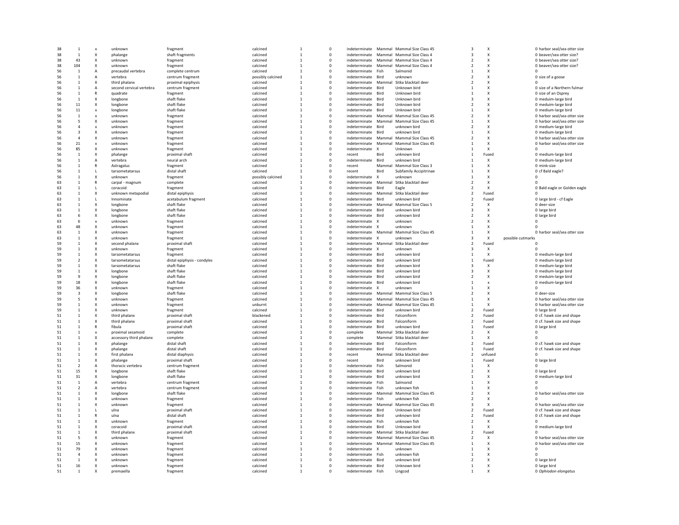| 38       |     | X                         | unknown                  | fragment                    | calcined             | 0           |                                          |             | indeterminate Mammal Mammal Size Class 45 | X                         | 0 harbor seal/sea otter size         |
|----------|-----|---------------------------|--------------------------|-----------------------------|----------------------|-------------|------------------------------------------|-------------|-------------------------------------------|---------------------------|--------------------------------------|
| 38       |     | х                         | phalange                 | shaft fragments             | calcined             | 0           | indeterminate                            |             | Mammal Mammal Size Class 4                | X                         | 0 beaver/sea otter size?             |
| 38       | 43  |                           | unknown                  | fragment                    | calcined             | 0           | indeterminate                            |             | Mammal Mammal Size Class 4                |                           | 0 beaver/sea otter size?             |
| 38       | 104 | х                         | unknown                  | fragment                    | calcined             | 0           | indeterminate                            |             | Mammal Mammal Size Class 4                |                           | 0 beaver/sea otter size?             |
| 56       |     |                           | precaudal vertebra       | complete centrum            | calcined             | 0           | indeterminate                            | Fish        | Salmonid                                  | $\boldsymbol{\mathsf{x}}$ |                                      |
| 56       |     |                           | vertebra                 | centrum fragment            | possibly calcined    | 0           | indeterminate Bird                       |             | unknown                                   |                           | 0 size of a goose                    |
| 56       |     | х                         | third phalanx            | proximal epiphysis          | calcined             | $\mathbf 0$ | indeterminate                            | Mammal      | Sitka blacktail deer                      |                           |                                      |
| 56       |     |                           | second cervical vertebra | centrum fragment            | calcined             | 0           | indeterminate                            | Bird        | Unknown bird                              | $\boldsymbol{\mathsf{X}}$ | 0 size of a Northern fulmar          |
| 56       |     |                           | quadrate                 | fragment                    | calcined             | 0           | indeterminate                            | Bird        | Unknown bird                              |                           | 0 size of an Osprey                  |
| 56       |     |                           | longbone                 | shaft flake                 | calcined             | $\mathbf 0$ | indeterminate                            | Bird        | Unknown bird                              |                           | 0 meduim-large bird                  |
| 56       | 11  | X                         | longbone                 | shaft flake                 | calcined             | 0           | indeterminate                            | Bird        | Unknown bird                              | $\boldsymbol{\mathsf{x}}$ | 0 meduim-large bird                  |
| 56       | 11  | X                         | longbone                 | shaft flake                 | calcined             | 0           | indeterminate                            | Bird        | Unknown bird                              |                           | 0 medium-large bird                  |
| 56       |     |                           | unknown                  | fragment                    | calcined             | $\mathbf 0$ | indeterminate                            | Mammal      | <b>Mammal Size Class 45</b>               |                           | 0 harbor seal/sea otter size         |
| 56       |     | х                         | unknown                  | fragment                    | calcined             | 0           | indeterminate                            | Mammal      | <b>Mammal Size Class 45</b>               | $\boldsymbol{\mathsf{x}}$ | 0 harbor seal/sea otter size         |
| 56       |     | $\boldsymbol{\mathsf{x}}$ | unknown                  | fragment                    | calcined             | 0           | indeterminate                            | Bird        | unknown bird                              |                           | 0 medium-large bird                  |
| 56       |     | х                         | unknown                  | fragment                    | calcined             | $\mathbf 0$ | indeterminate                            | Bird        | unknown bird                              | $\times$                  | 0 medium-large bird                  |
| 56       |     |                           | unknown                  | fragment                    | calcined             | 0           | indeterminate                            |             | Mammal Mammal Size Class 45               | $\boldsymbol{\mathsf{X}}$ | 0 harbor seal/sea otter size         |
| 56       | 21  | X                         | unknown                  | fragment                    | calcined             | 0           | indeterminate                            |             | Mammal Mammal Size Class 45               | $\boldsymbol{\mathsf{x}}$ | 0 harbor seal/sea otter size         |
| 56       | 85  | х                         | unknown                  | fragment                    | calcined             | $\mathbf 0$ | indeterminate                            |             | Unknown                                   |                           |                                      |
| 56       |     |                           | phalange                 | proximal shaft              | calcined             | 0           | recent                                   | <b>Bird</b> | unknown bird                              | Fused                     | 0 medium-large bird                  |
| 56       |     |                           | vertebra                 | neural arch                 | calcined             | 0           | indeterminate                            | Bird        | unknown bird                              | X                         | 0 medium-large bird                  |
| 56       |     |                           | Astragalus               | fragment                    | calcined             | 0           | recent                                   | Mammal      | <b>Mammal Size Class 3</b>                | $\boldsymbol{\mathsf{x}}$ | 0 mink-size                          |
| 56       |     |                           | tarsometatarsus          | distal shaft                | calcined             | 0           | recent                                   | <b>Bird</b> | Subfamily Accipitrinae                    |                           | 0 cf Bald eagle?                     |
| 56       |     |                           | unknown                  | fragment                    | possibly calcined    | 0           | indeterminate                            | X           | unknown                                   |                           |                                      |
| 63       |     |                           | carpal - magnum          | complete                    | calcined             | 0           | indeterminate                            | Mammal      | Sitka blacktail deer                      | X                         |                                      |
| 63       |     |                           | coracoid                 | fragment                    | calcined             | 0           | indeterminate                            | Bird        | Eagle                                     | $\boldsymbol{\mathsf{X}}$ | 0 Bald eagle or Golden eagle         |
| 63       |     | х                         | unknown metapodial       | distal epiphysis            | calcined             | 0           | indeterminate                            | Mammal      | Sitka blacktail deer                      | Fused                     |                                      |
| 63       |     |                           | Innominate               | acetabulum fragment         | calcined             | 0           | indeterminate                            | Bird        | unknown bird                              | Fused                     | 0 large bird - cf Eagle              |
| 63       |     |                           | longbone                 | shaft flake                 | calcined             | 0           | indeterminate                            | Mammal      | <b>Mammal Size Class 5</b>                |                           | 0 deer-size                          |
|          |     | х                         | longbone                 | shaft flake                 | calcined             | 0           | indeterminate                            | Bird        | unknown bird                              |                           | 0 large bird                         |
| 63<br>63 |     |                           | longbone                 | shaft flake                 | calcined             | $\Omega$    | indeterminate                            | Bird        | unknown bird                              |                           |                                      |
| 63.      |     |                           | unknown                  |                             | calcined             |             |                                          |             |                                           |                           | 0 large bird<br>$\Omega$             |
|          | 48  | X                         | unknown                  | fragment                    | calcined             | 0           | indeterminate                            |             | unknown                                   | X                         |                                      |
| 63       |     |                           | unknown                  | fragment                    | calcined             | 0           | indeterminate X<br>indeterminate Mammal  |             | unknown<br><b>Mammal Size Class 45</b>    | X                         | 0 harbor seal/sea otter size         |
| 63       |     |                           |                          | fragment                    |                      |             |                                          |             |                                           |                           |                                      |
| 63       |     |                           | unknown                  | fragment                    | calcined             | 0           | indeterminate X                          |             | unknown                                   | X                         | possible cutmarks                    |
| 59       |     |                           | second phalanx           | proximal shaft              | calcined             | 0           | indeterminate                            | Mammal      | Sitka blacktail deer                      | Fused                     |                                      |
| 59       |     |                           | unknown                  | fragment                    | calcined             | 0           | indeterminate                            | X           | unknown                                   | $\boldsymbol{\mathsf{x}}$ |                                      |
| 59       |     |                           | tarsometatarsus          | fragment                    | calcined             | 0           | indeterminate                            | Bird        | unknown bird                              |                           | 0 medium-large bird                  |
| 59       |     | х                         | tarsometatarsus          | distal epiphysis - condyles | calcined             | $\mathbf 0$ | indeterminate                            | Bird        | unknown bird                              | Fused                     | 0 medium-large bird                  |
| 59       |     |                           | tarsometatarsus          | shaft flake                 | calcined             | 0           | indeterminate                            | Bird        | unknown bird                              | $\boldsymbol{\mathsf{x}}$ | 0 medium-large bird                  |
| 59       |     |                           | longbone                 | shaft flake                 | calcined             | 0           | indeterminate                            | Bird        | unknown bird                              |                           | 0 medium-large bird                  |
| 59       |     |                           | longbone                 | shaft flake                 | calcined             | 0           | indeterminate                            | Bird        | unknown bird                              | $\boldsymbol{\mathsf{x}}$ | 0 meduim-large bird                  |
| 59       | 18  |                           | longbone                 | shaft flake                 | calcined             | 0           | indeterminate                            | Bird        | unknown bird                              |                           | 0 medium-large bird                  |
| 59       | 36  |                           | unknown                  | fragment                    | calcined             | 0           | indeterminate                            | X           | unknown                                   |                           |                                      |
| 59       |     | х                         | longbone                 | shaft flake                 | calcined             | 0           | indeterminate                            |             | Mammal Mammal Size Class 5                | $\boldsymbol{\mathsf{X}}$ | 0 deer-size                          |
| 59       |     |                           | unknown                  | fragment                    | calcined             | $\Omega$    | indeterminate                            |             | Mammal Mammal Size Class 45               |                           | 0 harbor seal/sea otter size         |
| 59       |     |                           | unknown                  | fragment                    | unburnt              | 0           | indeterminate                            |             | Mammal Mammal Size Class 45               | $\times$                  | 0 harbor seal/sea otter size         |
| 59       |     |                           | unknown                  | fragment                    | calcined             | 0           | indeterminate                            | Bird        | unknown bird                              | Fused                     | 0 large bird                         |
| 51       |     |                           | third phalanx            | proximal shaft              | blackened            | 0           | indeterminate                            | Bird        | Falconiform                               | Fused                     | 0 cf. hawk size and shape            |
| 51       |     |                           | third phalanx            | proximal shaft              | calcined             | 0           | indeterminate                            | Bird        | Falconiform                               | Fused                     | 0 cf. hawk size and shape            |
| 51       |     | R                         | fibula                   | proximal shaft              | calcined             | 0           | indeterminate                            | Bird        | unknown bird                              | Fused                     | 0 large bird                         |
| 51       |     |                           | proximal sesamoid        | complete                    | calcined             | 0           | complete                                 | Mammal      | Sitka blacktail deer                      |                           |                                      |
| 51       |     | х                         | accessory third phalanx  | complete                    | calcined             | 0           | complete                                 | Mammal      | Sitka blacktail deer                      | $\boldsymbol{\mathsf{X}}$ |                                      |
| 51       |     |                           | phalange                 | distal shaft                | calcined             | 0           | indeterminate                            | Bird        | Falconiform                               | Fused                     | 0 cf. hawk size and shape            |
| 51       |     | х                         | phalange                 | distal shaft                | calcined             | 0           | indeterminate                            | Bird        | Falconiform                               | Fused                     | 0 cf. hawk size and shape            |
| 51       |     | х                         | first phalanx            | distal diaphysis            | calcined             | 0           | recent                                   | Mammal      | Sitka blacktail deer                      | unfused                   |                                      |
| 51       |     |                           | phalange                 | proximal shaft              | calcined             | 0           | recent                                   | <b>Bird</b> | unknown bird                              | Fused                     | 0 large bird                         |
| 51       |     |                           | thoracic vertebra        | centrum fragment            | calcined             | 0           | indeterminate                            | Fish        | Salmonid                                  |                           |                                      |
| 51       | 15  |                           | longbone                 | shaft flake                 | calcined             | 0           | indeterminate                            | Bird        | unknown bird                              |                           | 0 large bird                         |
| 51       |     |                           | longbone                 | shaft flake                 | calcined             | $\Omega$    | indeterminate                            | Bird        | unknown bird                              | X                         | 0 medium-large bird                  |
| 51       | 31  | х                         |                          |                             |                      |             |                                          |             |                                           |                           |                                      |
|          |     |                           | vertebra                 | centrum fragment            | calcined             | 0           | indeterminate                            | Fish        | Salmonid                                  |                           |                                      |
| 51       |     |                           | vertebra                 | centrum fragment            | calcined             | 0           | indeterminate                            | Fish        | unknown fish                              |                           |                                      |
| 51       |     |                           | longbone                 | shaft flake                 | calcined             | $\Omega$    | indeterminate                            | Mammal      | <b>Mammal Size Class 45</b>               |                           | 0 harbor seal/sea otter size         |
| 51       |     |                           | unknown                  | fragment                    | calcined             |             | indeterminate Fish                       |             | unknown fish                              |                           | n.                                   |
| 51       |     |                           | unknown                  | fragment                    | calcined             | 0           |                                          |             | indeterminate Mammal Mammal Size Class 45 | $\boldsymbol{\mathsf{X}}$ | 0 harbor seal/sea otter size         |
| 51       |     |                           | ulna                     | proximal shaft              | calcined             | 0           | indeterminate Bird                       |             | Unknown bird                              | Fused                     | 0 cf. hawk size and shape            |
| 51       |     |                           | ulna                     | distal shaft                | calcined             | 0           | indeterminate Bird                       |             | unknown bird                              | Fused                     | 0 cf. hawk size and shape            |
| 51       |     |                           | unknown                  | fragment                    | calcined             | 0           | indeterminate Fish                       |             | unknown fish                              |                           |                                      |
| 51       |     |                           | coracoid                 | proximal shaft              | calcined             | $\Omega$    | indeterminate Bird                       |             | Unknown bird                              |                           | 0 medium-large bird                  |
| 51       |     |                           | third phalanx            | proximal shaft              | calcined             | 0           | indeterminate                            |             | Mammal Sitka blacktail deer               | Fused                     |                                      |
| 51       |     |                           | unknown                  |                             | calcined             | 0           | indeterminate                            |             | Mammal Mammal Size Class 45               | $\boldsymbol{\mathsf{x}}$ | 0 harbor seal/sea otter size         |
|          | 15  |                           | unknown                  | fragment                    |                      | 0           | indeterminate                            |             |                                           |                           |                                      |
| 51       | 79  |                           |                          | fragment                    | calcined             | 0           |                                          |             | Mammal Mammal Size Class 45<br>unknown    |                           | 0 harbor seal/sea otter size         |
| 51       |     |                           | unknown                  | fragment                    | calcined             | 0           | indeterminate X<br>indeterminate Fish    |             | unknown fish                              |                           |                                      |
| 51       |     |                           | unknown<br>unknown       | fragment                    | calcined             | 0           |                                          |             | unknown bird                              |                           |                                      |
| 51       |     | х                         |                          | fragment                    | calcined             | 0           | indeterminate Bird                       |             |                                           |                           | 0 large bird                         |
| 51<br>51 | 16  | х                         | unknown<br>premaxilla    | fragment<br>fragment        | calcined<br>calcined | 0           | indeterminate Bird<br>indeterminate Fish |             | Unknown bird<br>Lingcod                   | X                         | 0 large bird<br>0 Ophiodon elongatus |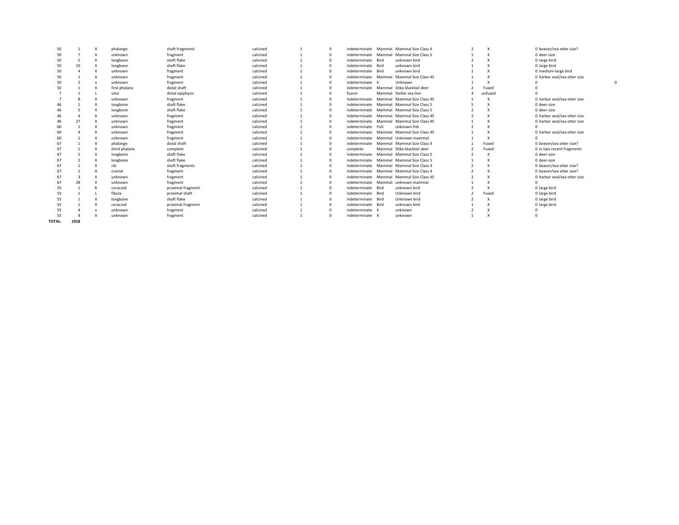| 50            |      | X                         | phalange      | shaft fragments   | calcined | 0        |                    |      | indeterminate Mammal Mammal Size Class 4  |               |         |
|---------------|------|---------------------------|---------------|-------------------|----------|----------|--------------------|------|-------------------------------------------|---------------|---------|
| 50            |      | X                         | unknown       | fragment          | calcined |          |                    |      | indeterminate Mammal Mammal Size Class 5  |               |         |
| 50            |      | X                         | longbone      | shaft flake       | calcined |          | indeterminate      | Bird | unknown bird                              |               |         |
| 50            | 10   | X                         | longbone      | shaft flake       | calcined | 0        | indeterminate      | Bird | unknown bird                              |               | X.      |
| 50            |      | X                         | unknown       | fragment          | calcined | $\Omega$ | indeterminate      | Bird | unknown bird                              |               |         |
| 50            |      | X                         | unknown       | fragment          | calcined |          | indeterminate      |      | Mammal Mammal Size Class 45               |               |         |
| 50            |      | $\boldsymbol{\mathsf{x}}$ | unknown       | fragment          | calcined |          | indeterminate X    |      | Unknown                                   |               | X.      |
| 50            |      | X                         | first phalanx | distal shaft      | calcined |          | indeterminate      |      | Mammal Sitka blacktail deer               | $\mathcal{P}$ | Fused   |
|               |      |                           | ulna          | distal epiphysis  | calcined |          | fusion             |      | Mammal Stellar sea lion                   |               | unfused |
|               | 8    | X                         | unknown       | fragment          | calcined | $\Omega$ | indeterminate      |      | Mammal Mammal Size Class 45               |               | X       |
| 46            |      | X                         | longbone      | shaft flake       | calcined | 0        | indeterminate      |      | Mammal Mammal Size Class 5                |               |         |
| 46            |      | X                         | longbone      | shaft flake       | calcined |          |                    |      | indeterminate Mammal Mammal Size Class 5  |               | X.      |
| 46            |      | X                         | unknown       | fragment          | calcined |          |                    |      | indeterminate Mammal Mammal Size Class 45 |               | X.      |
| 46            | 27   | X                         | unknown       | fragment          | calcined | $\Omega$ | indeterminate      |      | Mammal Mammal Size Class 45               |               |         |
| 60            |      | X                         | unknown       | fragment          | calcined |          | indeterminate Fish |      | unknown fish                              |               | X.      |
| 60            |      | X                         | unknown       | fragment          | calcined | $\Omega$ | indeterminate      |      | Mammal Mammal Size Class 45               |               |         |
| 60            |      | X                         | unknown       | fragment          | calcined | 0        | indeterminate      |      | Mammal Unknown mammal                     |               |         |
| 67            |      | X                         | phalange      | distal shaft      | calcined |          | indeterminate      |      | Mammal Mammal Size Class 4                |               | Fused   |
| 67            |      | X                         | third phalanx | complete          | calcined |          | complete           |      | Mammal Sitka blacktail deer               |               | Fused   |
| 67            |      | X                         | longbone      | shaft flake       | calcined | $\Omega$ |                    |      | indeterminate Mammal Mammal Size Class 5  |               | X       |
| 67            |      | X                         | longbone      | shaft flake       | calcined |          | indeterminate      |      | Mammal Mammal Size Class 5                |               | X.      |
| 67            |      | X                         | rib           | shaft fragments   | calcined | $\Omega$ | indeterminate      |      | Mammal Mammal Size Class 4                |               |         |
| 67            |      | A                         | cranial       | fragment          | calcined | $\Omega$ | indeterminate      |      | Mammal Mammal Size Class 4                |               |         |
| 67            | 3    | X                         | unknown       | fragment          | calcined |          | indeterminate      |      | Mammal Mammal Size Class 45               |               | X.      |
| 67            | 28   | X                         | unknown       | fragment          | calcined | 0        | indeterminate      |      | Mammal unknown mammal                     |               |         |
| 55            | 1    | R                         | coracoid      | proximal fragment | calcined | $\Omega$ | indeterminate      | Bird | unknown bird                              |               |         |
| 55            | -1   |                           | fibula        | proximal shaft    | calcined |          | indeterminate      | Bird | Unknown bird                              |               | Fused   |
| 55            | -1   | X                         | longbone      | shaft flake       | calcined | $\Omega$ | indeterminate      | Bird | Unknown bird                              |               |         |
| 55            |      | X                         | coracoid      | proximal fragment | calcined | $\Omega$ | indeterminate      | Bird | unknown bird                              |               |         |
| 55            |      | X                         | unknown       | fragment          | calcined |          | indeterminate X    |      | unknown                                   |               | X       |
| 55            |      | X                         | unknown       | fragment          | calcined | $\Omega$ | indeterminate X    |      | unknown                                   |               |         |
| <b>TOTAL:</b> | 1918 |                           |               |                   |          |          |                    |      |                                           |               |         |

 beaver/sea otter size? deer-size large bird large bird medium-large bird harbor seal/sea otter size harbor seal/sea otter size deer-size deer-size harbor seal/sea otter size harbor seal/sea otter size harbor seal/sea otter size beaver/sea otter size? in two recent fragments deer-size deer-size beaver/sea otter size? beaver/sea otter size? harbor seal/sea otter size large bird large bird large bird large bird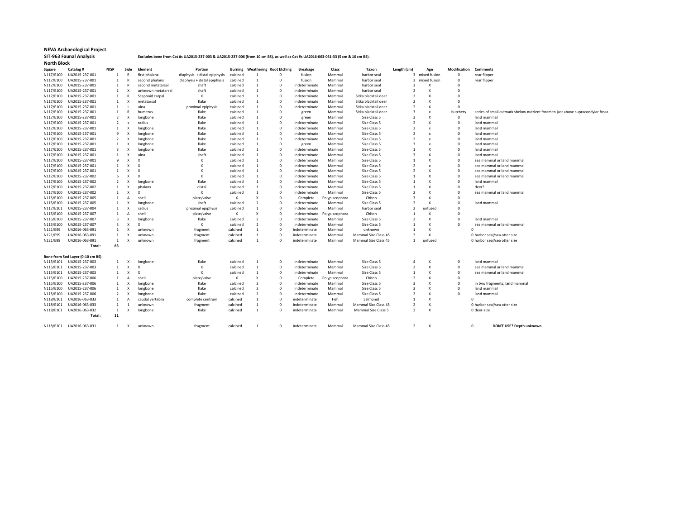## **NEVA Archaeological Project North Block**

### **SIT-963 Faunal Analysis Excludes bone from Cat #s UA2015-237-003 & UA2015-237-006 (from 10 cm BS), as well as Cat #s UA2016-063-031-33 (5 cm & 10 cm BS).**

| יוטיועו וויטני |                                  |              |            |                    |                              |          |                                        |    |                 |                |                            |                |              |                              |                                                                                |
|----------------|----------------------------------|--------------|------------|--------------------|------------------------------|----------|----------------------------------------|----|-----------------|----------------|----------------------------|----------------|--------------|------------------------------|--------------------------------------------------------------------------------|
| Square         | Catalog#                         | <b>NISP</b>  | Side       | Element            | <b>Portion</b>               |          | <b>Burning Weathering Root Etching</b> |    | <b>Breakage</b> | <b>Class</b>   | Taxon                      | Length (cm)    | Age          | <b>Modification Comments</b> |                                                                                |
| N117/E100      | UA2015-237-001                   |              |            | first phalanx      | diaphysis + distal epiphysis | calcined |                                        |    | fusion          | Mammal         | harbor seal                |                | mixed fusion | 0                            | rear flipper                                                                   |
| N117/E100      | UA2015-237-001                   |              |            | second phalanx     | diaphysis + distal epiphysis | calcined |                                        |    | fusion          | Mammal         | harbor seal                |                | mixed fusion |                              | rear flipper                                                                   |
| N117/E100      | UA2015-237-001                   |              |            | second metatarsal  | shaft                        | calcined |                                        |    | Indeterminate   | Mammal         | harbor seal                |                |              |                              |                                                                                |
| N117/E100      | UA2015-237-001                   |              |            | unknown metatarsal | shaft                        | calcined |                                        |    | Indeterminate   | Mammal         | harbor seal                |                |              |                              |                                                                                |
| N117/E100      | UA2015-237-001                   |              |            | Scaphoid carpal    | X                            | calcined |                                        |    | Indeterminate   | Mammal         | Sitka blacktail deer       |                |              |                              |                                                                                |
| N117/E100      | UA2015-237-001                   |              |            | metatarsal         | flake                        | calcined |                                        |    | Indeterminate   | Mammal         | Sitka blacktail deer       |                |              |                              |                                                                                |
| N117/E100      | UA2015-237-001                   |              |            | ılnal              | proximal epiphysis           | calcined |                                        |    | Indeterminate   | Mammal         | Sitka blacktail deer       |                |              | $\Omega$                     |                                                                                |
| N117/E100      | UA2015-237-001                   |              |            | humerus            | flake                        | calcined |                                        |    | green           | Mammal         | Sitka blacktail deer       |                |              | butchery                     | series of small cutmark sbelow nutrient foramen just above supracondylar fossa |
| N117/E100      | UA2015-237-001                   |              |            | longbone           | flake                        | calcined |                                        |    | green           | Mammal         | Size Class 5               |                |              | $\Omega$                     | land mammal                                                                    |
| N117/E100      | UA2015-237-001                   |              |            | radius             | flake                        | calcined |                                        |    | Indeterminate   | Mammal         | Size Class 5               |                |              |                              | land mammal                                                                    |
| N117/E100      | UA2015-237-001                   |              |            | longbone           | flake                        | calcined |                                        |    | Indeterminate   | Mammal         | Size Class 5               |                |              |                              | land mammal                                                                    |
| N117/E100      | UA2015-237-001                   | 9            |            | longbone           | flake                        | calcined |                                        |    | Indeterminate   | Mammal         | Size Class 5               |                |              |                              | land mammal                                                                    |
| N117/E100      | UA2015-237-001                   |              |            | longbone           | flake                        | calcined |                                        |    | Indeterminate   | Mammal         | Size Class 5               |                |              |                              | land mammal                                                                    |
| N117/E100      | UA2015-237-001                   |              |            | longbone           | flake                        | calcined |                                        |    | green           | Mammal         | Size Class 5               |                |              |                              | land mammal                                                                    |
| N117/E100      | UA2015-237-001                   |              |            | longbone           | flake                        | calcined |                                        |    | Indeterminate   | Mammal         | Size Class 5               |                |              |                              | land mammal                                                                    |
| N117/E100      | UA2015-237-001                   |              |            | ulna               | shaft                        | calcined |                                        |    | Indeterminate   | Mammal         | Size Class 5               |                |              | $\Omega$                     | land mammal                                                                    |
| N117/E100      | UA2015-237-001                   | 9            |            |                    |                              | calcined |                                        |    | Indeterminate   | Mammal         | Size Class 5               |                |              |                              | sea mammal or land mammal                                                      |
| N117/E100      | UA2015-237-001                   |              |            |                    |                              | calcined |                                        |    | Indeterminate   | Mammal         | Size Class 5               |                |              |                              | sea mammal or land mammal                                                      |
| N117/E100      | UA2015-237-001                   |              |            | X                  |                              | calcined |                                        |    | Indeterminate   | Mammal         | Size Class 5               |                |              |                              | sea mammal or land mammal                                                      |
| N117/E100      | UA2015-237-002                   | 6            |            |                    |                              | calcined |                                        |    | Indeterminate   | Mammal         | Size Class 5               |                |              |                              | sea mammal or land mammal                                                      |
| N117/E100      | UA2015-237-002                   |              |            | longbone           | flake                        | calcined |                                        |    | Indeterminate   | Mammal         | Size Class 5               |                |              |                              | land mammal                                                                    |
| N117/E100      | UA2015-237-002                   |              |            | phalanx            | distal                       | calcined |                                        |    | Indeterminate   | Mammal         | Size Class 5               |                |              | $\Omega$                     | deer?                                                                          |
| N117/E100      | UA2015-237-002                   |              |            |                    |                              | calcined |                                        |    | Indeterminate   | Mammal         | Size Class 5               |                |              |                              | sea mammal or land mammal                                                      |
| N115/E100      | UA2015-237-005                   |              |            | shell              | plate/valve                  | X        |                                        |    | Complete        | Polyplacophora | Chiton                     |                |              |                              |                                                                                |
| N115/E100      | UA2015-237-005                   |              |            | longbone           | shaft                        | calcined |                                        |    | Indeterminate   | Mammal         | Size Class 5               |                |              | $\Omega$                     | land mammal                                                                    |
| N117/E101      | UA2015-237-004                   |              |            | radius             | proximal epiphysis           | calcined |                                        |    | Indeterminate   | Mammal         | harbor seal                |                | unfused      |                              |                                                                                |
| N115/E100      | UA2015-237-007                   |              |            | shell              | plate/valve                  | X        |                                        |    | Indeterminate   | Polyplacophora | Chiton                     |                |              | $\Omega$                     |                                                                                |
| N115/E100      | UA2015-237-007                   | 3            |            | longbone           | flake                        | calcined |                                        |    | Indeterminate   | Mammal         | Size Class 5               |                |              |                              | land mammal                                                                    |
| N115/E100      | UA2015-237-007                   |              |            |                    |                              | calcined |                                        |    | Indeterminate   | Mammal         | Size Class 5               |                |              |                              | sea mammal or land mammal                                                      |
| N121/E99       | UA2016-063-091                   |              |            | unknown            | fragment                     | calcined |                                        |    | indeterminate   | Mammal         | unknown                    |                |              |                              |                                                                                |
| N121/E99       | UA2016-063-091                   |              |            | unknown            | fragment                     | calcined |                                        |    | indeterminate   | Mammal         | Mammal Size Class 45       |                |              |                              | 0 harbor seal/sea otter size                                                   |
| N121/E99       | UA2016-063-091                   |              |            | unknown            | fragment                     | calcined |                                        |    | indeterminate   | Mammal         | Mammal Size Class 45       | 1              | unfused      |                              | 0 harbor seal/sea otter size                                                   |
|                | Total:                           | 63           |            |                    |                              |          |                                        |    |                 |                |                            |                |              |                              |                                                                                |
|                | Bone from Sod Layer (0-10 cm BS) |              |            |                    |                              |          |                                        |    |                 |                |                            |                |              |                              |                                                                                |
| N115/E101      | UA2015-237-003                   |              | $1 \times$ | longbone           | flake                        | calcined |                                        | -0 | Indeterminate   | Mammal         | Size Class 5               |                | X            | 0                            | land mammal                                                                    |
| N115/E101      | UA2015-237-003                   |              |            | X                  |                              | calcined |                                        |    | Indeterminate   | Mammal         | Size Class 5               | $\overline{2}$ |              | 0                            | sea mammal or land mammal                                                      |
| N115/E101      | UA2015-237-003                   |              |            | X                  |                              | calcined |                                        |    | Indeterminate   | Mammal         | Size Class 5               |                |              | 0                            | sea mammal or land mammal                                                      |
| N115/E100      | UA2015-237-006                   |              |            | shell              | plate/valve                  | X        |                                        |    | Complete        | Polyplacophora | Chiton                     |                |              |                              |                                                                                |
| N115/E100      | UA2015-237-006                   |              |            | longbone           | flake                        | calcined |                                        |    | Indeterminate   | Mammal         | Size Class 5               |                |              |                              | in two fragments; land mammal                                                  |
| N115/E100      | UA2015-237-006                   |              |            | longbone           | flake                        | calcined |                                        |    | Indeterminate   | Mammal         | Size Class 5               |                |              | $\Omega$                     | land mammal                                                                    |
| N115/E100      | UA2015-237-006                   | $2^{\circ}$  |            | longbone           | flake                        | calcined |                                        |    | Indeterminate   | Mammal         | Size Class 5               | $\overline{2}$ |              | $\Omega$                     | land mammal                                                                    |
| N118/E101      | UA2016-063-033                   |              |            | caudal vertebra    | complete centrum             | calcined |                                        |    | indeterminate   | Fish           | Salmonid                   |                |              |                              |                                                                                |
| N118/E101      | UA2016-063-033                   |              |            | unknown            | fragment                     | calcined |                                        |    | indeterminate   | Mammal         | Mammal Size Class 45       |                |              |                              | 0 harbor seal/sea otter size                                                   |
| N118/E101      | UA2016-063-032                   | $\mathbf{1}$ |            | longbone           | flake                        | calcined |                                        |    | indeterminate   | Mammal         | <b>Mammal Size Class 5</b> | $\overline{2}$ |              |                              | 0 deer-size                                                                    |
|                | Total:                           | 11           |            |                    |                              |          |                                        |    |                 |                |                            |                |              |                              |                                                                                |
| N118/E101      | UA2016-063-031                   |              | 1 X        | unknown            | fragment                     | calcined | -1                                     |    | indeterminate   | Mammal         | Mammal Size Class 45       | $\overline{2}$ | $\mathsf{X}$ |                              | DON'T USE? Depth unknown<br>$\mathbf{0}$                                       |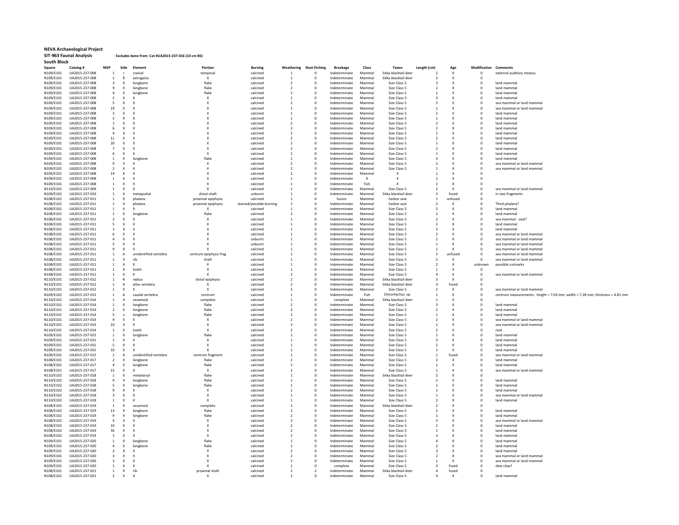# **NEVA Archaeological Project South Block**

**SIT-963 Faunal Analysis Excludes bone from Cat #UA2015-237-016 (10 cm BS)**

| JUWWII DIUW<br>Square  | Catalog #                        | <b>NISP</b>         | Side | Element               | Portion                | <b>Burning</b>           | <b>Weathering Root Etching</b> | Breakage                       | <b>Class</b>     | Taxon                                | Length (cm) | Age     | <b>Modification Comments</b> |                                                                              |
|------------------------|----------------------------------|---------------------|------|-----------------------|------------------------|--------------------------|--------------------------------|--------------------------------|------------------|--------------------------------------|-------------|---------|------------------------------|------------------------------------------------------------------------------|
| N109/E101              | UA2015-237-008                   |                     |      | cranial               | temporal               | calcined                 |                                | Indeterminate                  | Mammal           | Sitka blacktail deer                 |             |         |                              | external auditory meatus                                                     |
| N109/E101              | UA2015-237-008                   |                     |      | astragalus            | v                      | calcined                 |                                | Indeterminate                  | Mammal           | Sitka blacktail deer                 |             |         |                              |                                                                              |
| N109/E101              | UA2015-237-008                   |                     |      | longbone              | flake                  | calcined                 |                                | Indeterminate                  | Mammal           | Size Class 5                         |             |         |                              | land mammal                                                                  |
| N109/E101              | UA2015-237-008                   | -9                  |      | longbone              | flake                  | calcined                 |                                | Indeterminate                  | Mammal           | Size Class 5                         |             |         |                              | land mammal                                                                  |
| N109/E101              | UA2015-237-008                   | 4                   |      | longbone              | flake                  | calcined                 |                                | Indeterminate                  | Mammal           | Size Class 5                         |             |         |                              | land mammal                                                                  |
| N109/E101              | UA2015-237-008                   | $\overline{2}$      |      |                       |                        | calcined                 |                                | Indeterminate                  | Mammal           | Size Class 5                         |             |         |                              | land mammal                                                                  |
| N109/E101              | UA2015-237-008                   | 5                   |      |                       |                        | calcined                 |                                | Indeterminate                  | Mammal           | Size Class 5                         |             |         |                              | sea mammal or land mammal                                                    |
| N109/E101              | UA2015-237-008                   | 19                  |      |                       |                        | calcined                 |                                | Indeterminate                  | Mammal           | Size Class 5                         |             |         |                              | sea mammal or land mammal                                                    |
| N109/E101              | UA2015-237-008                   |                     |      |                       |                        | calcined                 |                                | Indeterminate                  | Mammal           | Size Class 5                         |             |         |                              | land mammal                                                                  |
| N109/E101              | UA2015-237-008                   | $\overline{2}$      | X    |                       |                        | calcined                 |                                | Indeterminate                  | Mammal           | Size Class 5                         |             |         |                              | land mammal                                                                  |
| N109/E101              | UA2015-237-008                   |                     | X.   | X                     |                        | calcined                 |                                | Indeterminate                  | Mammal           | Size Class 5                         |             |         |                              | land mammal                                                                  |
| N109/E101<br>N109/E101 | UA2015-237-008<br>UA2015-237-008 | 6<br>$\overline{4}$ |      |                       |                        | calcined<br>calcined     |                                | Indeterminate<br>Indeterminate | Mammal<br>Mammal | Size Class 5<br>Size Class 5         |             |         |                              | land mammal<br>land mammal                                                   |
| N109/E101              | UA2015-237-008                   | 11                  | X.   | X                     |                        | calcined                 |                                | Indeterminate                  | Mammal           | Size Class 5                         |             |         |                              | land mammal                                                                  |
| N109/E101              | UA2015-237-008                   | 20                  | X.   |                       |                        | calcined                 |                                | Indeterminate                  | Mammal           | Size Class 5                         |             |         |                              | land mammal                                                                  |
| N109/E101              | UA2015-237-008                   |                     | X.   |                       |                        | calcined                 |                                | Indeterminate                  | Mammal           | Size Class 5                         |             |         |                              | land mammal                                                                  |
| N109/E101              | UA2015-237-008                   | 6                   | X    |                       |                        | calcined                 |                                | Indeterminate                  | Mammal           | Size Class 5                         |             |         |                              | land mammal                                                                  |
| N109/E101              | UA2015-237-008                   |                     | X    | longbone              | flake                  | calcined                 |                                | Indeterminate                  | Mammal           | Size Class 5                         |             |         |                              | land mammal                                                                  |
| N109/E101              | UA2015-237-008                   | -9                  |      |                       |                        | calcined                 |                                | Indeterminate                  | Mammal           | Size Class 5                         |             |         |                              | sea mammal or land mammal                                                    |
| N109/E101              | UA2015-237-008                   |                     |      |                       |                        | calcined                 |                                | Indeterminate                  | Mammal           | Size Class 5                         |             |         |                              | sea mammal or land mammal                                                    |
| N109/E101              | UA2015-237-008                   | 14                  |      |                       |                        | calcined                 |                                | Indeterminate                  | Mammal           |                                      |             |         |                              |                                                                              |
| N109/E101              | UA2015-237-008                   |                     |      |                       |                        | calcined                 |                                | Indeterminate                  |                  |                                      |             |         |                              |                                                                              |
| N109/E101              | UA2015-237-008                   |                     |      |                       |                        | calcined                 |                                | Indeterminate                  | Fish             |                                      |             |         |                              |                                                                              |
| N110/E101              | UA2015-237-009                   |                     |      |                       |                        | calcined                 |                                | Indeterminate                  | Mammal           | Size Class 5                         |             |         |                              | sea mammal or land mammal                                                    |
| N109/E102              | UA2015-237-010                   |                     |      | metapodial            | distal shaft           | unburnt                  |                                | Indeterminate                  | Mammal           | Sitka blacktail deer                 |             | fused   |                              | in two fragments                                                             |
| N108/E101              | UA2015-237-011                   |                     |      | phalanx               | proximal epiphysis     | calcined                 |                                | fusion                         | Mammal           | harbor seal                          |             | unfused |                              |                                                                              |
| N108/E101              | UA2015-237-011                   |                     |      | phalanx               | proximal epiphysis     | stained/possible burning |                                | Indeterminate                  | Mammal           | harbor seal                          |             |         |                              | Third phalanx?                                                               |
| N108/E101              | UA2015-237-011                   |                     | X    |                       |                        | calcined                 |                                | Indeterminate                  | Mammal           | Size Class 5                         |             |         |                              | land mammal                                                                  |
| N108/E101              | UA2015-237-011                   |                     |      | longbone              | flake                  | calcined                 |                                | Indeterminate                  | Mammal           | Size Class 5                         |             |         |                              | land mammal                                                                  |
| N108/E101              | UA2015-237-011                   |                     | X    |                       |                        | calcined                 |                                | Indeterminate                  | Mammal           | Size Class 5                         |             |         |                              | sea mammal - seal?                                                           |
| N108/E101              | UA2015-237-011                   | -5                  |      |                       |                        | calcined                 |                                | Indeterminate                  | Mammal           | Size Class 5                         |             |         |                              | land mammal                                                                  |
| N108/E101              | UA2015-237-011                   |                     |      |                       |                        | calcined                 |                                | Indeterminate                  | Mammal           | Size Class 5                         |             |         |                              | land mammal                                                                  |
| N108/E101              | UA2015-237-011                   | 6                   | X.   |                       |                        | calcined                 |                                | Indeterminate                  | Mammal           | Size Class 5                         |             |         |                              | sea mammal or land mammal                                                    |
| N108/E101              | UA2015-237-011                   | $\overline{4}$      | X.   |                       |                        | unburnt                  |                                | Indeterminate                  | Mammal           | Size Class 5                         |             |         |                              | sea mammal or land mammal                                                    |
| N108/E101              | UA2015-237-011                   | 5                   | X    |                       |                        | unburnt                  |                                | Indeterminate                  | Mammal           | Size Class 5                         |             |         |                              | sea mammal or land mammal                                                    |
| N108/E101              | UA2015-237-011                   | 9                   | X    |                       |                        | calcined                 |                                | Indeterminate                  | Mammal           | Size Class 5                         |             |         |                              | sea mammal or land mammal                                                    |
| N108/E101              | UA2015-237-011                   |                     |      | unidentified vertebra | centrum epiphysis frag | calcined                 |                                | Indeterminate                  | Mammal           | Size Class 5                         |             | unfused |                              | sea mammal or land mammal                                                    |
| N108/E101              | UA2015-237-011                   |                     |      | rib                   | shaft                  | calcined                 |                                | Indeterminate                  | Mammal           | Size Class 5                         |             |         | - 0                          | sea mammal or land mammal                                                    |
| N108/E101              | UA2015-237-011                   |                     |      |                       |                        | calcined                 |                                | Indeterminate                  | Mammal           | Size Class 5                         |             |         | unknown                      | possible cutmarks                                                            |
| N108/E101              | UA2015-237-011                   |                     |      | tooth                 |                        | calcined                 |                                | Indeterminate                  | Mammal           | Size Class 5                         |             |         |                              |                                                                              |
| N108/E101              | UA2015-237-011                   |                     |      |                       |                        | calcined                 |                                | Indeterminate                  | Mammal           | Size Class 5                         |             |         |                              | sea mammal or land mammal                                                    |
| N110/E101              | UA2015-237-012                   |                     |      | radius                | distal epiphysis       | calcined                 |                                | Indeterminate                  | Mammal           | Sitka blacktail deer                 |             |         |                              |                                                                              |
| N110/E101<br>N110/E101 | UA2015-237-012<br>UA2015-237-012 |                     |      | atlas vertebra        |                        | calcined<br>calcined     |                                | Indeterminate<br>Indeterminate | Mammal<br>Mammal | Sitka blacktail deer<br>Size Class 5 |             | fused   |                              | sea mammal or land mammal                                                    |
| N109/E102              | UA2015-237-013                   |                     |      | caudal vertebra       | centrum                | calcined                 |                                | Indeterminate                  | Fish             | Oncorhychus sp.                      |             |         |                              | centrum measurements: height = 7.03 mm; width = 7.28 mm; thickness = 4.81 mm |
| N110/E101              | UA2015-237-014                   |                     |      | sesamoid              | complete               | calcined                 |                                | complete                       | Mamma            | Sitka blacktail deer                 |             |         |                              |                                                                              |
| N110/E101              | UA2015-237-014                   |                     |      | longbone              | flake                  | calcined                 |                                | Indeterminate                  | Mammal           | Size Class 5                         |             |         |                              | land mammal                                                                  |
| N110/E101              | UA2015-237-014                   |                     |      | longbone              | flake                  | calcined                 |                                | Indeterminate                  | Mammal           | Size Class 5                         |             |         |                              | land mammal                                                                  |
| N110/E101              | UA2015-237-014                   | 5                   |      | longbone              | flake                  | calcined                 |                                | Indeterminate                  | Mammal           | Size Class 5                         |             |         |                              | land mammal                                                                  |
| N110/E101              | UA2015-237-014                   | -9                  |      |                       |                        | calcined                 |                                | Indeterminate                  | Mammal           | Size Class 5                         |             |         |                              | sea mammal or land mammal                                                    |
| N110/E101              | UA2015-237-014                   | 10                  |      |                       |                        | calcined                 |                                | Indeterminate                  | Mammal           | Size Class 5                         |             |         |                              | sea mammal or land mammal                                                    |
| N110/E101              | UA2015-237-014                   |                     |      | tooth                 |                        | calcined                 |                                | Indeterminate                  | Mammal           | Size Class 5                         |             |         |                              | root                                                                         |
| N109/E101              | UA2015-237-015                   |                     |      | longbone              | flake                  | calcined                 |                                | Indeterminate                  | Mammal           | Size Class 5                         |             |         |                              | land mammal                                                                  |
| N109/E101              | UA2015-237-015                   |                     |      |                       |                        | calcined                 |                                | Indeterminate                  | Mammal           | Size Class 5                         |             |         |                              | land mammal                                                                  |
| N109/E101              | UA2015-237-015                   | 5                   | X    |                       |                        | calcined                 |                                | Indeterminate                  | Mammal           | Size Class 5                         |             |         |                              | land mammal                                                                  |
| N109/E101              | UA2015-237-015                   | 10                  | X    |                       |                        | calcined                 |                                | Indeterminate                  | Mammal           | Size Class 5                         |             |         |                              | land mammal                                                                  |
| N109/E101              | UA2015-237-015                   |                     |      | unidentified vertebra | centrum fragment       | calcined                 |                                | Indeterminate                  | Mammal           | Size Class 5                         |             | fused   |                              | sea mammal or land mammal                                                    |
| N108/E101              | UA2015-237-017                   | $\overline{2}$      |      | longbone              | flake                  | calcined                 |                                | Indeterminate                  | Mammal           | Size Class 5                         |             |         |                              | land mammal                                                                  |
| N108/E101              | UA2015-237-017                   | 4                   |      | longbone              | flake                  | calcined                 |                                | Indeterminate                  | Mammal           | Size Class 5                         |             |         |                              | land mammal                                                                  |
| N108/E101              | UA2015-237-017                   | 15 <sub>1</sub>     |      |                       |                        | calcined                 |                                | Indeterminate                  | Mammal           | Size Class 5                         |             |         |                              | sea mammal or land mammal                                                    |
| N110/E102              | UA2015-237-018                   |                     | X.   | metatarsal            | flake                  | calcined                 |                                | Indeterminate                  | Mammal           | Sitka blacktail deer                 |             |         | - 0                          |                                                                              |
| N110/E102              | UA2015-237-018                   |                     |      | longbone              | flake                  | calcined                 |                                | Indeterminate                  | Mammal           | Size Class 5                         |             |         |                              | land mammal                                                                  |
| N110/E102              | UA2015-237-018                   |                     |      | longbone              | flake                  | calcined                 |                                | Indeterminate                  | Mammal           | Size Class 5                         |             |         |                              | land mammal                                                                  |
| N110/E102              | UA2015-237-018                   | -9                  |      |                       |                        | calcined                 |                                | Indeterminate                  | Mammal           | Size Class 5                         |             |         |                              | land mammal                                                                  |
| N110/E102              | UA2015-237-018                   | 3                   |      |                       |                        | calcined                 |                                | Indeterminate                  | Mammal           | Size Class 5                         |             |         |                              | sea mammal or land mammal                                                    |
| N110/E102              | UA2015-237-018                   |                     |      |                       |                        | calcined                 |                                | Indeterminate                  | Mammal           | Size Class 5                         |             |         |                              | land mammal                                                                  |
| N108/E102              | UA2015-237-019                   |                     |      | sesamoid              | complete               | calcined                 |                                | Indeterminate                  | Mammal           | Sitka blacktail deer                 |             |         |                              |                                                                              |
| N108/E102              | UA2015-237-019                   | 13                  |      | longbone              | flake                  | calcined                 |                                | Indeterminate                  | Mammal           | Size Class 5                         |             |         |                              | land mammal                                                                  |
| N108/E102              | UA2015-237-019                   | -9                  |      | longbone              | flake                  | calcined                 |                                | Indeterminate                  | Mammal           | Size Class 5                         |             |         |                              | land mammal                                                                  |
| N108/E102              | UA2015-237-019                   | 4                   |      |                       |                        | calcined                 |                                | Indeterminate                  | Mammal           | Size Class 5                         |             |         |                              | sea mammal or land mammal                                                    |
| N108/E102              | UA2015-237-019                   | 10                  |      |                       |                        | calcined                 |                                | Indeterminate                  | Mammal           | Size Class 5                         |             |         |                              | land mammal                                                                  |
| N108/E102              | UA2015-237-019                   | 34                  |      |                       |                        | calcined                 |                                | Indeterminate                  | Mammal           | Size Class 5                         |             |         |                              | land mammal                                                                  |
| N108/E102              | UA2015-237-019                   |                     | X.   | $\mathsf{X}$          |                        | calcined                 |                                | Indeterminate                  | Mammal           | Size Class 5                         |             |         |                              | land mammal                                                                  |
| N109/E101              | UA2015-237-020                   |                     | 1 X  | longbone              | flake                  | calcined                 |                                | Indeterminate                  | Mammal           | Size Class 5                         |             |         |                              | land mammal                                                                  |
| N109/E101              | UA2015-237-020                   | 4                   |      | longbone              | flake                  | calcined                 |                                | Indeterminate                  | Mammal           | Size Class 5                         |             |         |                              | land mammal                                                                  |
| N109/E101              | UA2015-237-020                   |                     | X    |                       |                        | calcined                 |                                | Indeterminate                  | Mammal           | Size Class 5                         |             |         |                              | land mammal<br>sea mammal or land mammal                                     |
| N109/E101              | UA2015-237-020                   |                     |      |                       |                        | calcined                 |                                | Indeterminate                  | Mammal           | Size Class 5                         |             |         |                              |                                                                              |
| N109/E101<br>N109/E101 | UA2015-237-020<br>UA2015-237-020 | 2                   | x x  | x x                   |                        | calcined<br>calcined     |                                | Indeterminate<br>complete      | Mammal<br>Mammal | Size Class 5<br>Size Class 5         |             | fused   |                              | sea mammal or land mammal<br>dew claw?                                       |
| N108/E101              | UA2015-237-021                   |                     | X.   | rib                   | proximal shaft         | calcined                 |                                | Indeterminate                  | Mammal           | Sitka blacktail deer                 |             | fused   |                              |                                                                              |
| N108/E101              | UA2015-237-021                   | $\mathbf{2}$        | x x  |                       |                        | calcined                 |                                | Indeterminate                  | Mammal           | Size Class 5                         |             | X       | $\Omega$                     | land mammal                                                                  |
|                        |                                  |                     |      |                       |                        |                          |                                |                                |                  |                                      |             |         |                              |                                                                              |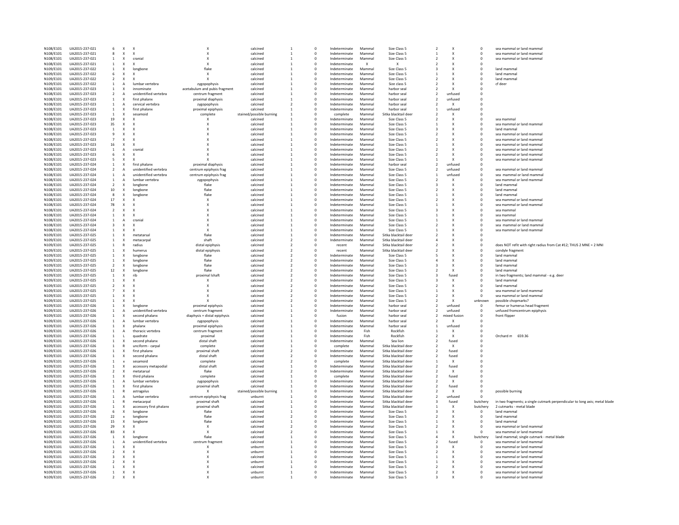| N108/E101 | UA2015-237-021 |                |                           |                         | X                             | calcined                 | 0        | Indeterminate | Mammal | Size Class 5         |              |          | sea mammal or land mammal                   |
|-----------|----------------|----------------|---------------------------|-------------------------|-------------------------------|--------------------------|----------|---------------|--------|----------------------|--------------|----------|---------------------------------------------|
|           | UA2015-237-021 |                |                           |                         |                               | calcined                 | $\Omega$ |               |        | Size Class 5         |              |          | sea mammal or land mammal                   |
| N108/E101 |                | 8              |                           |                         |                               |                          |          | Indeterminate | Mammal |                      |              |          |                                             |
| N108/E101 | UA2015-237-021 |                |                           | crania                  |                               | calcined                 |          | Indeterminate | Mammal | Size Class 5         |              |          | sea mammal or land mammal                   |
| N108/E101 | UA2015-237-021 |                | X                         |                         |                               | calcined                 |          | Indeterminate | X      |                      |              |          |                                             |
| N109/E101 | UA2015-237-022 |                |                           | longbone                | flake                         | calcined                 |          | Indeterminate | Mammal | Size Class 5         |              |          | land mammal                                 |
|           |                |                |                           |                         |                               |                          |          |               |        |                      |              |          |                                             |
| N109/E101 | UA2015-237-022 | 6              |                           |                         |                               | calcined                 |          | Indeterminate | Mammal | Size Class 5         |              |          | land mammal                                 |
| N109/E101 | UA2015-237-022 | $\overline{2}$ |                           |                         |                               | calcined                 |          | Indeterminate | Mammal | Size Class 5         |              |          | land mammal                                 |
| N109/E101 | UA2015-237-022 |                |                           | lumbar vertebra         | zygopophysis                  | calcined                 |          | Indeterminate | Mammal | Size class 5         |              |          | cf deer                                     |
|           | UA2015-237-023 |                |                           |                         | acetabulum and pubis fragment | calcined                 |          |               |        | harbor seal          |              |          |                                             |
| N108/E101 |                |                |                           | innominate              |                               |                          |          | Indeterminate | Mammal |                      |              |          |                                             |
| N108/E101 | UA2015-237-023 | 2              |                           | unidentified vertebra   | centrum fragment              | calcined                 |          | Indeterminate | Mammal | harbor seal          | unfused      |          |                                             |
| N108/E101 | UA2015-237-023 |                |                           | first phalanx           | proximal diaphysis            | calcined                 |          | Indeterminate | Mammal | harbor seal          | unfused      |          |                                             |
| N108/E101 | UA2015-237-023 |                |                           | cervical vertebra       | zygopophysis                  | calcined                 | $\Omega$ | Indeterminate | Mammal | harbor seal          |              |          |                                             |
|           |                |                |                           |                         |                               |                          |          |               |        |                      |              |          |                                             |
| N108/E101 | UA2015-237-023 |                |                           | first phalanx           | proximal epiphysis            | calcined                 |          | Indeterminate | Mammal | harbor seal          | unfused      |          |                                             |
| N108/E101 | UA2015-237-023 |                |                           | sesamoid                | complete                      | stained/possible burning |          | complete      | Mamma  | Sitka blacktail deer |              |          |                                             |
| N108/E101 | UA2015-237-023 | 19             |                           |                         |                               | calcined                 |          | Indeterminate | Mammal | Size Class 5         |              |          | sea mammal                                  |
|           |                |                |                           |                         |                               |                          |          |               |        |                      |              |          |                                             |
| N108/E101 | UA2015-237-023 | 35             |                           |                         |                               | calcined                 |          | Indeterminate | Mammal | Size Class 5         |              |          | sea mammal or land mammal                   |
| N108/E101 | UA2015-237-023 |                |                           |                         |                               | calcined                 |          | Indeterminate | Mammal | Size Class 5         |              |          | land mammal                                 |
| N108/E101 | UA2015-237-023 |                |                           |                         |                               | calcined                 |          | Indeterminate | Mammal | Size Class 5         |              |          | sea mammal or land mammal                   |
|           | UA2015-237-023 |                |                           |                         |                               | calcined                 |          |               |        |                      |              |          | sea mammal or land mammal                   |
| N108/E101 |                |                |                           |                         |                               |                          |          | Indeterminate | Mammal | Size Class 5         |              |          |                                             |
| N108/E101 | UA2015-237-023 | 16             |                           |                         |                               | calcined                 |          | Indeterminate | Mammal | Size Class 5         |              |          | sea mammal or land mammal                   |
| N108/E101 | UA2015-237-023 |                |                           | cranial                 |                               | calcined                 |          | Indeterminate | Mammal | Size Class 5         |              |          | sea mammal or land mammal                   |
| N108/E101 | UA2015-237-023 | 6              |                           |                         |                               | calcined                 |          | Indeterminate | Mammal | Size Class 5         |              |          | sea mammal or land mammal                   |
|           |                |                |                           |                         |                               |                          |          |               |        |                      |              |          |                                             |
| N108/E101 | UA2015-237-023 | 5              | X                         |                         |                               | calcined                 |          | Indeterminate | Mammal | Size Class 5         |              |          | sea mammal or land mammal                   |
| N108/E101 | UA2015-237-024 |                |                           | first phalanx           | proximal diaphysis            | calcined                 |          | Indeterminate | Mammal | harbor seal          | unfused      |          |                                             |
| N108/E101 | UA2015-237-024 | 2              |                           | unidentified vertebra   | centrum epiphysis frag        | calcined                 |          | Indeterminate | Mammal | Size Class 5         | unfused      |          | sea mammal or land mammal                   |
|           |                |                |                           |                         |                               |                          |          |               |        |                      |              |          |                                             |
| N108/E101 | UA2015-237-024 |                |                           | unidentified vertebra   | centrum epiphysis frag        | calcined                 |          | Indeterminate | Mammal | Size Class 5         | unfused      |          | sea mammal or land mammal                   |
| N108/E101 | UA2015-237-024 |                |                           | lumbar vertebra         | zygopophysis                  | calcined                 |          | Indeterminate | Mammal | Size Class 5         |              |          | sea mammal or land mammal                   |
| N108/E101 | UA2015-237-024 | $\overline{2}$ |                           | longbone                | flake                         | calcined                 |          | Indeterminate | Mammal | Size Class 5         |              |          | land mammal                                 |
|           |                |                |                           |                         |                               |                          |          |               |        |                      |              |          |                                             |
| N108/E101 | UA2015-237-024 | 10             |                           | longbone                | flake                         | calcined                 |          | Indeterminate | Mammal | Size Class 5         |              |          | land mammal                                 |
| N108/E101 | UA2015-237-024 |                |                           | longbone                | flake                         | calcined                 |          | Indeterminate | Mammal | Size Class 5         |              |          | land mamma                                  |
| N108/E101 | UA2015-237-024 | 17             | X                         |                         | Y                             | calcined                 |          | Indeterminate | Mammal | Size Class 5         |              |          | sea mammal or land mammal                   |
| N108/E101 | UA2015-237-024 | 78             |                           |                         |                               | calcined                 |          | Indeterminate | Mammal | Size Class 5         |              |          | sea mammal or land mammal                   |
|           |                |                |                           |                         |                               |                          |          |               |        |                      |              |          |                                             |
| N108/E101 | UA2015-237-024 |                |                           |                         |                               | calcined                 |          | Indeterminate | Mammal | Size Class 5         |              |          | sea mammal                                  |
| N108/E101 | UA2015-237-024 |                |                           |                         |                               | calcined                 |          | Indeterminate | Mammal | Size Class 5         |              |          | sea mammal                                  |
| N108/E101 | UA2015-237-024 |                |                           | cranial                 |                               | calcined                 | $\Omega$ | Indeterminate | Mammal | Size Class 5         |              |          | sea mammal or land mammal                   |
|           |                |                |                           |                         |                               |                          |          |               |        |                      |              |          |                                             |
| N108/E101 | UA2015-237-024 |                |                           |                         |                               | calcined                 |          | Indeterminate | Mammal | Size Class 5         |              |          | sea mammal or land mammal                   |
| N108/E101 | UA2015-237-024 |                |                           |                         |                               | calcined                 |          | Indeterminate | Mammal | Size Class 5         |              |          | sea mammal or land mammal                   |
| N109/E101 | UA2015-237-025 |                |                           | metatarsal              | flake                         | calcined                 |          | Indeterminate | Mamma  | Sitka blacktail deer |              |          |                                             |
|           |                |                |                           |                         |                               |                          |          |               |        |                      |              |          |                                             |
| N109/E101 | UA2015-237-025 |                |                           | metacarpal              | shaft                         | calcined                 |          | Indeterminate | Mammal | Sitka blacktail deer |              |          |                                             |
| N109/E101 | UA2015-237-025 |                |                           | radius                  | distal epiphysis              | calcined                 | 0        | recent        | Mamma  | Sitka blacktail deer |              |          | does NOT refit with right radius from Cat # |
| N109/E101 | UA2015-237-025 |                |                           | humerus                 | distal epiphysis              | calcined                 |          | recent        | Mamma  | Sitka blacktail deer |              |          | condyle fragment                            |
|           | UA2015-237-025 |                |                           |                         | flake                         |                          |          |               |        | Size Class 5         |              |          |                                             |
| N109/E101 |                |                |                           | longbone                |                               | calcined                 |          | Indeterminate | Mammal |                      |              |          | land mammal                                 |
| N109/E101 | UA2015-237-025 |                |                           | longbone                | flake                         | calcined                 | $\Omega$ | Indeterminate | Mammal | Size Class 5         |              |          | land mammal                                 |
| N109/E101 | UA2015-237-025 |                |                           | longbone                | flake                         | calcined                 |          | Indeterminate | Mammal | Size Class 5         |              |          | land mammal                                 |
| N109/E101 | UA2015-237-025 | 12             | $\mathsf{X}$              | longbone                | flake                         | calcined                 |          | Indeterminate | Mammal | Size Class 5         |              |          | land mammal                                 |
|           |                |                |                           |                         |                               |                          |          |               |        |                      |              |          |                                             |
| N109/E101 | UA2015-237-025 |                |                           | rıb                     | proximal Ishaft               | calcined                 |          | Indeterminate | Mammal | Size Class 5         | fused        |          | in two fragments; land mammal - e.g. deer   |
| N109/E101 | UA2015-237-025 |                |                           |                         |                               | calcined                 |          | Indeterminate | Mammal | Size Class 5         |              |          | land mammal                                 |
| N109/E101 | UA2015-237-025 |                |                           |                         |                               | calcined                 |          | Indeterminate | Mammal | Size Class 5         |              |          | land mammal                                 |
|           |                |                |                           |                         |                               |                          |          |               |        |                      |              |          |                                             |
| N109/E101 | UA2015-237-025 |                |                           |                         |                               | calcined                 |          | Indeterminate | Mammal | Size Class 5         |              |          | sea mammal or land mammal                   |
| N109/E101 | UA2015-237-025 |                |                           |                         |                               | calcined                 |          | Indeterminate | Mammal | Size Class 5         |              |          | sea mammal or land mammal                   |
| N109/E101 | UA2015-237-025 |                |                           |                         |                               | calcined                 |          | Indeterminate | Mammal | Size Class 5         |              | unknown  | possible chopmarks?                         |
|           |                |                |                           |                         |                               |                          |          |               |        |                      |              |          |                                             |
| N109/E101 | UA2015-237-026 |                |                           | longbone                | proximal epiphysis            | calcined                 |          | Indeterminate | Mammal | harbor seal          | unfused      |          | femur or humerus head fragment              |
| N109/E101 | UA2015-237-026 |                |                           | unidentified vertebra   | centrum fragment              | calcined                 | 0        | Indeterminate | Mammal | harbor seal          | unfused      |          | unfused fromcentrum epiphysis               |
| N109/E101 | UA2015-237-026 |                |                           | second phalanx          | diaphysis + distal epiphysis  | calcined                 |          | fusion        | Mammal | harbor seal          | mixed fusion |          | front flipper                               |
| N109/E101 | UA2015-237-026 |                |                           | lumbar vertebra         |                               | calcined                 |          | Indeterminate | Mammal | harbor seal          |              |          |                                             |
|           |                |                |                           |                         | zygopophysis                  |                          |          |               |        |                      |              |          |                                             |
| N109/E101 | UA2015-237-026 |                |                           | phalanx                 | proximal epiphysis            | calcined                 |          | Indeterminate | Mammal | harbor seal          | unfused      |          |                                             |
| N109/E101 | UA2015-237-026 |                |                           | thoracic vertebra       | centrum fragment              | calcined                 |          | Indeterminate | Fish   | Rockfish             |              |          |                                             |
| N109/E101 | UA2015-237-026 |                |                           | quadrate                | proximal                      | calcined                 |          | Indeterminate | Fish   | Rockfish             |              |          | 659.36<br>Orchard m                         |
|           |                |                |                           |                         |                               |                          |          |               |        |                      |              |          |                                             |
| N109/E101 | UA2015-237-026 |                |                           | second phalanx          | distal shaft                  | calcined                 |          | Indeterminate | Mammal | Sea lion             | fused        |          |                                             |
| N109/E101 | UA2015-237-026 |                |                           | unciform - carpal       | complete                      | calcined                 |          | complete      | Mamma  | Sitka blacktail deer |              |          |                                             |
| N109/E101 | UA2015-237-026 |                |                           | first phalanx           | proximal shaft                | calcined                 |          | Indeterminate | Mamma  | Sitka blacktail deer | fused        |          |                                             |
| N109/E101 | UA2015-237-026 |                |                           | second phalanx          | distal shaft                  | calcined                 | $\Omega$ | Indeterminate | Mammal | Sitka blacktail deer | fused        |          |                                             |
|           |                |                |                           |                         |                               |                          |          |               |        |                      |              |          |                                             |
| N109/E101 | UA2015-237-026 |                |                           | sesamoid                | complete                      | calcined                 |          | complete      | Mamma  | Sitka blacktail deer |              |          |                                             |
| N109/E101 | UA2015-237-026 |                |                           | accessory metapodial    | distal shaft                  | calcined                 |          | Indeterminate | Mamma  | Sitka blacktail deer | fused        |          |                                             |
| N109/E101 | UA2015-237-026 | $\mathbf{2}$   |                           | metatarsal              | flake                         | calcined                 |          | Indeterminate | Mamma  | Sitka blacktail deer |              |          |                                             |
|           |                |                |                           |                         |                               |                          |          |               |        |                      |              |          |                                             |
| N109/E101 | UA2015-237-026 |                |                           | third phalanx           | complete                      | calcined                 |          | complete      | Mammal | Sitka blacktail deer | fused        |          |                                             |
| N109/E101 | UA2015-237-026 |                |                           | lumbar vertebra         | zygopophysis                  | calcined                 |          | Indeterminate | Mammal | Sitka blacktail deer |              |          |                                             |
| N109/E101 | UA2015-237-026 |                |                           | first phalanx           | proximal shaft                | calcined                 |          | Indeterminate | Mammal | Sitka blacktail deer | fused        |          |                                             |
| N109/E101 | UA2015-237-026 |                |                           | astragalus              |                               | stained/possible burning |          | Indeterminate | Mamma  | Sitka blacktail deer |              |          | possible burning                            |
|           |                |                |                           |                         |                               |                          |          |               |        |                      |              |          |                                             |
| N109/E101 | UA2015-237-026 |                |                           | lumbar vertebra         | centrum epiphysis frag        | unburnt                  |          | Indeterminate | Mamma  | Sitka blacktail deer | unfused      |          |                                             |
| N109/E101 | UA2015-237-026 |                |                           | metacarpal              | proximal shaft                | calcined                 |          | Indeterminate | Mammal | Sitka blacktail deer | fused        | butchery | in two fragments; a single cutmark perpend  |
| N109/E101 | UA2015-237-026 |                |                           | accessory first phalanx | proximal shaft                | calcined                 |          | Indeterminate | Mammal | Sitka blacktail deer |              | butchery | 2 cutmarks - metal blade                    |
|           |                |                |                           |                         |                               |                          |          |               |        |                      |              |          |                                             |
| N109/E101 | UA2015-237-026 | 6              |                           | longbone                | flake                         | calcined                 |          | Indeterminate | Mammal | Size Class 5         |              |          | land mammal                                 |
| N109/E101 | UA2015-237-026 | 22             | X                         | longbone                | flake                         | calcined                 |          | Indeterminate | Mammal | Size Class 5         |              |          | land mammal                                 |
| N109/E101 | UA2015-237-026 | 15             |                           | longbone                | flake                         | calcined                 |          | Indeterminate | Mammal | Size Class 5         |              |          | land mammal                                 |
|           |                |                |                           |                         |                               |                          |          |               |        |                      |              |          |                                             |
| N109/E101 | UA2015-237-026 | 29             | $\boldsymbol{\mathsf{X}}$ |                         |                               | calcined                 |          | Indeterminate | Mammal | Size Class 5         |              |          | sea mammal or land mammal                   |
| N109/E101 | UA2015-237-026 | 83             | X                         |                         |                               | calcined                 |          | Indeterminate | Mammal | Size Class 5         |              |          | sea mammal or land mammal                   |
| N109/E101 | UA2015-237-026 |                |                           | longbone                | flake                         | calcined                 |          | Indeterminate | Mammal | Size Class 5         |              | butchery | land mammal; single cutmark - metal blade   |
|           |                |                |                           |                         |                               |                          |          |               |        |                      |              |          |                                             |
| N109/E101 | UA2015-237-026 |                |                           | unidentified vertebra   | centrum fragment              | calcined                 |          | Indeterminate | Mammal | Size Class 5         | fused        |          | sea mammal or land mammal                   |
| N109/E101 | UA2015-237-026 |                |                           |                         |                               | unburnt                  |          | Indeterminate | Mammal | Size Class 5         |              |          | sea mammal or land mammal                   |
| N109/E101 | UA2015-237-026 |                |                           |                         |                               | unburnt                  |          | Indeterminate | Mammal | Size Class 5         |              |          | sea mammal or land mammal                   |
|           |                |                |                           |                         |                               |                          |          |               |        |                      |              |          |                                             |
| N109/E101 | UA2015-237-026 |                | X                         |                         |                               | calcined                 |          | Indeterminate | Mammal | Size Class 5         |              |          | sea mammal or land mammal                   |
| N109/E101 | UA2015-237-026 |                |                           |                         |                               | unburnt                  |          | Indeterminate | Mammal | Size Class 5         |              |          | sea mammal or land mammal                   |
| N109/E101 | UA2015-237-026 |                |                           |                         |                               | calcined                 |          | Indeterminate | Mammal | Size Class 5         |              |          | sea mammal or land mammal                   |
|           | UA2015-237-026 |                |                           |                         |                               |                          |          |               |        |                      |              |          | sea mammal or land mammal                   |
| N109/E101 |                |                |                           |                         |                               | unburnt                  |          | Indeterminate | Mammal | Size Class 5         |              |          |                                             |
| N109/E101 | UA2015-237-026 | $2^{\circ}$    | $\mathsf{X}$              |                         |                               | unburnt                  |          | Indeterminate | Mammal | Size Class 5         |              |          | sea mammal or land mammal                   |

| N108/E101 | UA2015-237-021 |    |                         |                               | calcined                 |  | Indeterminate | Mammal | Size Class 5         |              |          | sea mammal or land mammal                                                  |
|-----------|----------------|----|-------------------------|-------------------------------|--------------------------|--|---------------|--------|----------------------|--------------|----------|----------------------------------------------------------------------------|
| N108/E101 | UA2015-237-021 | -8 | X                       |                               | calcined                 |  | Indeterminate | Mammal | Size Class 5         |              |          | sea mammal or land mammal                                                  |
| N108/E101 | UA2015-237-021 |    | cranial                 |                               | calcined                 |  | Indeterminate | Mammal | Size Class 5         |              |          | sea mammal or land mammal                                                  |
|           |                |    |                         |                               |                          |  |               |        |                      |              |          |                                                                            |
| N108/E101 | UA2015-237-021 |    |                         |                               | calcined                 |  | Indeterminate |        |                      |              |          |                                                                            |
| N109/E101 | UA2015-237-022 |    | longbone                | flake                         | calcined                 |  | Indeterminate | Mammal | Size Class 5         |              |          | land mammal                                                                |
| N109/E101 | UA2015-237-022 |    |                         |                               | calcined                 |  | Indeterminate | Mammal | Size Class 5         |              |          | land mammal                                                                |
|           |                |    |                         |                               |                          |  |               |        |                      |              |          |                                                                            |
| N109/E101 | UA2015-237-022 |    |                         |                               | calcined                 |  | Indeterminate | Mammal | Size Class 5         |              |          | land mammal                                                                |
| N109/E101 | UA2015-237-022 |    | lumbar vertebra         | zygopophysis                  | calcined                 |  | Indeterminate | Mammal | Size class 5         |              |          | cf deer                                                                    |
| N108/E101 | UA2015-237-023 |    | innominate              | acetabulum and pubis fragment | calcined                 |  | Indeterminate | Mammal | harbor seal          |              |          |                                                                            |
|           |                |    |                         |                               |                          |  |               |        |                      |              |          |                                                                            |
| N108/E101 | UA2015-237-023 |    | unidentified vertebra   | centrum fragment              | calcined                 |  | Indeterminate | Mammal | harbor seal          | unfused      |          |                                                                            |
| N108/E101 | UA2015-237-023 |    | first phalanx           | proximal diaphysis            | calcined                 |  | Indeterminate | Mammal | harbor seal          | unfused      |          |                                                                            |
| N108/E101 | UA2015-237-023 |    | cervical vertebra       | zygopophysis                  | calcined                 |  | Indeterminate | Mammal | harbor seal          |              |          |                                                                            |
|           |                |    |                         |                               |                          |  |               |        |                      |              |          |                                                                            |
| N108/E101 | UA2015-237-023 |    | first phalanx           | proximal epiphysis            | calcined                 |  | Indeterminate | Mammal | harbor seal          | unfused      |          |                                                                            |
| N108/E101 | UA2015-237-023 |    | sesamoid                | complete                      | stained/possible burning |  | complete      | Mammal | Sitka blacktail deer |              |          |                                                                            |
| N108/E101 | UA2015-237-023 | 19 |                         |                               | calcined                 |  | Indeterminate | Mammal | Size Class 5         |              |          | sea mammal                                                                 |
|           | UA2015-237-023 | 35 |                         |                               | calcined                 |  |               |        | Size Class 5         |              |          | sea mammal or land mammal                                                  |
| N108/E101 |                |    |                         |                               |                          |  | Indeterminate | Mammal |                      |              |          |                                                                            |
| N108/E101 | UA2015-237-023 |    | X                       |                               | calcined                 |  | Indeterminate | Mammal | Size Class 5         |              |          | land mammal                                                                |
| N108/E101 | UA2015-237-023 |    |                         |                               | calcined                 |  | Indeterminate | Mammal | Size Class 5         |              |          | sea mammal or land mammal                                                  |
| N108/E101 | UA2015-237-023 |    |                         |                               | calcined                 |  | Indeterminate | Mammal | Size Class 5         |              |          | sea mammal or land mammal                                                  |
|           |                |    |                         |                               |                          |  |               |        |                      |              |          |                                                                            |
| N108/E101 | UA2015-237-023 | 16 |                         |                               | calcined                 |  | Indeterminate | Mammal | Size Class 5         |              |          | sea mammal or land mammal                                                  |
| N108/E101 | UA2015-237-023 |    | cranial                 |                               | calcined                 |  | Indeterminate | Mammal | Size Class 5         |              |          | sea mammal or land mamma                                                   |
| N108/E101 | UA2015-237-023 |    |                         |                               | calcined                 |  | Indeterminate | Mammal | Size Class 5         |              |          | sea mammal or land mammal                                                  |
|           |                |    |                         |                               |                          |  |               |        |                      |              |          |                                                                            |
| N108/E101 | UA2015-237-023 |    |                         |                               | calcined                 |  | Indeterminate | Mammal | Size Class 5         |              |          | sea mammal or land mammal                                                  |
| N108/E101 | UA2015-237-024 |    | first phalanx           | proximal diaphysis            | calcined                 |  | Indeterminate | Mammal | harbor seal          | unfused      |          |                                                                            |
| N108/E101 | UA2015-237-024 |    | unidentified vertebra   | centrum epiphysis frag        | calcined                 |  | Indeterminate | Mammal | Size Class 5         | unfused      |          | sea mammal or land mammal                                                  |
|           |                |    |                         |                               |                          |  |               |        |                      |              |          |                                                                            |
| N108/E101 | UA2015-237-024 |    | unidentified vertebra   | centrum epiphysis frag        | calcined                 |  | Indeterminate | Mammal | Size Class 5         | unfused      |          | sea mammal or land mammal                                                  |
| N108/E101 | UA2015-237-024 |    | lumbar vertebra         | zygopophysis                  | calcined                 |  | Indeterminate | Mammal | Size Class 5         |              |          | sea mammal or land mammal                                                  |
| N108/E101 | UA2015-237-024 |    | longbone                | flake                         | calcined                 |  | Indeterminate | Mammal | Size Class 5         |              |          | land mammal                                                                |
|           |                |    |                         |                               |                          |  |               |        |                      |              |          |                                                                            |
| N108/E101 | UA2015-237-024 | 10 | longbone                | flake                         | calcined                 |  | Indeterminate | Mammal | Size Class 5         |              |          | land mammal                                                                |
| N108/E101 | UA2015-237-024 |    | longbone                | flake                         | calcined                 |  | Indeterminate | Mammal | Size Class 5         |              |          | land mammal                                                                |
| N108/E101 | UA2015-237-024 |    |                         |                               | calcined                 |  | Indeterminate | Mammal | Size Class 5         |              |          | sea mammal or land mammal                                                  |
|           | UA2015-237-024 |    |                         |                               | calcined                 |  |               |        | Size Class 5         |              |          | sea mammal or land mammal                                                  |
| V108/E101 |                |    |                         |                               |                          |  | Indeterminate | Mammal |                      |              |          |                                                                            |
| N108/E101 | UA2015-237-024 |    |                         |                               | calcined                 |  | Indeterminate | Mammal | Size Class 5         |              |          | sea mammal                                                                 |
| N108/E101 | UA2015-237-024 |    |                         |                               | calcined                 |  | Indeterminate | Mammal | Size Class 5         |              |          | sea mammal                                                                 |
| N108/E101 | UA2015-237-024 |    | cranial                 |                               | calcined                 |  | Indeterminate | Mammal | Size Class 5         |              |          | sea mammal or land mammal                                                  |
|           |                |    |                         |                               |                          |  |               |        |                      |              |          |                                                                            |
| N108/E101 | UA2015-237-024 |    |                         |                               | calcined                 |  | Indeterminate | Mammal | Size Class 5         |              |          | sea mammal or land mammal                                                  |
| N108/E101 | UA2015-237-024 |    |                         |                               | calcined                 |  | Indeterminate | Mammal | Size Class 5         |              |          | sea mammal or land mammal                                                  |
| N109/E101 | UA2015-237-025 |    | metatarsal              | flake                         | calcined                 |  | Indeterminate | Mammal | Sitka blacktail deer |              |          |                                                                            |
|           |                |    |                         |                               |                          |  |               |        |                      |              |          |                                                                            |
| N109/E101 | UA2015-237-025 |    | metacarpal              | shaft                         | calcined                 |  | Indeterminate | Mammal | Sitka blacktail deer |              |          |                                                                            |
| N109/E101 | UA2015-237-025 |    | radius                  | distal epiphysis              | calcined                 |  | recent        | Mammal | Sitka blacktail deer |              |          | does NOT refit with right radius from Cat #12; THUS 2 MNE = 2 MNI          |
| N109/E101 | UA2015-237-025 |    | humerus                 | distal epiphysis              | calcined                 |  | recent        | Mammal | Sitka blacktail deer |              |          | condyle fragment                                                           |
|           |                |    |                         |                               |                          |  |               |        |                      |              |          |                                                                            |
| N109/E101 | UA2015-237-025 |    | longbone                | flake                         | calcined                 |  | Indeterminate | Mammal | Size Class 5         |              |          | land mammal                                                                |
| N109/E101 | UA2015-237-025 |    | longbone                | flake                         | calcined                 |  | Indeterminate | Mammal | Size Class 5         |              |          | land mammal                                                                |
| N109/E101 | UA2015-237-025 |    | longbone                | flake                         | calcined                 |  | Indeterminate | Mammal | Size Class 5         |              |          | land mammal                                                                |
|           |                |    |                         | flake                         |                          |  |               |        | Size Class 5         |              |          |                                                                            |
| N109/E101 | UA2015-237-025 | 12 | longbone                |                               | calcined                 |  | Indeterminate | Mammal |                      |              |          | land mammal                                                                |
| N109/E101 | UA2015-237-025 |    | rib                     | proximal Ishaft               | calcined                 |  | Indeterminate | Mammal | Size Class 5         | fused        |          | in two fragments; land mammal - e.g. deer                                  |
| N109/E101 | UA2015-237-025 |    |                         |                               | calcined                 |  | Indeterminate | Mammal | Size Class 5         |              |          | land mammal                                                                |
| N109/E101 | UA2015-237-025 |    |                         |                               | calcined                 |  | Indeterminate | Mammal | Size Class 5         |              |          | land mammal                                                                |
|           |                |    |                         |                               |                          |  |               |        |                      |              |          |                                                                            |
| N109/E101 | UA2015-237-025 |    |                         |                               | calcined                 |  | Indeterminate | Mammal | Size Class 5         |              |          | sea mammal or land mammal                                                  |
| N109/E101 | UA2015-237-025 |    |                         |                               | calcined                 |  | Indeterminate | Mammal | Size Class 5         |              |          | sea mammal or land mammal                                                  |
| N109/E101 | UA2015-237-025 |    |                         |                               | calcined                 |  | Indeterminate | Mammal | Size Class 5         |              | unknown  | possible chopmarks?                                                        |
|           |                |    |                         |                               |                          |  |               |        |                      |              |          |                                                                            |
| N109/E101 | UA2015-237-026 |    | longbone                | proximal epiphysis            | calcined                 |  | Indeterminate | Mammal | harbor seal          | unfused      |          | femur or humerus head fragment                                             |
| N109/E101 | UA2015-237-026 |    | unidentified vertebra   | centrum fragment              | calcined                 |  | Indeterminate | Mammal | harbor seal          | unfused      |          | unfused fromcentrum epiphysis                                              |
| N109/E101 | UA2015-237-026 |    | second phalanx          | diaphysis + distal epiphysis  | calcined                 |  | fusion        | Mammal | harbor seal          | mixed fusion |          | front flipper                                                              |
|           |                |    |                         |                               |                          |  |               |        |                      |              |          |                                                                            |
| N109/E101 | UA2015-237-026 |    | lumbar vertebra         | zygopophysis                  | calcined                 |  | Indeterminate | Mammal | harbor seal          |              |          |                                                                            |
| N109/E101 | UA2015-237-026 |    | phalanx                 | proximal epiphysis            | calcined                 |  | Indeterminate | Mammal | harbor seal          | unfused      |          |                                                                            |
| N109/E101 | UA2015-237-026 |    | thoracic vertebra       | centrum fragment              | calcined                 |  | Indeterminate | Fish   | Rockfish             |              |          |                                                                            |
|           | UA2015-237-026 |    | quadrate                | proximal                      | calcined                 |  |               | Fish   | Rockfish             |              |          | 659.36<br>Orchard m                                                        |
| N109/E101 |                |    |                         |                               |                          |  | Indeterminate |        |                      |              |          |                                                                            |
| N109/E101 | UA2015-237-026 |    | second phalanx          | distal shaft                  | calcined                 |  | Indeterminate | Mammal | Sea lion             | fused        |          |                                                                            |
| N109/E101 | UA2015-237-026 |    | unciform - carpal       | complete                      | calcined                 |  | complete      | Mammal | Sitka blacktail deer |              |          |                                                                            |
| N109/E101 | UA2015-237-026 |    | first phalanx           | proximal shaft                | calcined                 |  | Indeterminate | Mammal | Sitka blacktail deer | fused        |          |                                                                            |
|           |                |    |                         |                               |                          |  |               |        |                      |              |          |                                                                            |
| N109/E101 | UA2015-237-026 |    | second phalanx          | distal shaft                  | calcined                 |  | Indeterminate | Mammal | Sitka blacktail deer | fused        |          |                                                                            |
| V109/E101 | UA2015-237-026 |    | sesamoid                | complete                      | calcined                 |  | complete      | Mammal | Sitka blacktail deer |              |          |                                                                            |
| N109/E101 | UA2015-237-026 |    | accessory metapodial    | distal shaft                  | calcined                 |  | Indeterminate | Mammal | Sitka blacktail deer | fused        |          |                                                                            |
|           |                |    |                         |                               |                          |  |               |        |                      |              |          |                                                                            |
| N109/E101 | UA2015-237-026 |    | metatarsal              | flake                         | calcined                 |  | Indeterminate | Mammal | Sitka blacktail deer |              |          |                                                                            |
| N109/E101 | UA2015-237-026 |    | third phalanx           | complete                      | calcined                 |  | complete      | Mammal | Sitka blacktail deer | fused        |          |                                                                            |
| N109/E101 | UA2015-237-026 |    | lumbar vertebra         | zygopophysis                  | calcined                 |  | Indeterminate | Mammal | Sitka blacktail deer |              |          |                                                                            |
| N109/E101 | UA2015-237-026 |    | first phalanx           | proximal shaft                | calcined                 |  |               |        | Sitka blacktail deer |              |          |                                                                            |
|           |                |    |                         |                               |                          |  | Indeterminate | Mammal |                      | fused        |          |                                                                            |
| N109/E101 | UA2015-237-026 |    | astragalus              |                               | stained/possible burning |  | Indeterminate | Mammal | Sitka blacktail deer |              |          | possible burning                                                           |
| N109/E101 | UA2015-237-026 |    | lumbar vertebra         | centrum epiphysis frag        | unburnt                  |  | Indeterminate | Mammal | Sitka blacktail deer | unfused      |          |                                                                            |
|           | UA2015-237-026 |    |                         | proximal shaft                |                          |  |               |        | Sitka blacktail deer |              |          |                                                                            |
| N109/E101 |                |    | metacarpal              |                               | calcined                 |  | Indeterminate | Mammal |                      | fused        | butchery | in two fragments; a single cutmark perpendicular to long axis; metal blade |
| N109/E101 | UA2015-237-026 |    | accessory first phalanx | proximal shaft                | calcined                 |  | Indeterminate | Mammal | Sitka blacktail deer |              | butchery | 2 cutmarks - metal blade                                                   |
| N109/E101 | UA2015-237-026 |    | longbone                | flake                         | calcined                 |  | Indeterminate | Mammal | Size Class 5         |              |          | land mammal                                                                |
|           | UA2015-237-026 | 22 | longbone                | flake                         | calcined                 |  | Indeterminate | Mammal | Size Class 5         |              |          | land mammal                                                                |
| N109/E101 |                |    |                         |                               |                          |  |               |        |                      |              |          |                                                                            |
| N109/E101 | UA2015-237-026 | 15 | longbone                | flake                         | calcined                 |  | Indeterminate | Mammal | Size Class 5         |              |          | land mammal                                                                |
| N109/E101 | UA2015-237-026 | 29 |                         |                               | calcined                 |  | Indeterminate | Mammal | Size Class 5         |              |          | sea mammal or land mamma                                                   |
| N109/E101 | UA2015-237-026 | 83 |                         |                               | calcined                 |  | Indeterminate | Mammal | Size Class 5         |              |          | sea mammal or land mammal                                                  |
|           |                |    |                         |                               |                          |  |               |        |                      |              |          |                                                                            |
| N109/E101 | UA2015-237-026 |    | longbone                | flake                         | calcined                 |  | Indeterminate | Mammal | Size Class 5         |              | butchery | land mammal; single cutmark - metal blade                                  |
| N109/E101 | UA2015-237-026 |    | unidentified vertebra   | centrum fragment              | calcined                 |  | Indeterminate | Mammal | Size Class 5         | fused        |          | sea mammal or land mammal                                                  |
| N109/E101 | UA2015-237-026 |    |                         |                               | unburnt                  |  | Indeterminate | Mammal | Size Class 5         |              |          | sea mammal or land mammal                                                  |
|           |                |    |                         |                               |                          |  |               |        |                      |              |          |                                                                            |
| N109/E101 | UA2015-237-026 |    |                         |                               | unburnt                  |  | Indeterminate | Mammal | Size Class 5         |              |          | sea mammal or land mamma                                                   |
| N109/E101 | UA2015-237-026 |    |                         |                               | calcined                 |  | Indeterminate | Mammal | Size Class 5         |              |          | sea mammal or land mamma                                                   |
| N109/E101 | UA2015-237-026 |    |                         |                               | unburnt                  |  | Indeterminate | Mammal | Size Class 5         |              |          | sea mammal or land mammal                                                  |
|           |                |    |                         |                               |                          |  |               |        |                      |              |          |                                                                            |
| N109/E101 | UA2015-237-026 |    | -х                      |                               | calcined                 |  | Indeterminate | Mammal | Size Class 5         |              |          | sea mammal or land mammal                                                  |
| N109/E101 | UA2015-237-026 |    | X                       |                               | unburnt                  |  | Indeterminate | Mammal | Size Class 5         |              |          | sea mammal or land mamma                                                   |
| N109/E101 | UA2015-237-026 |    | $\mathsf{X}$            |                               | unburnt                  |  | Indeterminate | Mammal | Size Class 5         |              |          | sea mammal or land mammal                                                  |
|           |                |    |                         |                               |                          |  |               |        |                      |              |          |                                                                            |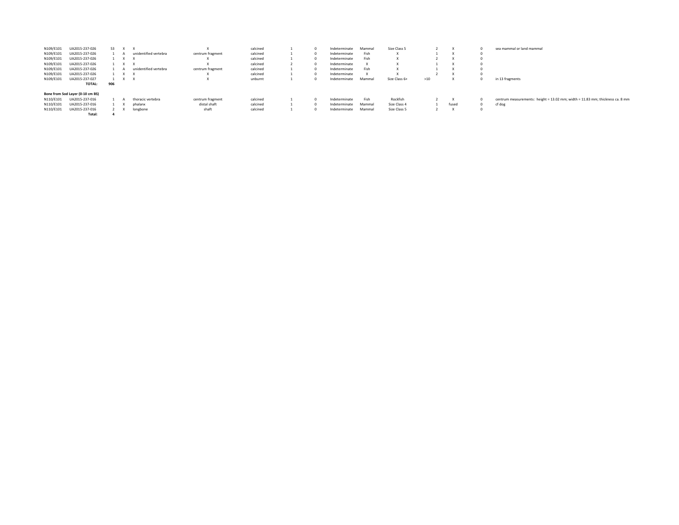| N109/E101 | UA2015-237-026                   | 53  |              |                       |                  | calcined |  | Indeterminate | Mammal | Size Class 5  |     |           |   | sea mammal or land mammal                                                         |
|-----------|----------------------------------|-----|--------------|-----------------------|------------------|----------|--|---------------|--------|---------------|-----|-----------|---|-----------------------------------------------------------------------------------|
| N109/E101 | UA2015-237-026                   |     |              | unidentified vertebra | centrum fragment | calcined |  | Indeterminate | Fish   | $\lambda$     |     |           |   |                                                                                   |
| N109/E101 | UA2015-237-026                   |     | $\mathsf{X}$ |                       |                  | calcined |  | Indeterminate | Fish   |               |     |           |   |                                                                                   |
| N109/E101 | UA2015-237-026                   |     | $\mathsf{X}$ |                       |                  | calcined |  | Indeterminate |        |               |     |           |   |                                                                                   |
| N109/E101 | UA2015-237-026                   |     |              | unidentified vertebra | centrum fragment | calcined |  | Indeterminate | Fish   |               |     |           |   |                                                                                   |
| N109/E101 | UA2015-237-026                   |     | $\mathsf{X}$ |                       |                  | calcined |  | Indeterminate |        |               |     |           |   |                                                                                   |
| N109/E101 | UA2015-237-027                   |     |              |                       |                  | unburnt  |  | Indeterminate | Mammal | Size Class 6+ | >10 | $\lambda$ |   | in 13 fragments                                                                   |
|           | <b>TOTAL:</b>                    | 906 |              |                       |                  |          |  |               |        |               |     |           |   |                                                                                   |
|           | Bone from Sod Layer (0-10 cm BS) |     |              |                       |                  |          |  |               |        |               |     |           |   |                                                                                   |
| N110/E101 | UA2015-237-016                   |     |              | thoracic vertebra     | centrum fragment | calcined |  | Indeterminate | Fish   | Rockfish      |     |           |   | centrum measurements: height = $13.02$ mm; width = $11.83$ mm; thickness ca. 8 mm |
| N110/E101 | UA2015-237-016                   |     | $\mathsf{X}$ | phalanx               | distal shaft     | calcined |  | Indeterminate | Mammal | Size Class 4  |     | fused     | 0 | cf dog                                                                            |
| N110/E101 | UA2015-237-016                   |     | $\mathsf{X}$ | longbone              | shaft            | calcined |  | Indeterminate | Mammal | Size Class 5  |     | $\lambda$ |   |                                                                                   |
|           | Total:                           |     |              |                       |                  |          |  |               |        |               |     |           |   |                                                                                   |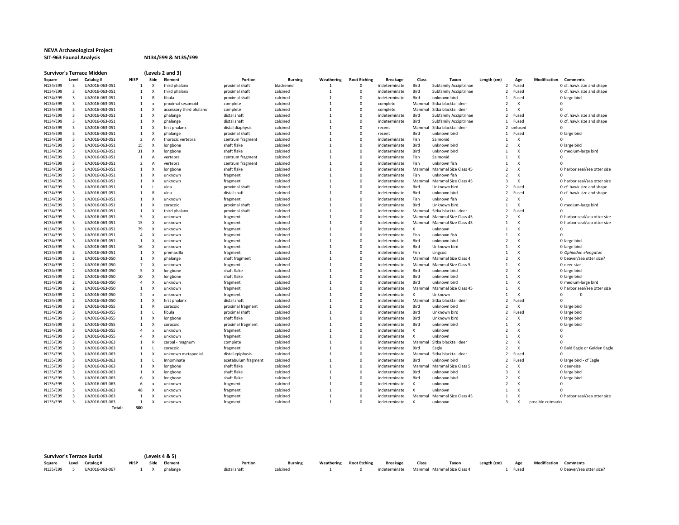### **NEVA Archaeological Project SIT-963 Faunal Analysis N134/E99 & N135/E99**

|          |       | <b>Survivor's Terrace Midden</b> |             |      | (Levels 2 and 3)        |                     |                |            |                     |                                |              |                               |             |                                    |                                        |
|----------|-------|----------------------------------|-------------|------|-------------------------|---------------------|----------------|------------|---------------------|--------------------------------|--------------|-------------------------------|-------------|------------------------------------|----------------------------------------|
| Square   | Level | Catalog #                        | <b>NISP</b> | Side | <b>Element</b>          | Portion             | <b>Burning</b> | Weathering | <b>Root Etching</b> | <b>Breakage</b>                | <b>Class</b> | Taxon                         | Length (cm) | Age                                | <b>Modification</b><br><b>Comments</b> |
| N134/E99 |       | UA2016-063-051                   |             |      | third phalanx           | proximal shaft      | blackened      |            |                     | indeterminate                  | <b>Bird</b>  | <b>Subfamily Accipitrinae</b> |             | Fused                              | 0 cf. hawk size and shape              |
| N134/E99 |       | UA2016-063-051                   |             |      | third phalanx           | proximal shaft      | calcined       |            | $\Omega$            | indeterminate                  | <b>Bird</b>  | <b>Subfamily Accipitrinae</b> |             | Fused                              | 0 cf. hawk size and shape              |
| N134/E99 |       | UA2016-063-051                   |             |      | fibula                  | proximal shaft      | calcined       |            | $\Omega$            | indeterminate                  | <b>Bird</b>  | unknown bird                  |             | Fused                              | 0 large bird                           |
| N134/E99 |       | UA2016-063-051                   |             |      | proximal sesamoid       | complete            | calcined       |            | $\Omega$            | complete                       |              | Mammal Sitka blacktail deer   |             | $\boldsymbol{\mathsf{X}}$          |                                        |
| N134/E99 |       | UA2016-063-051                   |             |      | accessory third phalanx | complete            | calcined       |            | $\Omega$            | complete                       | Mammal       | Sitka blacktail deer          |             | X                                  |                                        |
| N134/E99 |       | UA2016-063-051                   |             |      | phalange                | distal shaft        | calcined       |            | $\Omega$            | indeterminate                  | Bird         | <b>Subfamily Accipitrinae</b> |             | Fused                              | 0 cf. hawk size and shape              |
| N134/E99 |       | UA2016-063-051                   |             |      | phalange                | distal shaft        | calcined       |            | $\Omega$            | indeterminate                  | <b>Bird</b>  | Subfamily Accipitrinae        |             | Fused                              | 0 cf. hawk size and shape              |
| N134/E99 |       | UA2016-063-051                   |             |      | first phalanx           | distal diaphysis    | calcined       |            | $\Omega$            | recent                         | Mammal       | Sitka blacktail deer          |             | unfused                            |                                        |
| N134/E99 |       | UA2016-063-051                   |             |      | phalange                | proximal shaft      | calcined       |            | $\Omega$            | recent                         | <b>Bird</b>  | unknown bird                  |             | Fused                              | 0 large bird                           |
| N134/E99 |       | UA2016-063-051                   |             |      | thoracic vertebra       | centrum fragment    | calcined       |            | $\Omega$            | indeterminate                  | Fish         | Salmonid                      |             | X                                  |                                        |
| N134/E99 |       | UA2016-063-051                   | 15          |      | longbone                | shaft flake         | calcined       |            | $\Omega$            | indeterminate                  | <b>Bird</b>  | unknown bird                  |             | $\boldsymbol{\mathsf{X}}$          | 0 large bird                           |
| N134/E99 |       | UA2016-063-051                   | 31          |      | longbone                | shaft flake         | calcined       |            | $\Omega$            | indeterminate                  | <b>Bird</b>  | unknown bird                  |             | $\boldsymbol{\mathsf{X}}$          | 0 medium-large bird                    |
| N134/E99 |       | UA2016-063-051                   |             |      | vertebra                | centrum fragment    | calcined       |            | $\mathbf{0}$        | indeterminate                  | Fish         | Salmonid                      |             |                                    |                                        |
| N134/E99 |       | UA2016-063-051                   |             |      | vertebra                | centrum fragment    | calcined       |            | $\Omega$            | indeterminate                  | Fish         | unknown fish                  |             | $\times$                           |                                        |
| N134/E99 |       | UA2016-063-051                   |             |      | longbone                | shaft flake         | calcined       |            | $\mathbf{0}$        | indeterminate                  | Mammal       | <b>Mammal Size Class 45</b>   |             |                                    | 0 harbor seal/sea otter size           |
| N134/E99 |       | UA2016-063-051                   |             |      | unknown                 | fragment            | calcined       |            | $\Omega$            | indeterminate                  | Fish         | unknown fish                  |             | $\boldsymbol{\mathsf{X}}$          |                                        |
| N134/E99 |       | UA2016-063-051                   |             |      | unknown                 | fragment            | calcined       |            | $\Omega$            | indeterminate                  | Mammal       | <b>Mammal Size Class 45</b>   |             |                                    | 0 harbor seal/sea otter size           |
| N134/E99 |       | UA2016-063-051                   |             |      | ulna                    | proximal shaft      | calcined       |            | $\Omega$            | indeterminate                  | Bird         | Unknown bird                  |             | Fused                              | 0 cf. hawk size and shape              |
| N134/E99 |       | UA2016-063-051                   |             |      | ulna                    | distal shaft        | calcined       |            | $\Omega$            | indeterminate                  | <b>Bird</b>  | unknown bird                  |             | Fused                              | 0 cf. hawk size and shape              |
| N134/E99 |       | UA2016-063-051                   |             |      | unknown                 | fragment            | calcined       |            | $\mathbf{0}$        | indeterminate                  | Fish         | unknown fish                  |             | $\boldsymbol{\mathsf{X}}$          |                                        |
| N134/E99 |       | UA2016-063-051                   |             |      | coracoid                | proximal shaft      | calcined       |            | $\Omega$            | indeterminate                  | <b>Bird</b>  | Unknown bird                  |             | $\boldsymbol{\mathsf{x}}$          | 0 medium-large bird                    |
| N134/E99 |       | UA2016-063-051                   |             |      | third phalanx           | proximal shaft      | calcined       |            | $\mathbf{0}$        | indeterminate                  |              | Mammal Sitka blacktail deer   |             | Fused                              |                                        |
| N134/E99 |       | UA2016-063-051                   |             |      | unknown                 | fragment            | calcined       |            | $\Omega$            | indeterminate                  |              | Mammal Mammal Size Class 45   |             | X                                  | 0 harbor seal/sea otter size           |
| N134/E99 |       | UA2016-063-051                   | 15          |      | unknown                 | fragment            | calcined       |            | $\Omega$            | indeterminate                  |              | Mammal Mammal Size Class 45   |             | X                                  | 0 harbor seal/sea otter size           |
| N134/E99 |       | UA2016-063-051                   | 79          |      | unknown                 | fragment            | calcined       |            | $\mathbf 0$         | indeterminate                  |              | unknown                       |             | X                                  |                                        |
| N134/E99 |       | UA2016-063-051                   |             |      | unknown                 | fragment            | calcined       |            | $\Omega$            | indeterminate                  | Fish         | unknown fish                  |             |                                    |                                        |
| N134/E99 |       | UA2016-063-051                   |             |      | unknown                 | fragment            | calcined       |            | $\Omega$            | indeterminate                  | Bird         | unknown bird                  |             |                                    | 0 large bird                           |
| N134/E99 |       | UA2016-063-051                   | 16          |      | unknown                 | fragment            | calcined       |            |                     | indeterminate                  | <b>Bird</b>  | Unknown bird                  |             |                                    | 0 large bird                           |
| N134/E99 | 3     | UA2016-063-051                   |             |      | premaxilla              | fragment            | calcined       |            |                     | indeterminate                  | Fish         | Lingcod                       |             |                                    | 0 Ophiodon elongatus                   |
| N134/E99 |       | UA2016-063-050                   |             |      | phalange                | shaft fragment      | calcined       |            | $\Omega$            | indeterminate                  |              | Mammal Mammal Size Class 4    |             | X                                  | 0 beaver/sea otter size?               |
| N134/E99 |       | UA2016-063-050                   |             |      | unknown                 | fragment            | calcined       |            |                     | indeterminate                  |              | Mammal Mammal Size Class 5    |             | $\boldsymbol{\mathsf{X}}$          | 0 deer-size                            |
| N134/E99 |       | UA2016-063-050                   |             |      | longbone                | shaft flake         | calcined       |            |                     | indeterminate                  | <b>Bird</b>  | unknown bird                  |             |                                    | 0 large bird                           |
| N134/E99 |       | UA2016-063-050                   | 10          |      | longbone                | shaft flake         | calcined       |            | $\Omega$            | indeterminate                  | Bird         | unknown bird                  |             | $\boldsymbol{\mathsf{X}}$          | 0 large bird                           |
| N134/E99 |       | UA2016-063-050                   |             |      | unknown                 | fragment            | calcined       |            | $\Omega$            | indeterminate                  | Bird         | unknown bird                  |             |                                    | 0 medium-large bird                    |
| N134/E99 |       | UA2016-063-050                   |             |      | unknown                 | fragment            | calcined       |            | $\Omega$            | indeterminate                  |              | Mammal Mammal Size Class 45   |             |                                    | 0 harbor seal/sea otter size           |
| N134/E99 |       | UA2016-063-050                   |             |      | unknown                 | fragment            | calcined       |            | $\Omega$            | indeterminate                  |              | Unknown                       |             | $\boldsymbol{\mathsf{X}}$          |                                        |
| N134/E99 |       | UA2016-063-050                   |             |      | first phalanx           | distal shaft        | calcined       |            |                     |                                | Mammal       | Sitka blacktail deer          |             | Fused                              |                                        |
| N134/E99 |       | UA2016-063-055                   |             |      | coracoid                | proximal fragment   | calcined       |            | $\Omega$            | indeterminate<br>indeterminate | <b>Bird</b>  | unknown bird                  |             | $\boldsymbol{\mathsf{X}}$          | 0 large bird                           |
| N134/E99 |       | UA2016-063-055                   |             |      | fibula                  | proximal shaft      | calcined       |            |                     | indeterminate                  | Bird         | Unknown bird                  |             |                                    |                                        |
| N134/E99 |       | UA2016-063-055                   |             |      |                         | shaft flake         | calcined       |            | $\Omega$            | indeterminate                  | <b>Bird</b>  | Unknown bird                  |             | Fused<br>$\boldsymbol{\mathsf{X}}$ | 0 large bird<br>0 large bird           |
|          |       | UA2016-063-055                   |             |      | longbone                | proximal fragment   |                |            |                     |                                | Bird         | unknown bird                  |             |                                    |                                        |
| N134/E99 |       |                                  |             |      | coracoid                |                     | calcined       |            |                     | indeterminate                  |              |                               |             | X                                  | 0 large bird                           |
| N134/E99 |       | UA2016-063-055                   |             |      | unknown                 | fragment            | calcined       |            | $\Omega$            | indeterminate                  | x            | unknown                       |             | X                                  |                                        |
| N134/E99 |       | UA2016-063-055                   |             |      | unknown                 | fragment            | calcined       |            |                     | indeterminate                  |              | unknown                       |             |                                    |                                        |
| N135/E99 |       | UA2016-063-063                   |             |      | carpal - magnum         | complete            | calcined       |            |                     | indeterminate                  |              | Mammal Sitka blacktail deer   |             |                                    |                                        |
| N135/E99 |       | UA2016-063-063                   |             |      | coracoid                | fragment            | calcined       |            | $\Omega$            | indeterminate                  | <b>Bird</b>  | Eagle                         |             | $\boldsymbol{\mathsf{X}}$          | 0 Bald Eagle or Golden Eagle           |
| N135/E99 |       | UA2016-063-063                   |             |      | unknown metapodial      | distal epiphysis    | calcined       |            | $\Omega$            | indeterminate                  |              | Mammal Sitka blacktail deer   | 2           | Fused                              |                                        |
| N135/E99 |       | UA2016-063-063                   |             |      | Innominate              | acetabulum fragment | calcined       |            | $\Omega$            | indeterminate                  | <b>Bird</b>  | unknown bird                  |             | Fused                              | 0 large bird - cf Eagle                |
| N135/E99 |       | UA2016-063-063                   |             |      | longbone                | shaft flake         | calcined       |            | $\Omega$            | indeterminate                  |              | Mammal Mammal Size Class 5    |             | X                                  | 0 deer-size                            |
| N135/E99 |       | UA2016-063-063                   |             |      | longbone                | shaft flake         | calcined       |            |                     | indeterminate                  | Bird         | unknown bird                  |             | $\boldsymbol{\mathsf{X}}$          | 0 large bird                           |
| N135/E99 |       | UA2016-063-063                   |             |      | longbone                | shaft flake         | calcined       |            | $\Omega$            | indeterminate                  | Bird         | unknown bird                  |             |                                    | 0 large bird                           |
| N135/E99 |       | UA2016-063-063                   |             |      | unknown                 | fragment            | calcined       |            | 0                   | indeterminate                  | x            | unknown                       |             |                                    |                                        |
| N135/E99 |       | UA2016-063-063                   | 48          |      | unknown                 | fragment            | calcined       |            | $\Omega$            | indeterminate                  | x            | unknown                       |             | $\boldsymbol{\mathsf{X}}$          |                                        |
| N135/E99 |       | UA2016-063-063                   |             |      | unknown                 | fragment            | calcined       |            |                     | indeterminate                  |              | Mammal Mammal Size Class 45   |             |                                    | 0 harbor seal/sea otter size           |
| N135/E99 |       | UA2016-063-063                   |             |      | unknown                 | fragment            | calcined       |            | $\Omega$            | indeterminate                  |              | unknown                       |             |                                    | possible cutmarks                      |
|          |       | Total:                           | 300         |      |                         |                     |                |            |                     |                                |              |                               |             |                                    |                                        |

|          |       | <b>Survivor's Terrace Burial</b> |             |      | (Levels 4 & 5) |              |                |            |                     |                 |              |                            |             |       |                              |
|----------|-------|----------------------------------|-------------|------|----------------|--------------|----------------|------------|---------------------|-----------------|--------------|----------------------------|-------------|-------|------------------------------|
| Square   | Level | Catalog #                        | <b>NISP</b> | Side | Element        | Portion      | <b>Burning</b> | Weathering | <b>Root Etching</b> | <b>Breakage</b> | <b>Class</b> | Taxon                      | Length (cm) | Age   | <b>Modification Comments</b> |
| N135/E99 |       | UA2016-063-067                   |             |      | phalange       | distal shaft | calcined       |            |                     | indeterminate   |              | Mammal Mammal Size Class 4 |             | Fused | 0 beaver/sea otter size?     |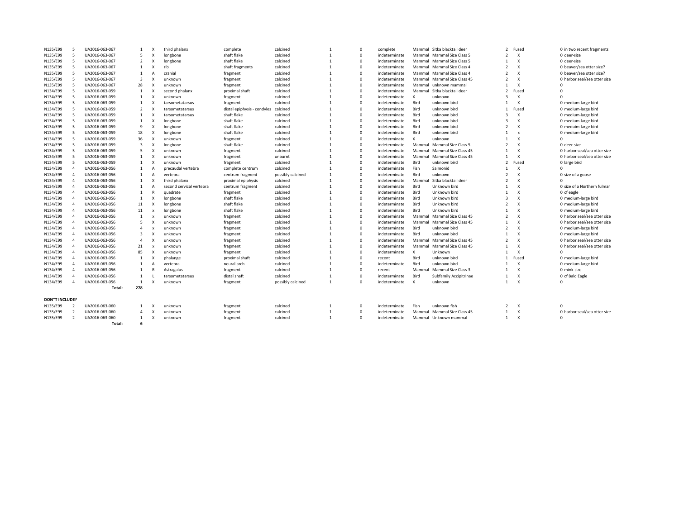| N135/E99              | 5              | UA2016-063-067 |                | X                         | third phalanx            | complete                    | calcined          | 1            | 0 |           |
|-----------------------|----------------|----------------|----------------|---------------------------|--------------------------|-----------------------------|-------------------|--------------|---|-----------|
| N135/E99              | 5              | UA2016-063-067 | 5              | X                         | longbone                 | shaft flake                 | calcined          |              |   |           |
| N135/E99              | 5              | UA2016-063-067 | 2              | X                         | longbone                 | shaft flake                 | calcined          | 1            |   |           |
| N135/E99              | 5              | UA2016-063-067 | $\mathbf{1}$   | X                         | rib                      | shaft fragments             | calcined          | 1            |   |           |
| N135/E99              | 5              | UA2016-063-067 | 1              | Α                         | cranial                  | fragment                    | calcined          | 1            |   |           |
| N135/E99              | 5              | UA2016-063-067 | 3              | X                         | unknown                  | fragment                    | calcined          | 1            |   |           |
| N135/E99              | 5              | UA2016-063-067 | 28             | X                         | unknown                  | fragment                    | calcined          |              |   |           |
| N134/E99              | 5              | UA2016-063-059 |                | X                         | second phalanx           | proximal shaft              | calcined          |              |   |           |
| N134/E99              | 5              | UA2016-063-059 |                | X                         | unknown                  | fragment                    | calcined          |              |   |           |
| N134/E99              | 5              | UA2016-063-059 |                | Χ                         | tarsometatarsus          | fragment                    | calcined          |              |   |           |
| N134/E99              | 5              | UA2016-063-059 | $\overline{2}$ | $\boldsymbol{\mathsf{X}}$ | tarsometatarsus          | distal epiphysis - condyles | calcined          | 1            |   |           |
| N134/E99              | 5              | UA2016-063-059 | 1              | X                         | tarsometatarsus          | shaft flake                 | calcined          | 1            |   |           |
| N134/E99              | 5              | UA2016-063-059 |                | X                         | longbone                 | shaft flake                 | calcined          |              |   |           |
| N134/E99              | 5              | UA2016-063-059 | 9              | X                         | longbone                 | shaft flake                 | calcined          |              |   |           |
| N134/E99              | 5              | UA2016-063-059 | 18             | X                         | longbone                 | shaft flake                 | calcined          |              |   |           |
| N134/E99              | 5              | UA2016-063-059 | 36             | Χ                         | unknown                  | fragment                    | calcined          | 1            |   |           |
| N134/E99              | 5              | UA2016-063-059 | 3              | X                         | longbone                 | shaft flake                 | calcined          |              |   |           |
| N134/E99              | 5              | UA2016-063-059 | 5              | X                         | unknown                  | fragment                    | calcined          | 1            |   |           |
| N134/E99              | 5              | UA2016-063-059 |                | X                         | unknown                  | fragment                    | unburnt           |              |   |           |
| N134/E99              | 5              | UA2016-063-059 |                | X                         | unknown                  | fragment                    | calcined          |              |   |           |
| N134/E99              | 4              | UA2016-063-056 |                | Α                         | precaudal vertebra       | complete centrum            | calcined          |              |   |           |
| N134/E99              | 4              | UA2016-063-056 |                | Α                         | vertebra                 | centrum fragment            | possibly calcined | 1            |   |           |
| N134/E99              | 4              | UA2016-063-056 |                | Χ                         | third phalanx            | proximal epiphysis          | calcined          | 1            |   |           |
| N134/E99              | 4              | UA2016-063-056 | 1              | Α                         | second cervical vertebra | centrum fragment            | calcined          | 1            |   |           |
| N134/E99              | 4              | UA2016-063-056 |                | R                         | quadrate                 | fragment                    | calcined          |              |   |           |
| N134/E99              | 4              | UA2016-063-056 |                | X                         | longbone                 | shaft flake                 | calcined          |              |   |           |
| N134/E99              | 4              | UA2016-063-056 | 11             | X                         | longbone                 | shaft flake                 | calcined          |              |   |           |
| N134/E99              | 4              | UA2016-063-056 | 11             | X                         | longbone                 | shaft flake                 | calcined          | 1            |   |           |
| N134/E99              | 4              | UA2016-063-056 | 1              | X                         | unknown                  | fragment                    | calcined          |              |   |           |
| N134/E99              | 4              | UA2016-063-056 | 5              | X                         | unknown                  | fragment                    | calcined          |              |   |           |
| N134/E99              | 4              | UA2016-063-056 | 4              | X                         | unknown                  | fragment                    | calcined          | 1            | 0 |           |
| N134/E99              | 4              | UA2016-063-056 | 3              | X                         | unknown                  | fragment                    | calcined          | $\mathbf{1}$ | 0 | ir        |
| N134/E99              | 4              | UA2016-063-056 | 4              | Χ                         | unknown                  | fragment                    | calcined          | 1            | 0 | İľ        |
| N134/E99              | 4              | UA2016-063-056 | 21             | $\boldsymbol{\mathsf{x}}$ | unknown                  | fragment                    | calcined          | $\mathbf{1}$ | 0 | ir        |
| N134/E99              | 4              | UA2016-063-056 | 85             | X                         | unknown                  | fragment                    | calcined          | 1            | 0 | ir        |
| N134/E99              | 4              | UA2016-063-056 |                | X                         | phalange                 | proximal shaft              | calcined          | $\mathbf{1}$ | 0 | r.        |
| N134/E99              | 4              | UA2016-063-056 | 1              | Α                         | vertebra                 | neural arch                 | calcined          | 1            | 0 | ir        |
| N134/E99              | 4              | UA2016-063-056 |                | R                         | Astragalus               | fragment                    | calcined          | 1            | 0 | r         |
| N134/E99              | 4              | UA2016-063-056 |                |                           | tarsometatarsus          | distal shaft                | calcined          | 1            | 0 | ir        |
| N134/E99              | 4              | UA2016-063-056 |                | X                         | unknown                  | fragment                    | possibly calcined | $\mathbf{1}$ | 0 | ir        |
|                       |                | Total:         | 278            |                           |                          |                             |                   |              |   |           |
| <b>DON"T INCLUDE?</b> |                |                |                |                           |                          |                             |                   |              |   |           |
| N135/E99              | $\overline{2}$ | UA2016-063-060 | 1              | X                         | unknown                  | fragment                    | calcined          | $\mathbf{1}$ | 0 | <u>ir</u> |
| N135/E99              | $\overline{2}$ | UA2016-063-060 | 4              | X                         | unknown                  | fragment                    | calcined          | 1            | 0 | İľ        |
| N135/E99              | $\overline{2}$ | UA2016-063-060 |                | X                         | unknown                  | fragment                    | calcined          | $\mathbf{1}$ | 0 | ir        |
|                       |                | Total:         | 6              |                           |                          |                             |                   |              |   |           |

| 0 | complete      | Mammal      | Sitka blacktail deer        | 2              | Fused              | 0 in two recent fragments    |
|---|---------------|-------------|-----------------------------|----------------|--------------------|------------------------------|
| 0 | indeterminate | Mammal      | <b>Mammal Size Class 5</b>  | 2              | X                  | 0 deer-size                  |
| 0 | indeterminate | Mammal      | <b>Mammal Size Class 5</b>  | 1              | X                  | 0 deer-size                  |
| 0 | indeterminate | Mammal      | <b>Mammal Size Class 4</b>  | 2              | X                  | 0 beaver/sea otter size?     |
| 0 | indeterminate | Mammal      | <b>Mammal Size Class 4</b>  | $\overline{2}$ | X                  | 0 beaver/sea otter size?     |
| 0 | indeterminate | Mammal      | <b>Mammal Size Class 45</b> | 2              | X                  | 0 harbor seal/sea otter size |
| 0 | indeterminate | Mammal      | unknown mammal              | 1              | X                  | 0                            |
| 0 | indeterminate | Mammal      | Sitka blacktail deer        | 2              | Fused              | 0                            |
| 0 | indeterminate | X           | unknown                     | 3              | X                  | 0                            |
| 0 | indeterminate | <b>Bird</b> | unknown bird                | 1              | X                  | 0 medium-large bird          |
| 0 | indeterminate | <b>Bird</b> | unknown bird                | 1              | Fused              | 0 medium-large bird          |
| 0 | indeterminate | <b>Bird</b> | unknown bird                | 3              | $\pmb{\mathsf{X}}$ | 0 medium-large bird          |
| 0 | indeterminate | <b>Bird</b> | unknown bird                | 3              | $\pmb{\times}$     | 0 medium-large bird          |
| 0 | indeterminate | <b>Bird</b> | unknown bird                | 2              | X                  | 0 meduim-large bird          |
| 0 | indeterminate | <b>Bird</b> | unknown bird                | 1              | X                  | 0 medium-large bird          |
| 0 | indeterminate | X           | unknown                     | 1              | X                  | 0                            |
| 0 | indeterminate | Mammal      | <b>Mammal Size Class 5</b>  | $\overline{2}$ | X                  | 0 deer-size                  |
| 0 | indeterminate | Mammal      | <b>Mammal Size Class 45</b> | 1              | X                  | 0 harbor seal/sea otter size |
| 0 | indeterminate | Mammal      | <b>Mammal Size Class 45</b> | 1              | X                  | 0 harbor seal/sea otter size |
| 0 | indeterminate | <b>Bird</b> | unknown bird                | 2              | Fused              | 0 large bird                 |
| 0 | indeterminate | Fish        | Salmonid                    | 1              | Χ                  | 0                            |
| 0 | indeterminate | <b>Bird</b> | unknown                     | $\overline{2}$ | $\pmb{\times}$     | 0 size of a goose            |
| 0 | indeterminate | Mammal      | Sitka blacktail deer        | 2              | X                  | 0                            |
| 0 | indeterminate | <b>Bird</b> | Unknown bird                | 1              | Χ                  | 0 size of a Northern fulmar  |
| 0 | indeterminate | <b>Bird</b> | Unknown bird                | 1              | $\pmb{\times}$     | 0 cf eagle                   |
| 0 | indeterminate | <b>Bird</b> | Unknown bird                | 3              | X                  | 0 medium-large bird          |
| 0 | indeterminate | <b>Bird</b> | Unknown bird                | $\overline{2}$ | $\pmb{\times}$     | 0 medium-large bird          |
| 0 | indeterminate | <b>Bird</b> | Unknown bird                | 1              | X                  | 0 medium-large bird          |
| 0 | indeterminate | Mammal      | <b>Mammal Size Class 45</b> | $\overline{2}$ | $\pmb{\times}$     | 0 harbor seal/sea otter size |
| 0 | indeterminate | Mammal      | <b>Mammal Size Class 45</b> | 1              | X                  | 0 harbor seal/sea otter size |
| 0 | indeterminate | <b>Bird</b> | unknown bird                | 2              | Χ                  | 0 medium-large bird          |
| 0 | indeterminate | <b>Bird</b> | unknown bird                | 1              | X                  | 0 medium-large bird          |
| 0 | indeterminate | Mammal      | <b>Mammal Size Class 45</b> | 2              | X                  | 0 harbor seal/sea otter size |
| 0 | indeterminate | Mammal      | <b>Mammal Size Class 45</b> | 1              | X                  | 0 harbor seal/sea otter size |
| 0 | indeterminate | X           | Unknown                     | 1              | X                  | 0                            |
| 0 | recent        | <b>Bird</b> | unknown bird                | 1              | Fused              | 0 medium-large bird          |
| 0 | indeterminate | <b>Bird</b> | unknown bird                | 1              | X                  | 0 medium-large bird          |
| 0 | recent        | Mammal      | <b>Mammal Size Class 3</b>  | 1              | X                  | 0 mink-size                  |
| 0 | indeterminate | <b>Bird</b> | Subfamily Accipitrinae      | 1              | X                  | 0 cf Bald Eagle              |
| 0 | indeterminate | X           | unknown                     | 1              | X                  | 0                            |
|   |               |             |                             |                |                    |                              |
| 0 | indeterminate | Fish        | unknown fish                | 2              | X                  | 0                            |
| 0 | indeterminate | Mammal      | <b>Mammal Size Class 45</b> | 1              | X                  | 0 harbor seal/sea otter size |
| 0 | indeterminate |             | Mammal Unknown mammal       | 1              | X                  | 0                            |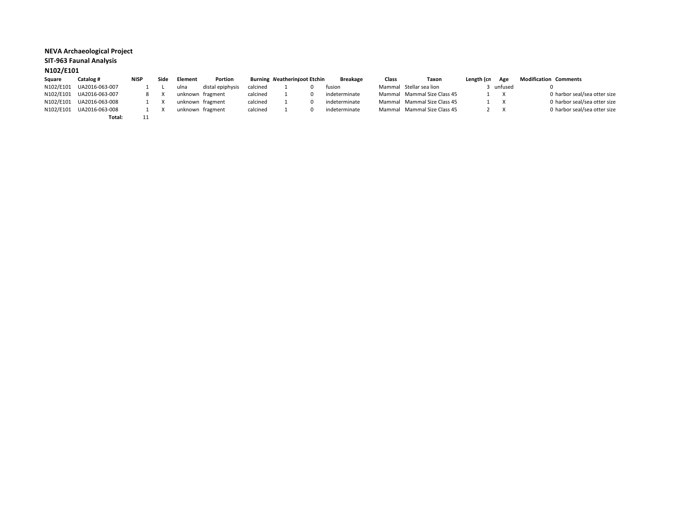### **NEVA Archaeological Project**

### **SIT-963 Faunal Analysis**

### **N102/E101**

| Square    | Catalog #      | <b>NISP</b> | <b>Side</b> | Element | Portion          |          | <b>Burning Neatheringoot Etchin</b> | <b>Breakage</b> | Class | Taxon                       | Length (cn | Age     | <b>Modification Comments</b> |
|-----------|----------------|-------------|-------------|---------|------------------|----------|-------------------------------------|-----------------|-------|-----------------------------|------------|---------|------------------------------|
| N102/E101 | UA2016-063-007 |             |             | ulna    | distal epiphysis | calcined |                                     | fusion          |       | Mammal Stellar sea lion     |            | unfused |                              |
| N102/E101 | UA2016-063-007 |             |             |         | unknown fragment | calcined |                                     | indeterminate   |       | Mammal Mammal Size Class 45 |            |         | 0 harbor seal/sea otter size |
| N102/E101 | UA2016-063-008 |             |             |         | unknown fragment | calcined |                                     | indeterminate   |       | Mammal Mammal Size Class 45 |            |         | 0 harbor seal/sea otter size |
| N102/E101 | UA2016-063-008 |             |             |         | unknown fragment | calcined |                                     | indeterminate   |       | Mammal Mammal Size Class 45 |            |         | 0 harbor seal/sea otter size |
|           | Total:         |             |             |         |                  |          |                                     |                 |       |                             |            |         |                              |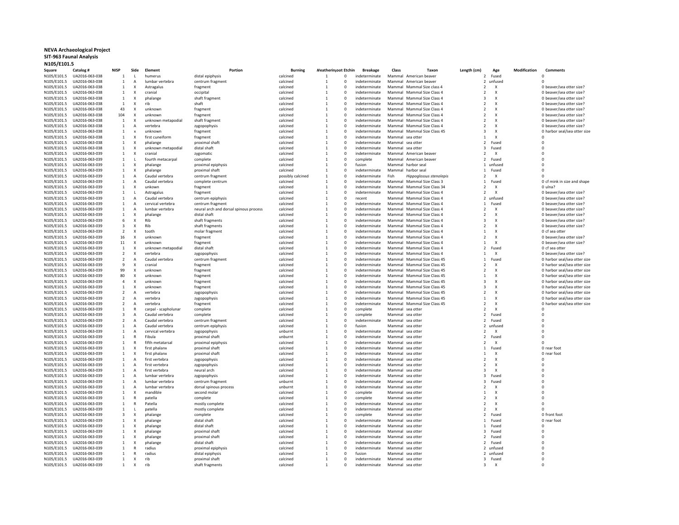### **NEVA Archaeological Project SIT-963 Faunal Analysis N105/E101.5**

| <b>Square</b>              | Catalog #                        | <b>NISP</b>   | Side | Element                          | <b>Portion</b>                         | <b>Burning</b>       | <b>Neatheringoot Etchin</b> | <b>Breakage</b>                | <b>Class</b> | Taxon                                                      | Length (cm) | Age                  | <b>Modification</b> | <b>Comments</b>                                      |
|----------------------------|----------------------------------|---------------|------|----------------------------------|----------------------------------------|----------------------|-----------------------------|--------------------------------|--------------|------------------------------------------------------------|-------------|----------------------|---------------------|------------------------------------------------------|
| N105/E101.5                | UA2016-063-038                   |               |      | humerus                          | distal epiphysis                       | calcined             |                             | indeterminate                  | Mammal       | American beaver                                            |             | Fused                |                     |                                                      |
| N105/E101.5                | UA2016-063-038                   |               |      | lumbar vertebra                  | centrum fragment                       | calcined             |                             | indeterminate                  |              | Mammal American beaver                                     |             | unfused              |                     |                                                      |
| N105/E101.5                | UA2016-063-038                   |               |      | Astragalus                       | fragment                               | calcined             |                             | indeterminate                  |              | Mammal Mammal Size class 4                                 |             |                      |                     | 0 beaver/sea otter size?                             |
| N105/E101.5                | UA2016-063-038                   |               |      | cranial                          | occipital                              | calcined             |                             | indeterminate                  |              | Mammal Mammal Size Class 4                                 |             |                      |                     | 0 beaver/sea otter size?                             |
| N105/E101.5                | UA2016-063-038                   |               |      | phalange                         | shaft fragment                         | calcined             |                             | indeterminate                  |              | Mammal Mammal Size Class 4                                 |             |                      |                     | 0 beaver/sea otter size?                             |
| N105/E101.5                | UA2016-063-038                   |               |      |                                  | shaft                                  | calcined             |                             | indeterminate                  |              | Mammal Mammal Size Class 4                                 |             |                      |                     | 0 beaver/sea otter size?                             |
| N105/E101.5                | UA2016-063-038                   | 43            |      | unknown                          | fragment                               | calcined             |                             | indeterminate                  |              | Mammal Mammal Size Class 4                                 |             |                      |                     | 0 beaver/sea otter size?                             |
| N105/E101.5<br>N105/E101.5 | UA2016-063-038<br>UA2016-063-038 | 104           |      | unknown                          | fragment<br>shaft fragment             | calcined<br>calcined |                             | indeterminate                  |              | Mammal Mammal Size Class 4<br>Mammal Mammal Size Class 4   |             |                      |                     | 0 beaver/sea otter size?<br>0 beaver/sea otter size? |
| N105/E101.5                | UA2016-063-038                   |               |      | unknown metapodial<br>vertebra   |                                        | calcined             |                             | indeterminate<br>indeterminate |              | Mammal Mammal Size Class 4                                 |             |                      |                     | 0 beaver/sea otter size?                             |
| N105/E101.5                | UA2016-063-038                   |               |      | unknown                          | zygopophysis<br>fragment               | calcined             |                             | indeterminate                  |              | Mammal Mammal Size Class 45                                |             |                      |                     | 0 harbor seal/sea otter size                         |
| N105/E101.5                | UA2016-063-038                   |               |      | first cuneiform                  | fragment                               | calcined             |                             | indeterminate                  |              | Mammal sea otter                                           |             |                      |                     |                                                      |
| N105/E101.5                | UA2016-063-038                   |               |      | phalange                         | proximal shaft                         | calcined             |                             | indeterminate                  |              | Mammal sea otter                                           |             | Fused                |                     |                                                      |
| N105/E101.5                | UA2016-063-038                   |               |      | unknown metapodial               | distal shaft                           | calcined             |                             | indeterminate                  |              | Mammal sea otter                                           |             | Fused                |                     |                                                      |
| N105/E101.5                | UA2016-063-039                   |               |      | cranial                          | zygomatic                              | calcined             |                             | indeterminate                  |              | Mammal American beaver                                     |             | $\mathcal{D}$<br>X   |                     |                                                      |
| N105/E101.5                | UA2016-063-039                   |               |      | fourth metacarpal                | complete                               | calcined             |                             | complete                       |              | Mammal American beaver                                     |             | 2 Fused              |                     |                                                      |
| N105/E101.5                | UA2016-063-039                   |               |      | phalange                         | proximal epiphysis                     | calcined             |                             | fusion                         |              | Mammal harbor seal                                         |             | unfused              |                     |                                                      |
| N105/E101.5                | UA2016-063-039                   |               |      | phalange                         | proximal shaft                         | calcined             |                             | indeterminate                  |              | Mammal harbor seal                                         |             | Fused                |                     |                                                      |
| N105/E101.5                | UA2016-063-039                   |               |      | Caudal vertebra                  | centrum fragment                       | possibly calcined    |                             | indeterminate                  | Fish         | Hippoglossus stenolepis                                    |             |                      |                     |                                                      |
| N105/E101.5                | UA2016-063-039                   |               |      | Caudal vertebra                  | complete centrum                       | calcined             |                             | indeterminate                  |              | Mammal Mammal Size Class 3                                 |             | Fused                |                     | 0 cf mink in size and shape                          |
| N105/E101.5                | UA2016-063-039                   |               |      | unkown                           | fragment                               | calcined             |                             | indeterminate                  | Mammal       | <b>Mammal Size Class 34</b>                                |             |                      |                     | 0 ulna?                                              |
| N105/E101.5                | UA2016-063-039                   |               |      | Astragalus                       | fragment                               | calcined             |                             | indeterminate                  |              | Mammal Mammal Size Class 4                                 |             |                      |                     | 0 beaver/sea otter size?                             |
| N105/E101.5                | UA2016-063-039                   |               |      | Caudal vertebra                  | centrum epiphysis                      | calcined             |                             | recent                         |              | Mammal Mammal Size Class 4                                 |             | unfused              |                     | 0 beaver/sea otter size?                             |
| N105/E101.5                | UA2016-063-039                   |               |      | cervical vertebra                | centrum fragment                       | calcined             |                             | indeterminate                  |              | Mammal Mammal Size Class 4                                 |             | Fused                |                     | 0 beaver/sea otter size?                             |
| N105/E101.5                | UA2016-063-039                   |               |      | lumbar vertebra                  | neural arch and dorsal spinous process | calcined             |                             | indeterminate                  |              | Mammal Mammal Size Class 4                                 |             |                      |                     | 0 beaver/sea otter size?                             |
| N105/E101.5                | UA2016-063-039                   |               |      | phalange                         | distal shaft                           | calcined             |                             | indeterminate                  |              | Mammal Mammal Size Class 4                                 |             |                      |                     | 0 beaver/sea otter size?                             |
| N105/E101.5                | UA2016-063-039                   |               |      | Rib                              | shaft fragments                        | calcined             |                             | indeterminate                  |              | Mammal Mammal Size Class 4                                 |             |                      |                     | 0 beaver/sea otter size?                             |
| N105/E101.5                | UA2016-063-039                   | 3             |      | Rib                              | shaft fragments                        | calcined             |                             | indeterminate                  |              | Mammal Mammal Size Class 4                                 |             |                      |                     | 0 beaver/sea otter size?                             |
| N105/E101.5                | UA2016-063-039                   | $\mathcal{L}$ |      | tooth                            | molar fragment                         | calcined             |                             | indeterminate                  |              | Mammal Mammal Size Class 4                                 |             |                      |                     | 0 cf sea otter                                       |
| N105/E101.5                | UA2016-063-039                   | 16            |      | unknown                          | fragment                               | calcined             |                             | indeterminate                  |              | Mammal Mammal Size Class 4                                 |             |                      |                     | 0 beaver/sea otter size?                             |
| N105/E101.5                | UA2016-063-039                   | 11            |      | unknown                          | fragment                               | calcined             |                             | indeterminate                  |              | Mammal Mammal Size Class 4                                 |             |                      |                     | 0 beaver/sea otter size?                             |
| N105/E101.5                | UA2016-063-039                   |               |      | unknown metapodial               | distal shaft                           | calcined             |                             | indeterminate                  |              | Mammal Mammal Size Class 4                                 |             | Fused                |                     | 0 cf sea otter                                       |
| N105/E101.5                | UA2016-063-039                   |               |      | vertebra                         | zygopophysis                           | calcined             |                             | indeterminate                  |              | Mammal Mammal Size Class 4                                 |             |                      |                     | 0 beaver/sea otter size?                             |
| N105/E101.5                | UA2016-063-039                   |               |      | Caudal vertebra                  | centrum fragment                       | calcined             |                             | indeterminate                  |              | Mammal Mammal Size Class 45                                |             | Fused                |                     | 0 harbor seal/sea otter size                         |
| N105/E101.5                | UA2016-063-039                   | q             |      | cranial                          | fragment                               | calcined             |                             | indeterminate                  |              | Mammal Mammal Size Class 45                                |             |                      |                     | 0 harbor seal/sea otter size                         |
| N105/E101.5                | UA2016-063-039                   | 99            |      | unknown                          | fragment                               | calcined             |                             | indeterminate                  |              | Mammal Mammal Size Class 45                                |             |                      |                     | 0 harbor seal/sea otter size                         |
| N105/E101.5                | UA2016-063-039                   | 80            |      | unknown                          | fragment                               | calcined             |                             | indeterminate                  |              | Mammal Mammal Size Class 45                                |             |                      |                     | 0 harbor seal/sea otter size                         |
| N105/E101.5                | UA2016-063-039                   |               |      | unknown                          | fragment                               | calcined             |                             | indeterminate                  |              | Mammal Mammal Size Class 45                                |             |                      |                     | 0 harbor seal/sea otter size                         |
| N105/E101.5                | UA2016-063-039                   |               |      | unknown                          | fragment                               | calcined             |                             | indeterminate                  |              | Mammal Mammal Size Class 45                                |             |                      |                     | 0 harbor seal/sea otter size                         |
| N105/E101.5                | UA2016-063-039                   |               |      | vertebra                         | zygopophysis                           | calcined             |                             | indeterminate                  |              | Mammal Mammal Size Class 45                                |             |                      |                     | 0 harbor seal/sea otter size                         |
| N105/E101.5                | UA2016-063-039<br>UA2016-063-039 | 2             |      | vertebra                         | zygopophysis                           | calcined<br>calcined |                             | indeterminate                  |              | Mammal Mammal Size Class 45<br>Mammal Mammal Size Class 45 |             |                      |                     | 0 harbor seal/sea otter size                         |
| N105/E101.5<br>N105/E101.5 | UA2016-063-039                   |               |      | vertebra<br>carpal - scapholunar | fragment<br>complete                   | calcined             |                             | indeterminate<br>complete      |              | Mammal sea otter                                           |             |                      |                     | 0 harbor seal/sea otter size                         |
| N105/E101.5                | UA2016-063-039                   |               |      | Caudal vertebra                  | complete                               | calcined             |                             | complete                       |              | Mammal sea otter                                           |             | Fused                |                     |                                                      |
| N105/E101.5                | UA2016-063-039                   |               |      | Caudal vertebra                  | centrum fragment                       | calcined             |                             | indeterminate                  |              | Mammal sea otter                                           |             | 2 Fused              |                     |                                                      |
| N105/E101.5                | UA2016-063-039                   |               |      | Caudal vertebra                  | centrum epiphysis                      | calcined             |                             | fusion                         |              | Mammal sea otter                                           |             | 2 unfused            |                     |                                                      |
| N105/E101.5                | UA2016-063-039                   |               |      | cervical vertebra                | zygopophysis                           | unburnt              |                             | indeterminate                  |              | Mammal sea otter                                           |             |                      |                     |                                                      |
| N105/E101.5                | UA2016-063-039                   |               |      | Fibula                           | proximal shaft                         | unburnt              |                             | indeterminate                  |              | Mammal sea otter                                           |             | 2 Fused              |                     |                                                      |
| N105/E101.5                | UA2016-063-039                   |               |      | fifth metatarsal                 | proximal epiphysis                     | calcined             |                             | indeterminate                  |              | Mammal sea otter                                           |             |                      |                     |                                                      |
| N105/E101.5                | UA2016-063-039                   |               |      | first phalanx                    | proximal shaft                         | calcined             |                             | indeterminate                  |              | Mammal sea otter                                           |             | Fused                |                     | 0 rear foot                                          |
| N105/E101.5                | UA2016-063-039                   |               |      | first phalanx                    | proximal shaft                         | calcined             |                             | indeterminate                  |              | Mammal sea otter                                           |             |                      |                     | 0 rear foot                                          |
| N105/E101.5                | UA2016-063-039                   |               |      | first vertebra                   | zygopophysis                           | calcined             |                             | indeterminate                  |              | Mammal sea otter                                           |             |                      |                     |                                                      |
| N105/E101.5                | UA2016-063-039                   |               |      | first vertebra                   | zygopophysis                           | calcined             |                             | indeterminate                  |              | Mammal sea otter                                           |             |                      |                     |                                                      |
| N105/E101.5                | UA2016-063-039                   |               |      | first vertebra                   | neural arch                            | calcined             |                             | indeterminate                  |              | Mammal sea otter                                           |             |                      |                     |                                                      |
| N105/E101.5                | UA2016-063-039                   |               |      | lumbar vertebra                  | zygopophysis                           | calcined             |                             | indeterminate                  |              | Mammal sea otter                                           |             | Fused                |                     |                                                      |
| N105/E101.5                | UA2016-063-039                   |               |      | lumbar vertebra                  | centrum fragment                       | unburnt              |                             | indeterminate                  |              | Mammal sea otter                                           |             | Fused                |                     |                                                      |
| N105/E101.5                | UA2016-063-039                   |               |      | lumbar vertebra                  | dorsal spinous process                 | unburnt              |                             | indeterminate                  |              | Mammal sea otter                                           |             |                      |                     |                                                      |
| N105/E101.5                | UA2016-063-039                   |               |      | mandible                         | second molar                           | calcined             |                             | complete                       |              | Mammal sea otter                                           |             |                      |                     |                                                      |
| N105/E101.5                | UA2016-063-039                   |               |      | patella                          | complete                               | calcined             |                             | complete                       |              | Mammal sea otter                                           |             |                      |                     |                                                      |
| N105/E101.5                | UA2016-063-039                   |               |      | Patella                          | mostly complete                        | calcined             |                             | indeterminate                  |              | Mammal sea otter                                           |             |                      |                     |                                                      |
| N105/E101.5                | UA2016-063-039                   |               |      | patella                          | mostly complete                        | calcined             |                             | indeterminate                  |              | Mammal sea otter                                           |             |                      |                     |                                                      |
| N105/E101.5                | UA2016-063-039                   |               |      | phalange                         | complete                               | calcined             |                             | complete                       |              | Mammal sea otter                                           |             | Fused                |                     | 0 front foot                                         |
|                            |                                  |               |      | phalange                         | distal shaft                           | calcined             |                             | indeterminate                  |              | Mammal sea otter                                           |             | 1 Fused              |                     | 0 rear foot                                          |
|                            |                                  |               |      | phalange                         | distal shaft                           | calcined             |                             | indeterminate                  |              | Mammal sea otter                                           |             | Fused                |                     |                                                      |
| N105/E101.5                | UA2016-063-039                   |               |      | phalange                         | proximal shaft                         | calcined             |                             | indeterminate                  |              | Mammal sea otter                                           |             | 3 Fused              |                     |                                                      |
| N105/E101.5                | UA2016-063-039<br>UA2016-063-039 |               |      | phalange                         | proximal shaft                         | calcined             |                             | indeterminate                  |              | Mammal sea otter<br>Mammal sea otter                       |             | 2 Fused              |                     |                                                      |
| N105/E101.5<br>N105/E101.5 | UA2016-063-039                   |               |      | phalange                         | distal shaft                           | calcined<br>calcined |                             | indeterminate                  |              | Mammal sea otter                                           |             | 2 Fused<br>2 unfused |                     |                                                      |
| N105/E101.5                | UA2016-063-039                   |               |      | radius<br>radius                 | proximal epiphysis<br>distal epiphysis | calcined             |                             | indeterminate<br>fusion        |              | Mammal sea otter                                           |             | 2 unfused            |                     |                                                      |
| N105/E101.5                | UA2016-063-039                   |               |      | rib                              | proximal shaft                         | calcined             |                             | indeterminate                  |              | Mammal sea otter                                           |             | 3 Fused              |                     |                                                      |
| N105/E101.5                | UA2016-063-039                   | $\mathbf{1}$  |      | rib                              | shaft fragments                        | calcined             |                             | indeterminate                  |              | Mammal sea otter                                           |             | $\mathsf{X}$<br>3    |                     | 0                                                    |
|                            |                                  |               |      |                                  |                                        |                      |                             |                                |              |                                                            |             |                      |                     |                                                      |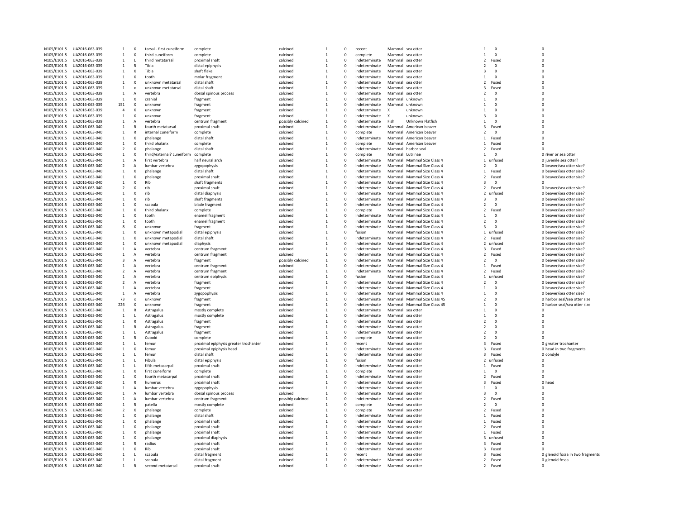| N105/E101.5 | UA2016-063-039 |                | tarsal - first cuneiform  | complete                              | calcined          |   | recent        | Mammal sea otter |                             |               | - х       |                                  |
|-------------|----------------|----------------|---------------------------|---------------------------------------|-------------------|---|---------------|------------------|-----------------------------|---------------|-----------|----------------------------------|
| N105/E101.5 | UA2016-063-039 |                | third cuneiform           | complete                              | calcined          |   | complete      | Mammal sea otter |                             |               |           |                                  |
| N105/E101.5 | UA2016-063-039 |                | third metatarsal          | proximal shaft                        | calcined          |   | indeterminate | Mammal sea otter |                             |               | Fused     |                                  |
| N105/E101.5 | UA2016-063-039 |                | Tibia                     | distal epiphysis                      | calcined          |   | indeterminate | Mammal sea otter |                             |               |           |                                  |
| N105/E101.5 | UA2016-063-039 |                | Tibia                     | shaft flake                           | calcined          |   | indeterminate | Mammal sea otter |                             |               |           |                                  |
| N105/E101.5 | UA2016-063-039 |                | tooth                     | molar fragment                        | calcined          |   | indeterminate | Mammal sea otter |                             |               |           |                                  |
| N105/E101.5 | UA2016-063-039 |                | unknown metatarsal        | distal shaft                          | calcined          |   | indeterminate | Mammal sea otter |                             |               | Fused     |                                  |
| N105/E101.5 | UA2016-063-039 |                | unknown metatarsal        | distal shaft                          | calcined          |   |               | Mammal sea otter |                             |               | Fused     |                                  |
|             | UA2016-063-039 |                |                           |                                       |                   |   | indeterminate |                  |                             |               |           |                                  |
| N105/E101.5 |                |                | vertebra                  | dorsal spinous process                | calcined          |   | indeterminate | Mammal sea otter |                             |               |           |                                  |
| N105/E101.5 | UA2016-063-039 |                | cranial                   | fragment                              | calcined          |   | indeterminate | Mammal unknown   |                             |               |           |                                  |
| N105/E101.5 | UA2016-063-039 | 151            | unknown                   | fragment                              | calcined          |   | indeterminate | Mammal unknown   |                             |               |           |                                  |
| N105/E101.5 | UA2016-063-039 | -4             | unknown                   | fragment                              | calcined          |   | indeterminate |                  | unknown                     |               |           |                                  |
| N105/E101.5 | UA2016-063-039 |                | unknown                   | fragment                              | calcined          |   | indeterminate |                  | unknown                     |               |           |                                  |
| N105/E101.5 | UA2016-063-039 |                | vertebra                  | centrum fragment                      | possibly calcined |   | indeterminate | Fish             | Unknown Flatfish            |               |           |                                  |
| N105/E101.5 | UA2016-063-040 |                | fourth metatarsal         | proximal shaft                        | calcined          |   | indeterminate | Mammal           | American beaver             |               | Fused     |                                  |
| N105/E101.5 | UA2016-063-040 |                | internal cuneiform        | complete                              | calcined          |   | complete      |                  | Mammal American beaver      |               |           |                                  |
| N105/E101.5 | UA2016-063-040 |                | phalange                  | distal shaft                          | calcined          |   | indeterminate |                  | Mammal American beaver      |               | Fused     |                                  |
| N105/E101.5 | UA2016-063-040 |                | third phalanx             | complete                              | calcined          |   | complete      |                  | Mammal American beaver      |               | Fused     |                                  |
| N105/E101.5 | UA2016-063-040 | $\overline{2}$ | phalange                  | distal shaft                          | calcined          |   | indeterminate |                  | Mammal harbor seal          |               | Fused     |                                  |
| N105/E101.5 | UA2016-063-040 |                | third/external? cuneiform | complete                              | calcined          |   | complete      | Mammal Lutrinae  |                             |               |           | 0 river or sea otter             |
| N105/E101.5 | UA2016-063-040 |                | first vertebra            | half neural arch                      | calcined          |   | indeterminate |                  | Mammal Mammal Size Class 4  |               | unfused   | 0 juvenile sea otter?            |
| N105/E101.5 | UA2016-063-040 |                | lumbar vertebra           | zygopophysis                          | calcined          |   | indeterminate |                  | Mammal Mammal Size Class 4  |               |           | 0 beaver/sea otter size?         |
| N105/E101.5 | UA2016-063-040 |                | phalange                  | distal shaft                          | calcined          |   | indeterminate |                  | Mammal Mammal Size Class 4  |               | Fused     | 0 beaver/sea otter size?         |
| N105/E101.5 | UA2016-063-040 |                | phalange                  | proximal shaft                        | calcined          |   | indeterminate |                  | Mammal Mammal Size Class 4  | $\mathcal{P}$ | Fused     | 0 beaver/sea otter size?         |
| N105/E101.5 | UA2016-063-040 |                | Rib                       | shaft fragments                       | calcined          |   | indeterminate |                  | Mammal Mammal Size Class 4  |               |           |                                  |
|             |                |                |                           |                                       |                   |   |               |                  |                             |               |           |                                  |
| N105/E101.5 | UA2016-063-040 |                |                           | proximal shaft                        | calcined          | 0 | indeterminate |                  | Mammal Mammal Size Class 4  |               | Fused     | 0 beaver/sea otter size?         |
| N105/E101.5 | UA2016-063-040 |                | rib.                      | distal diaphysis                      | calcined          |   | indeterminate |                  | Mammal Mammal Size Class 4  |               | 2 unfused | 0 beaver/sea otter size?         |
| N105/E101.5 | UA2016-063-040 |                | rib.                      | shaft fragments                       | calcined          |   | indeterminate |                  | Mammal Mammal Size Class 4  |               |           | 0 beaver/sea otter size?         |
| N105/E101.5 | UA2016-063-040 |                | scapula                   | blade fragment                        | calcined          | 0 | indeterminate |                  | Mammal Mammal Size Class 4  |               |           | 0 beaver/sea otter size?         |
| N105/E101.5 | UA2016-063-040 |                | third phalanx             | complete                              | calcined          |   | complete      |                  | Mammal Mammal Size Class 4  | 2             | Fused     | 0 beaver/sea otter size?         |
| N105/E101.5 | UA2016-063-040 |                | tooth                     | enamel fragment                       | calcined          |   | indeterminate |                  | Mammal Mammal Size Class 4  |               |           | 0 beaver/sea otter size?         |
|             |                |                | tooth                     | enamel fragment                       | calcined          |   | indeterminate |                  | Mammal Mammal Size Class 4  |               |           | 0 beaver/sea otter size?         |
| N105/E101.5 | UA2016-063-040 |                | unknown                   | fragment                              | calcined          |   | indeterminate |                  | Mammal Mammal Size Class 4  |               |           | 0 beaver/sea otter size?         |
| N105/E101.5 | UA2016-063-040 |                | unknown metapodial        | distal epiphysis                      | calcined          |   | fusion        |                  | Mammal Mammal Size Class 4  |               | unfused   | 0 beaver/sea otter size?         |
| N105/E101.5 | UA2016-063-040 |                | unknown metapodial        | distal shaft                          | calcined          |   | indeterminate |                  | Mammal Mammal Size Class 4  |               | Fused     | 0 beaver/sea otter size?         |
| N105/E101.5 | UA2016-063-040 |                | unknown metapodial        | diaphysis                             | calcined          |   | indeterminate |                  | Mammal Mammal Size Class 4  |               | 2 unfused | 0 beaver/sea otter size?         |
| N105/E101.5 | UA2016-063-040 |                | vertebra                  | centrum fragment                      | calcined          |   | indeterminate |                  | Mammal Mammal Size Class 4  |               | Fused     | 0 beaver/sea otter size?         |
| N105/E101.5 | UA2016-063-040 |                | vertebra                  | centrum fragment                      | calcined          |   | indeterminate |                  | Mammal Mammal Size Class 4  | 2             | Fused     | 0 beaver/sea otter size?         |
| N105/E101.5 | UA2016-063-040 |                | vertebra                  | fragment                              | possibly calcined |   | indeterminate |                  | Mammal Mammal Size Class 4  |               |           | 0 beaver/sea otter size?         |
| N105/E101.5 | UA2016-063-040 |                | vertebra                  | centrum fragment                      | calcined          |   | indeterminate |                  | Mammal Mammal Size Class 4  |               | Fused     | 0 beaver/sea otter size?         |
|             | UA2016-063-040 |                |                           |                                       |                   |   |               |                  | Mammal Mammal Size Class 4  | 2             |           |                                  |
| N105/E101.5 |                |                | vertebra                  | centrum fragment                      | calcined          |   | indeterminate |                  |                             |               | Fused     | 0 beaver/sea otter size?         |
| N105/E101.5 | UA2016-063-040 |                | vertebra                  | centrum epiphysis                     | calcined          |   | fusion        |                  | Mammal Mammal Size Class 4  |               | unfused   | 0 beaver/sea otter size?         |
| N105/E101.5 | UA2016-063-040 | -2             | vertebra                  | fragment                              | calcined          |   | indeterminate |                  | Mammal Mammal Size Class 4  |               |           | 0 beaver/sea otter size?         |
| N105/E101.5 | UA2016-063-040 |                | vertebra                  | fragment                              | calcined          |   | indeterminate |                  | Mammal Mammal Size Class 4  |               |           | 0 beaver/sea otter size?         |
| N105/E101.5 | UA2016-063-040 |                | vertebra                  | zygopophysis                          | calcined          |   | indeterminate |                  | Mammal Mammal Size Class 4  |               |           | 0 beaver/sea otter size?         |
| N105/E101.5 | UA2016-063-040 | 73             | unknown                   | fragment                              | calcined          |   | indeterminate |                  | Mammal Mammal Size Class 45 |               |           | 0 harbor seal/sea otter size     |
| N105/E101.5 | UA2016-063-040 | 226            | unknown                   | fragment                              | calcined          |   | indeterminate |                  | Mammal Mammal Size Class 45 |               |           | 0 harbor seal/sea otter size     |
| N105/E101.5 | UA2016-063-040 |                | Astragalus                | mostly complete                       | calcined          |   | indeterminate | Mammal sea otter |                             |               |           |                                  |
| N105/E101.5 | UA2016-063-040 |                | Astragalus                | mostly complete                       | calcined          |   | indeterminate | Mammal sea otter |                             |               |           |                                  |
| N105/E101.5 | UA2016-063-040 |                | Astragalus                | fragment                              | calcined          |   | indeterminate | Mammal sea otter |                             |               |           |                                  |
| N105/E101.5 | UA2016-063-040 |                | Astragalus                | fragment                              | calcined          |   | indeterminate | Mammal sea otter |                             |               |           |                                  |
| N105/E101.5 | UA2016-063-040 |                | Astragalus                | fragment                              | calcined          |   | indeterminate | Mammal sea otter |                             |               |           |                                  |
| N105/E101.5 | UA2016-063-040 |                | Cuboid                    | complete                              | calcined          |   | complete      | Mammal sea otter |                             |               |           |                                  |
| N105/E101.5 | UA2016-063-040 |                | femur                     | proximal epiphysis greater trochanter | calcined          |   | recent        | Mammal sea otter |                             |               | Fused     | 0 greater trochanter             |
| N105/E101.5 | UA2016-063-040 |                | femur                     | proximal epiphysis head               | calcined          |   | indeterminate | Mammal sea otter |                             |               | Fused     | 0 head in two fragments          |
| N105/E101.5 | UA2016-063-040 |                | femur                     | distal shaft                          | calcined          |   | indeterminate | Mammal sea otter |                             | 3             | Fused     | 0 condyle                        |
|             | UA2016-063-040 |                | Fibula                    |                                       |                   |   |               |                  |                             |               |           |                                  |
| N105/E101.5 |                |                |                           | distal epiphysis                      | calcined          |   | fusion        | Mammal sea otter |                             |               | 2 unfused |                                  |
| N105/E101.5 | UA2016-063-040 |                | fifth metacarpal          | proximal shaft                        | calcined          |   | indeterminate | Mammal sea otter |                             |               | 1 Fused   |                                  |
| N105/E101.5 | UA2016-063-040 |                | first cuneiform           | complete                              | calcined          |   | complete      | Mammal sea otter |                             |               |           |                                  |
| N105/E101.5 | UA2016-063-040 |                | fourth metacarpal         | proximal shaft                        | calcined          |   | indeterminate | Mammal sea otter |                             |               | Fused     |                                  |
| N105/E101.5 | UA2016-063-040 |                | humerus                   | proximal shaft                        | calcined          |   | indeterminate | Mammal sea otter |                             |               | Fused     | 0 head                           |
| N105/E101.5 | UA2016-063-040 |                | lumbar vertebra           | zygopophysis                          | calcined          |   | indeterminate | Mammal sea otter |                             |               |           |                                  |
| N105/E101.5 | UA2016-063-040 |                | lumbar vertebra           | dorsal spinous process                | calcined          |   | indeterminate | Mammal sea otter |                             |               |           |                                  |
|             |                |                | lumbar vertebra           | centrum fragment                      | possibly calcined |   | indeterminate | Mammal sea otter |                             | $\mathcal{P}$ | Fused     |                                  |
| N105/E101.5 | UA2016-063-040 |                | patella                   | mostly complete                       | calcined          |   | complete      | Mammal sea otter |                             |               | X         |                                  |
| N105/E101.5 | UA2016-063-040 |                | phalange                  | complete                              | calcined          |   | complete      | Mammal sea otter |                             |               | 2 Fused   |                                  |
| N105/E101.5 | UA2016-063-040 |                | phalange                  | distal shaft                          | calcined          |   | indeterminate | Mammal sea otter |                             |               | 1 Fused   |                                  |
| N105/E101.5 | UA2016-063-040 |                | phalange                  | proximal shaft                        | calcined          |   | indeterminate | Mammal sea otter |                             |               | 1 Fused   |                                  |
| N105/E101.5 | UA2016-063-040 |                | phalange                  | proximal shaft                        | calcined          |   | indeterminate | Mammal sea otter |                             |               | 2 Fused   |                                  |
| N105/E101.5 | UA2016-063-040 |                | phalange                  | proximal shaft                        | calcined          |   | indeterminate | Mammal sea otter |                             |               | 1 Fused   |                                  |
|             |                |                |                           |                                       |                   |   |               |                  |                             |               |           |                                  |
| N105/E101.5 | UA2016-063-040 |                | phalange                  | proximal diaphysis                    | calcined          |   | indeterminate | Mammal sea otter |                             |               | 3 unfused |                                  |
| N105/E101.5 | UA2016-063-040 |                | radius                    | proximal shaft                        | calcined          |   | indeterminate | Mammal sea otter |                             |               | 3 Fused   |                                  |
| N105/E101.5 | UA2016-063-040 |                | Rib                       | proximal shaft                        | calcined          |   | indeterminate | Mammal sea otter |                             |               | 3 Fused   |                                  |
| N105/E101.5 | UA2016-063-040 |                | scapula                   | distal fragment                       | calcined          |   | recent        | Mammal sea otter |                             |               | 3 Fused   | 0 glenoid fossa in two fragments |
| N105/E101.5 | UA2016-063-040 |                | scapula                   | distal fragment                       | calcined          |   | indeterminate | Mammal sea otter |                             |               | 2 Fused   | 0 glenoid fossa                  |
| N105/E101.5 | UA2016-063-040 |                | second metatarsal         | proximal shaft                        | calcined          |   | indeterminate | Mammal sea otter |                             |               | 2 Fused   |                                  |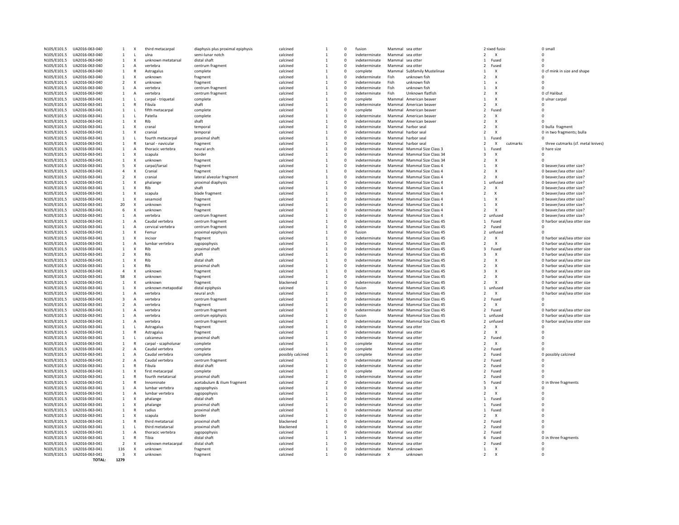| Χ      | third metacarpal                | diaphysis plus proximal epiphysis             | calcined              |
|--------|---------------------------------|-----------------------------------------------|-----------------------|
| L      | ulna                            | semi-lunar notch                              | calcined              |
| Χ      | unknown metatarsal              | distal shaft                                  | calcined              |
| А      | vertebra                        | centrum fragment                              | calcined              |
| R<br>Χ | Astragalus<br>unknown           | complete                                      | calcined<br>calcined  |
| X      | unknown                         | fragment<br>fragment                          | calcined              |
| Α      | vertebra                        | centrum fragment                              | calcined              |
| Α      | vertebra                        | centrum fragment                              | calcined              |
| L      | carpal - triquetal              | complete                                      | calcined              |
| R      | Fibula                          | shaft                                         | calcined              |
| L      | fifth metacarpal                | complete                                      | calcined              |
| L      | Patella                         | complete                                      | calcined              |
| Χ      | Rib                             | shaft                                         | calcined              |
| Χ      | cranal                          | temporal                                      | calcined              |
| Χ      | cranial                         | temporal                                      | calcined              |
| L      | fourth metacarpal               | proximal shaft                                | calcined              |
| R      | tarsal - navicular              | fragment                                      | calcined              |
| Α      | thoracic vertebra               | neural arch                                   | calcined              |
| Χ      | scapula                         | border                                        | calcined              |
| Χ      | unknown                         | fragment                                      | calcined              |
| Χ      | carpal/tarsal                   | fragment                                      | calcined              |
| Χ      | Cranial<br>cranial              | fragment                                      | calcined<br>calcined  |
| Χ<br>Χ |                                 | lateral alveolar fragment                     | calcined              |
| Χ      | phalange<br>Rib                 | proximal diaphysis<br>shaft                   | calcined              |
| Χ      | scapula                         | blade fragment                                | calcined              |
| Χ      | sesamoid                        | fragment                                      | calcined              |
| Χ      | unknown                         | fragment                                      | calcined              |
| Χ      | unknown                         | fragment                                      | calcined              |
| A      | vertebra                        | centrum fragment                              | calcined              |
| Α      | Caudal vertebra                 | centrum fragment                              | calcined              |
| А      | cervical vertebra               | centrum fragment                              | calcined              |
| Χ      | Femur                           | proximal epiphysis                            | calcined              |
| Χ      | incisor                         | fragment                                      | calcined              |
| Α      | lumbar vertebra                 | zygopophysis                                  | calcined              |
| Χ      | Rib                             | proximal shaft                                | calcined              |
| Χ      | Rib                             | shaft                                         | calcined              |
| Χ      | Rib                             | distal shaft                                  | calcined              |
| Χ      | Rib                             | proximal shaft                                | calcined              |
| Χ      | unknown                         | fragment                                      | calcined              |
| Χ<br>Χ | unknown<br>unknown              | fragment<br>fragment                          | calcined<br>blackened |
| Χ      | unknown metapodial              | distal epiphysis                              | calcined              |
| Α      | vertebra                        | neural arch                                   | calcined              |
| Α      | vertebra                        | centrum fragment                              | calcined              |
| Α      | vertebra                        | fragment                                      | calcined              |
| Α      | vertebra                        | centrum fragment                              | calcined              |
| Α      | vertebra                        | centrum epiphysis                             | calcined              |
| А      | vertebra                        | centrum fragment                              | calcined              |
| L      | Astragalus                      | fragment                                      | calcined              |
| R      | Astragalus                      | fragment                                      | calcined              |
| L      | calcaneus                       | proximal shaft                                | calcined              |
| R      | carpal - scapholunar            | complete                                      | calcined              |
| Α      | Caudal vertebra                 | complete                                      | calcined              |
| А      | Caudal vertebra                 | complete                                      | possibly calcined     |
| Α      | Caudal vertebra                 | centrum fragment                              | calcined              |
| R      | Fibula                          | distal shaft                                  | calcined              |
| Χ      | first metacarpal                | complete                                      | calcined              |
| R<br>R | fourth metatarsal<br>Innominate | proximal shaft<br>acetabulum & ilium fragment | calcined<br>calcined  |
| А      | lumbar vertebra                 | zygopophysis                                  | calcined              |
| Α      | lumbar vertebra                 | zygopophysis                                  | calcined              |
| Χ      | phalange                        | distal shaft                                  | calcined              |
| Χ      | phalange                        | proximal shaft                                | calcined              |
| R      | radius                          | proximal shaft                                | calcined              |
| Χ      | scapula                         | border                                        | calcined              |
| R      | third metatarsal                | proximal shaft                                | blackened             |
| L      | third metatarsal                | proximal shaft                                | blackened             |
| Α      | thoracic vertebra               | zygopophysis                                  | calcined              |
| R      | Tibia                           | distal shaft                                  | calcined              |
| Χ      | unknown metacarpal              | distal shaft                                  | calcined              |
| Χ      | unknown                         | fragment                                      | calcined              |
| Χ      | unknown                         | fragment                                      | calcined              |

| N105/E101.5                | UA2016-063-040                   | 1                                |
|----------------------------|----------------------------------|----------------------------------|
| N105/E101.5                | UA2016-063-040                   | 1                                |
| N105/E101.5                | UA2016-063-040                   | $\mathbf{1}$                     |
| N105/E101.5                | UA2016-063-040                   | $\mathbf 1$                      |
| N105/E101.5<br>N105/E101.5 | UA2016-063-040<br>UA2016-063-040 | 1<br>$\mathbf 1$                 |
| N105/E101.5                | UA2016-063-040                   | $\overline{2}$                   |
| N105/E101.5                | UA2016-063-040                   | $\mathbf{1}$                     |
| N105/E101.5                | UA2016-063-040                   | $\overline{1}$                   |
| N105/E101.5                | UA2016-063-041                   | $\overline{1}$                   |
| N105/E101.5                | UA2016-063-041                   | $\mathbf 1$                      |
| N105/E101.5                | UA2016-063-041                   | $\mathbf 1$                      |
| N105/E101.5                | UA2016-063-041                   | 1                                |
| N105/E101.5                | UA2016-063-041                   | $\mathbf{1}$                     |
| N105/E101.5                | UA2016-063-041                   | $\mathbf 1$                      |
| N105/E101.5                | UA2016-063-041                   | $\mathbf 1$                      |
| N105/E101.5                | UA2016-063-041                   | 1                                |
| N105/E101.5                | UA2016-063-041                   | 1                                |
| N105/E101.5                | UA2016-063-041                   | $\mathbf 1$                      |
| N105/E101.5                | UA2016-063-041<br>UA2016-063-041 | $\mathbf 1$                      |
| N105/E101.5<br>N105/E101.5 | UA2016-063-041                   | $\mathbf 1$<br>5                 |
| N105/E101.5                | UA2016-063-041                   | 4                                |
| N105/E101.5                | UA2016-063-041                   | $\overline{2}$                   |
| N105/E101.5                | UA2016-063-041                   | $\mathbf{1}$                     |
| N105/E101.5                | UA2016-063-041                   | $\overline{1}$                   |
| N105/E101.5                | UA2016-063-041                   | $\mathbf 1$                      |
| N105/E101.5                | UA2016-063-041                   | $\mathbf{1}$                     |
| N105/E101.5                | UA2016-063-041                   | 20                               |
| N105/E101.5                | UA2016-063-041                   | 6                                |
| N105/E101.5                | UA2016-063-041                   | $\mathbf{1}$                     |
| N105/E101.5                | UA2016-063-041                   | $\overline{1}$                   |
| N105/E101.5                | UA2016-063-041                   | 1                                |
| N105/E101.5                | UA2016-063-041                   | 1                                |
| N105/E101.5<br>N105/E101.5 | UA2016-063-041<br>UA2016-063-041 | $\overline{1}$<br>$\overline{1}$ |
| N105/E101.5                | UA2016-063-041                   | $\mathbf 1$                      |
| N105/E101.5                | UA2016-063-041                   | $\overline{\mathbf{c}}$          |
| N105/E101.5                | UA2016-063-041                   | $\mathbf{1}$                     |
| N105/E101.5                | UA2016-063-041                   | $\mathbf{1}$                     |
| N105/E101.5                | UA2016-063-041                   | 4                                |
| N105/E101.5                | UA2016-063-041                   | 58                               |
| N105/E101.5                | UA2016-063-041                   | 1                                |
| N105/E101.5                | UA2016-063-041                   | 1                                |
| N105/E101.5                | UA2016-063-041                   | $\mathbf{1}$                     |
| N105/E101.5                | UA2016-063-041                   | 3                                |
| N105/E101.5                | UA2016-063-041                   | $\overline{2}$<br>$\mathbf 1$    |
| N105/E101.5<br>N105/E101.5 | UA2016-063-041<br>UA2016-063-041 | $\overline{1}$                   |
| N105/E101.5                | UA2016-063-041                   | $\mathbf 1$                      |
| N105/E101.5                | UA2016-063-041                   | $\mathbf{1}$                     |
| N105/E101.5                | UA2016-063-041                   | $\overline{1}$                   |
| N105/E101.5                | UA2016-063-041                   | $\mathbf 1$                      |
| N105/E101.5                | UA2016-063-041                   | $\mathbf 1$                      |
| N105/E101.5                | UA2016-063-041                   | $\overline{2}$                   |
| N105/E101.5                | UA2016-063-041                   | $\mathbf{1}$                     |
| N105/E101.5                | UA2016-063-041                   | $\overline{2}$                   |
| N105/E101.5                | UA2016-063-041                   | $\overline{1}$                   |
| N105/E101.5                | UA2016-063-041                   | $\overline{1}$                   |
| N105/E101.5<br>N105/E101.5 | UA2016-063-041<br>UA2016-063-041 | 1<br>$\mathbf 1$                 |
| N105/E101.5                | UA2016-063-041                   | $\mathbf 1$                      |
| N105/E101.5                | UA2016-063-041                   | $\mathbf{1}$                     |
| N105/E101.5                | UA2016-063-041                   | $\mathbf 1$                      |
| N105/E101.5                | UA2016-063-041                   | 1                                |
| N105/E101.5                | UA2016-063-041                   | 1                                |
| N105/E101.5                | UA2016-063-041                   | 1                                |
| N105/E101.5                | UA2016-063-041                   | $\overline{1}$                   |
| N105/E101.5                | UA2016-063-041                   | $\overline{1}$                   |
| N105/E101.5                | UA2016-063-041                   | 1                                |
| N105/E101.5                | UA2016-063-041<br>UA2016-063-041 | $\overline{1}$<br>$\overline{2}$ |
| N105/E101.5<br>N105/E101.5 | UA2016-063-041                   | 116                              |
| N105/E101.5                | UA2016-063-041                   | 3                                |
|                            | <b>TOTAL:</b>                    | 1279                             |

| х | third metacarpal     |
|---|----------------------|
| L | ulna                 |
| X | unknown metatarsal   |
| A | vertebra             |
| R | Astragalus           |
| X | unknown              |
| X | unknown              |
| A | vertebra             |
| A | vertebra             |
| L | carpal - triquetal   |
| R | Fibula               |
| L | fifth metacarpal     |
| L | Patella              |
| Χ | Rib                  |
| X | cranal               |
| X | cranial              |
| L | fourth metacarpal    |
| R | tarsal - navicular   |
| A | thoracic vertebra    |
| X | scapula              |
| X | unknown              |
| X | carpal/tarsal        |
| X | Cranial              |
| X | cranial              |
| X | phalange             |
| Χ | Rib                  |
| X | scapula              |
| X | sesamoid             |
| X | unknown              |
| X | unknown              |
| A |                      |
|   | vertebra             |
| A | Caudal vertebra      |
| Α | cervical vertebra    |
| Χ | Femur                |
| X | incisor              |
| A | lumbar vertebra      |
| X | Rib                  |
| X | Rib                  |
| X | Rib                  |
| Χ | Rib                  |
| X | unknown              |
| X | unknown              |
| X | unknown              |
| X | unknown metapodia    |
| A | vertebra             |
| A | vertebra             |
| A | vertebra             |
| Α | vertebra             |
| A | vertebra             |
| A | vertebra             |
| L | Astragalus           |
| R | Astragalus           |
| L | calcaneus            |
| R | carpal - scapholunar |
| Α | Caudal vertebra      |
| Α | Caudal vertebra      |
| A | Caudal vertebra      |
| R | Fibula               |
| Χ | first metacarpal     |
| R | fourth metatarsal    |
| R | Innominate           |
| A | lumbar vertebra      |
| A | lumbar vertebra      |
| X | phalange             |
| х | phalange             |
| R | radius               |
| Χ | scapula              |
| R | third metatarsal     |
| L | third metatarsal     |
| A | thoracic vertebra    |
| R | Tibia                |
|   |                      |
| X | unknown metacarpa    |
| X | unknown              |
| X | unknown              |
|   |                      |

| Icined                    | 1                                |
|---------------------------|----------------------------------|
| Icined                    | 1                                |
| Icined<br>Icined          | 1<br>1                           |
| Icined                    | $\mathbf 1$                      |
| Icined                    | $\mathbf 1$                      |
| Icined                    | $\mathbf 1$                      |
| Icined                    | 1                                |
| Icined                    | $\mathbf 1$                      |
| Icined                    | $\mathbf 1$                      |
| Icined                    | 1<br>$\mathbf 1$                 |
| Icined<br>Icined          | $\mathbf 1$                      |
| Icined                    | 1                                |
| Icined                    | $\mathbf 1$                      |
| Icined                    | $\overline{1}$                   |
| Icined                    | 1                                |
| Icined                    | $\mathbf 1$                      |
| Icined                    | 1                                |
| Icined                    | 1                                |
| Icined<br>Icined          | 1<br>$\mathbf 1$                 |
| Icined                    | $\mathbf 1$                      |
| Icined                    | 1                                |
| Icined                    | 1                                |
| Icined                    | 1                                |
| Icined                    | 1                                |
| Icined                    | $\mathbf 1$                      |
| Icined                    | $\mathbf 1$                      |
| Icined<br>Icined          | $\mathbf 1$<br>1                 |
| Icined                    | $\overline{1}$                   |
| Icined                    | 1                                |
| Icined                    | 1                                |
| Icined                    | $\overline{1}$                   |
| Icined                    | $\overline{1}$                   |
| Icined                    | 1                                |
| Icined                    | $\mathbf 1$                      |
| Icined<br>Icined          | $\overline{1}$<br>1              |
| Icined                    | $\mathbf 1$                      |
| Icined                    | $\overline{1}$                   |
| ackened                   | $\mathbf 1$                      |
| Icined                    | $\mathbf 1$                      |
| Icined                    | $\mathbf 1$                      |
| Icined                    | $\mathbf 1$                      |
| Icined<br>Icined          | $\overline{1}$<br>$\overline{1}$ |
| Icined                    | $\mathbf 1$                      |
| Icined                    | $\mathbf 1$                      |
| Icined                    | $\mathbf 1$                      |
| Icined                    | $\mathbf 1$                      |
| Icined                    | $\overline{1}$                   |
| Icined                    | $\mathbf 1$                      |
| Icined                    | $\mathbf 1$                      |
| ssibly calcined<br>Icined | $\mathbf 1$<br>1                 |
| Icined                    | $\mathbf 1$                      |
| Icined                    | $\mathbf 1$                      |
| Icined                    | 1                                |
| Icined                    | 2                                |
| Icined                    | $\overline{1}$                   |
| Icined                    | 1                                |
| Icined                    | $\mathbf 1$                      |
| Icined<br>Icined          | 1                                |
| Icined                    | 1<br>1                           |
| ackened                   | 1                                |
| ackened                   | $\overline{1}$                   |
| Icined                    | 1                                |
| Icined                    | 1                                |
| Icined                    | $\overline{1}$                   |
| Icined                    | $\overline{1}$                   |
| Icined                    | 1                                |

| 0      | fusion                         | Mammal           | sea otter                                                  |
|--------|--------------------------------|------------------|------------------------------------------------------------|
| 0      | indeterminate                  | Mammal           | sea otter                                                  |
| 0      | indeterminate                  | Mammal           | sea otter                                                  |
| 0      | indeterminate                  | Mammal           | sea otter                                                  |
| 0<br>0 | complete<br>indeterminate      | Mammal<br>Fish   | <b>Subfamily Mustelinae</b><br>unknown fish                |
| 0      | indeterminate                  | Fish             | unknown fish                                               |
| 0      | indeterminate                  | <b>Fish</b>      | unknown fish                                               |
| 0      | indeterminate                  | <b>Fish</b>      | Unknown flatfish                                           |
| 0      | complete                       | Mammal           | American beaver                                            |
| 0      | indeterminate                  | Mammal           | American beaver                                            |
| 0      | complete                       | Mammal           | American beaver                                            |
| 0      | indeterminate                  | Mammal           | American beaver                                            |
| 0<br>0 | indeterminate<br>indeterminate | Mammal<br>Mammal | American beaver<br>harbor seal                             |
| 0      | indeterminate                  | Mammal           | harbor seal                                                |
| 0      | indeterminate                  | Mammal           | harbor seal                                                |
| 0      | indeterminate                  | Mammal           | harbor seal                                                |
| 0      | indeterminate                  | Mammal           | <b>Mammal Size Class 3</b>                                 |
| 0      | indeterminate                  | Mammal           | <b>Mammal Size Class 34</b>                                |
| 0      | indeterminate                  | Mammal           | <b>Mammal Size Class 34</b>                                |
| 0      | indeterminate                  | Mammal           | Mammal Size Class 4                                        |
| 0<br>0 | indeterminate                  | Mammal<br>Mammal | <b>Mammal Size Class 4</b><br><b>Mammal Size Class 4</b>   |
| 0      | indeterminate<br>indeterminate | Mammal           | Mammal Size Class 4                                        |
| 0      | indeterminate                  | Mammal           | <b>Mammal Size Class 4</b>                                 |
| 0      | indeterminate                  | Mammal           | <b>Mammal Size Class 4</b>                                 |
| 0      | indeterminate                  | Mammal           | Mammal Size Class 4                                        |
| 0      | indeterminate                  | Mammal           | <b>Mammal Size Class 4</b>                                 |
| 0      | indeterminate                  | Mammal           | <b>Mammal Size Class 4</b>                                 |
| 0      | indeterminate                  | Mammal           | <b>Mammal Size Class 4</b>                                 |
| 0      | indeterminate                  |                  | Mammal Mammal Size Class 45                                |
| 0      | indeterminate<br>fusion        | Mammal           | Mammal Mammal Size Class 45<br><b>Mammal Size Class 45</b> |
| 0<br>0 | indeterminate                  | Mammal           | <b>Mammal Size Class 45</b>                                |
| 0      | indeterminate                  | Mammal           | <b>Mammal Size Class 45</b>                                |
| 0      | indeterminate                  | Mammal           | Mammal Size Class 45                                       |
| 0      | indeterminate                  | Mammal           | <b>Mammal Size Class 45</b>                                |
| 0      | indeterminate                  | Mammal           | <b>Mammal Size Class 45</b>                                |
| 0      | indeterminate                  | Mammal           | <b>Mammal Size Class 45</b>                                |
| 0      | indeterminate                  | Mammal           | <b>Mammal Size Class 45</b>                                |
| 0      | indeterminate                  | Mammal           | Mammal Size Class 45                                       |
| 0<br>0 | indeterminate<br>fusion        | Mammal<br>Mammal | <b>Mammal Size Class 45</b><br><b>Mammal Size Class 45</b> |
| 0      | indeterminate                  | Mammal           | <b>Mammal Size Class 45</b>                                |
| 0      | indeterminate                  | Mammal           | <b>Mammal Size Class 45</b>                                |
| 0      | indeterminate                  | Mammal           | <b>Mammal Size Class 45</b>                                |
| 0      | indeterminate                  | Mammal           | <b>Mammal Size Class 45</b>                                |
| 0      | fusion                         | Mammal           | <b>Mammal Size Class 45</b>                                |
| 0      | indeterminate                  | Mammal           | <b>Mammal Size Class 45</b>                                |
| 0      | indeterminate                  | Mammal           | sea otter                                                  |
| 0<br>0 | indeterminate<br>indeterminate | Mammal<br>Mammal | sea otter<br>sea otter                                     |
| 0      | complete                       | Mammal           | sea otter                                                  |
| 0      | complete                       | Mammal           | sea otter                                                  |
| 0      | complete                       | Mammal           | sea otter                                                  |
| 0      | indeterminate                  | Mammal           | sea otter                                                  |
| 0      | indeterminate                  | Mammal           | sea otter                                                  |
| 0      | complete                       | Mammal           | sea otter                                                  |
| 0      | indeterminate<br>indeterminate | Mammal           | sea otter                                                  |
| 0<br>0 | indeterminate                  | Mammal<br>Mammal | sea otter<br>sea otter                                     |
| 0      | indeterminate                  | Mammal           | sea otter                                                  |
| 0      | indeterminate                  |                  | Mammal sea otter                                           |
| 0      | indeterminate                  | Mammal           | sea otter                                                  |
| 0      | indeterminate                  | Mammal           | sea otter                                                  |
| 0      | indeterminate                  | Mammal           | sea otter                                                  |
| 0      | indeterminate                  | Mammal           | sea otter                                                  |
| 0<br>0 | indeterminate<br>indeterminate | Mammal<br>Mammal | sea otter<br>sea otter                                     |
| 1      | indeterminate                  | Mammal           | sea otter                                                  |
| 0      | indeterminate                  | Mammal           | sea otter                                                  |
| 0      | indeterminate                  | Mammal           | unknown                                                    |
| 0      | indeterminate                  | x                | unknown                                                    |

| 2 nixed fusio                              | 0 small                                                      |
|--------------------------------------------|--------------------------------------------------------------|
| 2<br>X<br>$\mathbf{1}$                     | 0<br>0                                                       |
| Fused<br>2<br>Fused                        | 0                                                            |
| $\mathbf{1}$<br>χ                          | 0 cf mink in size and shape                                  |
| $\overline{2}$<br>X                        | 0                                                            |
| $\mathbf{1}$<br>x                          | 0                                                            |
| 1<br>x                                     | 0                                                            |
| 2<br>x                                     | 0 cf Halibut                                                 |
| $\mathbf{1}$<br>X                          | 0 ulnar carpal                                               |
| $\overline{2}$<br>Χ                        | 0                                                            |
| $\overline{2}$<br>Fused                    | 0                                                            |
| $\overline{2}$<br>X                        | 0                                                            |
| $\overline{2}$<br>χ<br>$\overline{2}$<br>X | 0<br>0 bulla fragment                                        |
| $\overline{2}$<br>X                        | 0 in two fragments; bulla                                    |
| $\mathbf{1}$<br>Fused                      | 0                                                            |
| $\overline{2}$<br>Χ<br>cutmarks            | three cutmarks (cf. metal knives)                            |
| $\mathbf{1}$<br>Fused                      | 0 hare size                                                  |
| 3<br>X                                     | 0                                                            |
| $\overline{2}$<br>Χ                        | 0                                                            |
| $\mathbf{1}$<br>x                          | 0 beaver/sea otter size?                                     |
| $\overline{2}$<br>χ                        | 0 beaver/sea otter size?                                     |
| $\overline{2}$<br>X                        | 0 beaver/sea otter size?                                     |
| unfused<br>$\mathbf{1}$                    | 0 beaver/sea otter size?                                     |
| 2<br>X                                     | 0 beaver/sea otter size?                                     |
| $\overline{2}$<br>Χ                        | 0 beaver/sea otter size?                                     |
| $\mathbf{1}$<br>χ<br>$\mathbf{1}$<br>X     | 0 beaver/sea otter size?                                     |
| $\overline{2}$<br>Χ                        | 0 beaver/sea otter size?<br>0 beaver/sea otter size?         |
| $\overline{2}$<br>unfused                  | 0 beaver/sea otter size?                                     |
| $\mathbf{1}$<br>Fused                      | 0 harbor seal/sea otter size                                 |
| $\overline{2}$<br>Fused                    | 0                                                            |
| $\overline{2}$<br>unfused                  | 0                                                            |
| $\overline{2}$<br>Χ                        | 0 harbor seal/sea otter size                                 |
| $\overline{2}$<br>X                        | 0 harbor seal/sea otter size                                 |
| 3<br>Fused                                 | 0 harbor seal/sea otter size                                 |
| 3<br>X                                     | 0 harbor seal/sea otter size                                 |
| $\overline{2}$<br>X                        | 0 harbor seal/sea otter size                                 |
| $\overline{2}$<br>X                        | 0 harbor seal/sea otter size                                 |
| 3<br>X                                     | 0 harbor seal/sea otter size                                 |
| $\overline{2}$<br>Χ<br>$\overline{2}$      | 0 harbor seal/sea otter size                                 |
| Χ<br>$\overline{1}$<br>unfused             | 0 harbor seal/sea otter size<br>0 harbor seal/sea otter size |
| 2<br>Χ                                     | 0 harbor seal/sea otter size                                 |
| $\overline{2}$<br>Fused                    | 0                                                            |
| $\overline{2}$<br>Χ                        | 0                                                            |
| $\overline{2}$<br>Fused                    | 0 harbor seal/sea otter size                                 |
| unfused<br>$\mathbf{1}$                    | 0 harbor seal/sea otter size                                 |
| $\overline{2}$<br>unfused                  | 0 harbor seal/sea otter size                                 |
| 2<br>Χ                                     | 0                                                            |
| $\overline{2}$<br>Χ                        | 0                                                            |
| $\overline{2}$<br>Fused                    | 0                                                            |
| $\overline{2}$<br>Χ                        | 0                                                            |
| $\overline{2}$<br>Fused                    | 0                                                            |
| Fused<br>2<br>Fused                        | 0 possibly calcined                                          |
| $\overline{2}$<br>Fused<br>2               | 0<br>0                                                       |
| $\overline{2}$<br>Fused                    | 0                                                            |
| Fused<br>$\overline{2}$                    | 0                                                            |
| 5<br>Fused                                 | 0 in three fragments                                         |
| 3<br>X                                     | 0                                                            |
| $\overline{2}$<br>Χ                        | 0                                                            |
| $\mathbf{1}$<br>Fused                      | 0                                                            |
| Fused<br>$\mathbf{1}$                      | 0                                                            |
| Fused<br>$\mathbf{1}$                      | 0                                                            |
| X<br>$\overline{2}$                        | 0                                                            |
| $\overline{2}$<br>Fused                    | 0                                                            |
| Fused<br>$\overline{2}$                    | 0                                                            |
| Fused<br>$\overline{2}$                    | 0                                                            |
| Fused<br>6                                 | 0 in three fragments                                         |
| Fused<br>2                                 | 0                                                            |
| $\mathbf{1}$<br>Χ                          | 0                                                            |
| $\overline{2}$<br>Χ                        | 0                                                            |

| 0 small<br>0                                                 |
|--------------------------------------------------------------|
| 0                                                            |
| 0                                                            |
| 0 cf mink in size and shape                                  |
| 0                                                            |
| 0                                                            |
| 0                                                            |
| 0 cf Halibut<br>0 ulnar carpal                               |
| 0                                                            |
| 0                                                            |
| $\overline{0}$                                               |
| 0                                                            |
| 0 bulla fragment                                             |
| 0 in two fragments; bulla                                    |
| 0                                                            |
| three cutmarks (cf. metal kniv<br>hare size<br>0             |
| 0                                                            |
| 0                                                            |
| 0 beaver/sea otter size?                                     |
| 0 beaver/sea otter size?                                     |
| 0 beaver/sea otter size?                                     |
| 0 beaver/sea otter size?                                     |
| 0 beaver/sea otter size?                                     |
| 0 beaver/sea otter size?<br>0 beaver/sea otter size?         |
| 0 beaver/sea otter size?                                     |
| 0 beaver/sea otter size?                                     |
| 0 beaver/sea otter size?                                     |
| 0 harbor seal/sea otter size                                 |
| 0                                                            |
| 0                                                            |
| 0 harbor seal/sea otter size                                 |
| 0 harbor seal/sea otter size<br>0 harbor seal/sea otter size |
| 0 harbor seal/sea otter size                                 |
| 0 harbor seal/sea otter size                                 |
| 0 harbor seal/sea otter size                                 |
| 0 harbor seal/sea otter size                                 |
| 0 harbor seal/sea otter size                                 |
| 0 harbor seal/sea otter size                                 |
| 0 harbor seal/sea otter size<br>0 harbor seal/sea otter size |
| 0                                                            |
| 0                                                            |
| 0 harbor seal/sea otter size                                 |
| harbor seal/sea otter size<br>0                              |
| 0<br>harbor seal/sea otter size                              |
| 0                                                            |
| 0<br>0                                                       |
| 0                                                            |
| 0                                                            |
| 0<br>possibly calcined                                       |
| 0                                                            |
| 0                                                            |
| 0                                                            |
| 0                                                            |
| 0<br>in three fragments<br>0                                 |
| 0                                                            |
| 0                                                            |
| 0                                                            |
| 0                                                            |
| 0                                                            |
| O                                                            |
| $\overline{0}$<br>0                                          |
| $\overline{0}$<br>in three fragments                         |
| 0                                                            |
| 0                                                            |
|                                                              |